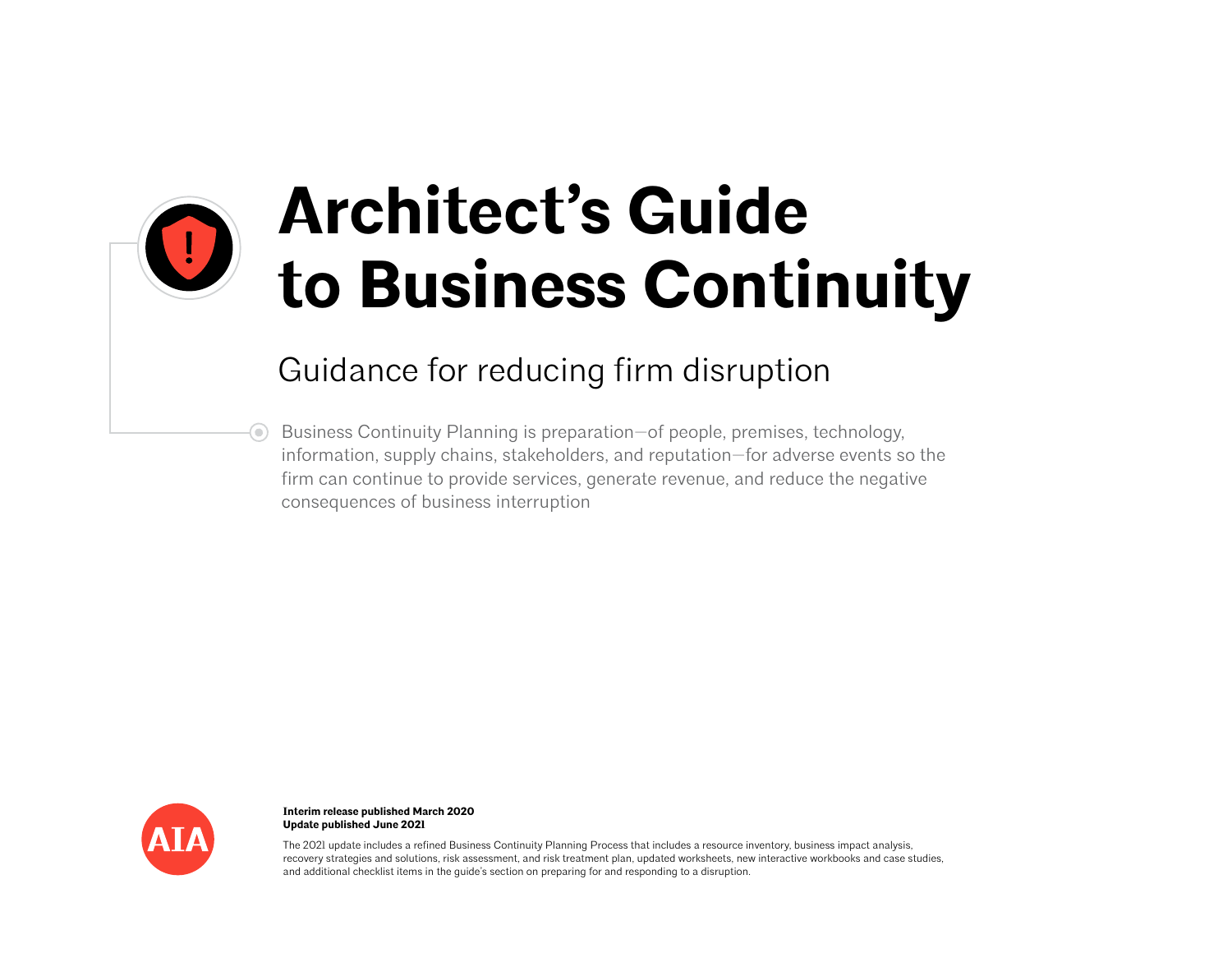

# **Architect's Guide to Business Continuity**

## Guidance for reducing firm disruption

Business Continuity Planning is preparation—of people, premises, technology, information, supply chains, stakeholders, and reputation—for adverse events so the firm can continue to provide services, generate revenue, and reduce the negative consequences of business interruption



**Interim release published March 2020 Update published June 2021**

The 2021 update includes a refined Business Continuity Planning Process that includes a resource inventory, business impact analysis, recovery strategies and solutions, risk assessment, and risk treatment plan, updated worksheets, new interactive workbooks and case studies, and additional checklist items in the guide's section on preparing for and responding to a disruption.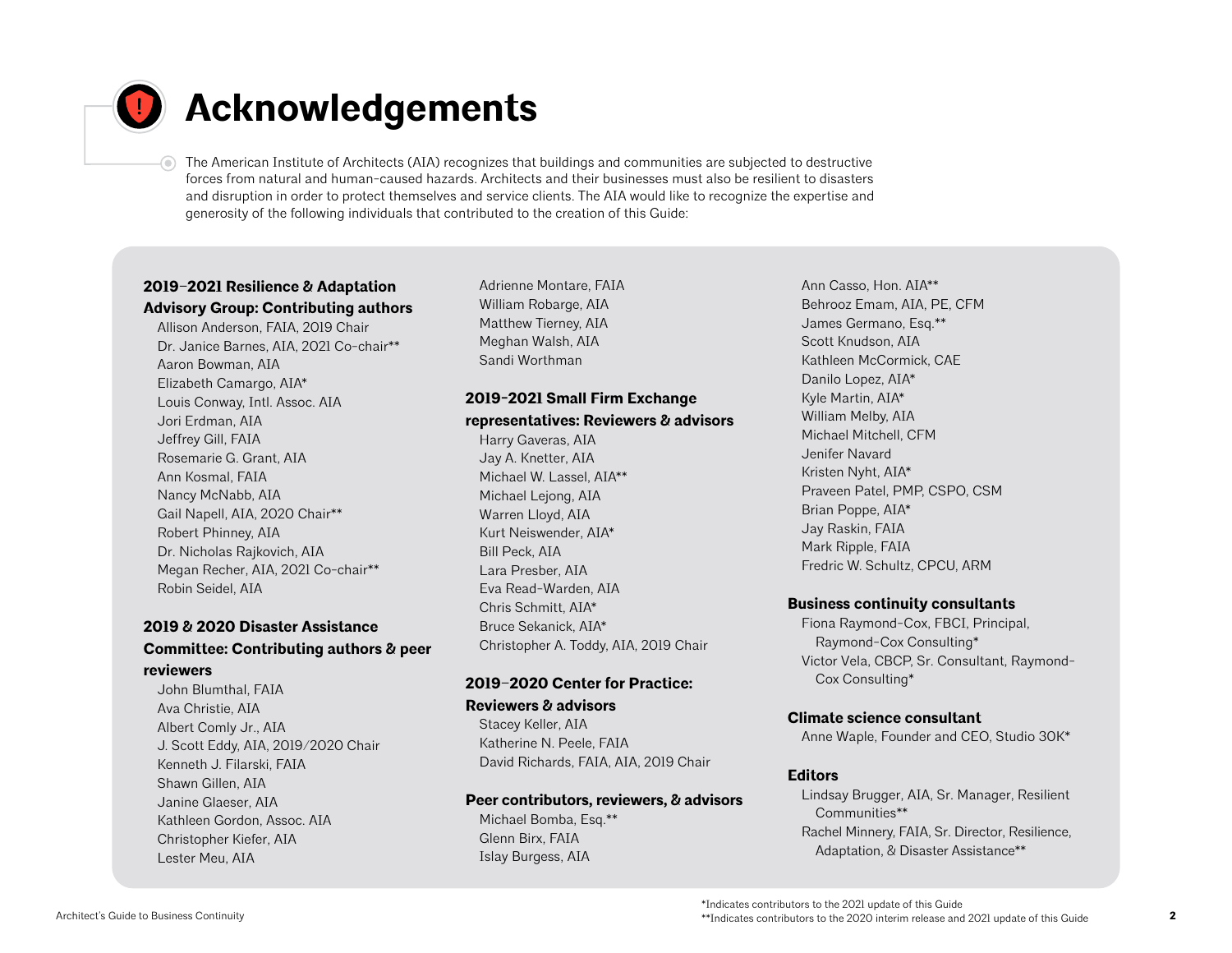

# **Acknowledgements**

The American Institute of Architects (AIA) recognizes that buildings and communities are subjected to destructive forces from natural and human-caused hazards. Architects and their businesses must also be resilient to disasters and disruption in order to protect themselves and service clients. The AIA would like to recognize the expertise and generosity of the following individuals that contributed to the creation of this Guide:

### **2019–2021 Resilience & Adaptation Advisory Group: Contributing authors**

Allison Anderson, FAIA, 2019 Chair Dr. Janice Barnes, AIA, 2021 Co-chair\*\* Aaron Bowman, AIA Elizabeth Camargo, AIA\* Louis Conway, Intl. Assoc. AIA Jori Erdman, AIA Jeffrey Gill, FAIA Rosemarie G. Grant, AIA Ann Kosmal, FAIA Nancy McNabb, AIA Gail Napell, AIA, 2020 Chair\*\* Robert Phinney, AIA Dr. Nicholas Rajkovich, AIA Megan Recher, AIA, 2021 Co-chair\*\* Robin Seidel, AIA

### **2019 & 2020 Disaster Assistance Committee: Contributing authors & peer reviewers**

John Blumthal, FAIA Ava Christie, AIA Albert Comly Jr., AIA J. Scott Eddy, AIA, 2019/2020 Chair Kenneth J. Filarski, FAIA Shawn Gillen, AIA Janine Glaeser, AIA Kathleen Gordon, Assoc. AIA Christopher Kiefer, AIA Lester Meu, AIA

Adrienne Montare, FAIA William Robarge, AIA Matthew Tierney, AIA Meghan Walsh, AIA Sandi Worthman

## **2019-2021 Small Firm Exchange**

### **representatives: Reviewers & advisors**

Harry Gaveras, AIA Jay A. Knetter, AIA Michael W. Lassel, AIA\*\* Michael Lejong, AIA Warren Lloyd, AIA Kurt Neiswender, AIA\* Bill Peck, AIA Lara Presber, AIA Eva Read-Warden, AIA Chris Schmitt, AIA\* Bruce Sekanick, AIA\* Christopher A. Toddy, AIA, 2019 Chair

### **2019–2020 Center for Practice:**

**Reviewers & advisors** 

Stacey Keller, AIA Katherine N. Peele, FAIA David Richards, FAIA, AIA, 2019 Chair

### **Peer contributors, reviewers, & advisors**

Michael Bomba, Esq.\*\* Glenn Birx, FAIA Islay Burgess, AIA

Ann Casso, Hon. AIA\*\* Behrooz Emam, AIA, PE, CFM James Germano, Esq.\*\* Scott Knudson, AIA Kathleen McCormick, CAE Danilo Lopez, AIA\* Kyle Martin, AIA\* William Melby, AIA Michael Mitchell, CFM Jenifer Navard Kristen Nyht, AIA\* Praveen Patel, PMP, CSPO, CSM Brian Poppe, AIA\* Jay Raskin, FAIA Mark Ripple, FAIA Fredric W. Schultz, CPCU, ARM

### **Business continuity consultants**

Fiona Raymond-Cox, FBCI, Principal, Raymond-Cox Consulting\* Victor Vela, CBCP, Sr. Consultant, Raymond-Cox Consulting\*

### **Climate science consultant**

Anne Waple, Founder and CEO, Studio 30K\*

### **Editors**

Lindsay Brugger, AIA, Sr. Manager, Resilient Communities\*\* Rachel Minnery, FAIA, Sr. Director, Resilience, Adaptation, & Disaster Assistance\*\*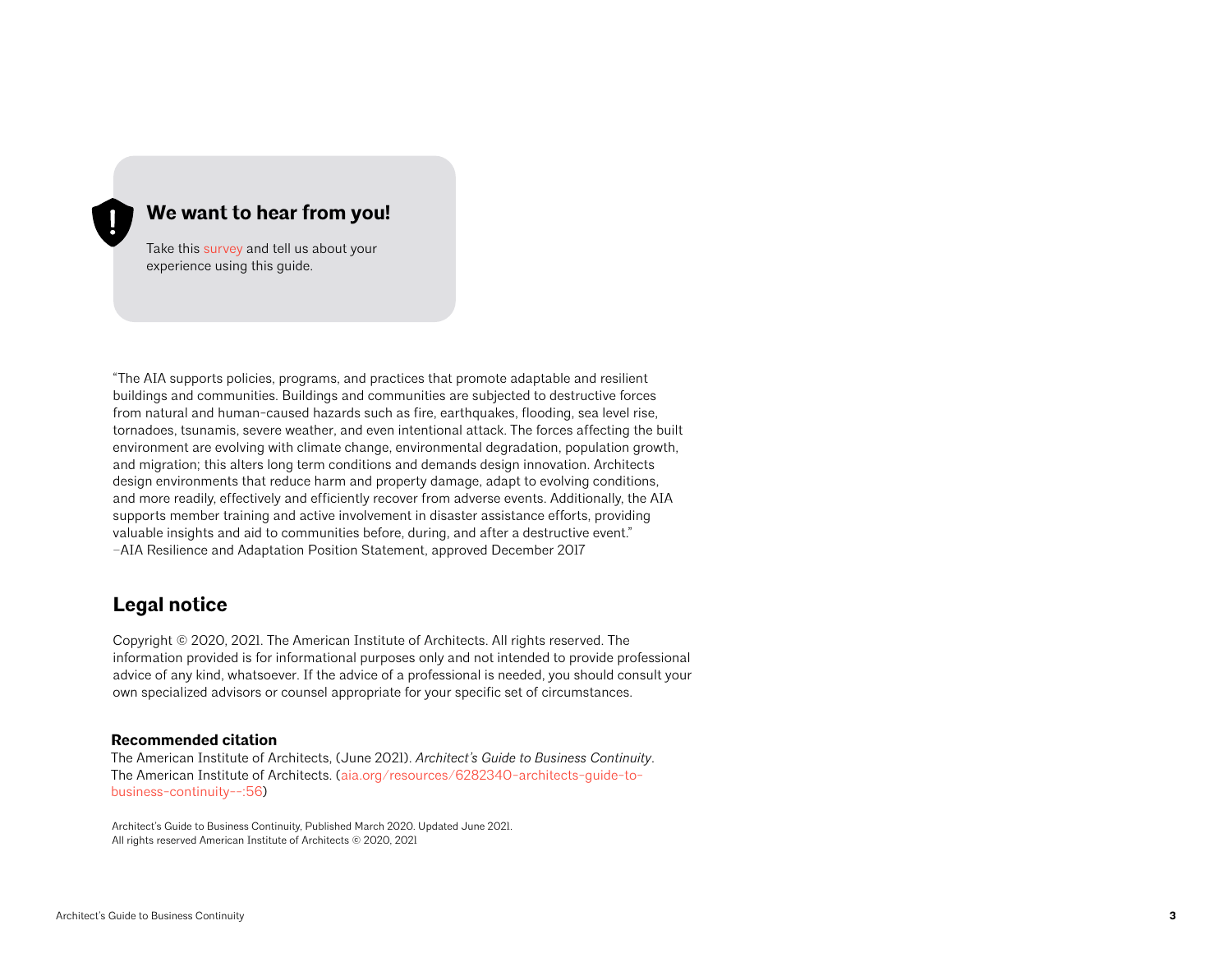### **We want to hear from you!**

Take this [survey](https://www.surveymonkey.com/r/TN7FGRW) and tell us about your experience using this guide.

"The AIA supports policies, programs, and practices that promote adaptable and resilient buildings and communities. Buildings and communities are subjected to destructive forces from natural and human-caused hazards such as fire, earthquakes, flooding, sea level rise, tornadoes, tsunamis, severe weather, and even intentional attack. The forces affecting the built environment are evolving with climate change, environmental degradation, population growth, and migration; this alters long term conditions and demands design innovation. Architects design environments that reduce harm and property damage, adapt to evolving conditions, and more readily, effectively and efficiently recover from adverse events. Additionally, the AIA supports member training and active involvement in disaster assistance efforts, providing valuable insights and aid to communities before, during, and after a destructive event." –AIA Resilience and Adaptation Position Statement, approved December 2017

## **Legal notice**

Copyright © 2020, 2021. The American Institute of Architects. All rights reserved. The information provided is for informational purposes only and not intended to provide professional advice of any kind, whatsoever. If the advice of a professional is needed, you should consult your own specialized advisors or counsel appropriate for your specific set of circumstances.

#### **Recommended citation**

The American Institute of Architects, (June 2021). *Architect's Guide to Business Continuity*. The American Institute of Architects. [\(aia.org/resources/6282340-architects-guide-to](http://aia.org/resources/6282340-architects-guide-to-business-continuity--:56)[business-continuity--:56\)](http://aia.org/resources/6282340-architects-guide-to-business-continuity--:56)

Architect's Guide to Business Continuity, Published March 2020. Updated June 2021. All rights reserved American Institute of Architects © 2020, 2021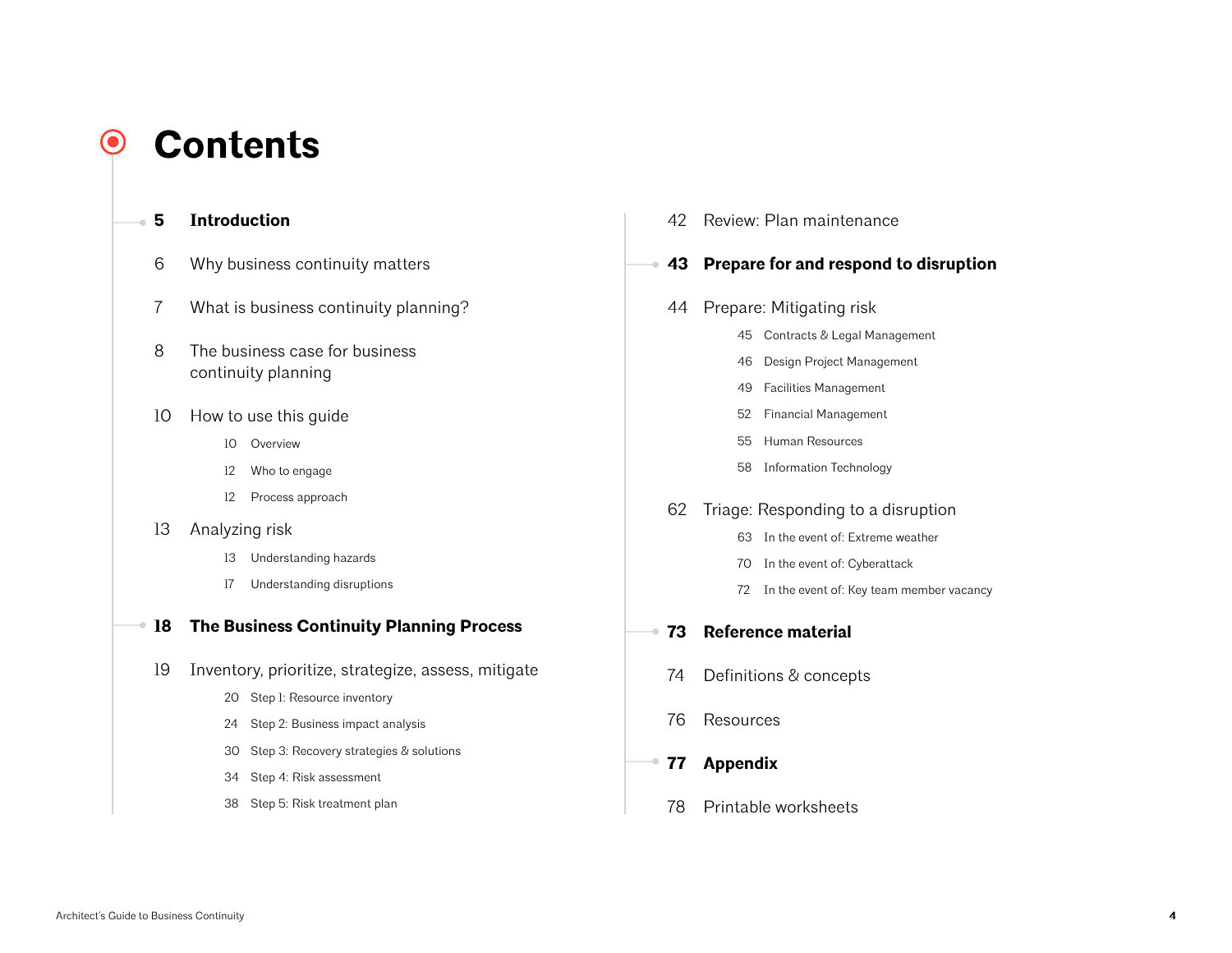### **Contents**O

- **Introduction**
	- Why business continuity matters
	- What is business continuity planning?
	- 8 The business case for business continuity planning
	- How to use this guide
		- Overview
		- Who to engage
		- Process approach
	- Analyzing risk
		- Understanding hazards
		- Understanding disruptions

### **The Business Continuity Planning Process**

- Inventory, prioritize, strategize, assess, mitigate
	- Step 1: Resource inventory
	- Step 2: Business impact analysis
	- Step 3: Recovery strategies & solutions
	- Step 4: Risk assessment
	- Step 5: Risk treatment plan

Review: Plan maintenance

## **Prepare for and respond to disruption**

- Prepare: Mitigating risk
	- Contracts & Legal Management
	- Design Project Management
	- Facilities Management
	- Financial Management
	- Human Resources
	- Information Technology

### Triage: Responding to a disruption

- In the event of: Extreme weather
- In the event of: Cyberattack
- In the event of: Key team member vacancy
- **Reference material**
- Definitions & concepts
- Resources
- **Appendix**
	- Printable worksheets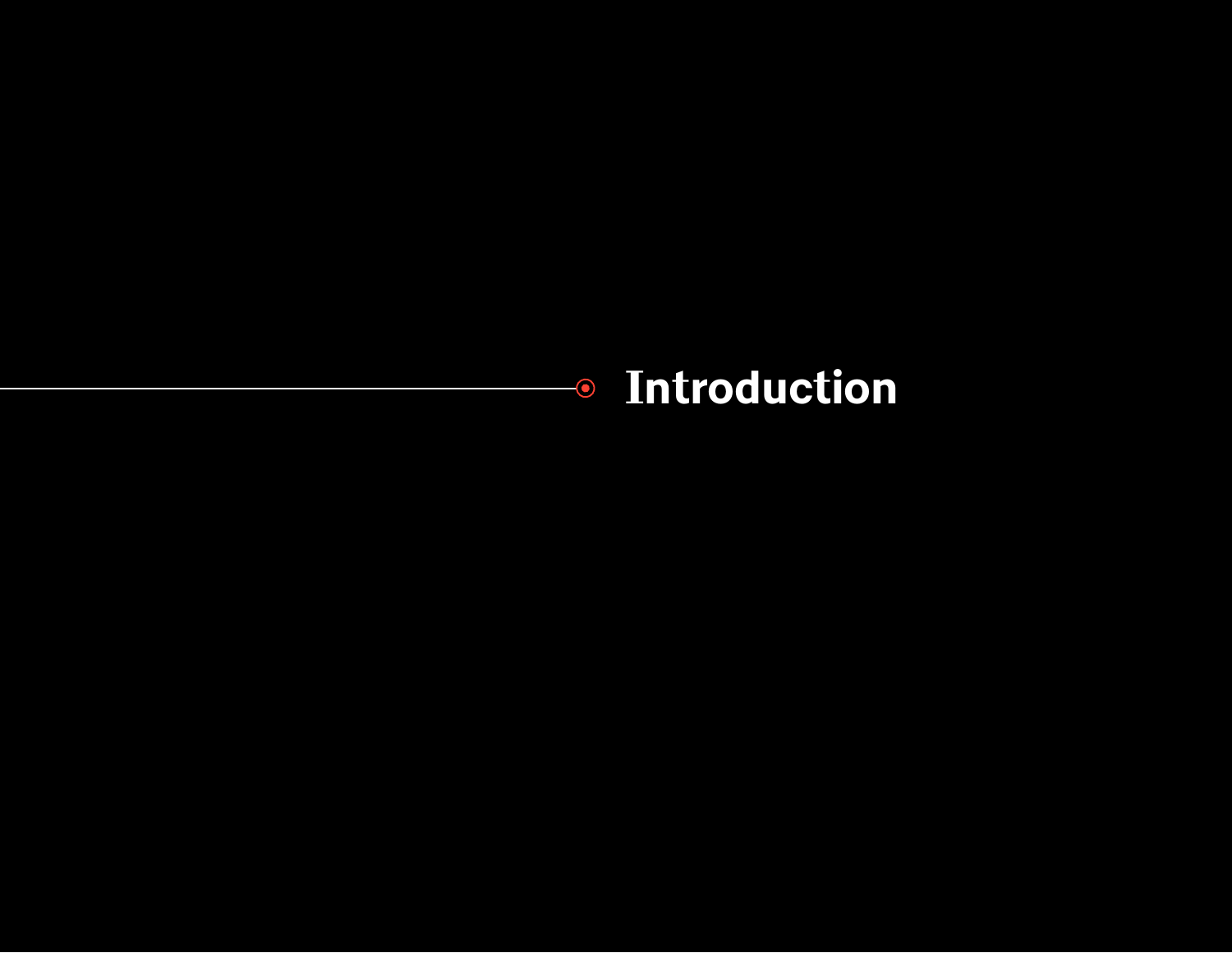# **Introduction**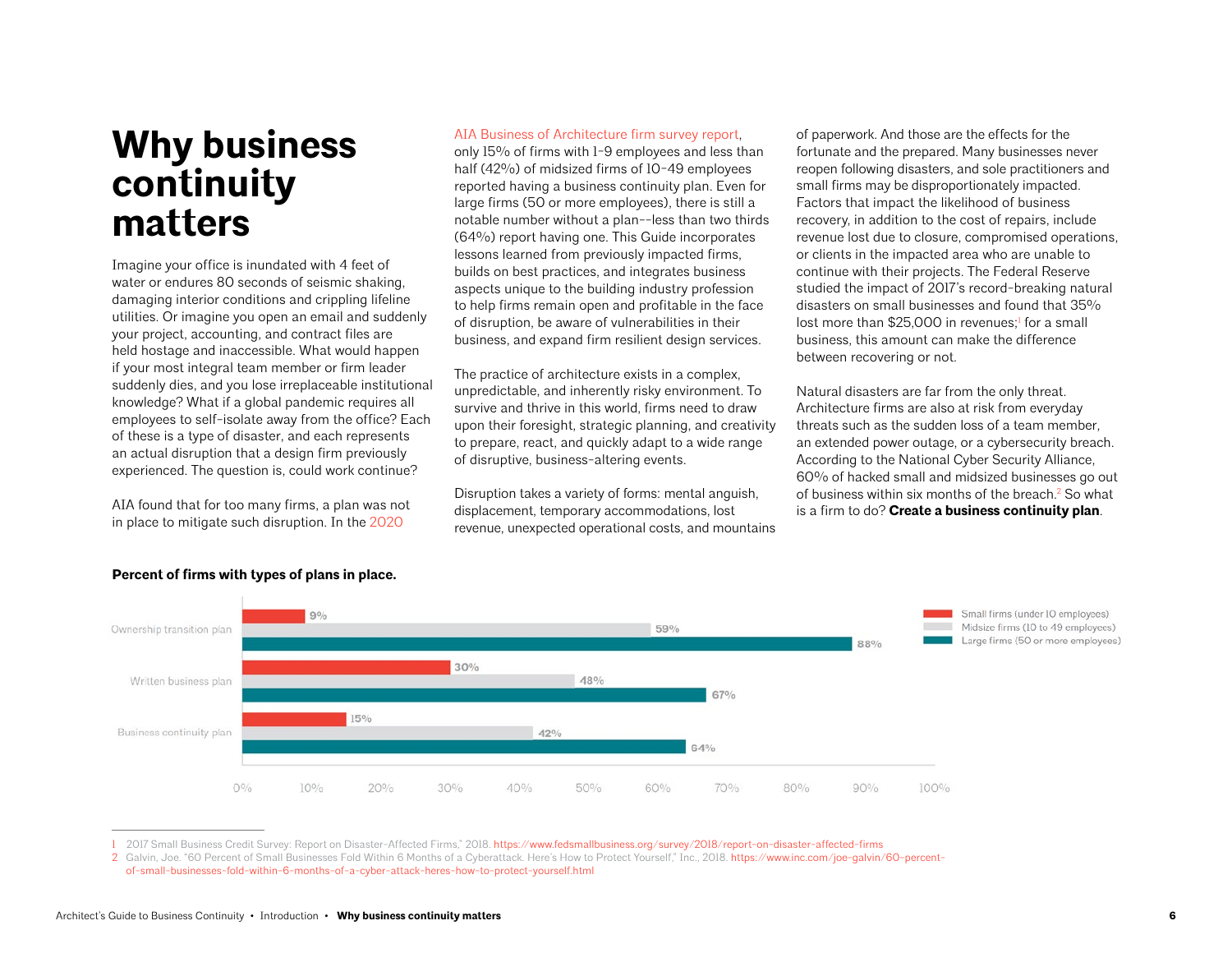## **Why business continuity matters**

Imagine your office is inundated with 4 feet of water or endures 80 seconds of seismic shaking, damaging interior conditions and crippling lifeline utilities. Or imagine you open an email and suddenly your project, accounting, and contract files are held hostage and inaccessible. What would happen if your most integral team member or firm leader suddenly dies, and you lose irreplaceable institutional knowledge? What if a global pandemic requires all employees to self-isolate away from the office? Each of these is a type of disaster, and each represents an actual disruption that a design firm previously experienced. The question is, could work continue?

AIA found that for too many firms, a plan was not in place to mitigate such disruption. In the [2020](https://www.aia.org/resources/6151-firm-survey-report) 

#### [AIA Business of Architecture firm survey report](https://www.aia.org/resources/6151-firm-survey-report),

only 15% of firms with 1-9 employees and less than half (42%) of midsized firms of 10-49 employees reported having a business continuity plan. Even for large firms (50 or more employees), there is still a notable number without a plan--less than two thirds (64%) report having one. This Guide incorporates lessons learned from previously impacted firms, builds on best practices, and integrates business aspects unique to the building industry profession to help firms remain open and profitable in the face of disruption, be aware of vulnerabilities in their business, and expand firm resilient design services.

The practice of architecture exists in a complex, unpredictable, and inherently risky environment. To survive and thrive in this world, firms need to draw upon their foresight, strategic planning, and creativity to prepare, react, and quickly adapt to a wide range of disruptive, business-altering events.

Disruption takes a variety of forms: mental anguish, displacement, temporary accommodations, lost revenue, unexpected operational costs, and mountains of paperwork. And those are the effects for the fortunate and the prepared. Many businesses never reopen following disasters, and sole practitioners and small firms may be disproportionately impacted. Factors that impact the likelihood of business recovery, in addition to the cost of repairs, include revenue lost due to closure, compromised operations, or clients in the impacted area who are unable to continue with their projects. The Federal Reserve studied the impact of 2017's record-breaking natural disasters on small businesses and found that 35% lost more than \$25,000 in revenues;<sup>1</sup> for a small business, this amount can make the difference between recovering or not.

Natural disasters are far from the only threat. Architecture firms are also at risk from everyday threats such as the sudden loss of a team member, an extended power outage, or a cybersecurity breach. According to the National Cyber Security Alliance, 60% of hacked small and midsized businesses go out of business within six months of the breach.<sup>2</sup> So what is a firm to do? **Create a business continuity plan**.



#### **Percent of firms with types of plans in place.**

1 2017 Small Business Credit Survey: Report on Disaster-Affected Firms," 2018.<https://www.fedsmallbusiness.org/survey/2018/report-on-disaster-affected-firms>

<sup>2</sup> Galvin, Joe. "60 Percent of Small Businesses Fold Within 6 Months of a Cyberattack. Here's How to Protect Yourself," Inc., 2018. [https://www.inc.com/joe-galvin/60-percent](https://www.inc.com/joe-galvin/60-percent-of-small-businesses-fold-within-6-months-of-a-cyber-attack-heres-how-to-protect-yourself.html)[of-small-businesses-fold-within-6-months-of-a-cyber-attack-heres-how-to-protect-yourself.html](https://www.inc.com/joe-galvin/60-percent-of-small-businesses-fold-within-6-months-of-a-cyber-attack-heres-how-to-protect-yourself.html)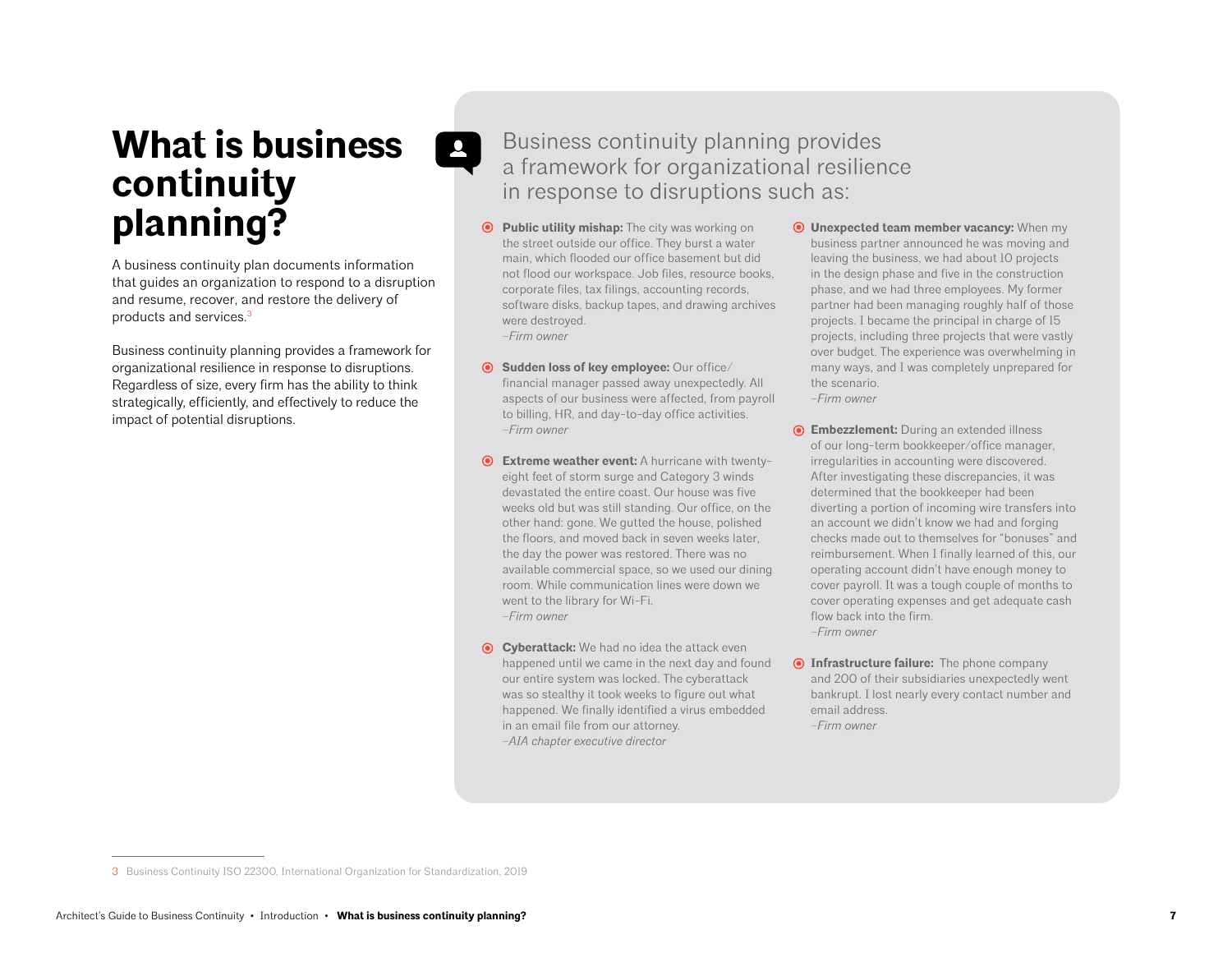# **What is business continuity planning?**

A business continuity plan documents information that guides an organization to respond to a disruption and resume, recover, and restore the delivery of products and services.3

Business continuity planning provides a framework for organizational resilience in response to disruptions. Regardless of size, every firm has the ability to think strategically, efficiently, and effectively to reduce the impact of potential disruptions.

## Business continuity planning provides a framework for organizational resilience in response to disruptions such as:

**Public utility mishap:** The city was working on the street outside our office. They burst a water main, which flooded our office basement but did not flood our workspace. Job files, resource books, corporate files, tax filings, accounting records, software disks, backup tapes, and drawing archives were destroyed. *–Firm owner* 

 $\bullet$ 

- **Sudden loss of key employee:** Our office/ financial manager passed away unexpectedly. All aspects of our business were affected, from payroll to billing, HR, and day-to-day office activities. *–Firm owner*
- **Extreme weather event:** A hurricane with twentyeight feet of storm surge and Category 3 winds devastated the entire coast. Our house was five weeks old but was still standing. Our office, on the other hand: gone. We gutted the house, polished the floors, and moved back in seven weeks later, the day the power was restored. There was no available commercial space, so we used our dining room. While communication lines were down we went to the library for Wi-Fi. *–Firm owner*
- **Cyberattack:** We had no idea the attack even happened until we came in the next day and found our entire system was locked. The cyberattack was so stealthy it took weeks to figure out what happened. We finally identified a virus embedded in an email file from our attorney. *–AIA chapter executive director*
- **Unexpected team member vacancy:** When my business partner announced he was moving and leaving the business, we had about 10 projects in the design phase and five in the construction phase, and we had three employees. My former partner had been managing roughly half of those projects. I became the principal in charge of 15 projects, including three projects that were vastly over budget. The experience was overwhelming in many ways, and I was completely unprepared for the scenario. *–Firm owner*
- **Embezzlement:** During an extended illness of our long-term bookkeeper/office manager, irregularities in accounting were discovered. After investigating these discrepancies, it was determined that the bookkeeper had been diverting a portion of incoming wire transfers into an account we didn't know we had and forging checks made out to themselves for "bonuses" and reimbursement. When I finally learned of this, our operating account didn't have enough money to cover payroll. It was a tough couple of months to cover operating expenses and get adequate cash flow back into the firm. *–Firm owner*
- **Infrastructure failure:** The phone company and 200 of their subsidiaries unexpectedly went bankrupt. I lost nearly every contact number and email address. *–Firm owner*

<sup>3</sup> Business Continuity ISO 22300, International Organization for Standardization, 2019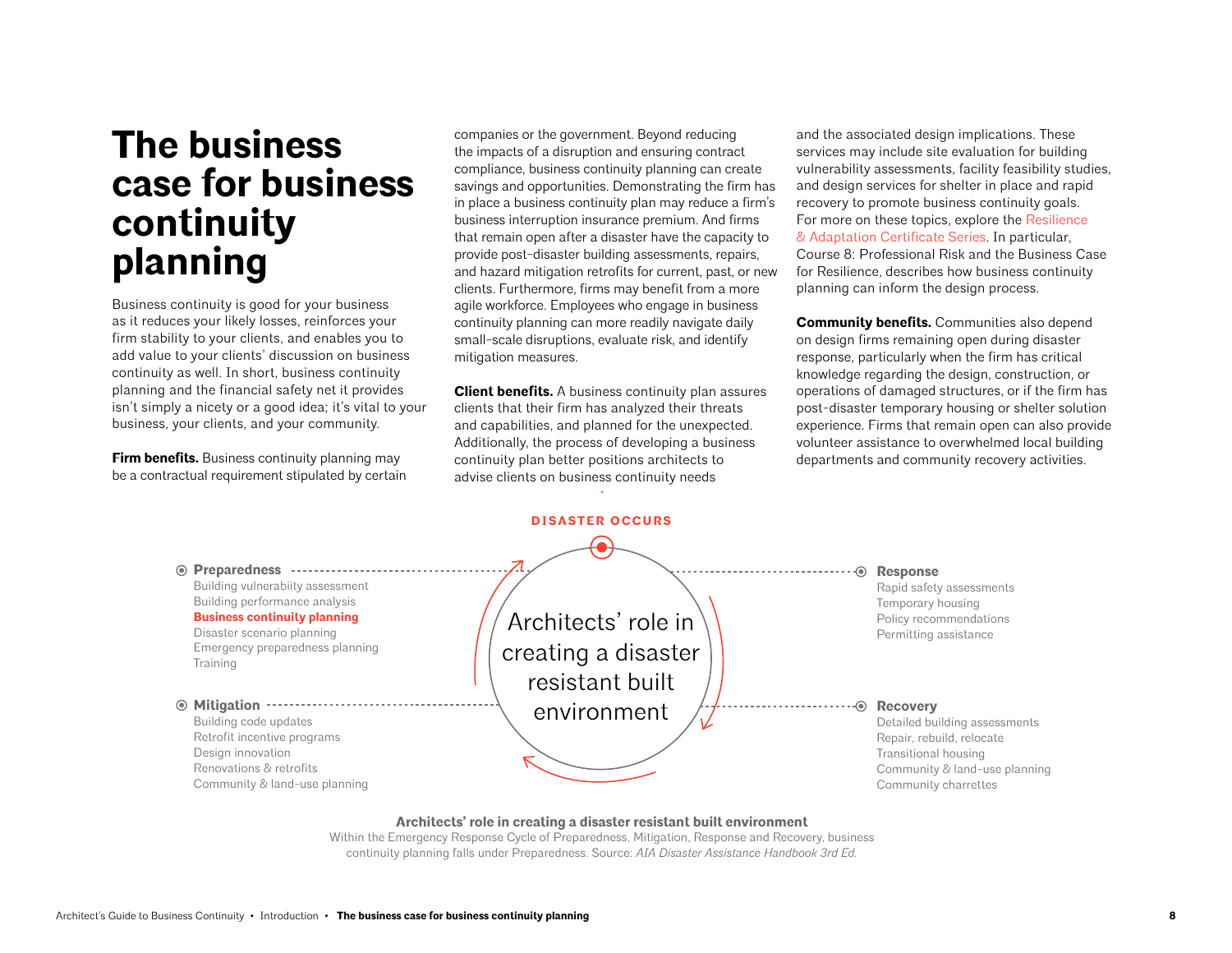## **The business case for business continuity planning**

Business continuity is good for your business as it reduces your likely losses, reinforces your firm stability to your clients, and enables you to add value to your clients' discussion on business continuity as well. In short, business continuity planning and the financial safety net it provides isn't simply a nicety or a good idea; it's vital to your business, your clients, and your community.

**Firm benefits.** Business continuity planning may be a contractual requirement stipulated by certain companies or the government. Beyond reducing the impacts of a disruption and ensuring contract compliance, business continuity planning can create savings and opportunities. Demonstrating the firm has in place a business continuity plan may reduce a firm's business interruption insurance premium. And firms that remain open after a disaster have the capacity to provide post-disaster building assessments, repairs, and hazard mitigation retrofits for current, past, or new clients. Furthermore, firms may benefit from a more agile workforce. Employees who engage in business continuity planning can more readily navigate daily small-scale disruptions, evaluate risk, and identify mitigation measures.

**Client benefits.** A business continuity plan assures clients that their firm has analyzed their threats and capabilities, and planned for the unexpected. Additionally, the process of developing a business continuity plan better positions architects to advise clients on business continuity needs

and the associated design implications. These services may include site evaluation for building vulnerability assessments, facility feasibility studies, and design services for shelter in place and rapid recovery to promote business continuity goals. For more on these topics, explore the Resilience [& Adaptation Certificate Series.](https://aiau.aia.org/aia-resilience-and-adaptation-online-certificate-program) In particular, Course 8: Professional Risk and the Business Case for Resilience, describes how business continuity planning can inform the design process.

**Community benefits.** Communities also depend on design firms remaining open during disaster response, particularly when the firm has critical knowledge regarding the design, construction, or operations of damaged structures, or if the firm has post-disaster temporary housing or shelter solution experience. Firms that remain open can also provide volunteer assistance to overwhelmed local building departments and community recovery activities.



#### **Architects' role in creating a disaster resistant built environment**

Within the Emergency Response Cycle of Preparedness, Mitigation, Response and Recovery, business continuity planning falls under Preparedness. Source: *AIA Disaster Assistance Handbook 3rd Ed.*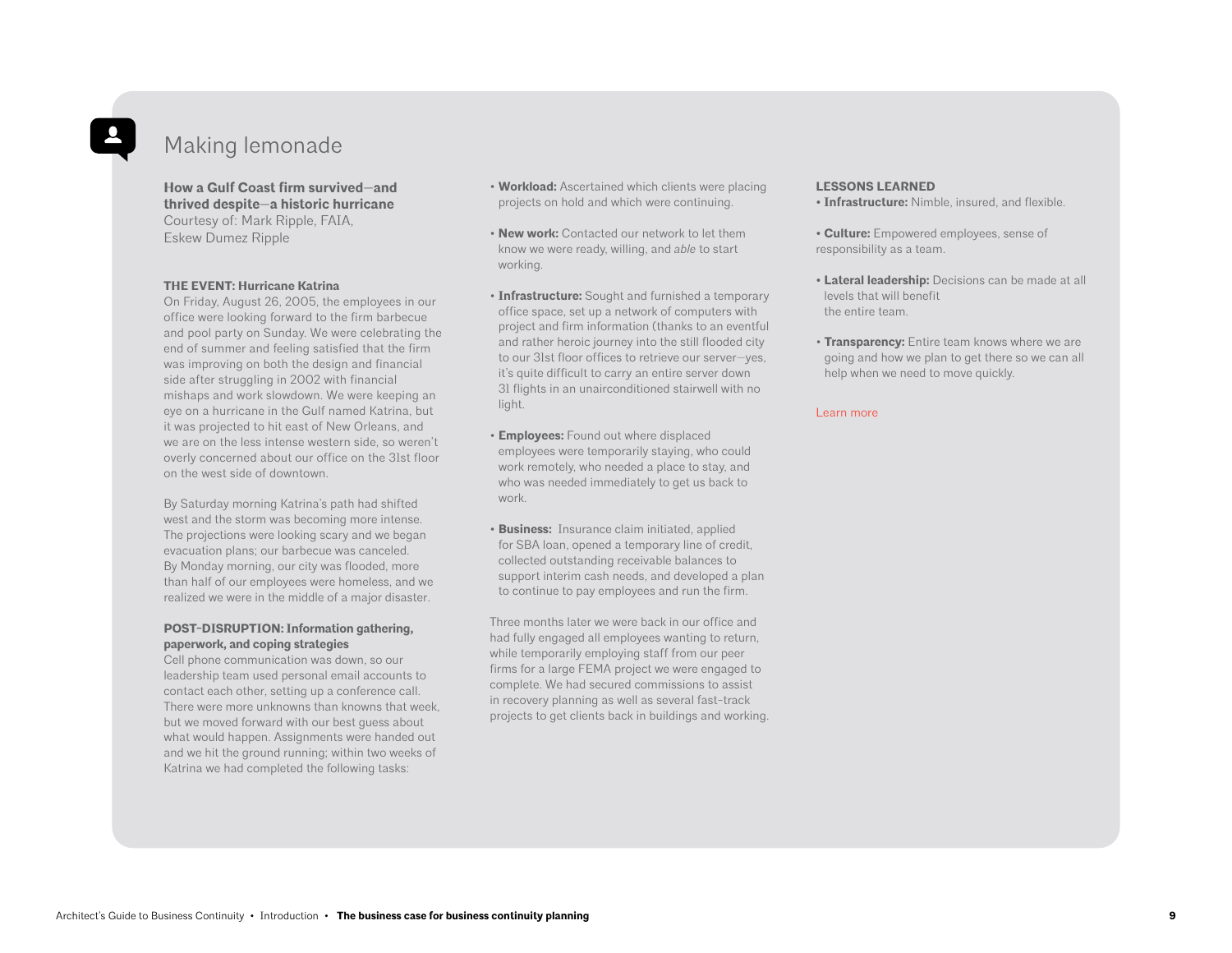## Making lemonade

**How a Gulf Coast firm survived—and thrived despite—a historic hurricane** Courtesy of: Mark Ripple, FAIA, Eskew Dumez Ripple

#### **THE EVENT: Hurricane Katrina**

On Friday, August 26, 2005, the employees in our office were looking forward to the firm barbecue and pool party on Sunday. We were celebrating the end of summer and feeling satisfied that the firm was improving on both the design and financial side after struggling in 2002 with financial mishaps and work slowdown. We were keeping an eye on a hurricane in the Gulf named Katrina, but it was projected to hit east of New Orleans, and we are on the less intense western side, so weren't overly concerned about our office on the 31st floor on the west side of downtown.

By Saturday morning Katrina's path had shifted west and the storm was becoming more intense. The projections were looking scary and we began evacuation plans; our barbecue was canceled. By Monday morning, our city was flooded, more than half of our employees were homeless, and we realized we were in the middle of a major disaster.

#### **POST-DISRUPTION: Information gathering, paperwork, and coping strategies**

Cell phone communication was down, so our leadership team used personal email accounts to contact each other, setting up a conference call. There were more unknowns than knowns that week, but we moved forward with our best guess about what would happen. Assignments were handed out and we hit the ground running; within two weeks of Katrina we had completed the following tasks:

- **Workload:** Ascertained which clients were placing projects on hold and which were continuing.
- **New work:** Contacted our network to let them know we were ready, willing, and *able* to start working.
- **Infrastructure:** Sought and furnished a temporary office space, set up a network of computers with project and firm information (thanks to an eventful and rather heroic journey into the still flooded city to our 31st floor offices to retrieve our server—yes, it's quite difficult to carry an entire server down 31 flights in an unairconditioned stairwell with no light.
- **Employees:** Found out where displaced employees were temporarily staying, who could work remotely, who needed a place to stay, and who was needed immediately to get us back to work.
- **Business:** Insurance claim initiated, applied for SBA loan, opened a temporary line of credit, collected outstanding receivable balances to support interim cash needs, and developed a plan to continue to pay employees and run the firm.

Three months later we were back in our office and had fully engaged all employees wanting to return, while temporarily employing staff from our peer firms for a large FEMA project we were engaged to complete. We had secured commissions to assist in recovery planning as well as several fast-track projects to get clients back in buildings and working.

#### **LESSONS LEARNED**

- **Infrastructure:** Nimble, insured, and flexible.
- **Culture:** Empowered employees, sense of responsibility as a team.
- **Lateral leadership:** Decisions can be made at all levels that will benefit the entire team.
- **Transparency:** Entire team knows where we are going and how we plan to get there so we can all help when we need to move quickly.

#### [Learn more](https://www.di.net/articles/learning-resilience/)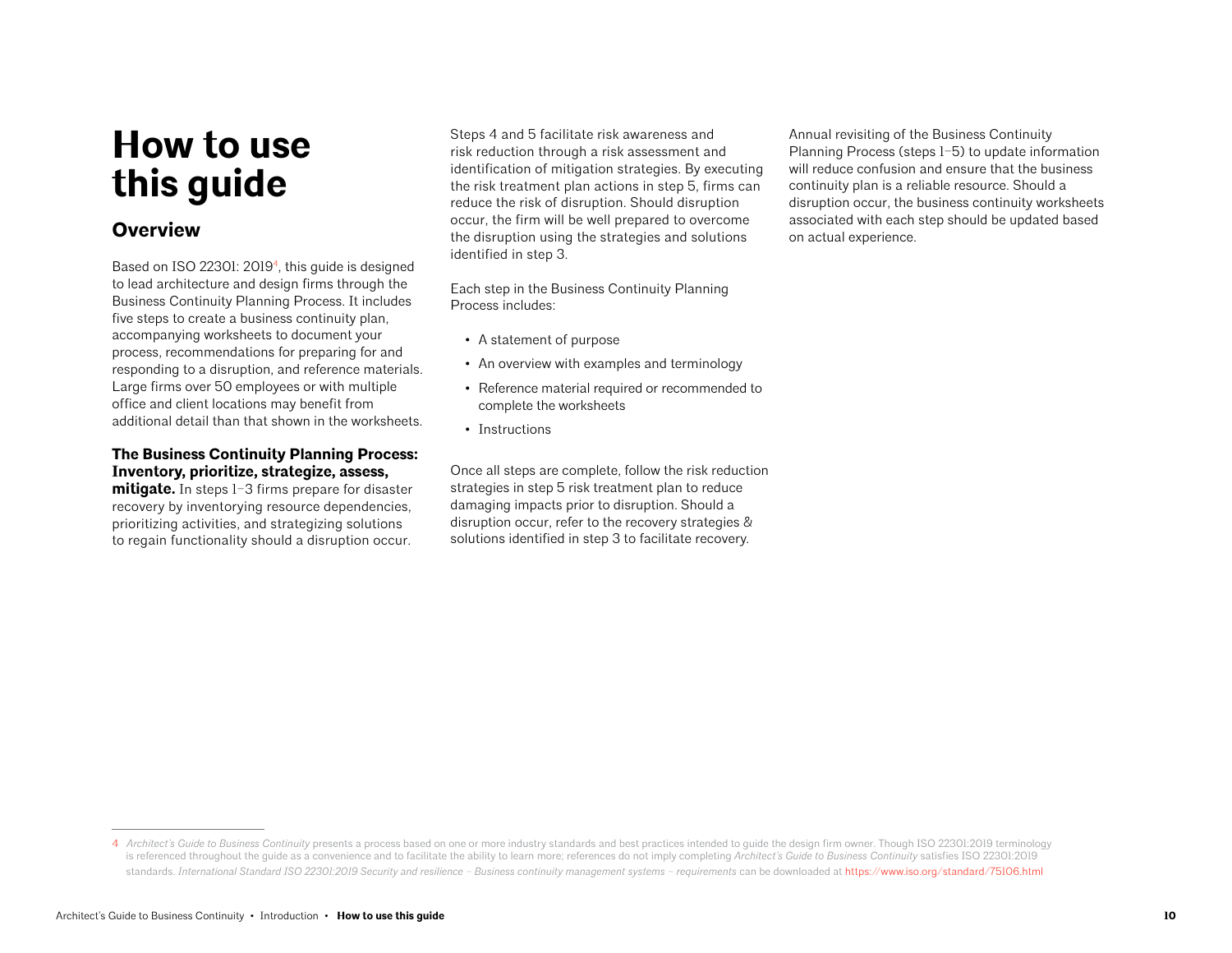# **How to use this guide**

## **Overview**

Based on ISO 22301: 20194, this guide is designed to lead architecture and design firms through the Business Continuity Planning Process. It includes five steps to create a business continuity plan, accompanying worksheets to document your process, recommendations for preparing for and responding to a disruption, and reference materials. Large firms over 50 employees or with multiple office and client locations may benefit from additional detail than that shown in the worksheets.

### **The Business Continuity Planning Process: Inventory, prioritize, strategize, assess,**

**mitigate.** In steps 1–3 firms prepare for disaster recovery by inventorying resource dependencies, prioritizing activities, and strategizing solutions to regain functionality should a disruption occur.

Steps 4 and 5 facilitate risk awareness and risk reduction through a risk assessment and identification of mitigation strategies. By executing the risk treatment plan actions in step 5, firms can reduce the risk of disruption. Should disruption occur, the firm will be well prepared to overcome the disruption using the strategies and solutions identified in step 3.

Each step in the Business Continuity Planning Process includes:

- A statement of purpose
- An overview with examples and terminology
- Reference material required or recommended to complete the worksheets
- Instructions

Once all steps are complete, follow the risk reduction strategies in step 5 risk treatment plan to reduce damaging impacts prior to disruption. Should a disruption occur, refer to the recovery strategies & solutions identified in step 3 to facilitate recovery.

Annual revisiting of the Business Continuity Planning Process (steps 1–5) to update information will reduce confusion and ensure that the business continuity plan is a reliable resource. Should a disruption occur, the business continuity worksheets associated with each step should be updated based on actual experience.

<sup>4</sup> *Architect's Guide to Business Continuity* presents a process based on one or more industry standards and best practices intended to guide the design firm owner. Though ISO 22301:2019 terminology is referenced throughout the guide as a convenience and to facilitate the ability to learn more; references do not imply completing *Architect's Guide to Business Continuity* satisfies ISO 22301:2019 standards. *International Standard ISO 22301:2019 Security and resilience – Business continuity management systems – requirements* can be downloaded at<https://www.iso.org/standard/75106.html>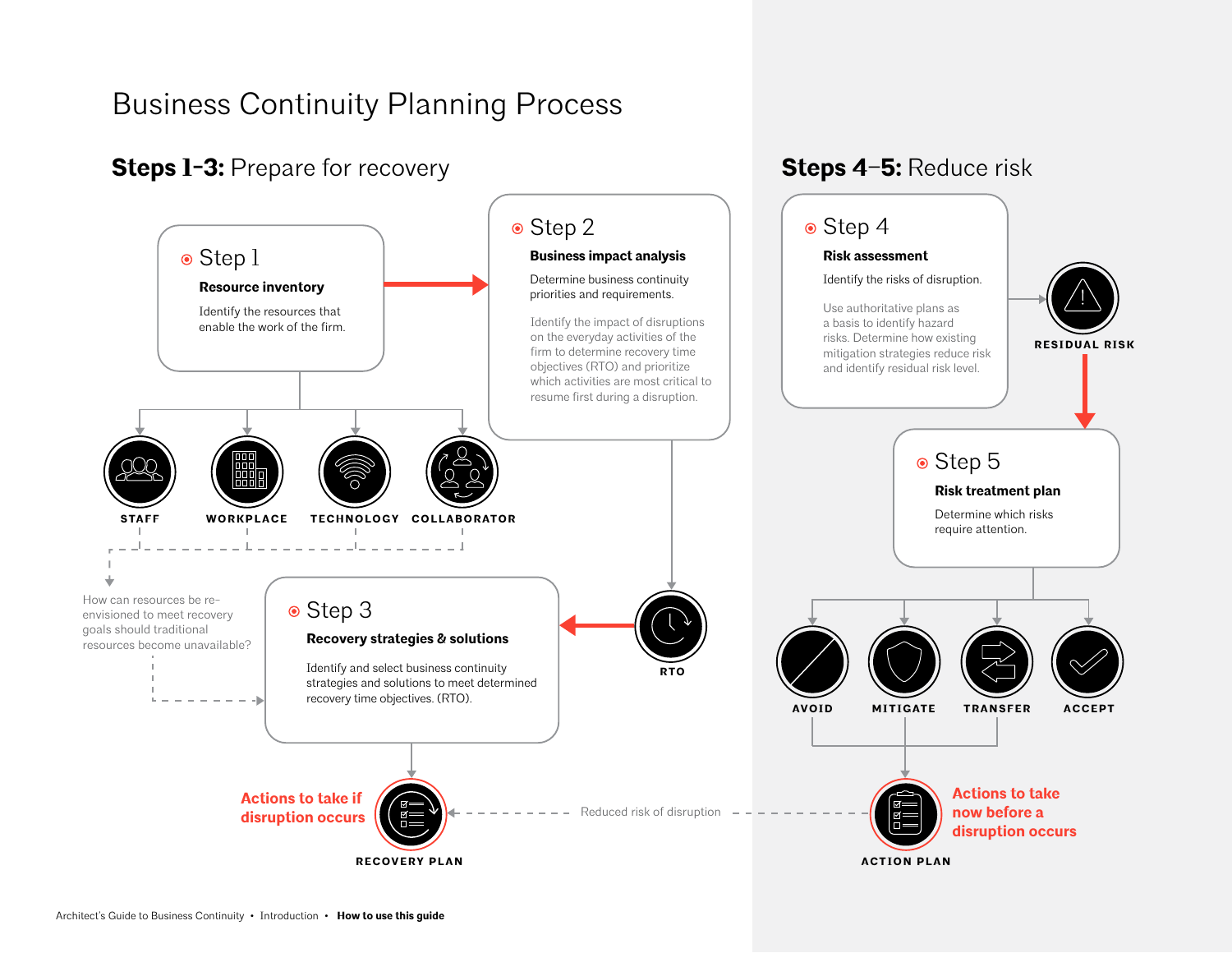## Business Continuity Planning Process

## **Steps 1-3: Prepare for recovery**



**Steps 4–5:** Reduce risk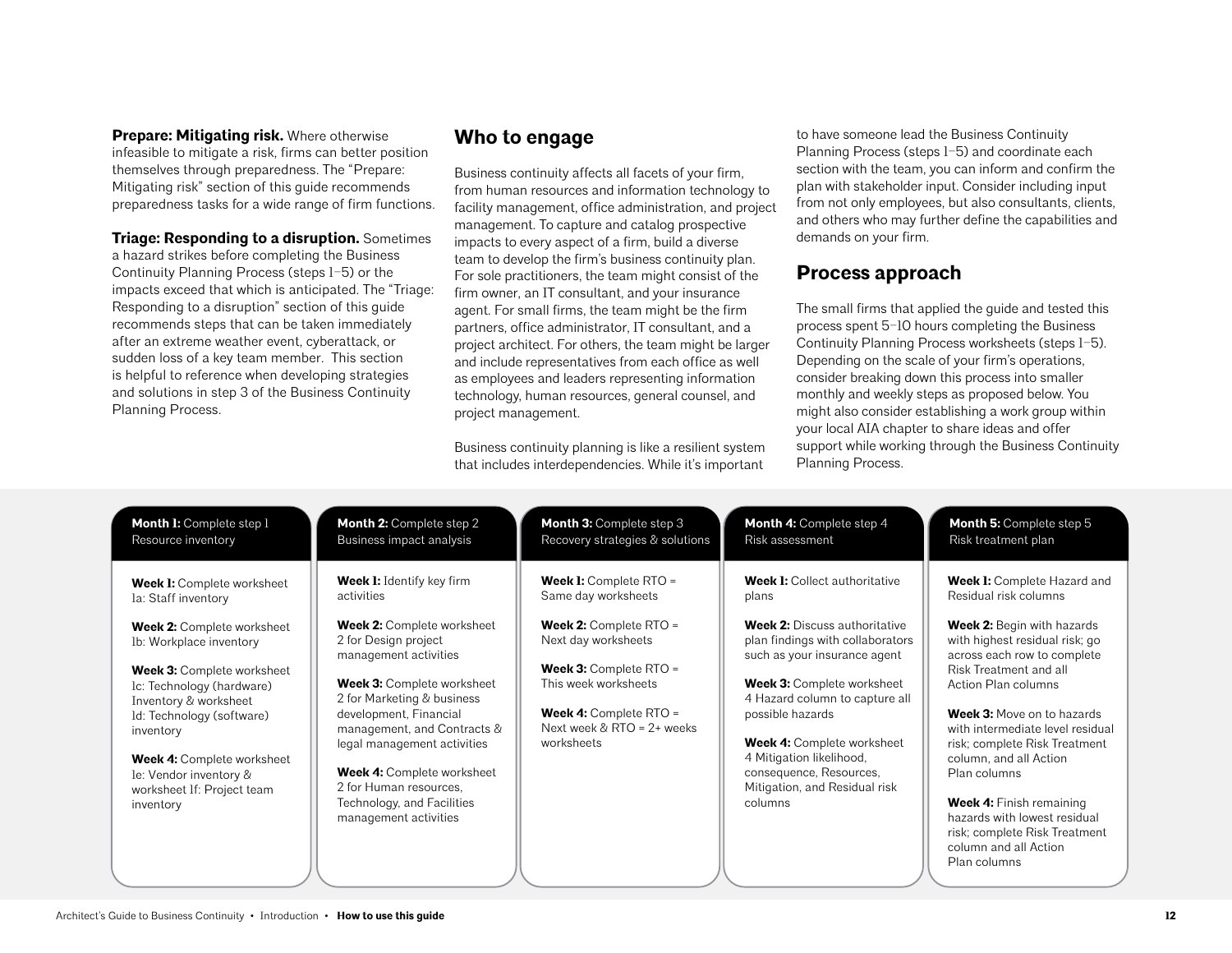#### **Prepare: Mitigating risk.** Where otherwise

infeasible to mitigate a risk, firms can better position themselves through preparedness. The "Prepare: Mitigating risk" section of this guide recommends preparedness tasks for a wide range of firm functions.

**Triage: Responding to a disruption.** Sometimes a hazard strikes before completing the Business Continuity Planning Process (steps 1–5) or the impacts exceed that which is anticipated. The "Triage: Responding to a disruption" section of this guide recommends steps that can be taken immediately after an extreme weather event, cyberattack, or sudden loss of a key team member. This section is helpful to reference when developing strategies and solutions in step 3 of the Business Continuity Planning Process.

## **Who to engage**

Business continuity affects all facets of your firm, from human resources and information technology to facility management, office administration, and project management. To capture and catalog prospective impacts to every aspect of a firm, build a diverse team to develop the firm's business continuity plan. For sole practitioners, the team might consist of the firm owner, an IT consultant, and your insurance agent. For small firms, the team might be the firm partners, office administrator, IT consultant, and a project architect. For others, the team might be larger and include representatives from each office as well as employees and leaders representing information technology, human resources, general counsel, and project management.

Business continuity planning is like a resilient system that includes interdependencies. While it's important

to have someone lead the Business Continuity Planning Process (steps 1–5) and coordinate each section with the team, you can inform and confirm the plan with stakeholder input. Consider including input from not only employees, but also consultants, clients, and others who may further define the capabilities and demands on your firm.

## **Process approach**

The small firms that applied the guide and tested this process spent 5–10 hours completing the Business Continuity Planning Process worksheets (steps 1–5). Depending on the scale of your firm's operations, consider breaking down this process into smaller monthly and weekly steps as proposed below. You might also consider establishing a work group within your local AIA chapter to share ideas and offer support while working through the Business Continuity Planning Process.

| Month I: Complete step 1<br>Resource inventory                                          | <b>Month 2: Complete step 2</b><br>Business impact analysis                               | <b>Month 3: Complete step 3</b><br>Recovery strategies & solutions                     | Month 4: Complete step 4<br>Risk assessment                                                              | <b>Month 5: Complete step 5</b><br>Risk treatment plan                                      |
|-----------------------------------------------------------------------------------------|-------------------------------------------------------------------------------------------|----------------------------------------------------------------------------------------|----------------------------------------------------------------------------------------------------------|---------------------------------------------------------------------------------------------|
| <b>Week I:</b> Complete worksheet<br>la: Staff inventory                                | <b>Week 1:</b> Identify key firm<br>activities                                            | <b>Week 1:</b> Complete RTO =<br>Same day worksheets                                   | <b>Week I:</b> Collect authoritative<br>plans                                                            | <b>Week I:</b> Complete Hazard and<br>Residual risk columns                                 |
| <b>Week 2: Complete worksheet</b><br>Ib: Workplace inventory                            | <b>Week 2: Complete worksheet</b><br>2 for Design project<br>management activities        | <b>Week 2: Complete RTO =</b><br>Next day worksheets                                   | <b>Week 2:</b> Discuss authoritative<br>plan findings with collaborators<br>such as your insurance agent | Week 2: Begin with hazards<br>with highest residual risk; go<br>across each row to complete |
| <b>Week 3: Complete worksheet</b><br>Ic: Technology (hardware)<br>Inventory & worksheet | <b>Week 3: Complete worksheet</b><br>2 for Marketing & business<br>development, Financial | <b>Week 3: Complete RTO =</b><br>This week worksheets<br><b>Week 4: Complete RTO =</b> | <b>Week 3: Complete worksheet</b><br>4 Hazard column to capture all<br>possible hazards                  | Risk Treatment and all<br>Action Plan columns<br><b>Week 3:</b> Move on to hazards          |
| Id: Technology (software)<br>inventory<br>Week 4: Complete worksheet                    | management, and Contracts &<br>legal management activities                                | Next week $&$ RTO = 2+ weeks<br>worksheets                                             | Week 4: Complete worksheet<br>4 Mitigation likelihood,                                                   | with intermediate level residual<br>risk; complete Risk Treatment<br>column, and all Action |
| le: Vendor inventory &<br>worksheet If: Project team                                    | Week 4: Complete worksheet<br>2 for Human resources,<br>Technology, and Facilities        |                                                                                        | consequence, Resources,<br>Mitigation, and Residual risk<br>columns                                      | Plan columns<br>Week 4: Finish remaining                                                    |
| inventory                                                                               | management activities                                                                     |                                                                                        |                                                                                                          | hazards with lowest residual<br>risk; complete Risk Treatment                               |
|                                                                                         |                                                                                           |                                                                                        |                                                                                                          | column and all Action<br>Plan columns                                                       |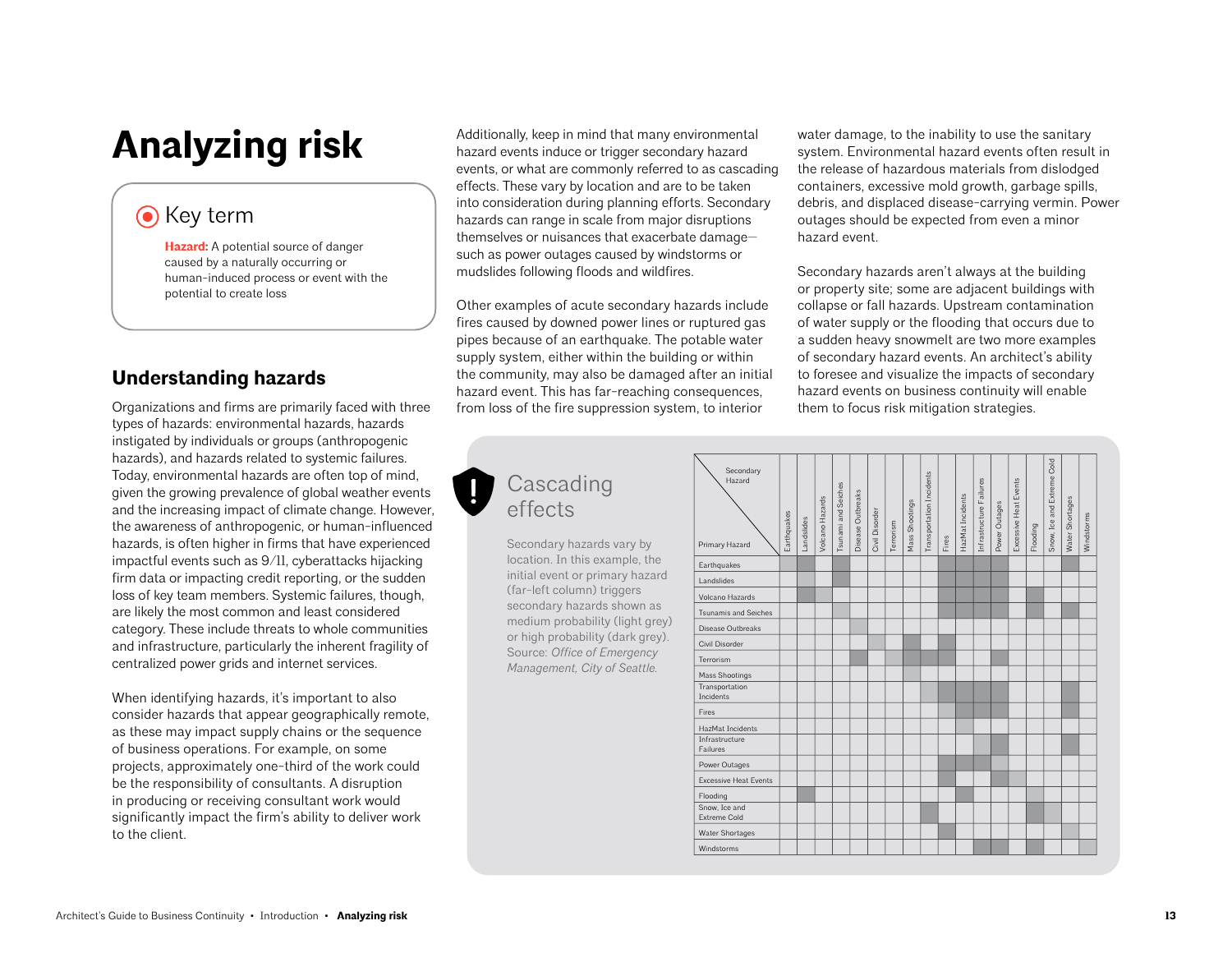# **Analyzing risk**

## **O** Key term

**[Hazard:](https://www.aia.org/resources/9231-understanding-resilience:56)** A potential source of danger caused by a naturally occurring or human-induced process or event with the potential to create loss

## **Understanding hazards**

Organizations and firms are primarily faced with three types of hazards: environmental hazards, hazards instigated by individuals or groups (anthropogenic hazards), and hazards related to systemic failures. Today, environmental hazards are often top of mind, given the growing prevalence of global weather events and the increasing impact of climate change. However, the awareness of anthropogenic, or human-influenced hazards, is often higher in firms that have experienced impactful events such as 9/11, cyberattacks hijacking firm data or impacting credit reporting, or the sudden loss of key team members. Systemic failures, though, are likely the most common and least considered category. These include threats to whole communities and infrastructure, particularly the inherent fragility of centralized power grids and internet services.

When identifying hazards, it's important to also consider hazards that appear geographically remote, as these may impact supply chains or the sequence of business operations. For example, on some projects, approximately one-third of the work could be the responsibility of consultants. A disruption in producing or receiving consultant work would significantly impact the firm's ability to deliver work to the client.

Additionally, keep in mind that many environmental hazard events induce or trigger secondary hazard events, or what are commonly referred to as cascading effects. These vary by location and are to be taken into consideration during planning efforts. Secondary hazards can range in scale from major disruptions themselves or nuisances that exacerbate damage such as power outages caused by windstorms or mudslides following floods and wildfires.

Other examples of acute secondary hazards include fires caused by downed power lines or ruptured gas pipes because of an earthquake. The potable water supply system, either within the building or within the community, may also be damaged after an initial hazard event. This has far-reaching consequences, from loss of the fire suppression system, to interior

water damage, to the inability to use the sanitary system. Environmental hazard events often result in the release of hazardous materials from dislodged containers, excessive mold growth, garbage spills, debris, and displaced disease-carrying vermin. Power outages should be expected from even a minor hazard event.

Secondary hazards aren't always at the building or property site; some are adjacent buildings with collapse or fall hazards. Upstream contamination of water supply or the flooding that occurs due to a sudden heavy snowmelt are two more examples of secondary hazard events. An architect's ability to foresee and visualize the impacts of secondary hazard events on business continuity will enable them to focus risk mitigation strategies.

## Cascading effects

Secondary hazards vary by location. In this example, the initial event or primary hazard (far-left column) triggers secondary hazards shown as medium probability (light grey) or high probability (dark grey). Source: *Office of Emergency Management, City of Seattle.*

| Hazard                               | Earthquakes | Landslides | Volcano Hazards | Tsunami and Seiches | Disease Outbreaks | Civil Disorder | Terrorism | Mass Shootings | Transportation Incidents |       | HazMat Incidents | Infrastructure Failures | Power Outages | Excessive Heat Events |          | Snow, Ice and Extreme Cold | Water Shortages | Windstorms |
|--------------------------------------|-------------|------------|-----------------|---------------------|-------------------|----------------|-----------|----------------|--------------------------|-------|------------------|-------------------------|---------------|-----------------------|----------|----------------------------|-----------------|------------|
| Primary Hazard                       |             |            |                 |                     |                   |                |           |                |                          | Fires |                  |                         |               |                       | Flooding |                            |                 |            |
| Earthquakes                          |             |            |                 |                     |                   |                |           |                |                          |       |                  |                         |               |                       |          |                            |                 |            |
| Landslides                           |             |            |                 |                     |                   |                |           |                |                          |       |                  |                         |               |                       |          |                            |                 |            |
| Volcano Hazards                      |             |            |                 |                     |                   |                |           |                |                          |       |                  |                         |               |                       |          |                            |                 |            |
| <b>Tsunamis and Seiches</b>          |             |            |                 |                     |                   |                |           |                |                          |       |                  |                         |               |                       |          |                            |                 |            |
| Disease Outbreaks                    |             |            |                 |                     |                   |                |           |                |                          |       |                  |                         |               |                       |          |                            |                 |            |
| Civil Disorder                       |             |            |                 |                     |                   |                |           |                |                          |       |                  |                         |               |                       |          |                            |                 |            |
| Terrorism                            |             |            |                 |                     |                   |                |           |                |                          |       |                  |                         |               |                       |          |                            |                 |            |
| Mass Shootings                       |             |            |                 |                     |                   |                |           |                |                          |       |                  |                         |               |                       |          |                            |                 |            |
| Transportation<br>Incidents          |             |            |                 |                     |                   |                |           |                |                          |       |                  |                         |               |                       |          |                            |                 |            |
| Fires                                |             |            |                 |                     |                   |                |           |                |                          |       |                  |                         |               |                       |          |                            |                 |            |
| HazMat Incidents                     |             |            |                 |                     |                   |                |           |                |                          |       |                  |                         |               |                       |          |                            |                 |            |
| Infrastructure<br>Failures           |             |            |                 |                     |                   |                |           |                |                          |       |                  |                         |               |                       |          |                            |                 |            |
| Power Outages                        |             |            |                 |                     |                   |                |           |                |                          |       |                  |                         |               |                       |          |                            |                 |            |
| <b>Excessive Heat Events</b>         |             |            |                 |                     |                   |                |           |                |                          |       |                  |                         |               |                       |          |                            |                 |            |
| Flooding                             |             |            |                 |                     |                   |                |           |                |                          |       |                  |                         |               |                       |          |                            |                 |            |
| Snow, Ice and<br><b>Extreme Cold</b> |             |            |                 |                     |                   |                |           |                |                          |       |                  |                         |               |                       |          |                            |                 |            |
| <b>Water Shortages</b>               |             |            |                 |                     |                   |                |           |                |                          |       |                  |                         |               |                       |          |                            |                 |            |
| Windstorms                           |             |            |                 |                     |                   |                |           |                |                          |       |                  |                         |               |                       |          |                            |                 |            |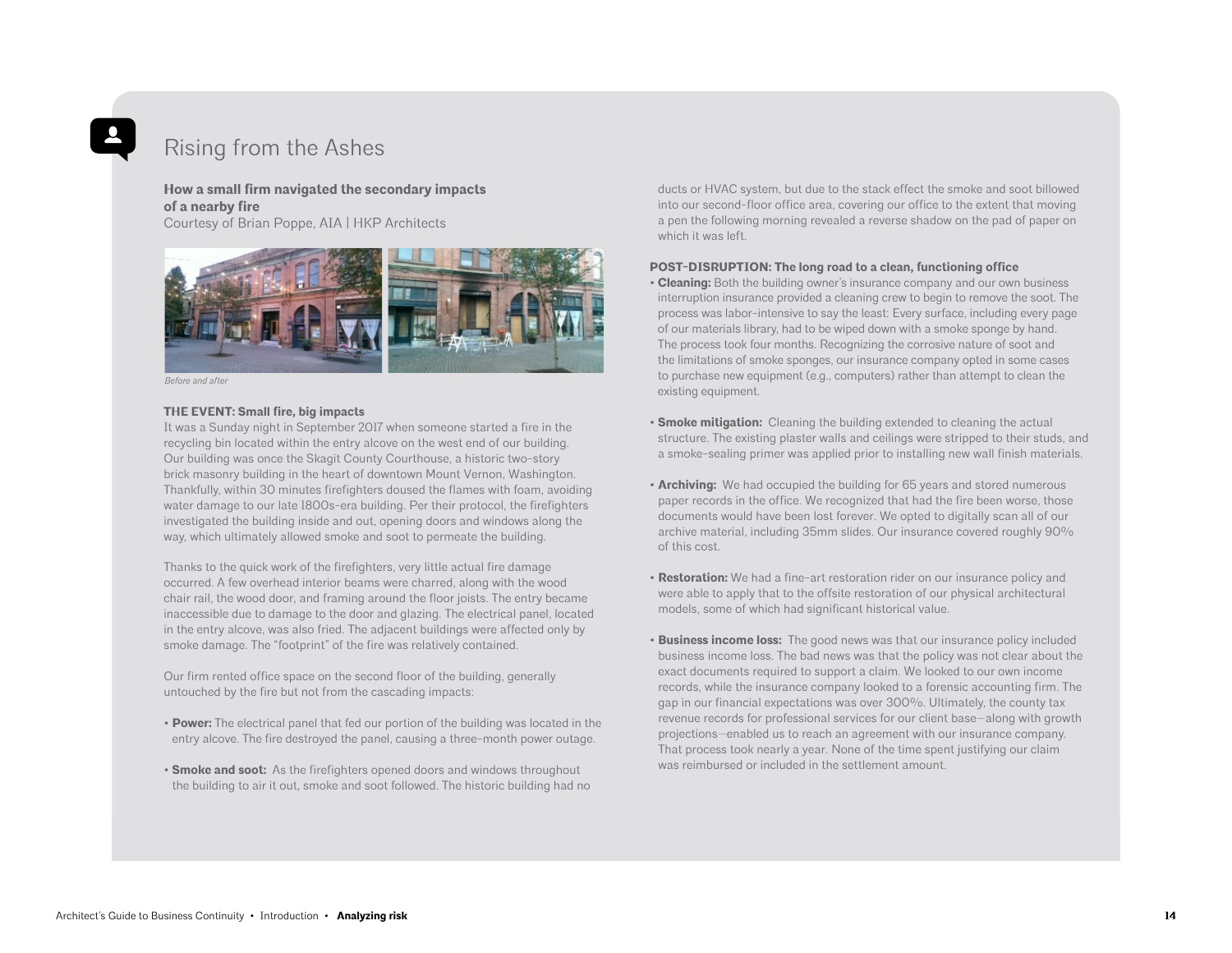## Rising from the Ashes

#### **How a small firm navigated the secondary impacts of a nearby fire**

Courtesy of Brian Poppe, AIA | HKP Architects



*Before and after*

#### **THE EVENT: Small fire, big impacts**

It was a Sunday night in September 2017 when someone started a fire in the recycling bin located within the entry alcove on the west end of our building. Our building was once the Skagit County Courthouse, a historic two-story brick masonry building in the heart of downtown Mount Vernon, Washington. Thankfully, within 30 minutes firefighters doused the flames with foam, avoiding water damage to our late 1800s-era building. Per their protocol, the firefighters investigated the building inside and out, opening doors and windows along the way, which ultimately allowed smoke and soot to permeate the building.

Thanks to the quick work of the firefighters, very little actual fire damage occurred. A few overhead interior beams were charred, along with the wood chair rail, the wood door, and framing around the floor joists. The entry became inaccessible due to damage to the door and glazing. The electrical panel, located in the entry alcove, was also fried. The adjacent buildings were affected only by smoke damage. The "footprint" of the fire was relatively contained.

Our firm rented office space on the second floor of the building, generally untouched by the fire but not from the cascading impacts:

- **Power:** The electrical panel that fed our portion of the building was located in the entry alcove. The fire destroyed the panel, causing a three-month power outage.
- **Smoke and soot:** As the firefighters opened doors and windows throughout the building to air it out, smoke and soot followed. The historic building had no

ducts or HVAC system, but due to the stack effect the smoke and soot billowed into our second-floor office area, covering our office to the extent that moving a pen the following morning revealed a reverse shadow on the pad of paper on which it was left.

#### **POST-DISRUPTION: The long road to a clean, functioning office**

- **Cleaning:** Both the building owner's insurance company and our own business interruption insurance provided a cleaning crew to begin to remove the soot. The process was labor-intensive to say the least: Every surface, including every page of our materials library, had to be wiped down with a smoke sponge by hand. The process took four months. Recognizing the corrosive nature of soot and the limitations of smoke sponges, our insurance company opted in some cases to purchase new equipment (e.g., computers) rather than attempt to clean the existing equipment.
- **Smoke mitigation:** Cleaning the building extended to cleaning the actual structure. The existing plaster walls and ceilings were stripped to their studs, and a smoke-sealing primer was applied prior to installing new wall finish materials.
- **Archiving:** We had occupied the building for 65 years and stored numerous paper records in the office. We recognized that had the fire been worse, those documents would have been lost forever. We opted to digitally scan all of our archive material, including 35mm slides. Our insurance covered roughly 90% of this cost.
- **Restoration:** We had a fine-art restoration rider on our insurance policy and were able to apply that to the offsite restoration of our physical architectural models, some of which had significant historical value.
- **Business income loss:** The good news was that our insurance policy included business income loss. The bad news was that the policy was not clear about the exact documents required to support a claim. We looked to our own income records, while the insurance company looked to a forensic accounting firm. The gap in our financial expectations was over 300%. Ultimately, the county tax revenue records for professional services for our client base—along with growth projections—enabled us to reach an agreement with our insurance company. That process took nearly a year. None of the time spent justifying our claim was reimbursed or included in the settlement amount.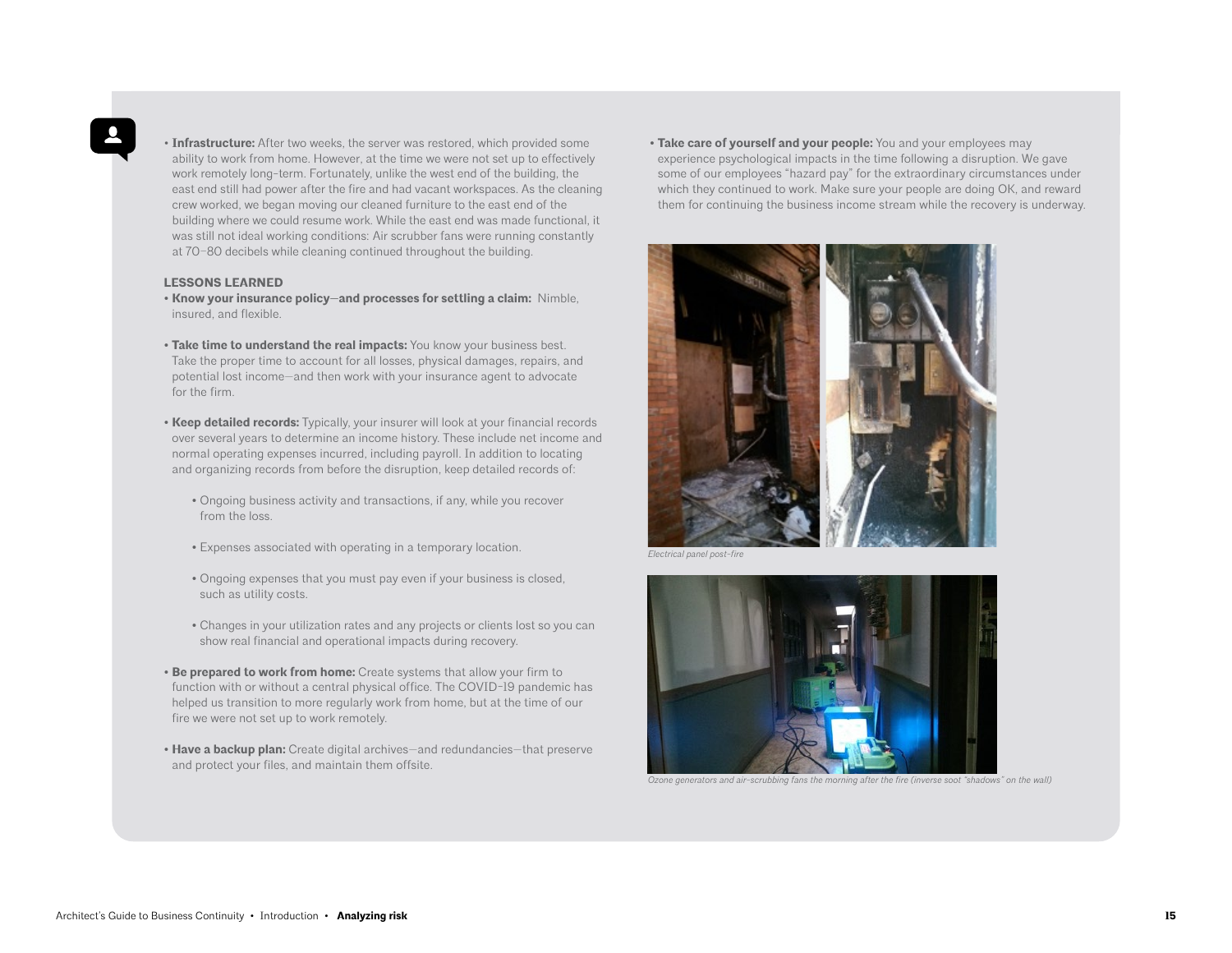• **Infrastructure:** After two weeks, the server was restored, which provided some ability to work from home. However, at the time we were not set up to effectively work remotely long-term. Fortunately, unlike the west end of the building, the east end still had power after the fire and had vacant workspaces. As the cleaning crew worked, we began moving our cleaned furniture to the east end of the building where we could resume work. While the east end was made functional, it was still not ideal working conditions: Air scrubber fans were running constantly at 70–80 decibels while cleaning continued throughout the building.

#### **LESSONS LEARNED**

- **Know your insurance policy—and processes for settling a claim:** Nimble, insured, and flexible.
- **Take time to understand the real impacts:** You know your business best. Take the proper time to account for all losses, physical damages, repairs, and potential lost income—and then work with your insurance agent to advocate for the firm.
- **Keep detailed records:** Typically, your insurer will look at your financial records over several years to determine an income history. These include net income and normal operating expenses incurred, including payroll. In addition to locating and organizing records from before the disruption, keep detailed records of:
	- Ongoing business activity and transactions, if any, while you recover from the loss.
	- Expenses associated with operating in a temporary location.
	- Ongoing expenses that you must pay even if your business is closed, such as utility costs.
	- Changes in your utilization rates and any projects or clients lost so you can show real financial and operational impacts during recovery.
- **Be prepared to work from home:** Create systems that allow your firm to function with or without a central physical office. The COVID-19 pandemic has helped us transition to more regularly work from home, but at the time of our fire we were not set up to work remotely.
- **Have a backup plan:** Create digital archives—and redundancies—that preserve and protect your files, and maintain them offsite.

**• Take care of yourself and your people:** You and your employees may experience psychological impacts in the time following a disruption. We gave some of our employees "hazard pay" for the extraordinary circumstances under which they continued to work. Make sure your people are doing OK, and reward them for continuing the business income stream while the recovery is underway.



*Electrical panel post-fire*



*Ozone generators and air-scrubbing fans the morning after the fire (inverse soot "shadows" on the wall)*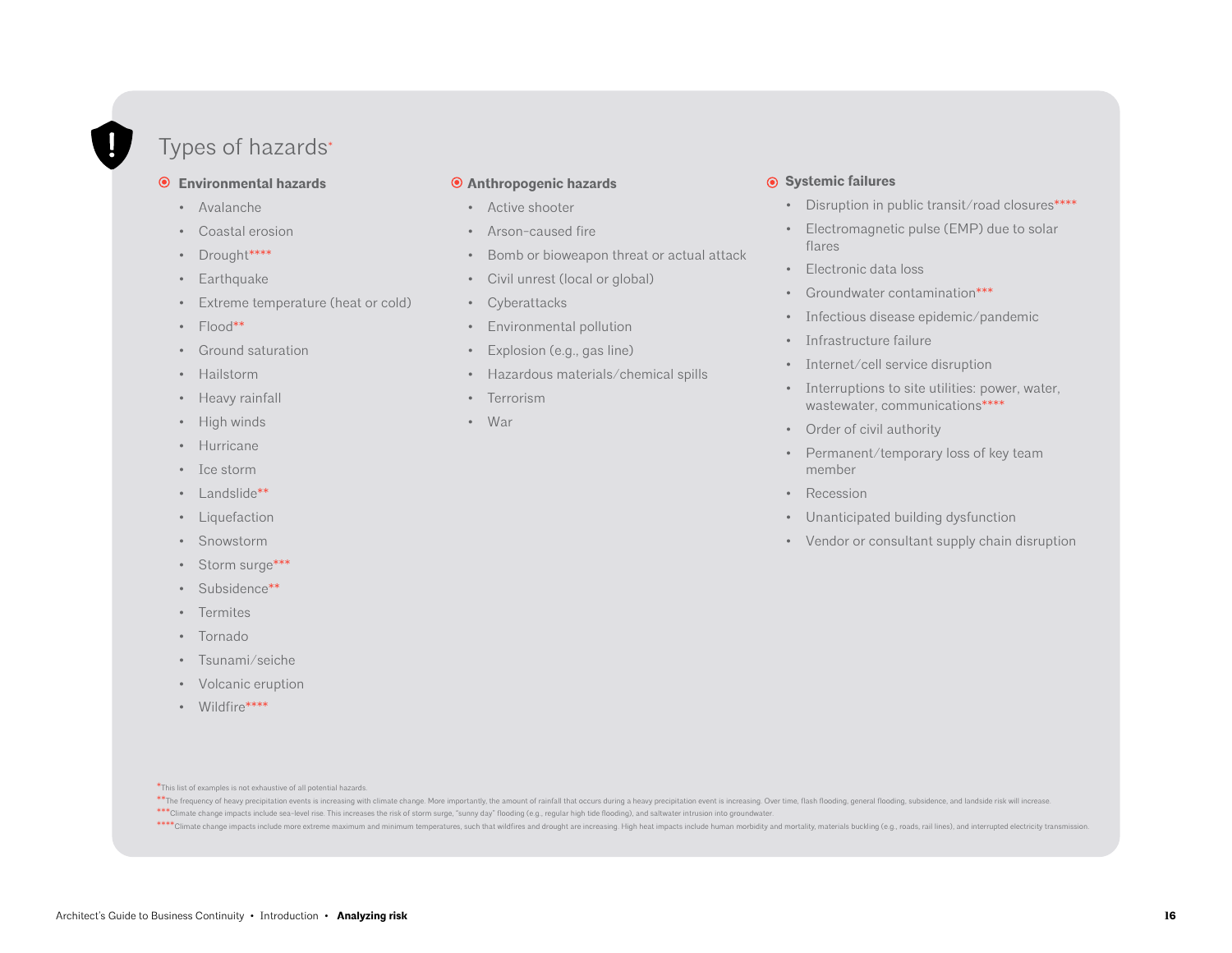## Types of hazards\*

#### **Environmental hazards**

- Avalanche
- Coastal erosion
- Drought\*\*\*\*
- Earthquake
- Extreme temperature (heat or cold)
- Flood\*\*
- Ground saturation
- Hailstorm
- Heavy rainfall
- High winds
- Hurricane
- Ice storm
- Landslide\*\*
- Liquefaction
- Snowstorm
- Storm surge\*\*\*
- Subsidence\*\*
- Termites
- Tornado
- Tsunami/seiche
- Volcanic eruption
- Wildfire\*\*\*\*

#### **Anthropogenic hazards**

- Active shooter
- Arson-caused fire
- Bomb or bioweapon threat or actual attack
- Civil unrest (local or global)
- Cyberattacks
- Environmental pollution
- Explosion (e.g., gas line)
- Hazardous materials/chemical spills
- Terrorism
- War

#### **Systemic failures**

- Disruption in public transit/road closures\*\*\*\*
- Electromagnetic pulse (EMP) due to solar flares
- Electronic data loss
- Groundwater contamination\*\*\*
- Infectious disease epidemic/pandemic
- Infrastructure failure
- Internet/cell service disruption
- Interruptions to site utilities: power, water, wastewater, communications\*\*\*\*\*
- Order of civil authority
- Permanent/temporary loss of key team member
- Recession
- Unanticipated building dysfunction
- Vendor or consultant supply chain disruption

\*This list of examples is not exhaustive of all potential hazards.

\*\* The frequency of heavy precipitation events is increasing with climate change. More importantly, the amount of rainfall that occurs during a heavy precipitation event is increasing. Over time, flash flooding, general fl

\*\*\*Climate change impacts include sea-level rise. This increases the risk of storm surge, "sunny day" flooding (e.g., regular high tide flooding), and saltwater intrusion into groundwater.

\*\*\*\* Climate change impacts include more extreme maximum and minimum temperatures, such that wildfires and drought are increasing. High heat impacts include human morbidity and mortality, materials buckling (e.g., roads, r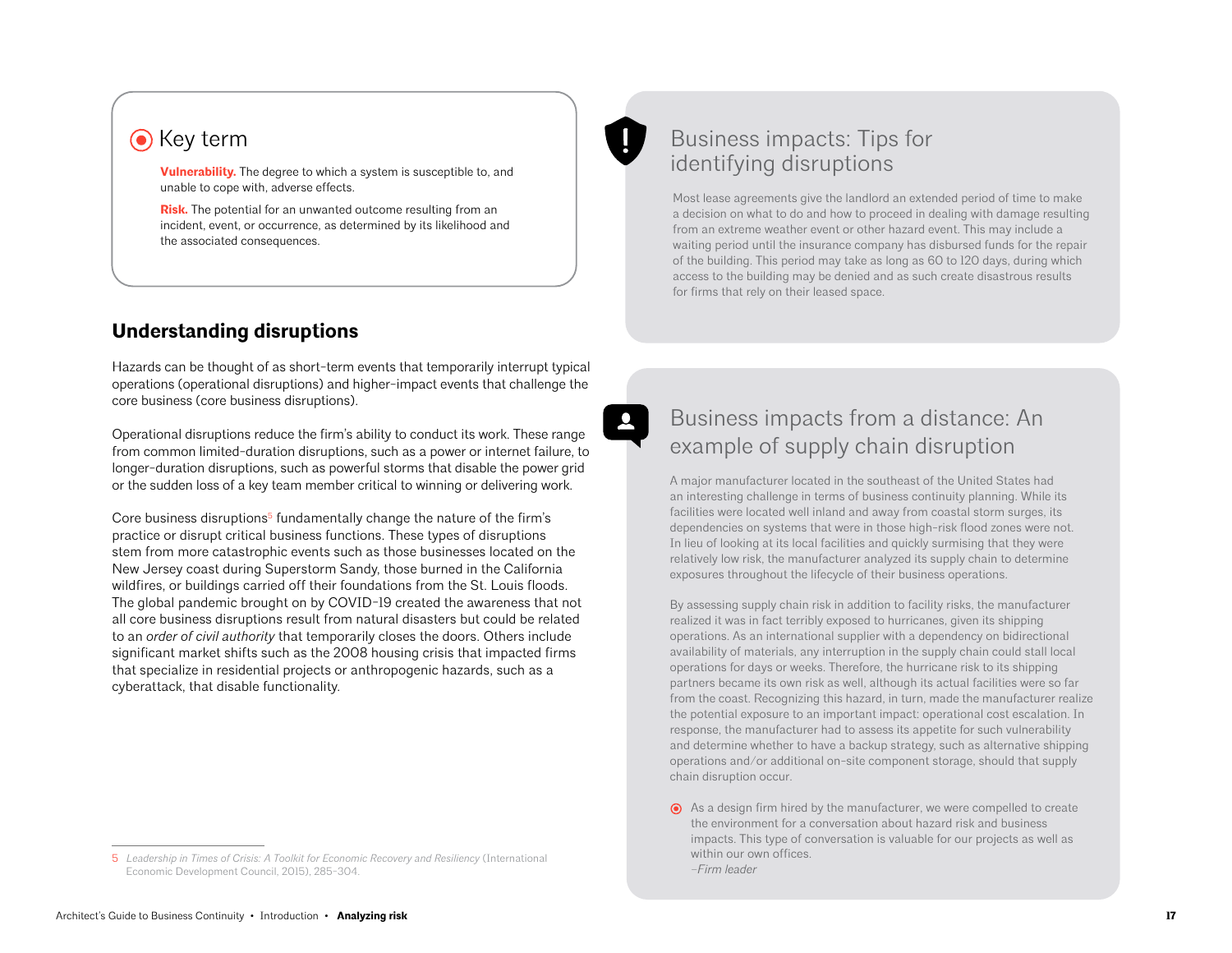## **O** Key term

**[Vulnerability.](https://www.aia.org/resources/9231-understanding-resilience:56)** The degree to which a system is susceptible to, and unable to cope with, adverse effects.

**[Risk.](https://www.aia.org/resources/9231-understanding-resilience:56)** The potential for an unwanted outcome resulting from an incident, event, or occurrence, as determined by its likelihood and the associated consequences.

## **Understanding disruptions**

Hazards can be thought of as short-term events that temporarily interrupt typical operations (operational disruptions) and higher-impact events that challenge the core business (core business disruptions).

Operational disruptions reduce the firm's ability to conduct its work. These range from common limited-duration disruptions, such as a power or internet failure, to longer-duration disruptions, such as powerful storms that disable the power grid or the sudden loss of a key team member critical to winning or delivering work.

Core business disruptions<sup>5</sup> fundamentally change the nature of the firm's practice or disrupt critical business functions. These types of disruptions stem from more catastrophic events such as those businesses located on the New Jersey coast during Superstorm Sandy, those burned in the California wildfires, or buildings carried off their foundations from the St. Louis floods. The global pandemic brought on by COVID-19 created the awareness that not all core business disruptions result from natural disasters but could be related to an *order of civil authority* that temporarily closes the doors. Others include significant market shifts such as the 2008 housing crisis that impacted firms that specialize in residential projects or anthropogenic hazards, such as a cyberattack, that disable functionality.



## Business impacts: Tips for identifying disruptions

Most lease agreements give the landlord an extended period of time to make a decision on what to do and how to proceed in dealing with damage resulting from an extreme weather event or other hazard event. This may include a waiting period until the insurance company has disbursed funds for the repair of the building. This period may take as long as 60 to 120 days, during which access to the building may be denied and as such create disastrous results for firms that rely on their leased space.

## Business impacts from a distance: An example of supply chain disruption

A major manufacturer located in the southeast of the United States had an interesting challenge in terms of business continuity planning. While its facilities were located well inland and away from coastal storm surges, its dependencies on systems that were in those high-risk flood zones were not. In lieu of looking at its local facilities and quickly surmising that they were relatively low risk, the manufacturer analyzed its supply chain to determine exposures throughout the lifecycle of their business operations.

By assessing supply chain risk in addition to facility risks, the manufacturer realized it was in fact terribly exposed to hurricanes, given its shipping operations. As an international supplier with a dependency on bidirectional availability of materials, any interruption in the supply chain could stall local operations for days or weeks. Therefore, the hurricane risk to its shipping partners became its own risk as well, although its actual facilities were so far from the coast. Recognizing this hazard, in turn, made the manufacturer realize the potential exposure to an important impact: operational cost escalation. In response, the manufacturer had to assess its appetite for such vulnerability and determine whether to have a backup strategy, such as alternative shipping operations and/or additional on-site component storage, should that supply chain disruption occur.

<sup>5</sup> *Leadership in Times of Crisis: A Toolkit for Economic Recovery and Resiliency* (International Economic Development Council, 2015), 285-304.

As a design firm hired by the manufacturer, we were compelled to create the environment for a conversation about hazard risk and business impacts. This type of conversation is valuable for our projects as well as within our own offices. *–Firm leader*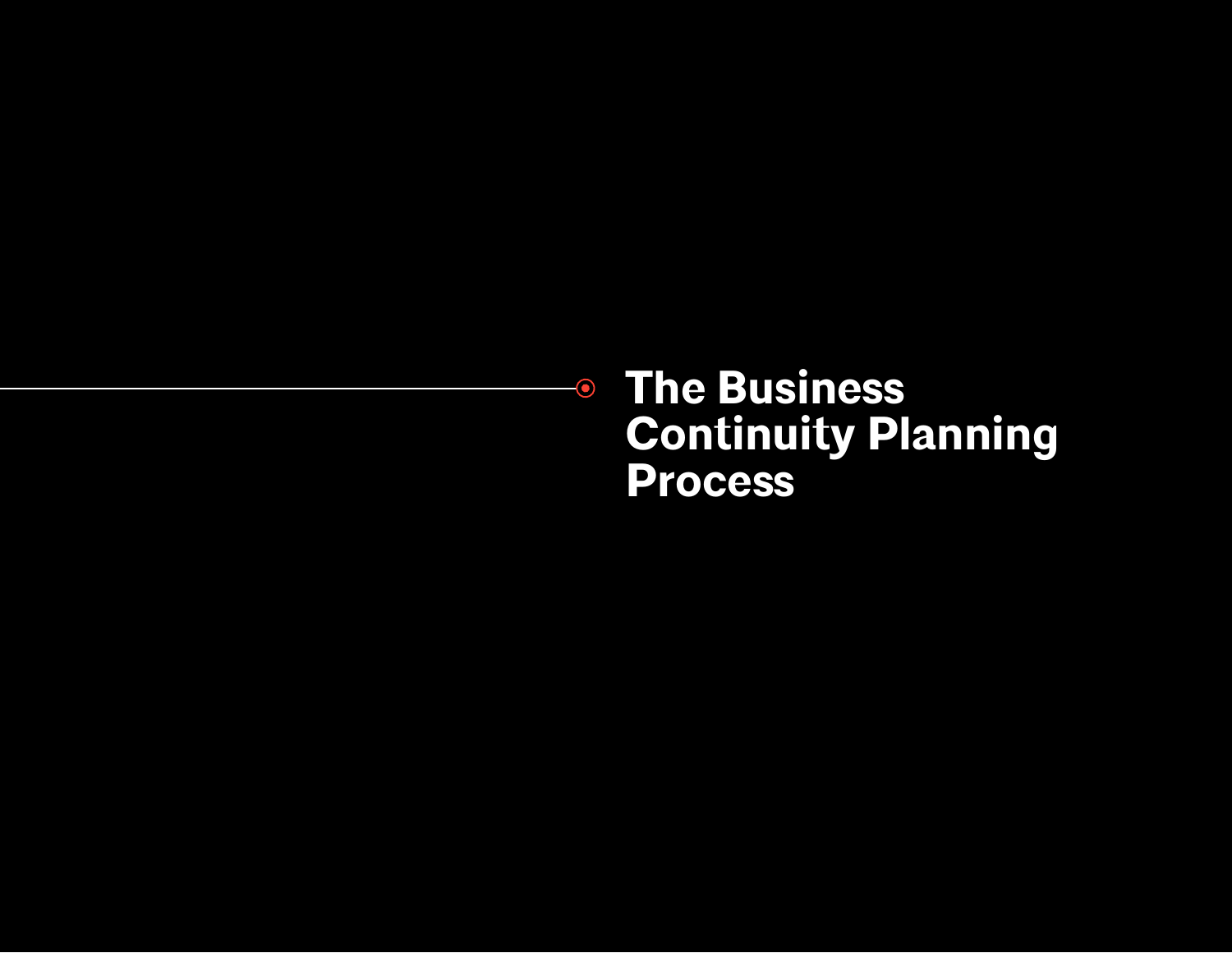**The Business Continuity Planning Process**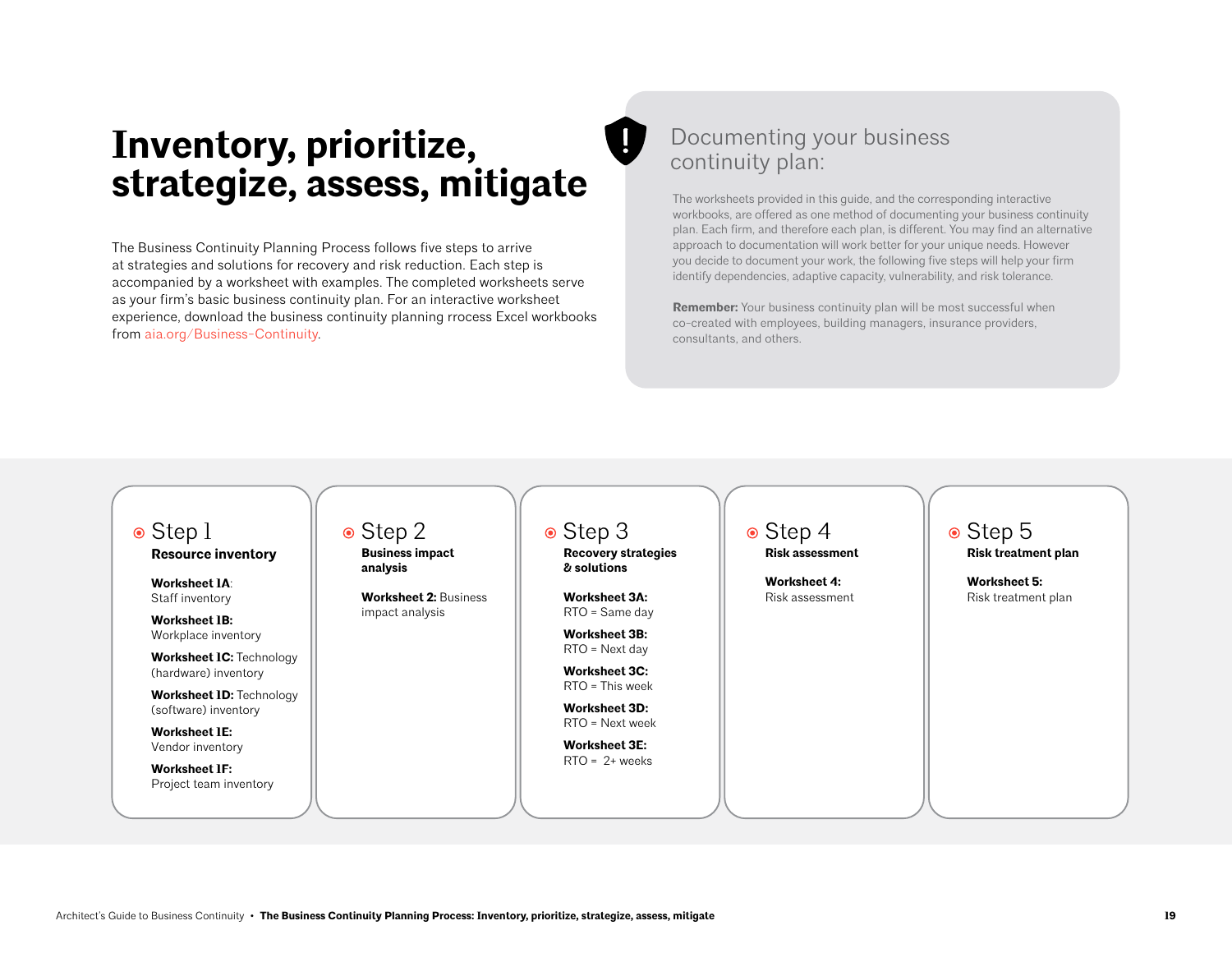# **Inventory, prioritize, strategize, assess, mitigate**

The Business Continuity Planning Process follows five steps to arrive at strategies and solutions for recovery and risk reduction. Each step is accompanied by a worksheet with examples. The completed worksheets serve as your firm's basic business continuity plan. For an interactive worksheet experience, download the business continuity planning rrocess Excel workbooks from [aia.org/Business-Continuity](https://www.aia.org/resources/6282340-architects-guide-to-business-continuity-).

## Documenting your business continuity plan:

The worksheets provided in this guide, and the corresponding interactive workbooks, are offered as one method of documenting your business continuity plan. Each firm, and therefore each plan, is different. You may find an alternative approach to documentation will work better for your unique needs. However you decide to document your work, the following five steps will help your firm identify dependencies, adaptive capacity, vulnerability, and risk tolerance.

**Remember:** Your business continuity plan will be most successful when co-created with employees, building managers, insurance providers, consultants, and others.

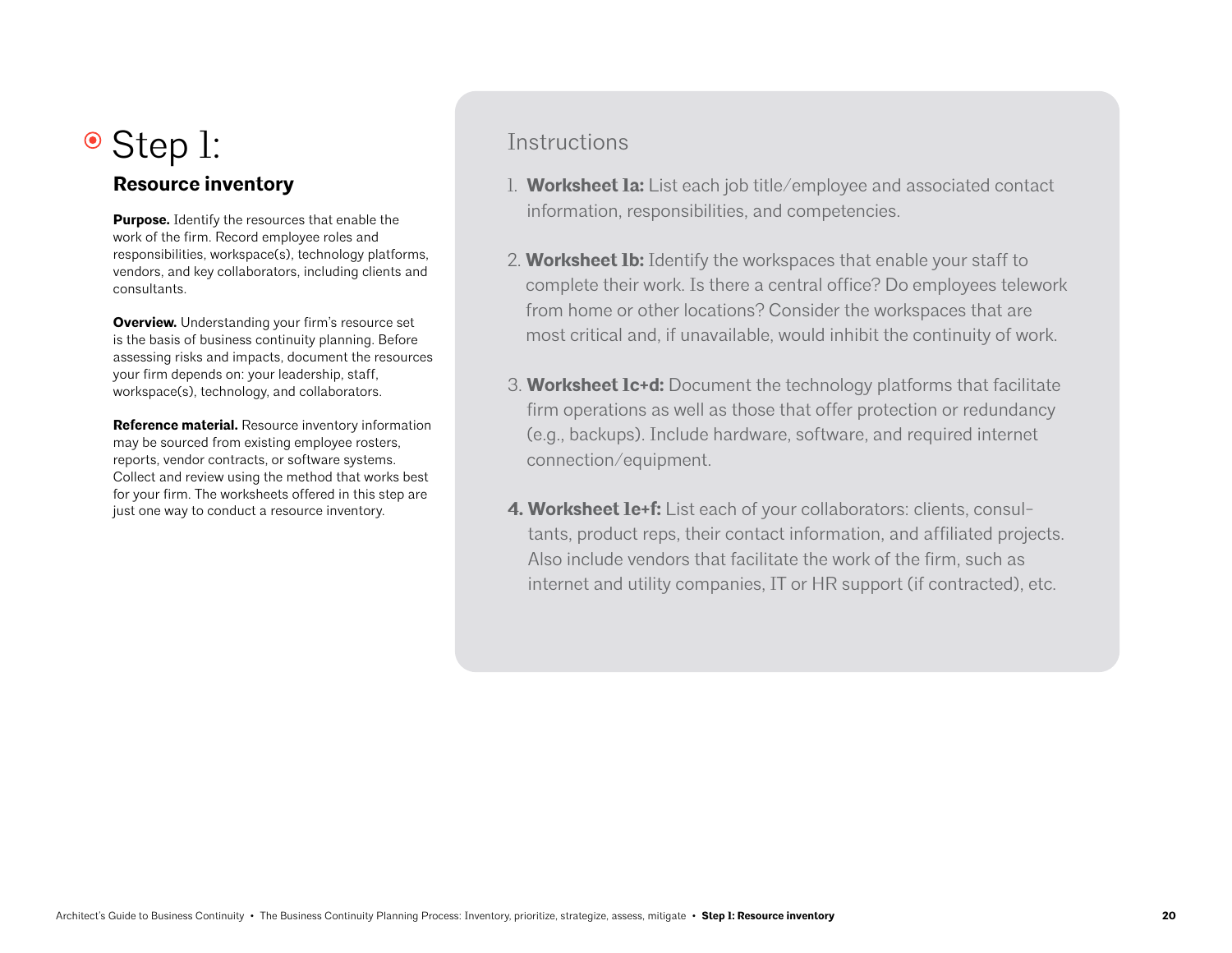# ● Step 1:

## **Resource inventory**

**Purpose.** Identify the resources that enable the work of the firm. Record employee roles and responsibilities, workspace(s), technology platforms, vendors, and key collaborators, including clients and consultants.

**Overview.** Understanding your firm's resource set is the basis of business continuity planning. Before assessing risks and impacts, document the resources your firm depends on: your leadership, staff, workspace(s), technology, and collaborators.

**Reference material.** Resource inventory information may be sourced from existing employee rosters, reports, vendor contracts, or software systems. Collect and review using the method that works best for your firm. The worksheets offered in this step are just one way to conduct a resource inventory.

## **Instructions**

- 1. **Worksheet 1a:** List each job title/employee and associated contact information, responsibilities, and competencies.
- 2. **Worksheet 1b:** Identify the workspaces that enable your staff to complete their work. Is there a central office? Do employees telework from home or other locations? Consider the workspaces that are most critical and, if unavailable, would inhibit the continuity of work.
- 3. **Worksheet 1c+d:** Document the technology platforms that facilitate firm operations as well as those that offer protection or redundancy (e.g., backups). Include hardware, software, and required internet connection/equipment.
- **4. Worksheet 1e+f:** List each of your collaborators: clients, consultants, product reps, their contact information, and affiliated projects. Also include vendors that facilitate the work of the firm, such as internet and utility companies, IT or HR support (if contracted), etc.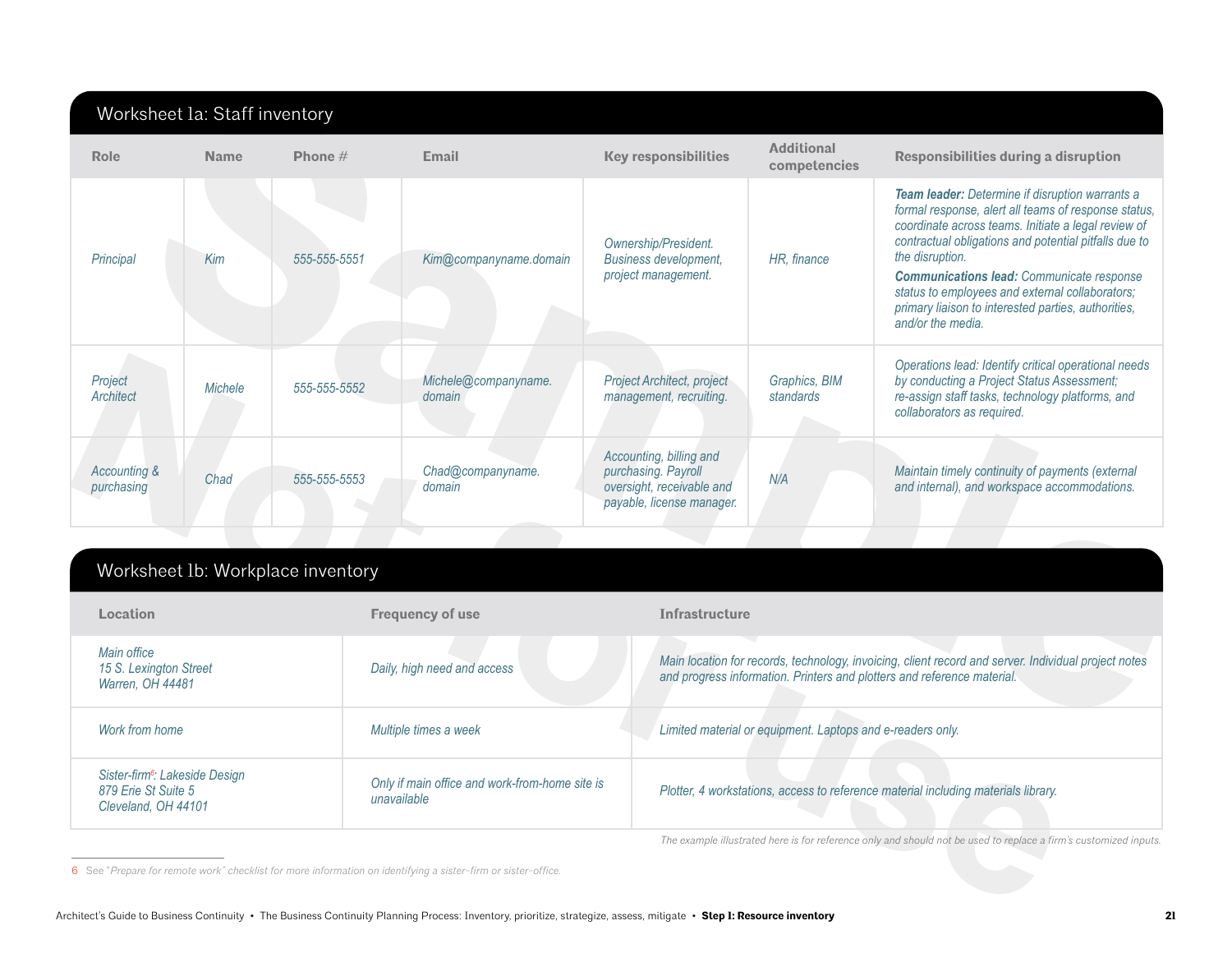|                                                           | Worksheet la: Staff inventory |                                   |                                |                                                                                                          |                                                            |                                                                                                                                                                                                                                                                                                                                                                                                                               |
|-----------------------------------------------------------|-------------------------------|-----------------------------------|--------------------------------|----------------------------------------------------------------------------------------------------------|------------------------------------------------------------|-------------------------------------------------------------------------------------------------------------------------------------------------------------------------------------------------------------------------------------------------------------------------------------------------------------------------------------------------------------------------------------------------------------------------------|
| Role                                                      | <b>Name</b>                   | Phone $#$                         | Email                          | <b>Key responsibilities</b>                                                                              | <b>Additional</b><br>competencies                          | Responsibilities during a disruption                                                                                                                                                                                                                                                                                                                                                                                          |
| Principal                                                 | Kim                           | 555-555-5551                      | Kim@companyname.domain         | Ownership/President.<br><b>Business development,</b><br>project management.                              | HR, finance                                                | Team leader: Determine if disruption warrants a<br>formal response, alert all teams of response status,<br>coordinate across teams. Initiate a legal review of<br>contractual obligations and potential pitfalls due to<br>the disruption.<br><b>Communications lead:</b> Communicate response<br>status to employees and external collaborators;<br>primary liaison to interested parties, authorities,<br>and/or the media. |
| Project<br><b>Architect</b>                               | <b>Michele</b>                | 555-555-5552                      | Michele@companyname.<br>domain | Project Architect, project<br>management, recruiting.                                                    | Graphics, BIM<br>standards                                 | Operations lead: Identify critical operational needs<br>by conducting a Project Status Assessment;<br>re-assign staff tasks, technology platforms, and<br>collaborators as required.                                                                                                                                                                                                                                          |
| Accounting &<br>purchasing                                | Chad                          | 555-555-5553                      | Chad@companyname.<br>domain    | Accounting, billing and<br>purchasing. Payroll<br>oversight, receivable and<br>payable, license manager. | N/A                                                        | Maintain timely continuity of payments (external<br>and internal), and workspace accommodations.                                                                                                                                                                                                                                                                                                                              |
|                                                           |                               | Worksheet Ib: Workplace inventory |                                |                                                                                                          |                                                            |                                                                                                                                                                                                                                                                                                                                                                                                                               |
| Location                                                  |                               |                                   | <b>Frequency of use</b>        | <b>Infrastructure</b>                                                                                    |                                                            |                                                                                                                                                                                                                                                                                                                                                                                                                               |
| Main office<br>15 S. Lexington Street<br>Warren, OH 44481 |                               |                                   | Daily, high need and access    |                                                                                                          |                                                            | Main location for records, technology, invoicing, client record and server. Individual project notes<br>and progress information. Printers and plotters and reference material.                                                                                                                                                                                                                                               |
| Work from home                                            |                               |                                   | Multiple times a week          |                                                                                                          | Limited material or equipment. Laptops and e-readers only. |                                                                                                                                                                                                                                                                                                                                                                                                                               |

## Worksheet 1b: Workplace inventory

| Project<br>Architect                                                                     | Michele | 555-555-5552                      | Michele@companyname.<br>domain                                                                                | Project Architect, project<br>management, recruiting.                                                    | Graphics, BIM<br>standards                                 | Operations lead: Identify critical operational needs<br>by conducting a Project Status Assessment;<br>re-assign staff tasks, technology platforms, and<br>collaborators as required. |
|------------------------------------------------------------------------------------------|---------|-----------------------------------|---------------------------------------------------------------------------------------------------------------|----------------------------------------------------------------------------------------------------------|------------------------------------------------------------|--------------------------------------------------------------------------------------------------------------------------------------------------------------------------------------|
| Accounting &<br>purchasing                                                               | Chad    | 555-555-5553                      | Chad@companyname.<br>domain                                                                                   | Accounting, billing and<br>purchasing. Payroll<br>oversight, receivable and<br>payable, license manager. | N/A                                                        | Maintain timely continuity of payments (external<br>and internal), and workspace accommodations.                                                                                     |
|                                                                                          |         | Worksheet Ib: Workplace inventory |                                                                                                               |                                                                                                          |                                                            |                                                                                                                                                                                      |
| Location                                                                                 |         |                                   | <b>Frequency of use</b>                                                                                       | <b>Infrastructure</b>                                                                                    |                                                            |                                                                                                                                                                                      |
| Main office<br>15 S. Lexington Street<br>Warren, OH 44481                                |         |                                   | Daily, high need and access                                                                                   |                                                                                                          |                                                            | Main location for records, technology, invoicing, client record and server. Individual project notes<br>and progress information. Printers and plotters and reference material.      |
| Work from home                                                                           |         |                                   | Multiple times a week                                                                                         |                                                                                                          | Limited material or equipment. Laptops and e-readers only. |                                                                                                                                                                                      |
| Sister-firm <sup>6</sup> : Lakeside Design<br>879 Erie St Suite 5<br>Cleveland, OH 44101 |         |                                   | Only if main office and work-from-home site is<br>unavailable                                                 |                                                                                                          |                                                            | Plotter, 4 workstations, access to reference material including materials library.                                                                                                   |
|                                                                                          |         |                                   |                                                                                                               |                                                                                                          |                                                            | The example illustrated here is for reference only and should not be used to replace a firm's customized inputs.                                                                     |
|                                                                                          |         |                                   | 6 See "Prepare for remote work" checklist for more information on identifying a sister-firm or sister-office. |                                                                                                          |                                                            |                                                                                                                                                                                      |

<sup>6</sup> See "*Prepare for remote work" checklist for more information on identifying a sister-firm or sister-office.*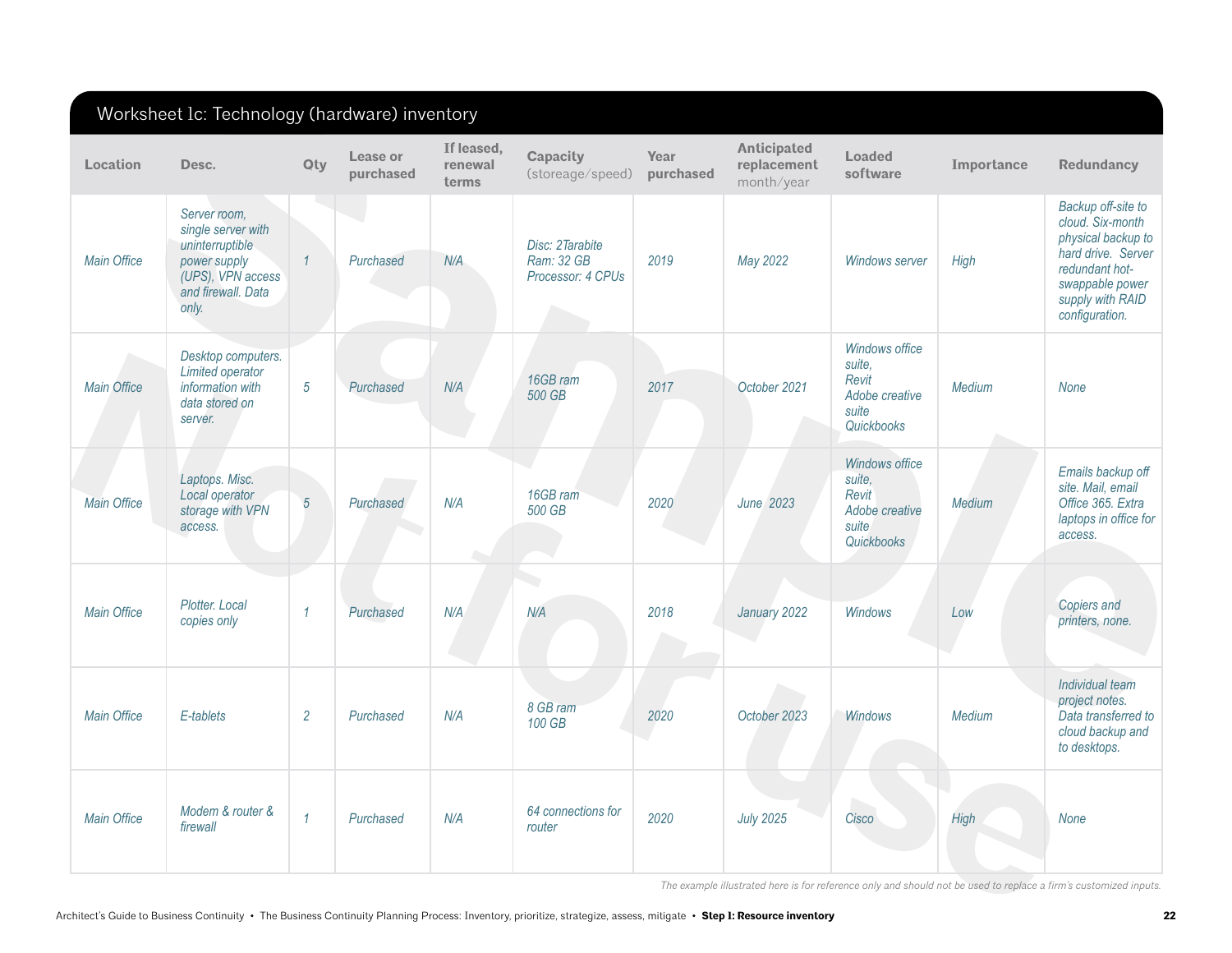| Location           | Desc.                                                                                                                     | <b>Qty</b>     | Lease or<br>purchased | If leased,<br>renewal<br>terms | <b>Capacity</b><br>(storeage/speed)                | Year<br>purchased | <b>Anticipated</b><br>replacement<br>month/year | <b>Loaded</b><br>software                                                  | Importance  | <b>Redundancy</b>                                                                                                                                             |
|--------------------|---------------------------------------------------------------------------------------------------------------------------|----------------|-----------------------|--------------------------------|----------------------------------------------------|-------------------|-------------------------------------------------|----------------------------------------------------------------------------|-------------|---------------------------------------------------------------------------------------------------------------------------------------------------------------|
| <b>Main Office</b> | Server room,<br>single server with<br>uninterruptible<br>power supply<br>(UPS), VPN access<br>and firewall. Data<br>only. | $\mathcal{I}$  | Purchased             | N/A                            | Disc: 2Tarabite<br>Ram: 32 GB<br>Processor: 4 CPUs | 2019              | May 2022                                        | <b>Windows server</b>                                                      | High        | Backup off-site to<br>cloud. Six-month<br>physical backup to<br>hard drive. Server<br>redundant hot-<br>swappable power<br>supply with RAID<br>configuration. |
| <b>Main Office</b> | Desktop computers.<br>Limited operator<br>information with<br>data stored on<br>server.                                   | $\sqrt{5}$     | Purchased             | N/A                            | 16GB ram<br>500 GB                                 | 2017              | October 2021                                    | Windows office<br>suite,<br>Revit<br>Adobe creative<br>suite<br>Quickbooks | Medium      | <b>None</b>                                                                                                                                                   |
| <b>Main Office</b> | Laptops. Misc.<br>Local operator<br>storage with VPN<br>access.                                                           | $\overline{5}$ | Purchased             | N/A                            | 16GB ram<br>500 GB                                 | 2020              | <b>June 2023</b>                                | Windows office<br>suite,<br>Revit<br>Adobe creative<br>suite<br>Quickbooks | Medium      | Emails backup off<br>site. Mail, email<br>Office 365. Extra<br>laptops in office for<br>access.                                                               |
| <b>Main Office</b> | Plotter. Local<br>copies only                                                                                             | $\mathcal I$   | Purchased             | N/A                            | a n<br>N/A                                         | 2018              | January 2022                                    | Windows                                                                    | Low         | Copiers and<br>printers, none.                                                                                                                                |
| <b>Main Office</b> | E-tablets                                                                                                                 | $\overline{2}$ | Purchased             | N/A                            | 8 GB ram<br>100 GB                                 | 2020              | October 2023                                    | <b>Windows</b>                                                             | Medium      | Individual team<br>project notes.<br>Data transferred to<br>cloud backup and<br>to desktops.                                                                  |
| <b>Main Office</b> | Modem & router &<br>firewall                                                                                              | $\mathcal I$   | Purchased             | N/A                            | 64 connections for<br>router                       | 2020              | <b>July 2025</b>                                | Cisco                                                                      | <b>High</b> | <b>None</b>                                                                                                                                                   |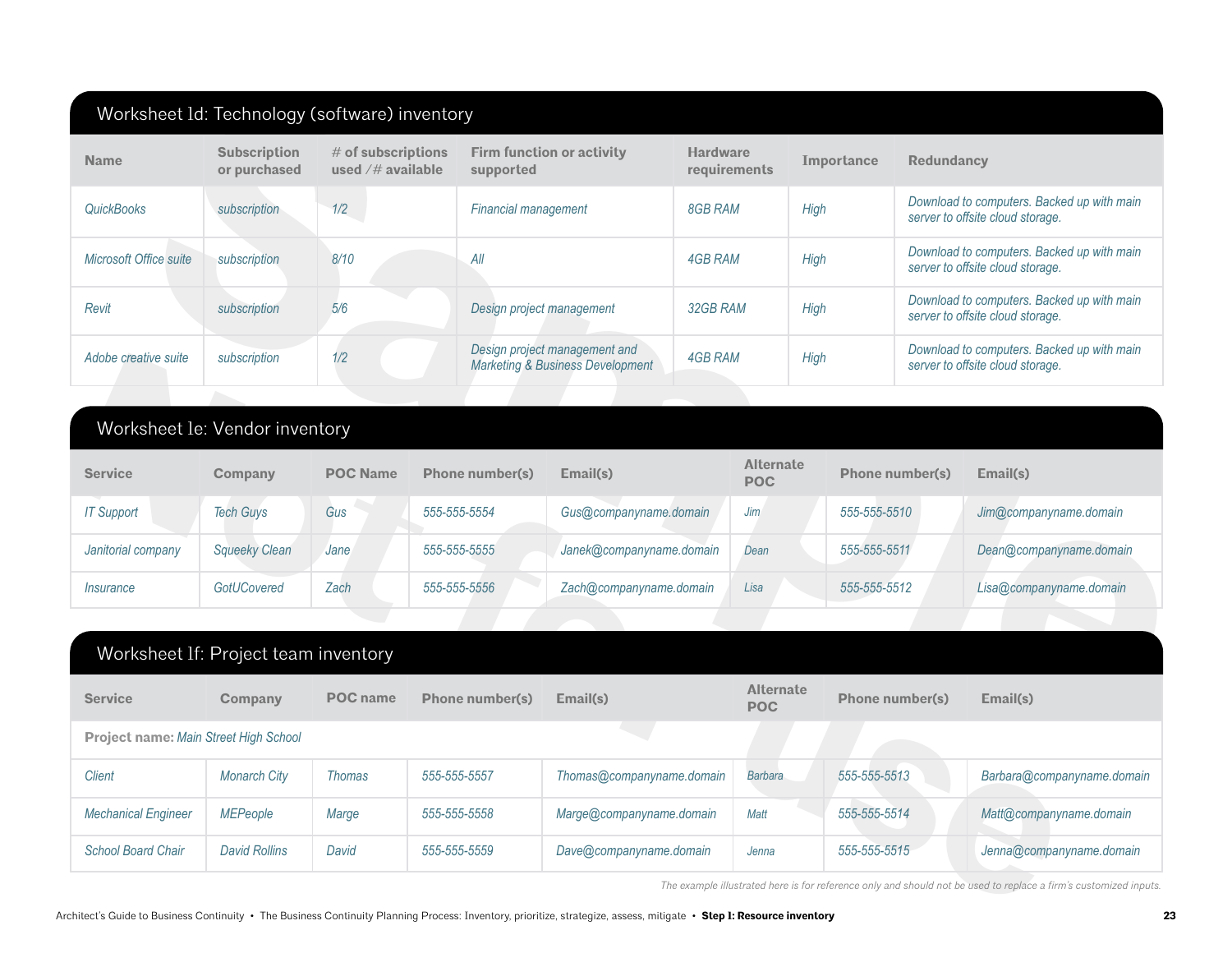| <b>Name</b>                           | <b>Subscription</b><br>or purchased  | # of subscriptions<br>used /# available | supported                   | <b>Firm function or activity</b>                                             | <b>Hardware</b><br>requirements |                                | Importance   | <b>Redundancy</b>      |                                                                                |
|---------------------------------------|--------------------------------------|-----------------------------------------|-----------------------------|------------------------------------------------------------------------------|---------------------------------|--------------------------------|--------------|------------------------|--------------------------------------------------------------------------------|
| <b>QuickBooks</b>                     | subscription                         | 1/2                                     | <b>Financial management</b> |                                                                              | 8GB RAM                         |                                | High         |                        | Download to computers. Backed up with main<br>server to offsite cloud storage. |
| Microsoft Office suite                | subscription                         | 8/10                                    | All                         |                                                                              |                                 | <b>4GB RAM</b>                 |              |                        | Download to computers. Backed up with main<br>server to offsite cloud storage. |
| Revit                                 | subscription                         | 5/6                                     |                             | Design project management                                                    | 32GB RAM                        |                                | High         |                        | Download to computers. Backed up with main<br>server to offsite cloud storage. |
| Adobe creative suite                  | subscription                         | 1/2                                     |                             | Design project management and<br><b>Marketing &amp; Business Development</b> | <b>4GB RAM</b>                  |                                | High         |                        | Download to computers. Backed up with main<br>server to offsite cloud storage. |
|                                       |                                      |                                         |                             |                                                                              |                                 |                                |              |                        |                                                                                |
|                                       | Worksheet le: Vendor inventory       |                                         |                             |                                                                              |                                 |                                |              |                        |                                                                                |
| <b>Service</b>                        | Company                              | <b>POC Name</b>                         | <b>Phone number(s)</b>      | Email(s)                                                                     |                                 | <b>Alternate</b><br><b>POC</b> |              | Phone number(s)        | Email(s)                                                                       |
| <b>IT Support</b>                     | <b>Tech Guys</b>                     | Gus                                     | 555-555-5554                | Gus@companyname.domain                                                       |                                 | <b>Jim</b>                     | 555-555-5510 |                        | Jim@companyname.domain                                                         |
| Janitorial company                    | <b>Squeeky Clean</b>                 | Jane                                    | 555-555-5555                | Janek@companyname.domain                                                     |                                 | Dean                           | 555-555-5511 |                        | Dean@companyname.domain                                                        |
| <i><u><b>Insurance</b></u></i>        | GotUCovered                          | Zach                                    | 555-555-5556                | Zach@companyname.domain                                                      |                                 | Lisa                           | 555-555-5512 |                        | Lisa@companyname.domain                                                        |
|                                       |                                      |                                         |                             |                                                                              |                                 |                                |              |                        |                                                                                |
|                                       | Worksheet If: Project team inventory |                                         |                             |                                                                              |                                 |                                |              |                        |                                                                                |
| <b>Service</b>                        | Company                              | <b>POC</b> name                         | <b>Phone number(s)</b>      | Email(s)                                                                     |                                 | <b>Alternate</b><br><b>POC</b> |              | <b>Phone number(s)</b> | Email(s)                                                                       |
| Project name: Main Street High School |                                      |                                         |                             |                                                                              |                                 |                                |              |                        |                                                                                |
| <b>Client</b>                         | <b>Monarch City</b>                  | <b>Thomas</b>                           | 555-555-5557                | Thomas@companyname.domain                                                    |                                 | Barbara                        | 555-555-5513 |                        | Barbara@companyname.domain                                                     |
| <b>Mechanical Engineer</b>            | <b>MEPeople</b>                      | Marge                                   | 555-555-5558                | Marge@companyname.domain                                                     |                                 | Matt                           | 555-555-5514 |                        | Matt@companyname.domain                                                        |
|                                       | <b>David Rollins</b>                 | David                                   | 555-555-5559                | Dave@companyname.domain                                                      |                                 | Jenna                          | 555-555-5515 |                        | Jenna@companyname.domain                                                       |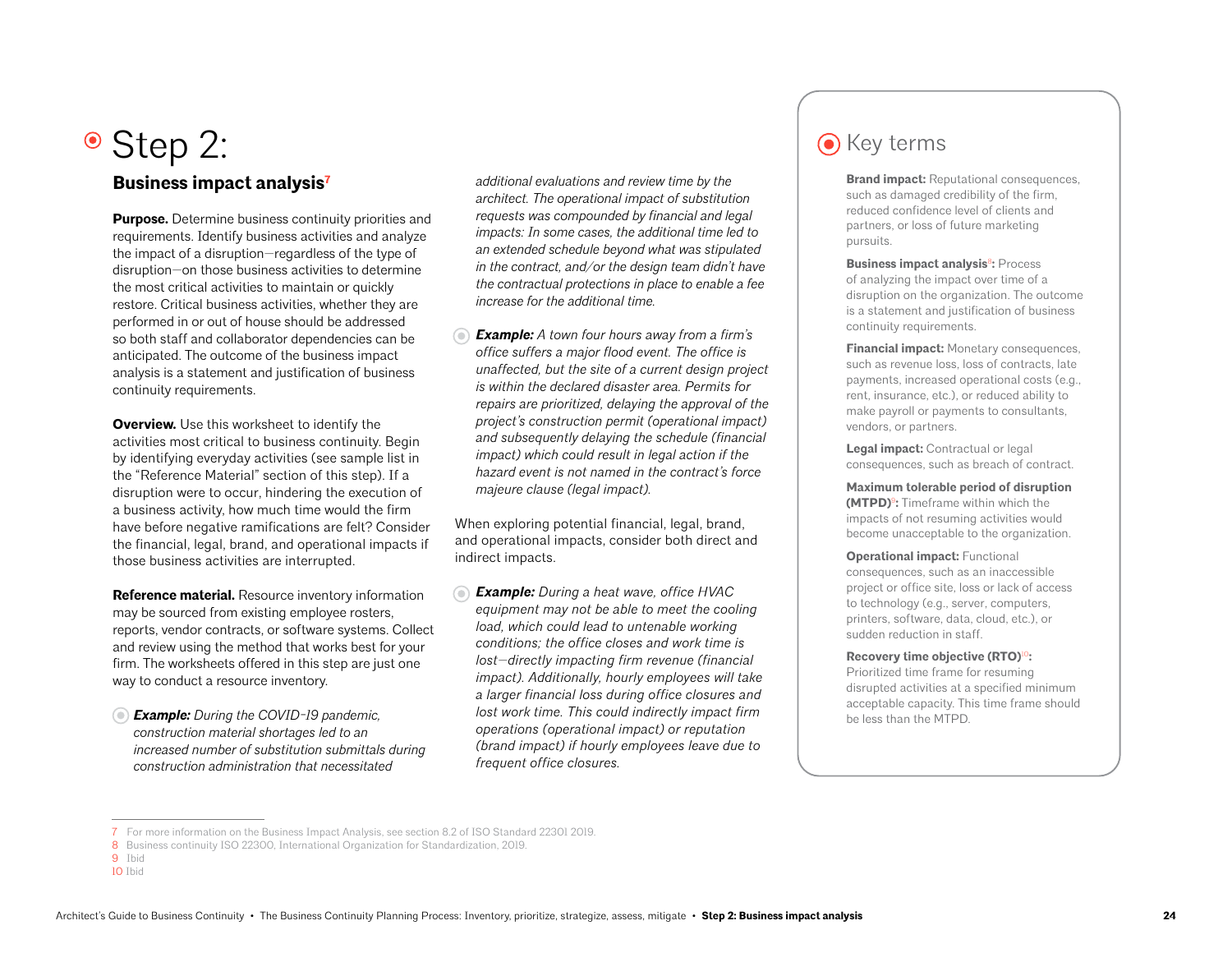# • Step 2: **Step 2: Contract Contract Contract Contract Contract Contract Contract Contract Contract Contract Contract Contract Contract Contract Contract Contract Contract Contract Contract Contract Contract Contract Con**

## **Business impact analysis7**

**Purpose.** Determine business continuity priorities and requirements. Identify business activities and analyze the impact of a disruption—regardless of the type of disruption—on those business activities to determine the most critical activities to maintain or quickly restore. Critical business activities, whether they are performed in or out of house should be addressed so both staff and collaborator dependencies can be anticipated. The outcome of the business impact analysis is a statement and justification of business continuity requirements.

**Overview.** Use this worksheet to identify the activities most critical to business continuity. Begin by identifying everyday activities (see sample list in the "Reference Material" section of this step). If a disruption were to occur, hindering the execution of a business activity, how much time would the firm have before negative ramifications are felt? Consider the financial, legal, brand, and operational impacts if those business activities are interrupted.

**Reference material.** Resource inventory information may be sourced from existing employee rosters, reports, vendor contracts, or software systems. Collect and review using the method that works best for your firm. The worksheets offered in this step are just one way to conduct a resource inventory.

*Example: During the COVID-19 pandemic, construction material shortages led to an increased number of substitution submittals during construction administration that necessitated* 

*additional evaluations and review time by the architect. The operational impact of substitution requests was compounded by financial and legal impacts: In some cases, the additional time led to an extended schedule beyond what was stipulated in the contract, and/or the design team didn't have the contractual protections in place to enable a fee increase for the additional time.* 

*Example: A town four hours away from a firm's office suffers a major flood event. The office is unaffected, but the site of a current design project is within the declared disaster area. Permits for repairs are prioritized, delaying the approval of the project's construction permit (operational impact) and subsequently delaying the schedule (financial impact) which could result in legal action if the hazard event is not named in the contract's force majeure clause (legal impact).* 

When exploring potential financial, legal, brand, and operational impacts, consider both direct and indirect impacts.

*Example: During a heat wave, office HVAC equipment may not be able to meet the cooling load, which could lead to untenable working conditions; the office closes and work time is lost—directly impacting firm revenue (financial impact). Additionally, hourly employees will take a larger financial loss during office closures and lost work time. This could indirectly impact firm operations (operational impact) or reputation (brand impact) if hourly employees leave due to frequent office closures.*

**Brand impact:** Reputational consequences, such as damaged credibility of the firm, reduced confidence level of clients and partners, or loss of future marketing pursuits.

**Business impact analysis<sup>8</sup>: Process** of analyzing the impact over time of a disruption on the organization. The outcome is a statement and justification of business continuity requirements.

**Financial impact:** Monetary consequences, such as revenue loss, loss of contracts, late payments, increased operational costs (e.g., rent, insurance, etc.), or reduced ability to make payroll or payments to consultants, vendors, or partners.

**Legal impact:** Contractual or legal consequences, such as breach of contract.

**Maximum tolerable period of disruption (MTPD)**<sup>9</sup>**:** Timeframe within which the impacts of not resuming activities would become unacceptable to the organization.

**Operational impact:** Functional consequences, such as an inaccessible project or office site, loss or lack of access to technology (e.g., server, computers, printers, software, data, cloud, etc.), or sudden reduction in staff.

**Recovery time objective (RTO)**<sup>10</sup>**:**

Prioritized time frame for resuming disrupted activities at a specified minimum acceptable capacity. This time frame should be less than the MTPD.

<sup>7</sup> For more information on the Business Impact Analysis, see section 8.2 of ISO Standard 22301 2019.

<sup>8</sup> Business continuity ISO 22300, International Organization for Standardization, 2019.

<sup>9</sup> Ibid

<sup>10</sup> Ibid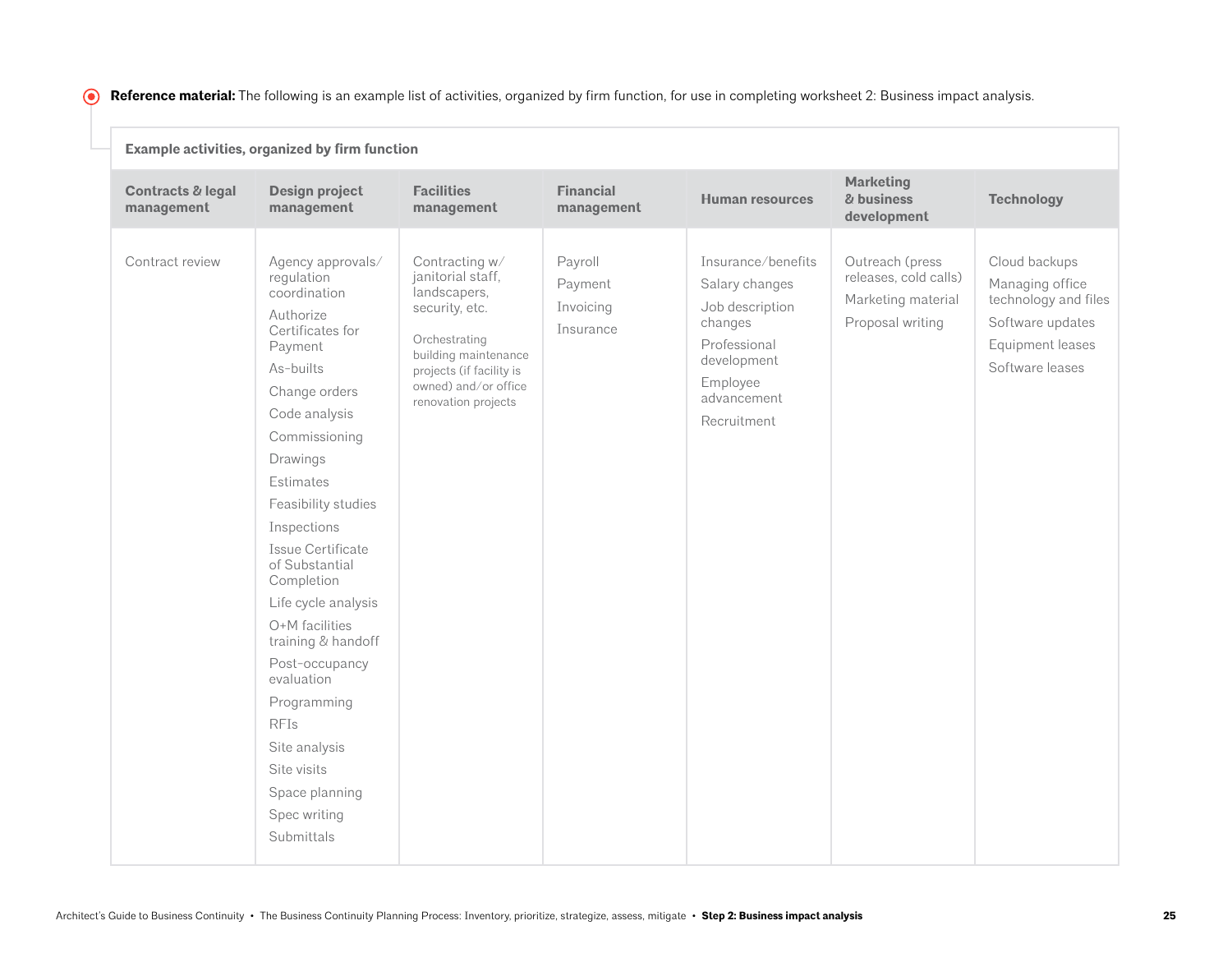**C** Reference material: The following is an example list of activities, organized by firm function, for use in completing worksheet 2: Business impact analysis.

|                                 | Example activities, organized by firm function                                                                                                                                                                                                                                                                                                                                                                                                                                               |                                                                                                                                                                                           |                                              |                                                                                                                                             |                                                                                    |                                                                                                                     |
|---------------------------------|----------------------------------------------------------------------------------------------------------------------------------------------------------------------------------------------------------------------------------------------------------------------------------------------------------------------------------------------------------------------------------------------------------------------------------------------------------------------------------------------|-------------------------------------------------------------------------------------------------------------------------------------------------------------------------------------------|----------------------------------------------|---------------------------------------------------------------------------------------------------------------------------------------------|------------------------------------------------------------------------------------|---------------------------------------------------------------------------------------------------------------------|
| Contracts & legal<br>management | <b>Design project</b><br>management                                                                                                                                                                                                                                                                                                                                                                                                                                                          | <b>Facilities</b><br>management                                                                                                                                                           | <b>Financial</b><br>management               | <b>Human resources</b>                                                                                                                      | <b>Marketing</b><br>& business<br>development                                      | <b>Technology</b>                                                                                                   |
| Contract review                 | Agency approvals/<br>regulation<br>coordination<br>Authorize<br>Certificates for<br>Payment<br>As-builts<br>Change orders<br>Code analysis<br>Commissioning<br>Drawings<br>Estimates<br>Feasibility studies<br>Inspections<br>Issue Certificate<br>of Substantial<br>Completion<br>Life cycle analysis<br>O+M facilities<br>training & handoff<br>Post-occupancy<br>evaluation<br>Programming<br><b>RFIs</b><br>Site analysis<br>Site visits<br>Space planning<br>Spec writing<br>Submittals | Contracting w/<br>janitorial staff,<br>landscapers,<br>security, etc.<br>Orchestrating<br>building maintenance<br>projects (if facility is<br>owned) and/or office<br>renovation projects | Payroll<br>Payment<br>Invoicing<br>Insurance | Insurance/benefits<br>Salary changes<br>Job description<br>changes<br>Professional<br>development<br>Employee<br>advancement<br>Recruitment | Outreach (press<br>releases, cold calls)<br>Marketing material<br>Proposal writing | Cloud backups<br>Managing office<br>technology and files<br>Software updates<br>Equipment leases<br>Software leases |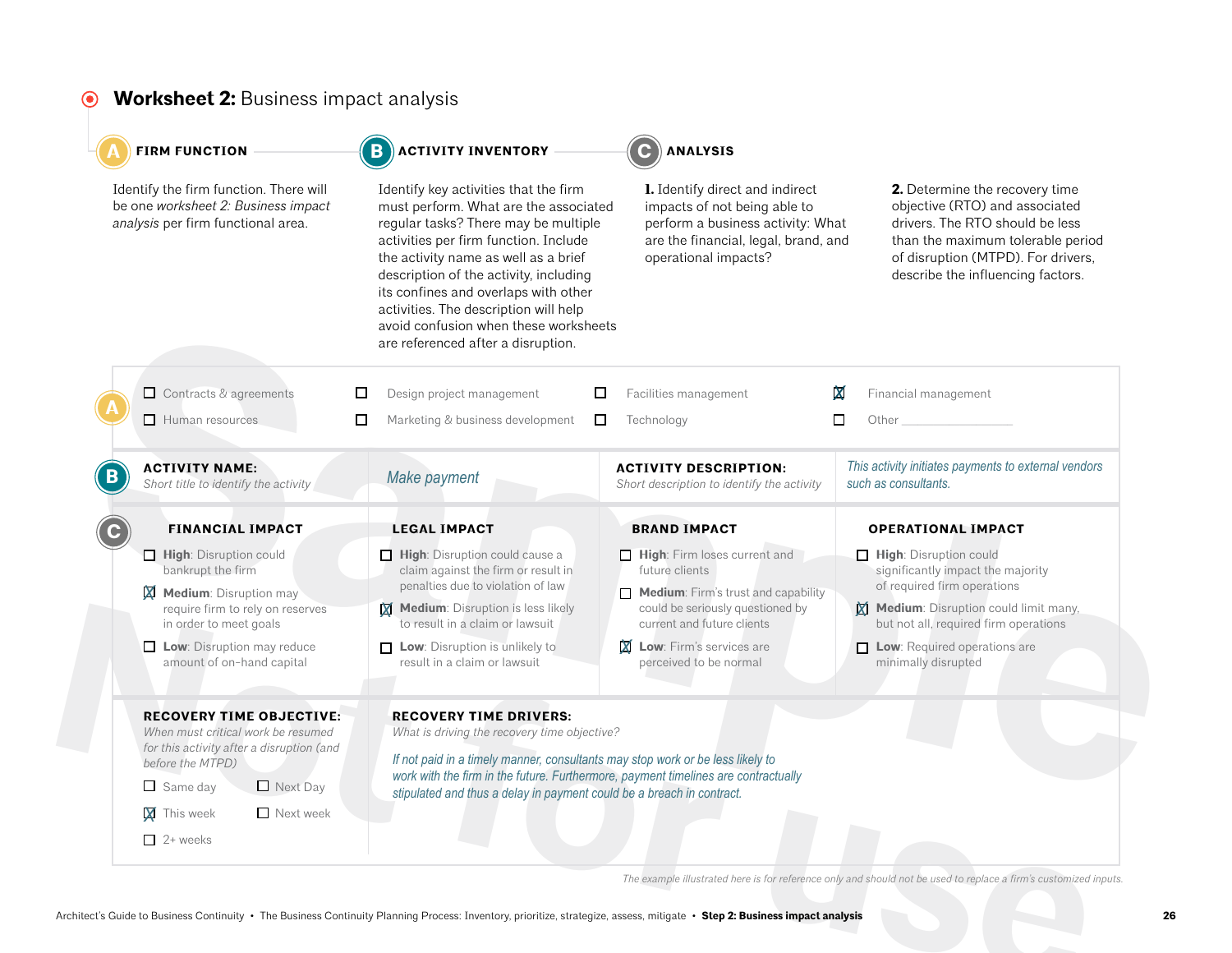#### **Worksheet 2:** Business impact analysis  $\odot$

| Identify the firm function. There will<br>be one worksheet 2: Business impact<br>analysis per firm functional area.                                                                                                                       | Identify key activities that the firm<br>must perform. What are the associated<br>regular tasks? There may be multiple<br>activities per firm function. Include<br>the activity name as well as a brief<br>description of the activity, including<br>its confines and overlaps with other<br>activities. The description will help<br>avoid confusion when these worksheets<br>are referenced after a disruption. | 1. Identify direct and indirect<br>impacts of not being able to<br>perform a business activity: What<br>are the financial, legal, brand, and<br>operational impacts?                                                   | 2. Determine the recovery time<br>objective (RTO) and associated<br>drivers. The RTO should be less<br>than the maximum tolerable period<br>of disruption (MTPD). For drivers,<br>describe the influencing factors.                       |
|-------------------------------------------------------------------------------------------------------------------------------------------------------------------------------------------------------------------------------------------|-------------------------------------------------------------------------------------------------------------------------------------------------------------------------------------------------------------------------------------------------------------------------------------------------------------------------------------------------------------------------------------------------------------------|------------------------------------------------------------------------------------------------------------------------------------------------------------------------------------------------------------------------|-------------------------------------------------------------------------------------------------------------------------------------------------------------------------------------------------------------------------------------------|
| □ Contracts & agreements<br>$\Box$ Human resources                                                                                                                                                                                        | □<br>Design project management<br>ப<br>□<br>Marketing & business development<br>$\Box$                                                                                                                                                                                                                                                                                                                            | Facilities management<br>Technology                                                                                                                                                                                    | X<br>Financial management<br>$\Box$<br>Other                                                                                                                                                                                              |
| <b>ACTIVITY NAME:</b><br>Short title to identify the activity                                                                                                                                                                             | Make payment                                                                                                                                                                                                                                                                                                                                                                                                      | <b>ACTIVITY DESCRIPTION:</b><br>Short description to identify the activity                                                                                                                                             | This activity initiates payments to external vendors<br>such as consultants.                                                                                                                                                              |
| <b>FINANCIAL IMPACT</b>                                                                                                                                                                                                                   | <b>LEGAL IMPACT</b>                                                                                                                                                                                                                                                                                                                                                                                               | <b>BRAND IMPACT</b>                                                                                                                                                                                                    | <b>OPERATIONAL IMPACT</b>                                                                                                                                                                                                                 |
| High: Disruption could<br>bankrupt the firm<br>Medium: Disruption may<br>X<br>require firm to rely on reserves<br>in order to meet goals<br>$\Box$ Low: Disruption may reduce<br>amount of on-hand capital                                | $\Box$ High: Disruption could cause a<br>claim against the firm or result in<br>penalties due to violation of law<br>Medium: Disruption is less likely<br>to result in a claim or lawsuit<br>$\Box$ Low: Disruption is unlikely to<br>result in a claim or lawsuit                                                                                                                                                | High: Firm loses current and<br>future clients<br>Medium: Firm's trust and capability<br>could be seriously questioned by<br>current and future clients<br><b>X</b> Low: Firm's services are<br>perceived to be normal | High: Disruption could<br>significantly impact the majority<br>of required firm operations<br>Medium: Disruption could limit many,<br>but not all, required firm operations<br>$\Box$ Low: Required operations are<br>minimally disrupted |
| <b>RECOVERY TIME OBJECTIVE:</b><br>When must critical work be resumed<br>for this activity after a disruption (and<br>before the MTPD)<br>$\Box$ Next Day<br>$\Box$ Same day<br>$\Box$ Next week<br><b>X</b> This week<br>$\Box$ 2+ weeks | <b>RECOVERY TIME DRIVERS:</b><br>What is driving the recovery time objective?<br>If not paid in a timely manner, consultants may stop work or be less likely to<br>work with the firm in the future. Furthermore, payment timelines are contractually<br>stipulated and thus a delay in payment could be a breach in contract.                                                                                    |                                                                                                                                                                                                                        |                                                                                                                                                                                                                                           |
|                                                                                                                                                                                                                                           |                                                                                                                                                                                                                                                                                                                                                                                                                   |                                                                                                                                                                                                                        | The example illustrated here is for reference only and should not be used to replace a firm's customized inputs.                                                                                                                          |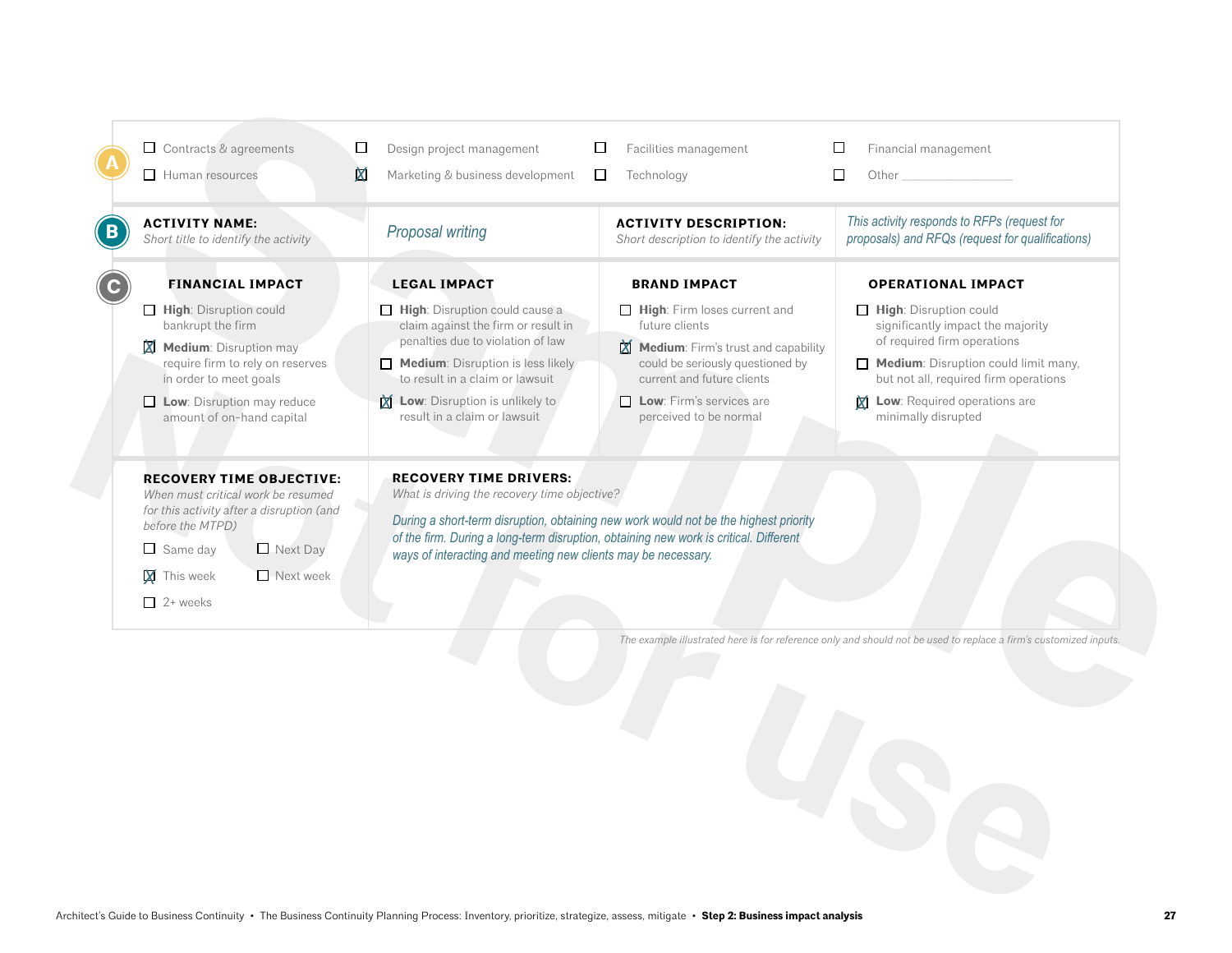| <b>ACTIVITY NAME:</b><br>Short title to identify the activity                                                                                                                                                                 | Proposal writing                                                                                                                                                                                                                                                                                                                | <b>ACTIVITY DESCRIPTION:</b><br>Short description to identify the activity                                                                                                                                           | This activity responds to RFPs (request for<br>proposals) and RFQs (request for qualifications)                                                                                                                                                       |  |  |  |  |
|-------------------------------------------------------------------------------------------------------------------------------------------------------------------------------------------------------------------------------|---------------------------------------------------------------------------------------------------------------------------------------------------------------------------------------------------------------------------------------------------------------------------------------------------------------------------------|----------------------------------------------------------------------------------------------------------------------------------------------------------------------------------------------------------------------|-------------------------------------------------------------------------------------------------------------------------------------------------------------------------------------------------------------------------------------------------------|--|--|--|--|
| <b>FINANCIAL IMPACT</b>                                                                                                                                                                                                       | <b>LEGAL IMPACT</b>                                                                                                                                                                                                                                                                                                             | <b>BRAND IMPACT</b>                                                                                                                                                                                                  | <b>OPERATIONAL IMPACT</b>                                                                                                                                                                                                                             |  |  |  |  |
| High: Disruption could<br>bankrupt the firm<br><b>X</b> Medium: Disruption may<br>require firm to rely on reserves<br>in order to meet goals<br>$\Box$ Low: Disruption may reduce<br>amount of on-hand capital                | $\Box$ High: Disruption could cause a<br>claim against the firm or result in<br>penalties due to violation of law<br>$\Box$ Medium: Disruption is less likely<br>to result in a claim or lawsuit<br>Low: Disruption is unlikely to<br>result in a claim or lawsuit                                                              | High: Firm loses current and<br>future clients<br>Medium: Firm's trust and capability<br>could be seriously questioned by<br>current and future clients<br>$\Box$ Low: Firm's services are<br>perceived to be normal | $\Box$ High: Disruption could<br>significantly impact the majority<br>of required firm operations<br>Medium: Disruption could limit many,<br>but not all, required firm operations<br><b>Low:</b> Required operations are<br>X<br>minimally disrupted |  |  |  |  |
| <b>RECOVERY TIME OBJECTIVE:</b><br>When must critical work be resumed<br>for this activity after a disruption (and<br>before the MTPD)<br>Next Day<br>$\Box$ Same day<br>$\Box$ Next week<br><b>X</b> This week<br>$2+$ weeks | <b>RECOVERY TIME DRIVERS:</b><br>What is driving the recovery time objective?<br>During a short-term disruption, obtaining new work would not be the highest priority<br>of the firm. During a long-term disruption, obtaining new work is critical. Different<br>ways of interacting and meeting new clients may be necessary. |                                                                                                                                                                                                                      |                                                                                                                                                                                                                                                       |  |  |  |  |
|                                                                                                                                                                                                                               |                                                                                                                                                                                                                                                                                                                                 |                                                                                                                                                                                                                      | The example illustrated here is for reference only and should not be used to replace a firm's customized inputs.                                                                                                                                      |  |  |  |  |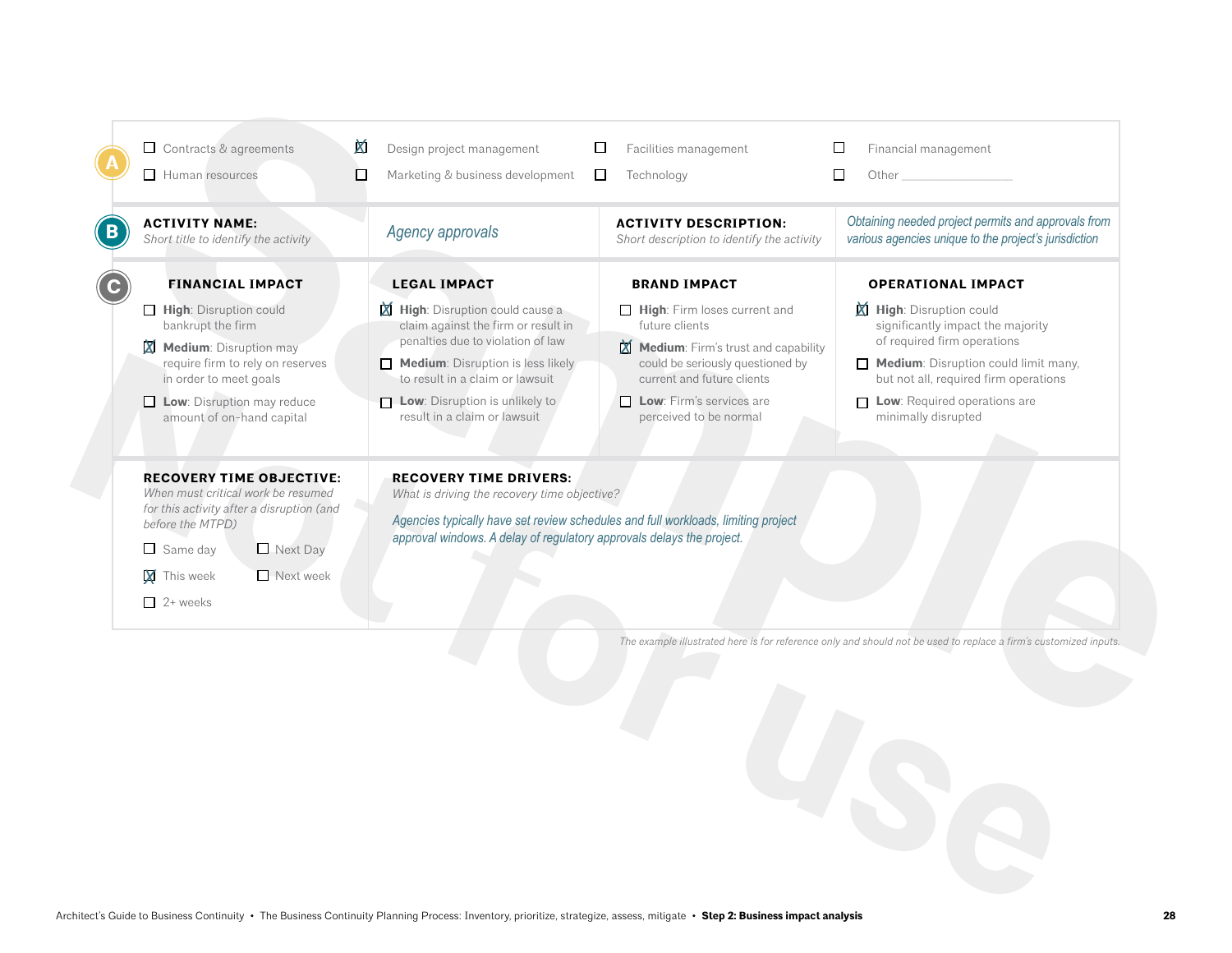| <b>ACTIVITY NAME:</b><br>Short title to identify the activity                                                                                                                                                          | Agency approvals                                                                                                                                                                                                                                                     | <b>ACTIVITY DESCRIPTION:</b><br>Short description to identify the activity                                                                                                                                           | Obtaining needed project permits and approvals from<br>various agencies unique to the project's jurisdiction                                                                                                                                       |
|------------------------------------------------------------------------------------------------------------------------------------------------------------------------------------------------------------------------|----------------------------------------------------------------------------------------------------------------------------------------------------------------------------------------------------------------------------------------------------------------------|----------------------------------------------------------------------------------------------------------------------------------------------------------------------------------------------------------------------|----------------------------------------------------------------------------------------------------------------------------------------------------------------------------------------------------------------------------------------------------|
| <b>FINANCIAL IMPACT</b>                                                                                                                                                                                                | <b>LEGAL IMPACT</b>                                                                                                                                                                                                                                                  | <b>BRAND IMPACT</b>                                                                                                                                                                                                  | <b>OPERATIONAL IMPACT</b>                                                                                                                                                                                                                          |
| High: Disruption could<br>bankrupt the firm<br><b>X</b> Medium: Disruption may<br>require firm to rely on reserves<br>in order to meet goals<br>Low: Disruption may reduce<br>amount of on-hand capital                | <b>X</b> High: Disruption could cause a<br>claim against the firm or result in<br>penalties due to violation of law<br>$\Box$ Medium: Disruption is less likely<br>to result in a claim or lawsuit<br>Low: Disruption is unlikely to<br>result in a claim or lawsuit | High: Firm loses current and<br>future clients<br>Medium: Firm's trust and capability<br>could be seriously questioned by<br>current and future clients<br>$\Box$ Low: Firm's services are<br>perceived to be normal | <b>X</b> High: Disruption could<br>significantly impact the majority<br>of required firm operations<br>Medium: Disruption could limit many,<br>but not all, required firm operations<br>$\Box$ Low: Required operations are<br>minimally disrupted |
| <b>RECOVERY TIME OBJECTIVE:</b><br>When must critical work be resumed<br>for this activity after a disruption (and<br>before the MTPD)<br>Next Day<br>$\Box$ Same day<br>Next week<br><b>X</b> This week<br>$2+$ weeks | <b>RECOVERY TIME DRIVERS:</b><br>What is driving the recovery time objective?<br>Agencies typically have set review schedules and full workloads, limiting project<br>approval windows. A delay of regulatory approvals delays the project.                          |                                                                                                                                                                                                                      |                                                                                                                                                                                                                                                    |
|                                                                                                                                                                                                                        |                                                                                                                                                                                                                                                                      |                                                                                                                                                                                                                      | The example illustrated here is for reference only and should not be used to replace a firm's customized inputs.                                                                                                                                   |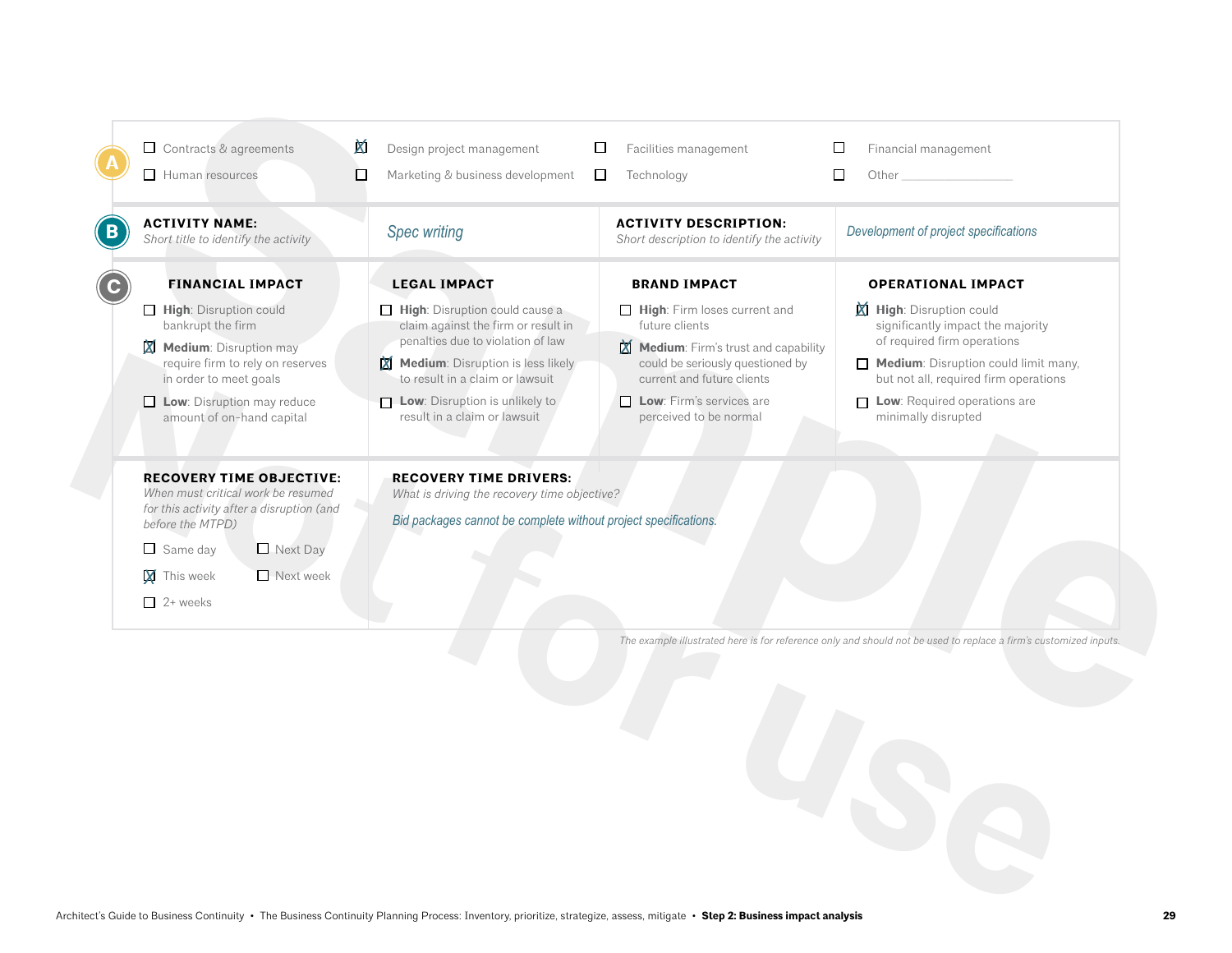| <b>ACTIVITY NAME:</b><br>Short title to identify the activity                                                                                                                                                          | <b>Spec writing</b>                                                                                                                                                                                                                                                     | <b>ACTIVITY DESCRIPTION:</b><br>Short description to identify the activity                                                                                                                                           | Development of project specifications                                                                                                                                                                                                              |
|------------------------------------------------------------------------------------------------------------------------------------------------------------------------------------------------------------------------|-------------------------------------------------------------------------------------------------------------------------------------------------------------------------------------------------------------------------------------------------------------------------|----------------------------------------------------------------------------------------------------------------------------------------------------------------------------------------------------------------------|----------------------------------------------------------------------------------------------------------------------------------------------------------------------------------------------------------------------------------------------------|
| <b>FINANCIAL IMPACT</b>                                                                                                                                                                                                | <b>LEGAL IMPACT</b>                                                                                                                                                                                                                                                     | <b>BRAND IMPACT</b>                                                                                                                                                                                                  | <b>OPERATIONAL IMPACT</b>                                                                                                                                                                                                                          |
| High: Disruption could<br>bankrupt the firm<br><b>X</b> Medium: Disruption may<br>require firm to rely on reserves<br>in order to meet goals<br>Low: Disruption may reduce<br>amount of on-hand capital                | $\Box$ High: Disruption could cause a<br>claim against the firm or result in<br>penalties due to violation of law<br>$\boxtimes$ Medium: Disruption is less likely<br>to result in a claim or lawsuit<br>Low: Disruption is unlikely to<br>result in a claim or lawsuit | High: Firm loses current and<br>future clients<br>Medium: Firm's trust and capability<br>could be seriously questioned by<br>current and future clients<br>$\Box$ Low: Firm's services are<br>perceived to be normal | <b>X</b> High: Disruption could<br>significantly impact the majority<br>of required firm operations<br>Medium: Disruption could limit many,<br>but not all, required firm operations<br>$\Box$ Low: Required operations are<br>minimally disrupted |
| <b>RECOVERY TIME OBJECTIVE:</b><br>When must critical work be resumed<br>for this activity after a disruption (and<br>before the MTPD)<br>Next Day<br>$\Box$ Same day<br>Next week<br><b>X</b> This week<br>$2+$ weeks | <b>RECOVERY TIME DRIVERS:</b><br>What is driving the recovery time objective?<br>Bid packages cannot be complete without project specifications.                                                                                                                        |                                                                                                                                                                                                                      |                                                                                                                                                                                                                                                    |
|                                                                                                                                                                                                                        |                                                                                                                                                                                                                                                                         |                                                                                                                                                                                                                      | The example illustrated here is for reference only and should not be used to replace a firm's customized inputs.                                                                                                                                   |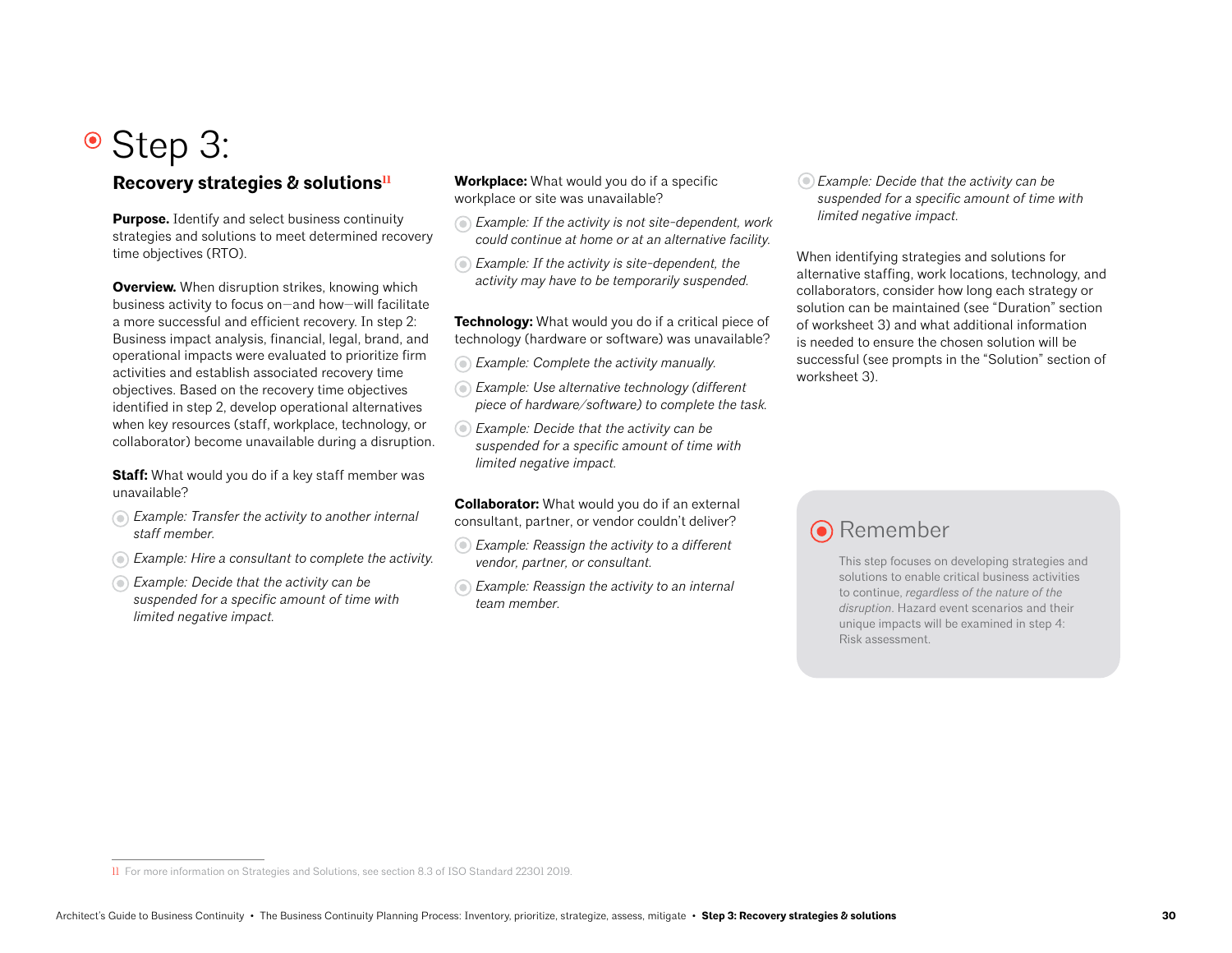# Step 3:

### Recovery strategies & solutions<sup>11</sup>

**Purpose.** Identify and select business continuity strategies and solutions to meet determined recovery time objectives (RTO).

**Overview.** When disruption strikes, knowing which business activity to focus on—and how—will facilitate a more successful and efficient recovery. In step 2: Business impact analysis, financial, legal, brand, and operational impacts were evaluated to prioritize firm activities and establish associated recovery time objectives. Based on the recovery time objectives identified in step 2, develop operational alternatives when key resources (staff, workplace, technology, or collaborator) become unavailable during a disruption.

**Staff:** What would you do if a key staff member was unavailable?

- *Example: Transfer the activity to another internal staff member.*
- *Example: Hire a consultant to complete the activity.*
- *Example: Decide that the activity can be suspended for a specific amount of time with limited negative impact.*

**Workplace:** What would you do if a specific workplace or site was unavailable?

- *Example: If the activity is not site-dependent, work could continue at home or at an alternative facility.*
- *Example: If the activity is site-dependent, the activity may have to be temporarily suspended.*

**Technology:** What would you do if a critical piece of technology (hardware or software) was unavailable?

- *Example: Complete the activity manually.*
- *Example: Use alternative technology (different piece of hardware/software) to complete the task.*
- *Example: Decide that the activity can be suspended for a specific amount of time with limited negative impact.*

**Collaborator:** What would you do if an external consultant, partner, or vendor couldn't deliver?

- *Example: Reassign the activity to a different vendor, partner, or consultant.*
- *Example: Reassign the activity to an internal team member.*

*Example: Decide that the activity can be suspended for a specific amount of time with limited negative impact.*

When identifying strategies and solutions for alternative staffing, work locations, technology, and collaborators, consider how long each strategy or solution can be maintained (see "Duration" section of worksheet 3) and what additional information is needed to ensure the chosen solution will be successful (see prompts in the "Solution" section of worksheet 3).

## **O** Remember

This step focuses on developing strategies and solutions to enable critical business activities to continue, *regardless of the nature of the disruption*. Hazard event scenarios and their unique impacts will be examined in step 4: Risk assessment.

<sup>11</sup> For more information on Strategies and Solutions, see section 8.3 of ISO Standard 22301 2019.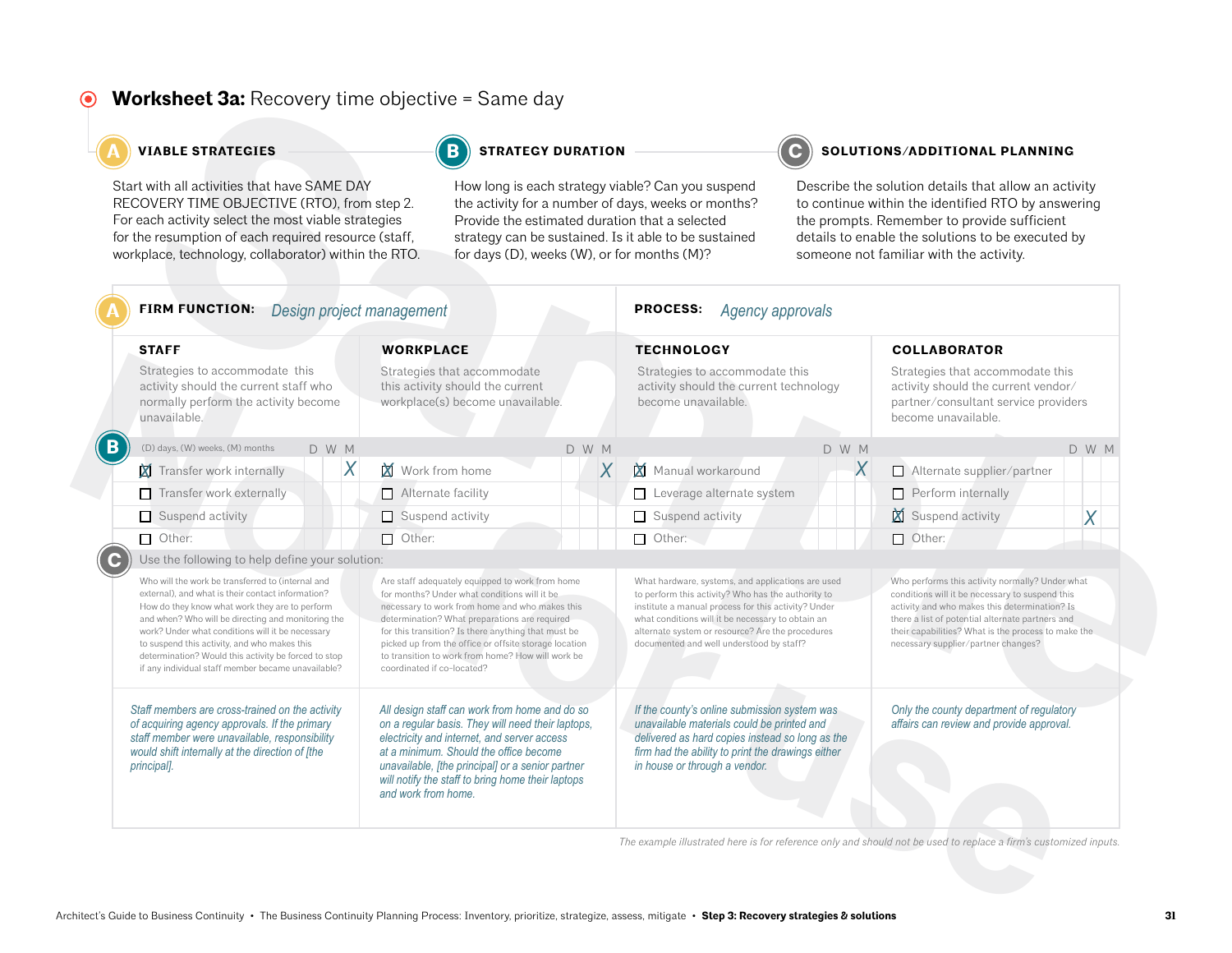#### **Worksheet 3a: Recovery time objective = Same day**  $\odot$

### **A A A A A C C STRATEGIES STRATEGY DURATION C C SOLUTIONS/ADDITIONAL PLANNING**

| Start with all activities that have SAME DAY<br>RECOVERY TIME OBJECTIVE (RTO), from step 2.<br>For each activity select the most viable strategies<br>for the resumption of each required resource (staff,<br>workplace, technology, collaborator) within the RTO.                                                                                                                                                                                                                  | for days (D), weeks (W), or for months (M)?                                                                                                                                                                                                                                                                                                                                                           |       | How long is each strategy viable? Can you suspend<br>the activity for a number of days, weeks or months?<br>Provide the estimated duration that a selected<br>strategy can be sustained. Is it able to be sustained                 | Describe the solution details that allow an activity<br>to continue within the identified RTO by answering<br>the prompts. Remember to provide sufficient<br>details to enable the solutions to be executed by<br>someone not familiar with the activity.                                                           |                                                                                                                                                                                                                                                                                                       |       |  |  |  |
|-------------------------------------------------------------------------------------------------------------------------------------------------------------------------------------------------------------------------------------------------------------------------------------------------------------------------------------------------------------------------------------------------------------------------------------------------------------------------------------|-------------------------------------------------------------------------------------------------------------------------------------------------------------------------------------------------------------------------------------------------------------------------------------------------------------------------------------------------------------------------------------------------------|-------|-------------------------------------------------------------------------------------------------------------------------------------------------------------------------------------------------------------------------------------|---------------------------------------------------------------------------------------------------------------------------------------------------------------------------------------------------------------------------------------------------------------------------------------------------------------------|-------------------------------------------------------------------------------------------------------------------------------------------------------------------------------------------------------------------------------------------------------------------------------------------------------|-------|--|--|--|
| FIRM FUNCTION: Design project management                                                                                                                                                                                                                                                                                                                                                                                                                                            |                                                                                                                                                                                                                                                                                                                                                                                                       |       | <b>PROCESS:</b><br>Agency approvals                                                                                                                                                                                                 |                                                                                                                                                                                                                                                                                                                     |                                                                                                                                                                                                                                                                                                       |       |  |  |  |
| <b>STAFF</b>                                                                                                                                                                                                                                                                                                                                                                                                                                                                        | <b>WORKPLACE</b>                                                                                                                                                                                                                                                                                                                                                                                      |       | <b>TECHNOLOGY</b>                                                                                                                                                                                                                   |                                                                                                                                                                                                                                                                                                                     | <b>COLLABORATOR</b>                                                                                                                                                                                                                                                                                   |       |  |  |  |
| Strategies to accommodate this<br>activity should the current staff who<br>normally perform the activity become<br>unavailable.                                                                                                                                                                                                                                                                                                                                                     | Strategies that accommodate<br>this activity should the current<br>workplace(s) become unavailable.                                                                                                                                                                                                                                                                                                   |       | Strategies to accommodate this<br>activity should the current technology<br>become unavailable.                                                                                                                                     |                                                                                                                                                                                                                                                                                                                     | Strategies that accommodate this<br>activity should the current vendor/<br>partner/consultant service providers<br>become unavailable.                                                                                                                                                                |       |  |  |  |
| (D) days, (W) weeks, (M) months<br>D W M                                                                                                                                                                                                                                                                                                                                                                                                                                            |                                                                                                                                                                                                                                                                                                                                                                                                       | D W M |                                                                                                                                                                                                                                     | D W M                                                                                                                                                                                                                                                                                                               |                                                                                                                                                                                                                                                                                                       | D W M |  |  |  |
| X<br>Transfer work internally                                                                                                                                                                                                                                                                                                                                                                                                                                                       | Work from home                                                                                                                                                                                                                                                                                                                                                                                        | X     | Manual workaround                                                                                                                                                                                                                   | X                                                                                                                                                                                                                                                                                                                   | Alternate supplier/partner                                                                                                                                                                                                                                                                            |       |  |  |  |
| Transfer work externally                                                                                                                                                                                                                                                                                                                                                                                                                                                            | $\Box$ Alternate facility                                                                                                                                                                                                                                                                                                                                                                             |       | Leverage alternate system                                                                                                                                                                                                           |                                                                                                                                                                                                                                                                                                                     | Perform internally<br>□                                                                                                                                                                                                                                                                               |       |  |  |  |
| Suspend activity                                                                                                                                                                                                                                                                                                                                                                                                                                                                    | $\Box$ Suspend activity                                                                                                                                                                                                                                                                                                                                                                               |       | Suspend activity                                                                                                                                                                                                                    |                                                                                                                                                                                                                                                                                                                     | M<br>Suspend activity                                                                                                                                                                                                                                                                                 | X     |  |  |  |
| $\Box$ Other:                                                                                                                                                                                                                                                                                                                                                                                                                                                                       | $\Box$ Other:                                                                                                                                                                                                                                                                                                                                                                                         |       | $\Box$ Other:                                                                                                                                                                                                                       |                                                                                                                                                                                                                                                                                                                     | $\Box$ Other:                                                                                                                                                                                                                                                                                         |       |  |  |  |
| Use the following to help define your solution:<br>Who will the work be transferred to (internal and<br>external), and what is their contact information?<br>How do they know what work they are to perform<br>and when? Who will be directing and monitoring the<br>work? Under what conditions will it be necessary<br>to suspend this activity, and who makes this<br>determination? Would this activity be forced to stop<br>if any individual staff member became unavailable? | Are staff adequately equipped to work from home<br>for months? Under what conditions will it be<br>necessary to work from home and who makes this<br>determination? What preparations are required<br>for this transition? Is there anything that must be<br>picked up from the office or offsite storage location<br>to transition to work from home? How will work be<br>coordinated if co-located? |       |                                                                                                                                                                                                                                     | What hardware, systems, and applications are used<br>to perform this activity? Who has the authority to<br>institute a manual process for this activity? Under<br>what conditions will it be necessary to obtain an<br>alternate system or resource? Are the procedures<br>documented and well understood by staff? | Who performs this activity normally? Under what<br>conditions will it be necessary to suspend this<br>activity and who makes this determination? Is<br>there a list of potential alternate partners and<br>their capabilities? What is the process to make the<br>necessary supplier/partner changes? |       |  |  |  |
| Staff members are cross-trained on the activity<br>of acquiring agency approvals. If the primary<br>staff member were unavailable, responsibility<br>would shift internally at the direction of [the<br>principal].                                                                                                                                                                                                                                                                 | All design staff can work from home and do so<br>on a regular basis. They will need their laptops,<br>electricity and internet, and server access<br>at a minimum. Should the office become<br>unavailable, [the principal] or a senior partner<br>will notify the staff to bring home their laptops<br>and work from home.                                                                           |       | If the county's online submission system was<br>unavailable materials could be printed and<br>delivered as hard copies instead so long as the<br>firm had the ability to print the drawings either<br>in house or through a vendor. |                                                                                                                                                                                                                                                                                                                     | Only the county department of regulatory<br>affairs can review and provide approval.                                                                                                                                                                                                                  |       |  |  |  |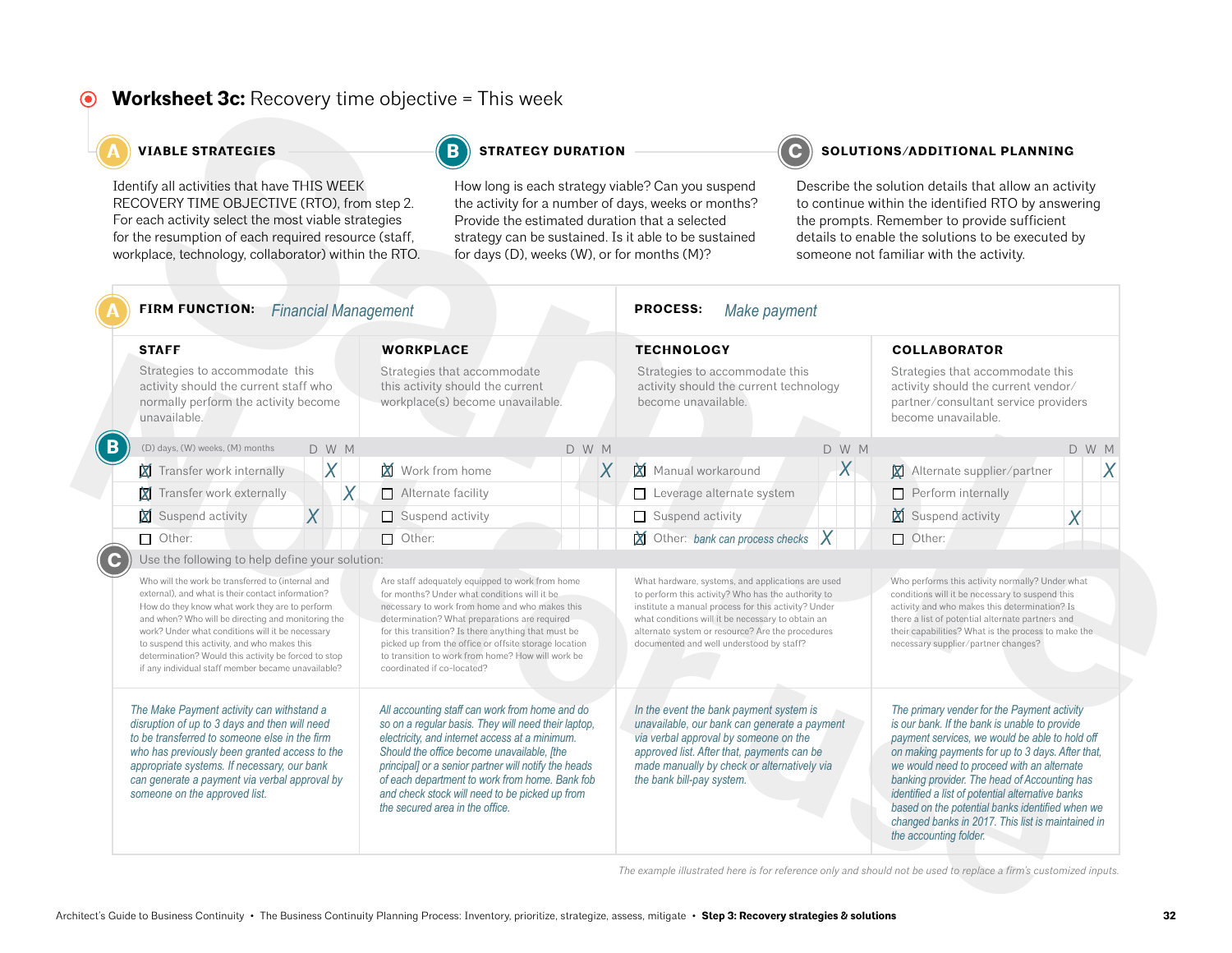#### **Worksheet 3c:** Recovery time objective = This week  $\odot$

#### **A VIABLE STRATEGIES STRATEGY DURATION C SOLUTIONS/ADDITIONAL PLANNING**

| <b>VIABLE STRATEGIES</b>                                                                                                                                                                                                                                                                                                                                                                                                                                                            |                |                                                                                                                                                                                                                                                                                                                                                                                                       | <b>STRATEGY DURATION</b>                                                                                                                                                                                                                                                                                                                                                                             |                |                                                                                                                                                                                                                                                                                                                     | SOLUTIONS/ADDITIONAL PLANNING                                                                                                                                                                                                                             |                                                                                                                                                                                                                                                                                                                                                                                                                                                                                        |                     |       |  |
|-------------------------------------------------------------------------------------------------------------------------------------------------------------------------------------------------------------------------------------------------------------------------------------------------------------------------------------------------------------------------------------------------------------------------------------------------------------------------------------|----------------|-------------------------------------------------------------------------------------------------------------------------------------------------------------------------------------------------------------------------------------------------------------------------------------------------------------------------------------------------------------------------------------------------------|------------------------------------------------------------------------------------------------------------------------------------------------------------------------------------------------------------------------------------------------------------------------------------------------------------------------------------------------------------------------------------------------------|----------------|---------------------------------------------------------------------------------------------------------------------------------------------------------------------------------------------------------------------------------------------------------------------------------------------------------------------|-----------------------------------------------------------------------------------------------------------------------------------------------------------------------------------------------------------------------------------------------------------|----------------------------------------------------------------------------------------------------------------------------------------------------------------------------------------------------------------------------------------------------------------------------------------------------------------------------------------------------------------------------------------------------------------------------------------------------------------------------------------|---------------------|-------|--|
| Identify all activities that have THIS WEEK<br>RECOVERY TIME OBJECTIVE (RTO), from step 2.<br>For each activity select the most viable strategies<br>for the resumption of each required resource (staff,<br>workplace, technology, collaborator) within the RTO.                                                                                                                                                                                                                   |                |                                                                                                                                                                                                                                                                                                                                                                                                       | How long is each strategy viable? Can you suspend<br>the activity for a number of days, weeks or months?<br>Provide the estimated duration that a selected<br>strategy can be sustained. Is it able to be sustained<br>for days (D), weeks (W), or for months (M)?                                                                                                                                   |                |                                                                                                                                                                                                                                                                                                                     | Describe the solution details that allow an activity<br>to continue within the identified RTO by answering<br>the prompts. Remember to provide sufficient<br>details to enable the solutions to be executed by<br>someone not familiar with the activity. |                                                                                                                                                                                                                                                                                                                                                                                                                                                                                        |                     |       |  |
| <b>FIRM FUNCTION:</b> Financial Management                                                                                                                                                                                                                                                                                                                                                                                                                                          |                |                                                                                                                                                                                                                                                                                                                                                                                                       |                                                                                                                                                                                                                                                                                                                                                                                                      |                | <b>PROCESS:</b><br>Make payment                                                                                                                                                                                                                                                                                     |                                                                                                                                                                                                                                                           |                                                                                                                                                                                                                                                                                                                                                                                                                                                                                        |                     |       |  |
| <b>STAFF</b><br>Strategies to accommodate this<br>activity should the current staff who<br>normally perform the activity become<br>unavailable.                                                                                                                                                                                                                                                                                                                                     |                |                                                                                                                                                                                                                                                                                                                                                                                                       | <b>WORKPLACE</b><br>Strategies that accommodate<br>this activity should the current<br>workplace(s) become unavailable.                                                                                                                                                                                                                                                                              |                | <b>TECHNOLOGY</b><br>Strategies to accommodate this<br>activity should the current technology<br>become unavailable.                                                                                                                                                                                                |                                                                                                                                                                                                                                                           |                                                                                                                                                                                                                                                                                                                                                                                                                                                                                        | <b>COLLABORATOR</b> |       |  |
|                                                                                                                                                                                                                                                                                                                                                                                                                                                                                     |                |                                                                                                                                                                                                                                                                                                                                                                                                       |                                                                                                                                                                                                                                                                                                                                                                                                      |                |                                                                                                                                                                                                                                                                                                                     |                                                                                                                                                                                                                                                           | Strategies that accommodate this<br>activity should the current vendor/<br>partner/consultant service providers<br>become unavailable.                                                                                                                                                                                                                                                                                                                                                 |                     |       |  |
| (D) days, (W) weeks, (M) months                                                                                                                                                                                                                                                                                                                                                                                                                                                     | D W M          |                                                                                                                                                                                                                                                                                                                                                                                                       |                                                                                                                                                                                                                                                                                                                                                                                                      | D W M          |                                                                                                                                                                                                                                                                                                                     | D W M                                                                                                                                                                                                                                                     |                                                                                                                                                                                                                                                                                                                                                                                                                                                                                        |                     | D W M |  |
| Transfer work internally                                                                                                                                                                                                                                                                                                                                                                                                                                                            | $\sf X$        | Work from home                                                                                                                                                                                                                                                                                                                                                                                        |                                                                                                                                                                                                                                                                                                                                                                                                      | $\overline{X}$ | Manual workaround                                                                                                                                                                                                                                                                                                   | X                                                                                                                                                                                                                                                         | Alternate supplier/partner<br>X                                                                                                                                                                                                                                                                                                                                                                                                                                                        |                     | X     |  |
| Transfer work externally                                                                                                                                                                                                                                                                                                                                                                                                                                                            | X              | Alternate facility                                                                                                                                                                                                                                                                                                                                                                                    |                                                                                                                                                                                                                                                                                                                                                                                                      |                | Leverage alternate system                                                                                                                                                                                                                                                                                           |                                                                                                                                                                                                                                                           | □<br>Perform internally                                                                                                                                                                                                                                                                                                                                                                                                                                                                |                     |       |  |
| Suspend activity                                                                                                                                                                                                                                                                                                                                                                                                                                                                    | $\overline{X}$ | $\Box$ Suspend activity                                                                                                                                                                                                                                                                                                                                                                               |                                                                                                                                                                                                                                                                                                                                                                                                      |                | Suspend activity                                                                                                                                                                                                                                                                                                    |                                                                                                                                                                                                                                                           | M<br>Suspend activity                                                                                                                                                                                                                                                                                                                                                                                                                                                                  |                     | X     |  |
| $\Box$ Other:                                                                                                                                                                                                                                                                                                                                                                                                                                                                       |                | $\Box$ Other:                                                                                                                                                                                                                                                                                                                                                                                         |                                                                                                                                                                                                                                                                                                                                                                                                      |                | $\chi$ Other: bank can process checks $\chi$                                                                                                                                                                                                                                                                        |                                                                                                                                                                                                                                                           | $\Box$ Other:                                                                                                                                                                                                                                                                                                                                                                                                                                                                          |                     |       |  |
| Use the following to help define your solution:<br>Who will the work be transferred to (internal and<br>external), and what is their contact information?<br>How do they know what work they are to perform<br>and when? Who will be directing and monitoring the<br>work? Under what conditions will it be necessary<br>to suspend this activity, and who makes this<br>determination? Would this activity be forced to stop<br>if any individual staff member became unavailable? |                | Are staff adequately equipped to work from home<br>for months? Under what conditions will it be<br>necessary to work from home and who makes this<br>determination? What preparations are required<br>for this transition? Is there anything that must be<br>picked up from the office or offsite storage location<br>to transition to work from home? How will work be<br>coordinated if co-located? |                                                                                                                                                                                                                                                                                                                                                                                                      |                | What hardware, systems, and applications are used<br>to perform this activity? Who has the authority to<br>institute a manual process for this activity? Under<br>what conditions will it be necessary to obtain an<br>alternate system or resource? Are the procedures<br>documented and well understood by staff? |                                                                                                                                                                                                                                                           | Who performs this activity normally? Under what<br>conditions will it be necessary to suspend this<br>activity and who makes this determination? Is<br>there a list of potential alternate partners and<br>their capabilities? What is the process to make the<br>necessary supplier/partner changes?                                                                                                                                                                                  |                     |       |  |
| The Make Payment activity can withstand a<br>disruption of up to 3 days and then will need<br>to be transferred to someone else in the firm<br>who has previously been granted access to the<br>appropriate systems. If necessary, our bank<br>can generate a payment via verbal approval by<br>someone on the approved list.                                                                                                                                                       |                |                                                                                                                                                                                                                                                                                                                                                                                                       | All accounting staff can work from home and do<br>so on a regular basis. They will need their laptop,<br>electricity, and internet access at a minimum.<br>Should the office become unavailable, [the<br>principal] or a senior partner will notify the heads<br>of each department to work from home. Bank fob<br>and check stock will need to be picked up from<br>the secured area in the office. |                | In the event the bank payment system is<br>unavailable, our bank can generate a payment<br>via verbal approval by someone on the<br>approved list. After that, payments can be<br>made manually by check or alternatively via<br>the bank bill-pay system.                                                          |                                                                                                                                                                                                                                                           | The primary vender for the Payment activity<br>is our bank. If the bank is unable to provide<br>payment services, we would be able to hold off<br>on making payments for up to 3 days. After that,<br>we would need to proceed with an alternate<br>banking provider. The head of Accounting has<br>identified a list of potential alternative banks<br>based on the potential banks identified when we<br>changed banks in 2017. This list is maintained in<br>the accounting folder. |                     |       |  |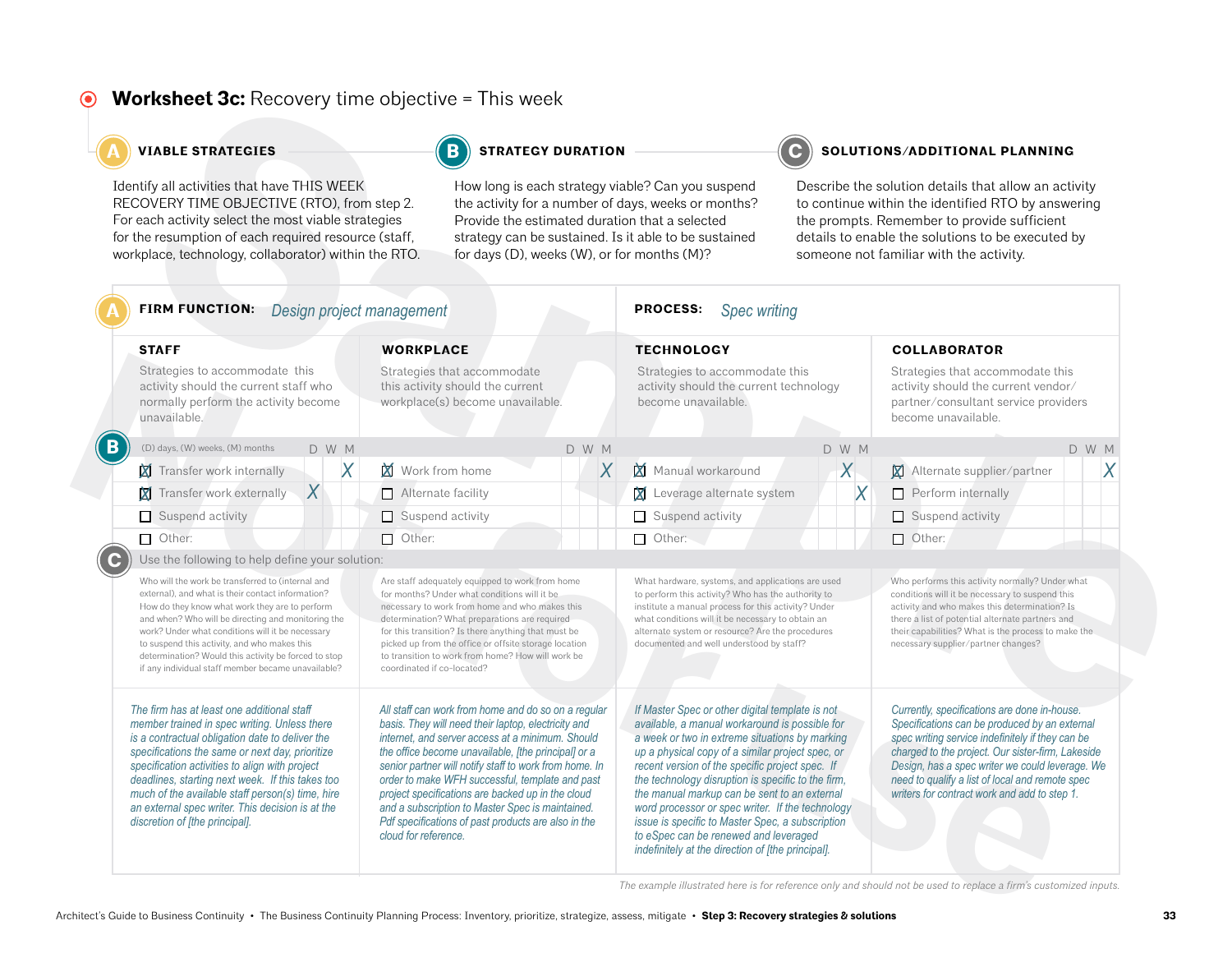#### **Worksheet 3c:** Recovery time objective = This week  $\odot$

#### **A VIABLE STRATEGIES STRATEGY DURATION C SOLUTIONS/ADDITIONAL PLANNING**

| <b>VIABLE STRATEGIES</b>                                                                                                                                                                                                                                                                                                                                                                                                                         |                                                                                                                                                                                                                                                                                                                                                                                                       | <b>STRATEGY DURATION</b>                                                                                                                                                                                                                                                                                                                                                                                                                                                                           |                                                                                                                                                                                                                                                                                                                     |                                                                                                                                                                                                                                                                                                                                                                                                                                                                                                                                                                        | SOLUTIONS/ADDITIONAL PLANNING                                                                                                                                                                                                                                                                         |                                                                                                                                                                                                                                                                                                                                                              |  |  |
|--------------------------------------------------------------------------------------------------------------------------------------------------------------------------------------------------------------------------------------------------------------------------------------------------------------------------------------------------------------------------------------------------------------------------------------------------|-------------------------------------------------------------------------------------------------------------------------------------------------------------------------------------------------------------------------------------------------------------------------------------------------------------------------------------------------------------------------------------------------------|----------------------------------------------------------------------------------------------------------------------------------------------------------------------------------------------------------------------------------------------------------------------------------------------------------------------------------------------------------------------------------------------------------------------------------------------------------------------------------------------------|---------------------------------------------------------------------------------------------------------------------------------------------------------------------------------------------------------------------------------------------------------------------------------------------------------------------|------------------------------------------------------------------------------------------------------------------------------------------------------------------------------------------------------------------------------------------------------------------------------------------------------------------------------------------------------------------------------------------------------------------------------------------------------------------------------------------------------------------------------------------------------------------------|-------------------------------------------------------------------------------------------------------------------------------------------------------------------------------------------------------------------------------------------------------------------------------------------------------|--------------------------------------------------------------------------------------------------------------------------------------------------------------------------------------------------------------------------------------------------------------------------------------------------------------------------------------------------------------|--|--|
| Identify all activities that have THIS WEEK<br>RECOVERY TIME OBJECTIVE (RTO), from step 2.<br>For each activity select the most viable strategies<br>for the resumption of each required resource (staff,<br>workplace, technology, collaborator) within the RTO.                                                                                                                                                                                |                                                                                                                                                                                                                                                                                                                                                                                                       | How long is each strategy viable? Can you suspend<br>the activity for a number of days, weeks or months?<br>Provide the estimated duration that a selected<br>strategy can be sustained. Is it able to be sustained<br>for days (D), weeks (W), or for months (M)?                                                                                                                                                                                                                                 |                                                                                                                                                                                                                                                                                                                     | Describe the solution details that allow an activity<br>to continue within the identified RTO by answering<br>the prompts. Remember to provide sufficient<br>details to enable the solutions to be executed by<br>someone not familiar with the activity.                                                                                                                                                                                                                                                                                                              |                                                                                                                                                                                                                                                                                                       |                                                                                                                                                                                                                                                                                                                                                              |  |  |
| <b>FIRM FUNCTION:</b><br>Design project management                                                                                                                                                                                                                                                                                                                                                                                               |                                                                                                                                                                                                                                                                                                                                                                                                       |                                                                                                                                                                                                                                                                                                                                                                                                                                                                                                    | <b>PROCESS:</b><br><b>Spec writing</b>                                                                                                                                                                                                                                                                              |                                                                                                                                                                                                                                                                                                                                                                                                                                                                                                                                                                        |                                                                                                                                                                                                                                                                                                       |                                                                                                                                                                                                                                                                                                                                                              |  |  |
| <b>STAFF</b>                                                                                                                                                                                                                                                                                                                                                                                                                                     | <b>WORKPLACE</b>                                                                                                                                                                                                                                                                                                                                                                                      |                                                                                                                                                                                                                                                                                                                                                                                                                                                                                                    |                                                                                                                                                                                                                                                                                                                     | <b>TECHNOLOGY</b><br>Strategies to accommodate this<br>activity should the current technology<br>become unavailable.                                                                                                                                                                                                                                                                                                                                                                                                                                                   |                                                                                                                                                                                                                                                                                                       |                                                                                                                                                                                                                                                                                                                                                              |  |  |
| Strategies to accommodate this<br>activity should the current staff who<br>normally perform the activity become<br>unavailable.                                                                                                                                                                                                                                                                                                                  | Strategies that accommodate<br>this activity should the current<br>workplace(s) become unavailable.                                                                                                                                                                                                                                                                                                   |                                                                                                                                                                                                                                                                                                                                                                                                                                                                                                    |                                                                                                                                                                                                                                                                                                                     |                                                                                                                                                                                                                                                                                                                                                                                                                                                                                                                                                                        |                                                                                                                                                                                                                                                                                                       | Strategies that accommodate this<br>activity should the current vendor/<br>partner/consultant service providers                                                                                                                                                                                                                                              |  |  |
| (D) days, (W) weeks, (M) months<br>D W M                                                                                                                                                                                                                                                                                                                                                                                                         |                                                                                                                                                                                                                                                                                                                                                                                                       | D W M                                                                                                                                                                                                                                                                                                                                                                                                                                                                                              |                                                                                                                                                                                                                                                                                                                     | D W M                                                                                                                                                                                                                                                                                                                                                                                                                                                                                                                                                                  |                                                                                                                                                                                                                                                                                                       | D W M                                                                                                                                                                                                                                                                                                                                                        |  |  |
| X<br>Transfer work internally                                                                                                                                                                                                                                                                                                                                                                                                                    | Work from home                                                                                                                                                                                                                                                                                                                                                                                        | $\overline{X}$                                                                                                                                                                                                                                                                                                                                                                                                                                                                                     | Manual workaround                                                                                                                                                                                                                                                                                                   | $\chi$                                                                                                                                                                                                                                                                                                                                                                                                                                                                                                                                                                 | Alternate supplier/partner<br>$\mathbf{X}$                                                                                                                                                                                                                                                            | X                                                                                                                                                                                                                                                                                                                                                            |  |  |
| $\boldsymbol{X}$<br>Transfer work externally                                                                                                                                                                                                                                                                                                                                                                                                     | Alternate facility                                                                                                                                                                                                                                                                                                                                                                                    |                                                                                                                                                                                                                                                                                                                                                                                                                                                                                                    | Leverage alternate system                                                                                                                                                                                                                                                                                           | X                                                                                                                                                                                                                                                                                                                                                                                                                                                                                                                                                                      | $\Box$ Perform internally                                                                                                                                                                                                                                                                             |                                                                                                                                                                                                                                                                                                                                                              |  |  |
| Suspend activity                                                                                                                                                                                                                                                                                                                                                                                                                                 | $\Box$ Suspend activity                                                                                                                                                                                                                                                                                                                                                                               |                                                                                                                                                                                                                                                                                                                                                                                                                                                                                                    | Suspend activity                                                                                                                                                                                                                                                                                                    |                                                                                                                                                                                                                                                                                                                                                                                                                                                                                                                                                                        | Suspend activity                                                                                                                                                                                                                                                                                      |                                                                                                                                                                                                                                                                                                                                                              |  |  |
| $\Box$ Other:                                                                                                                                                                                                                                                                                                                                                                                                                                    | $\Box$ Other:                                                                                                                                                                                                                                                                                                                                                                                         |                                                                                                                                                                                                                                                                                                                                                                                                                                                                                                    | $\Box$ Other:                                                                                                                                                                                                                                                                                                       |                                                                                                                                                                                                                                                                                                                                                                                                                                                                                                                                                                        | $\Box$ Other:                                                                                                                                                                                                                                                                                         |                                                                                                                                                                                                                                                                                                                                                              |  |  |
| Use the following to help define your solution:                                                                                                                                                                                                                                                                                                                                                                                                  |                                                                                                                                                                                                                                                                                                                                                                                                       |                                                                                                                                                                                                                                                                                                                                                                                                                                                                                                    |                                                                                                                                                                                                                                                                                                                     |                                                                                                                                                                                                                                                                                                                                                                                                                                                                                                                                                                        |                                                                                                                                                                                                                                                                                                       |                                                                                                                                                                                                                                                                                                                                                              |  |  |
| Who will the work be transferred to (internal and<br>external), and what is their contact information?<br>How do they know what work they are to perform<br>and when? Who will be directing and monitoring the<br>work? Under what conditions will it be necessary<br>to suspend this activity, and who makes this<br>determination? Would this activity be forced to stop<br>if any individual staff member became unavailable?                 | Are staff adequately equipped to work from home<br>for months? Under what conditions will it be<br>necessary to work from home and who makes this<br>determination? What preparations are required<br>for this transition? Is there anything that must be<br>picked up from the office or offsite storage location<br>to transition to work from home? How will work be<br>coordinated if co-located? |                                                                                                                                                                                                                                                                                                                                                                                                                                                                                                    | What hardware, systems, and applications are used<br>to perform this activity? Who has the authority to<br>institute a manual process for this activity? Under<br>what conditions will it be necessary to obtain an<br>alternate system or resource? Are the procedures<br>documented and well understood by staff? |                                                                                                                                                                                                                                                                                                                                                                                                                                                                                                                                                                        | Who performs this activity normally? Under what<br>conditions will it be necessary to suspend this<br>activity and who makes this determination? Is<br>there a list of potential alternate partners and<br>their capabilities? What is the process to make the<br>necessary supplier/partner changes? |                                                                                                                                                                                                                                                                                                                                                              |  |  |
| The firm has at least one additional staff<br>member trained in spec writing. Unless there<br>is a contractual obligation date to deliver the<br>specifications the same or next day, prioritize<br>specification activities to align with project<br>deadlines, starting next week. If this takes too<br>much of the available staff person(s) time, hire<br>an external spec writer. This decision is at the<br>discretion of [the principal]. | cloud for reference.                                                                                                                                                                                                                                                                                                                                                                                  | All staff can work from home and do so on a regular<br>basis. They will need their laptop, electricity and<br>internet, and server access at a minimum. Should<br>the office become unavailable, [the principal] or a<br>senior partner will notify staff to work from home. In<br>order to make WFH successful, template and past<br>project specifications are backed up in the cloud<br>and a subscription to Master Spec is maintained.<br>Pdf specifications of past products are also in the |                                                                                                                                                                                                                                                                                                                     | If Master Spec or other digital template is not<br>available, a manual workaround is possible for<br>a week or two in extreme situations by marking<br>up a physical copy of a similar project spec, or<br>recent version of the specific project spec. If<br>the technology disruption is specific to the firm,<br>the manual markup can be sent to an external<br>word processor or spec writer. If the technology<br>issue is specific to Master Spec, a subscription<br>to eSpec can be renewed and leveraged<br>indefinitely at the direction of [the principal]. |                                                                                                                                                                                                                                                                                                       | Currently, specifications are done in-house.<br>Specifications can be produced by an external<br>spec writing service indefinitely if they can be<br>charged to the project. Our sister-firm, Lakeside<br>Design, has a spec writer we could leverage. We<br>need to qualify a list of local and remote spec<br>writers for contract work and add to step 1. |  |  |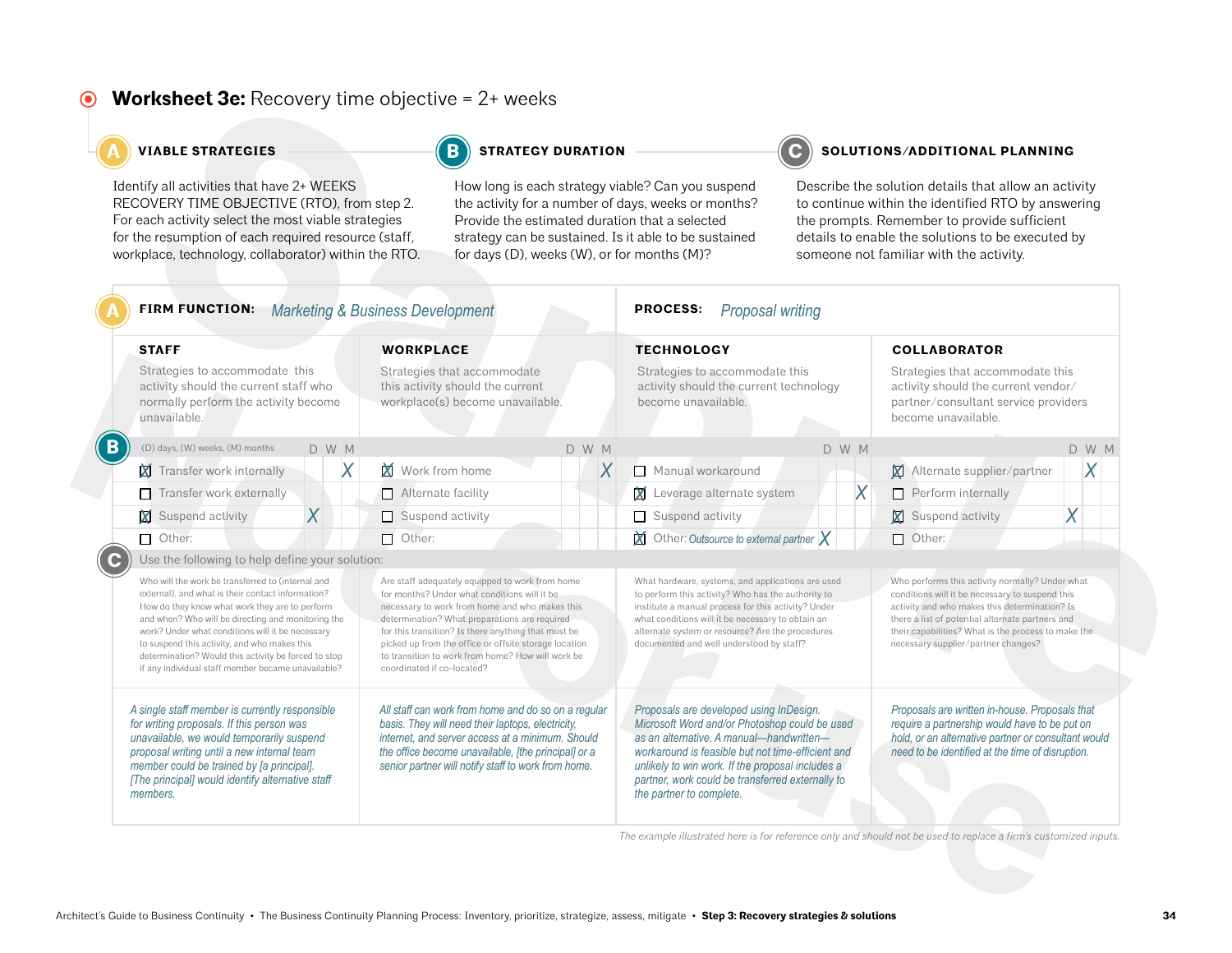#### **Worksheet 3e:** Recovery time objective = 2+ weeks  $\odot$

### **A VIABLE STRATEGIES STRATEGY DURATION C SOLUTIONS/ADDITIONAL PLANNING**

| Identify all activities that have 2+ WEEKS<br>RECOVERY TIME OBJECTIVE (RTO), from step 2.<br>For each activity select the most viable strategies<br>for the resumption of each required resource (staff,<br>workplace, technology, collaborator) within the RTO.                                                                                                                                                                                                                    | for days (D), weeks (W), or for months (M)? |                                                                                                                                                                                                                                                                                                                                                                                                       | How long is each strategy viable? Can you suspend<br>the activity for a number of days, weeks or months?<br>Provide the estimated duration that a selected<br>strategy can be sustained. Is it able to be sustained | Describe the solution details that allow an activity<br>to continue within the identified RTO by answering<br>the prompts. Remember to provide sufficient<br>details to enable the solutions to be executed by<br>someone not familiar with the activity.                                                                     |   |                                                                                                                                                                                                                                                                                                       |   |
|-------------------------------------------------------------------------------------------------------------------------------------------------------------------------------------------------------------------------------------------------------------------------------------------------------------------------------------------------------------------------------------------------------------------------------------------------------------------------------------|---------------------------------------------|-------------------------------------------------------------------------------------------------------------------------------------------------------------------------------------------------------------------------------------------------------------------------------------------------------------------------------------------------------------------------------------------------------|---------------------------------------------------------------------------------------------------------------------------------------------------------------------------------------------------------------------|-------------------------------------------------------------------------------------------------------------------------------------------------------------------------------------------------------------------------------------------------------------------------------------------------------------------------------|---|-------------------------------------------------------------------------------------------------------------------------------------------------------------------------------------------------------------------------------------------------------------------------------------------------------|---|
| FIRM FUNCTION: Marketing & Business Development                                                                                                                                                                                                                                                                                                                                                                                                                                     |                                             |                                                                                                                                                                                                                                                                                                                                                                                                       |                                                                                                                                                                                                                     | <b>PROCESS:</b><br><b>Proposal writing</b>                                                                                                                                                                                                                                                                                    |   |                                                                                                                                                                                                                                                                                                       |   |
| <b>STAFF</b><br>Strategies to accommodate this<br>activity should the current staff who<br>normally perform the activity become<br>unavailable.                                                                                                                                                                                                                                                                                                                                     |                                             | <b>WORKPLACE</b><br>Strategies that accommodate<br>this activity should the current<br>workplace(s) become unavailable.                                                                                                                                                                                                                                                                               |                                                                                                                                                                                                                     | <b>TECHNOLOGY</b><br>Strategies to accommodate this<br>activity should the current technology<br>become unavailable.                                                                                                                                                                                                          |   | <b>COLLABORATOR</b><br>Strategies that accommodate this<br>activity should the current vendor/<br>partner/consultant service providers<br>become unavailable.                                                                                                                                         |   |
|                                                                                                                                                                                                                                                                                                                                                                                                                                                                                     |                                             |                                                                                                                                                                                                                                                                                                                                                                                                       |                                                                                                                                                                                                                     |                                                                                                                                                                                                                                                                                                                               |   |                                                                                                                                                                                                                                                                                                       |   |
| Transfer work internally                                                                                                                                                                                                                                                                                                                                                                                                                                                            | Χ                                           | Work from home                                                                                                                                                                                                                                                                                                                                                                                        | X                                                                                                                                                                                                                   | Manual workaround                                                                                                                                                                                                                                                                                                             |   | Alternate supplier/partner<br><b>X</b>                                                                                                                                                                                                                                                                | Χ |
| Transfer work externally                                                                                                                                                                                                                                                                                                                                                                                                                                                            |                                             | $\Box$ Alternate facility                                                                                                                                                                                                                                                                                                                                                                             |                                                                                                                                                                                                                     | Leverage alternate system                                                                                                                                                                                                                                                                                                     | X | Perform internally<br>$\Box$                                                                                                                                                                                                                                                                          |   |
| $\overline{X}$<br>Suspend activity                                                                                                                                                                                                                                                                                                                                                                                                                                                  |                                             | $\Box$ Suspend activity                                                                                                                                                                                                                                                                                                                                                                               |                                                                                                                                                                                                                     | Suspend activity                                                                                                                                                                                                                                                                                                              |   | Suspend activity                                                                                                                                                                                                                                                                                      | Χ |
| $\Box$ Other:                                                                                                                                                                                                                                                                                                                                                                                                                                                                       |                                             | $\Box$ Other:                                                                                                                                                                                                                                                                                                                                                                                         |                                                                                                                                                                                                                     | $\boxtimes$ Other: Outsource to external partner $\times$                                                                                                                                                                                                                                                                     |   | $\Box$ Other:                                                                                                                                                                                                                                                                                         |   |
| Use the following to help define your solution:<br>Who will the work be transferred to (internal and<br>external), and what is their contact information?<br>How do they know what work they are to perform<br>and when? Who will be directing and monitoring the<br>work? Under what conditions will it be necessary<br>to suspend this activity, and who makes this<br>determination? Would this activity be forced to stop<br>if any individual staff member became unavailable? |                                             | Are staff adequately equipped to work from home<br>for months? Under what conditions will it be<br>necessary to work from home and who makes this<br>determination? What preparations are required<br>for this transition? Is there anything that must be<br>picked up from the office or offsite storage location<br>to transition to work from home? How will work be<br>coordinated if co-located? |                                                                                                                                                                                                                     | What hardware, systems, and applications are used<br>to perform this activity? Who has the authority to<br>institute a manual process for this activity? Under<br>what conditions will it be necessary to obtain an<br>alternate system or resource? Are the procedures<br>documented and well understood by staff?           |   | Who performs this activity normally? Under what<br>conditions will it be necessary to suspend this<br>activity and who makes this determination? Is<br>there a list of potential alternate partners and<br>their capabilities? What is the process to make the<br>necessary supplier/partner changes? |   |
| A single staff member is currently responsible<br>for writing proposals. If this person was<br>unavailable, we would temporarily suspend<br>proposal writing until a new internal team<br>member could be trained by [a principal].<br>[The principal] would identify alternative staff<br>members.                                                                                                                                                                                 |                                             | All staff can work from home and do so on a regular<br>basis. They will need their laptops, electricity,<br>internet, and server access at a minimum. Should<br>the office become unavailable, [the principal] or a<br>senior partner will notify staff to work from home.                                                                                                                            |                                                                                                                                                                                                                     | Proposals are developed using InDesign.<br>Microsoft Word and/or Photoshop could be used<br>as an alternative. A manual-handwritten-<br>workaround is feasible but not time-efficient and<br>unlikely to win work. If the proposal includes a<br>partner, work could be transferred externally to<br>the partner to complete. |   | Proposals are written in-house. Proposals that<br>require a partnership would have to be put on<br>hold, or an alternative partner or consultant would<br>need to be identified at the time of disruption.                                                                                            |   |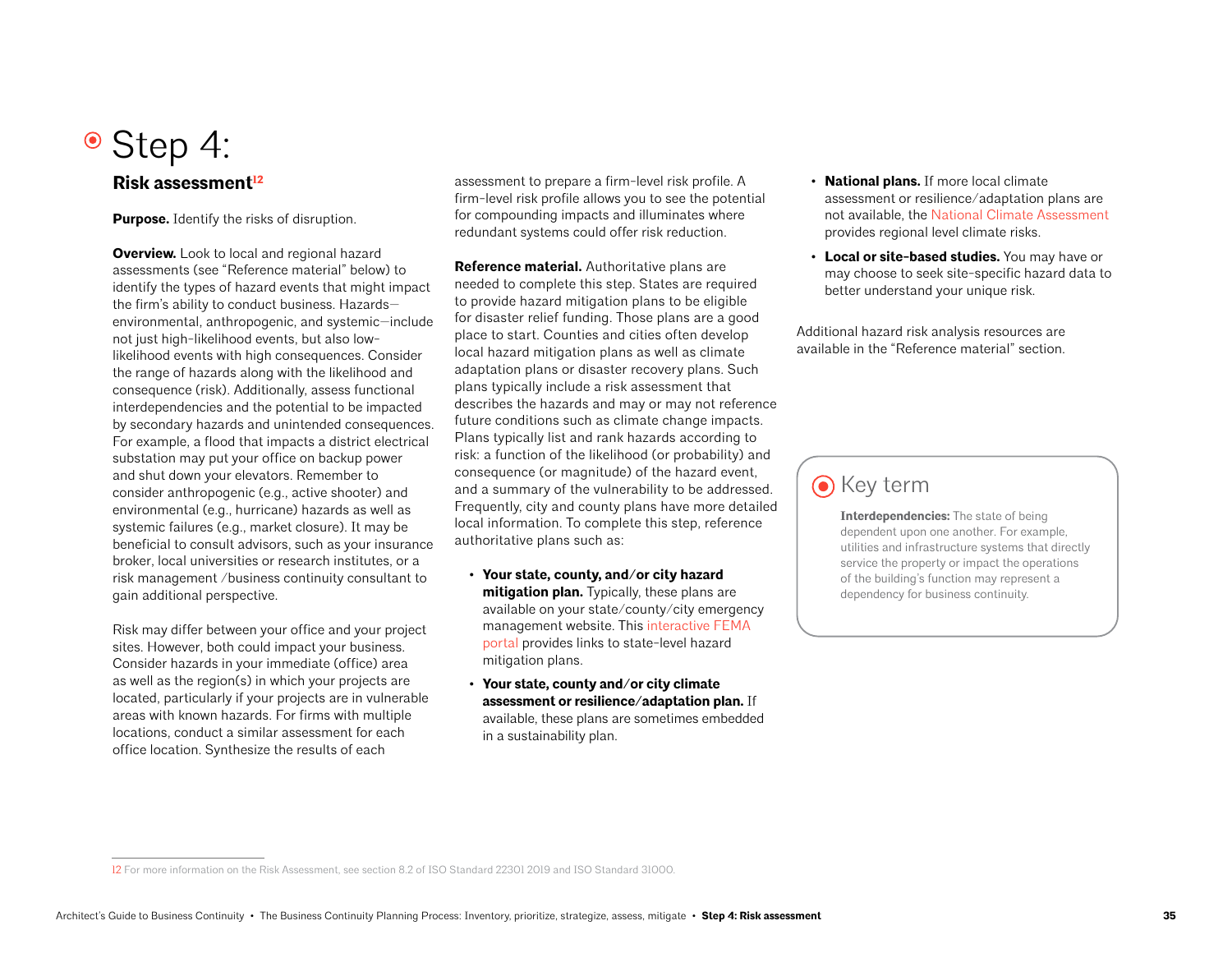# • Step 4:

## **Risk assessment**<sup>12</sup>

**Purpose.** Identify the risks of disruption.

**Overview.** Look to local and regional hazard assessments (see "Reference material" below) to identify the types of hazard events that might impact the firm's ability to conduct business. Hazards environmental, anthropogenic, and systemic—include not just high-likelihood events, but also lowlikelihood events with high consequences. Consider the range of hazards along with the likelihood and consequence (risk). Additionally, assess functional interdependencies and the potential to be impacted by secondary hazards and unintended consequences. For example, a flood that impacts a district electrical substation may put your office on backup power and shut down your elevators. Remember to consider anthropogenic (e.g., active shooter) and environmental (e.g., hurricane) hazards as well as systemic failures (e.g., market closure). It may be beneficial to consult advisors, such as your insurance broker, local universities or research institutes, or a risk management /business continuity consultant to gain additional perspective.

Risk may differ between your office and your project sites. However, both could impact your business. Consider hazards in your immediate (office) area as well as the region(s) in which your projects are located, particularly if your projects are in vulnerable areas with known hazards. For firms with multiple locations, conduct a similar assessment for each office location. Synthesize the results of each

assessment to prepare a firm-level risk profile. A firm-level risk profile allows you to see the potential for compounding impacts and illuminates where redundant systems could offer risk reduction.

**Reference material.** Authoritative plans are needed to complete this step. States are required to provide hazard mitigation plans to be eligible for disaster relief funding. Those plans are a good place to start. Counties and cities often develop local hazard mitigation plans as well as climate adaptation plans or disaster recovery plans. Such plans typically include a risk assessment that describes the hazards and may or may not reference future conditions such as climate change impacts. Plans typically list and rank hazards according to risk: a function of the likelihood (or probability) and consequence (or magnitude) of the hazard event, and a summary of the vulnerability to be addressed. Frequently, city and county plans have more detailed local information. To complete this step, reference authoritative plans such as:

- **Your state, county, and/or city hazard mitigation plan.** Typically, these plans are available on your state/county/city emergency management website. This [interactive FEMA](https://fema.maps.arcgis.com/apps/webappviewer/index.html?id=ec2fb023df744cf480da89539338c386)  [portal p](https://fema.maps.arcgis.com/apps/webappviewer/index.html?id=ec2fb023df744cf480da89539338c386)rovides links to state-level hazard mitigation plans.
- **Your state, county and/or city climate assessment or resilience/adaptation plan.** If available, these plans are sometimes embedded in a sustainability plan.
- **National plans.** If more local climate assessment or resilience/adaptation plans are not available, the [National Climate Assessment](https://nca2018.globalchange.gov/) provides regional level climate risks.
- **Local or site-based studies.** You may have or may choose to seek site-specific hazard data to better understand your unique risk.

Additional hazard risk analysis resources are available in the "Reference material" section.

## $\odot$  Key term

**Interdependencies:** The state of being dependent upon one another. For example, utilities and infrastructure systems that directly service the property or impact the operations of the building's function may represent a dependency for business continuity.

<sup>12</sup> For more information on the Risk Assessment, see section 8.2 of ISO Standard 22301 2019 and ISO Standard 31000.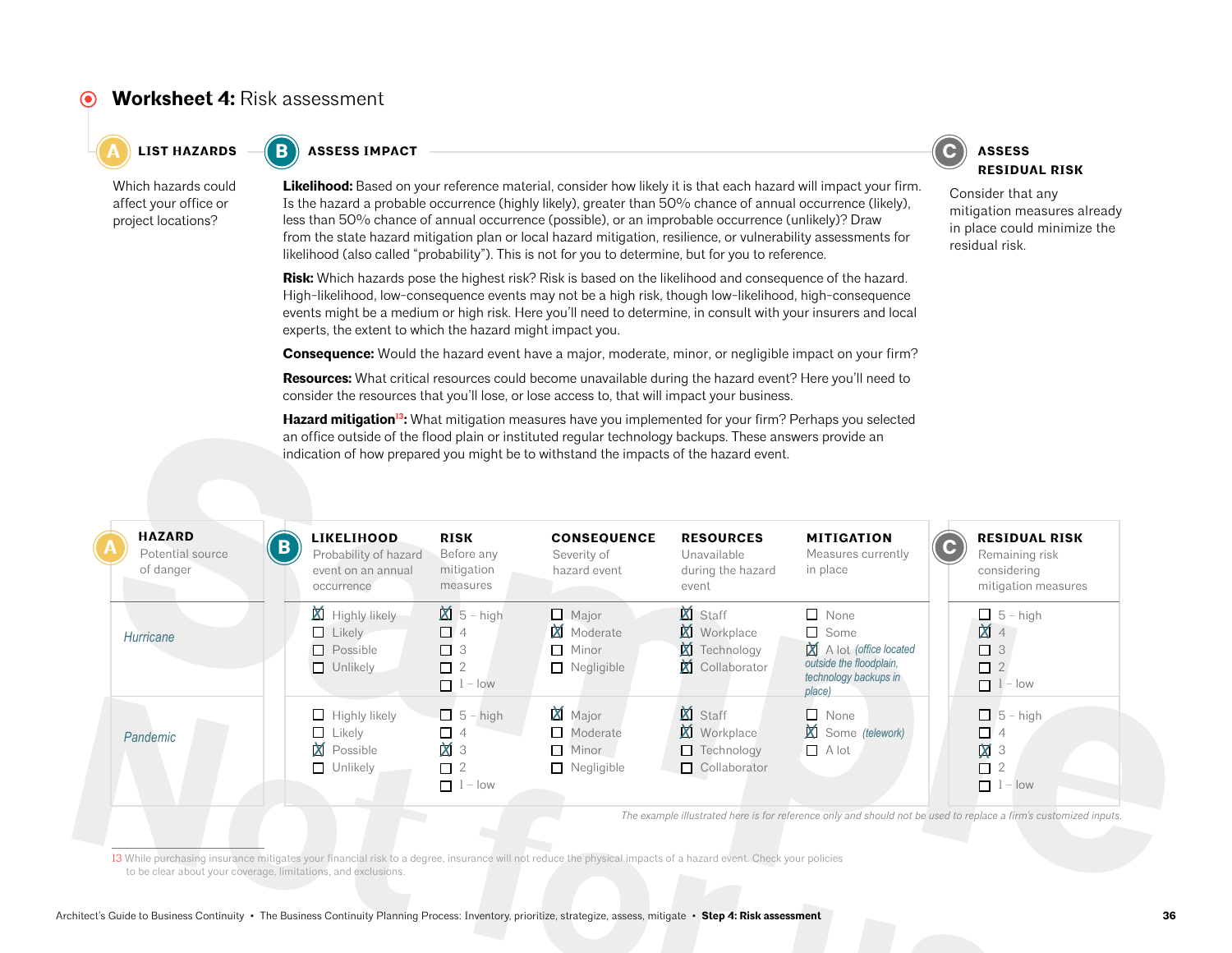## **Worksheet 4:** Risk assessment

 $\bullet$  **C A EXALUSE <b>A EXALUSE ASSESS EXALUSE ASSESS ASSESS** 



Which hazards could affect your office or project locations?

**Likelihood:** Based on your reference material, consider how likely it is that each hazard will impact your firm. Is the hazard a probable occurrence (highly likely), greater than 50% chance of annual occurrence (likely), less than 50% chance of annual occurrence (possible), or an improbable occurrence (unlikely)? Draw from the state hazard mitigation plan or local hazard mitigation, resilience, or vulnerability assessments for likelihood (also called "probability"). This is not for you to determine, but for you to reference.

**Risk:** Which hazards pose the highest risk? Risk is based on the likelihood and consequence of the hazard. High-likelihood, low-consequence events may not be a high risk, though low-likelihood, high-consequence events might be a medium or high risk. Here you'll need to determine, in consult with your insurers and local experts, the extent to which the hazard might impact you.

**Consequence:** Would the hazard event have a major, moderate, minor, or negligible impact on your firm?

**Resources:** What critical resources could become unavailable during the hazard event? Here you'll need to consider the resources that you'll lose, or lose access to, that will impact your business.

Hazard mitigation<sup>13</sup>: What mitigation measures have you implemented for your firm? Perhaps you selected an office outside of the flood plain or instituted regular technology backups. These answers provide an indication of how prepared you might be to withstand the impacts of the hazard event.



Consider that any mitigation measures already in place could minimize the residual risk.

| <b>HAZARD</b><br>Potential source<br>of danger                | <b>LIKELIHOOD</b><br>B<br>Probability of hazard<br>event on an annual<br>occurrence                                                                                                                                                                                                                                               | <b>RISK</b><br>Before any<br>mitigation<br>measures                   | <b>CONSEQUENCE</b><br>Severity of<br>hazard event             | <b>RESOURCES</b><br>Unavailable<br>during the hazard<br>event       | <b>MITIGATION</b><br>Measures currently<br>in place                                                               | <b>RESIDUAL RISK</b><br>$\mathbf C$<br>Remaining risk<br>considering<br>mitigation measures                      |
|---------------------------------------------------------------|-----------------------------------------------------------------------------------------------------------------------------------------------------------------------------------------------------------------------------------------------------------------------------------------------------------------------------------|-----------------------------------------------------------------------|---------------------------------------------------------------|---------------------------------------------------------------------|-------------------------------------------------------------------------------------------------------------------|------------------------------------------------------------------------------------------------------------------|
| Hurricane                                                     | Highly likely<br>$\Box$ Likely<br>$\Box$ Possible<br>$\Box$ Unlikely                                                                                                                                                                                                                                                              | $\boxtimes$ 5 – high<br>$\Box$ 4<br>$\Box$ 3<br>$\Box$ 2<br>$1 - low$ | $\Box$ Major<br>Moderate<br>$\Box$ Minor<br>$\Box$ Negligible | Staff<br><b>X</b> Workplace<br>Technology<br>Collaborator           | $\Box$ None<br>$\Box$ Some<br>A lot (office located<br>outside the floodplain,<br>technology backups in<br>place) | $\Box$ 5 - high<br><b>X</b> 4<br>$\Box$ 3<br>$\Box$ 2<br>$1 - low$                                               |
| Pandemic                                                      | $\Box$ Highly likely<br>Likely<br>□<br>Possible<br>Χ<br>$\Box$ Unlikely                                                                                                                                                                                                                                                           | $\Box$ 5 - high<br>$\Box$ 4<br>$\times$ 3<br>$\Box$ 2<br>$1 - low$    | <b>X</b> Major<br>Moderate<br>Minor<br>$\Box$ Negligible      | XI Staff<br><b>X</b> Workplace<br>$\Box$ Technology<br>Collaborator | $\Box$ None<br>Some (telework)<br>$\Box$ A lot                                                                    | $\Box$ 5 - high<br>$\Box$ 4<br>$\overline{M}$ 3<br>$\Box$ 2<br>$1 - low$                                         |
| to be clear about your coverage, limitations, and exclusions. | 13 While purchasing insurance mitigates your financial risk to a degree, insurance will not reduce the physical impacts of a hazard event. Check your policies<br>hitect's Guide to Business Continuity . The Business Continuity Planning Process: Inventory, prioritize, strategize, assess, mitigate . Step 4: Risk assessment |                                                                       |                                                               |                                                                     |                                                                                                                   | The example illustrated here is for reference only and should not be used to replace a firm's customized inputs. |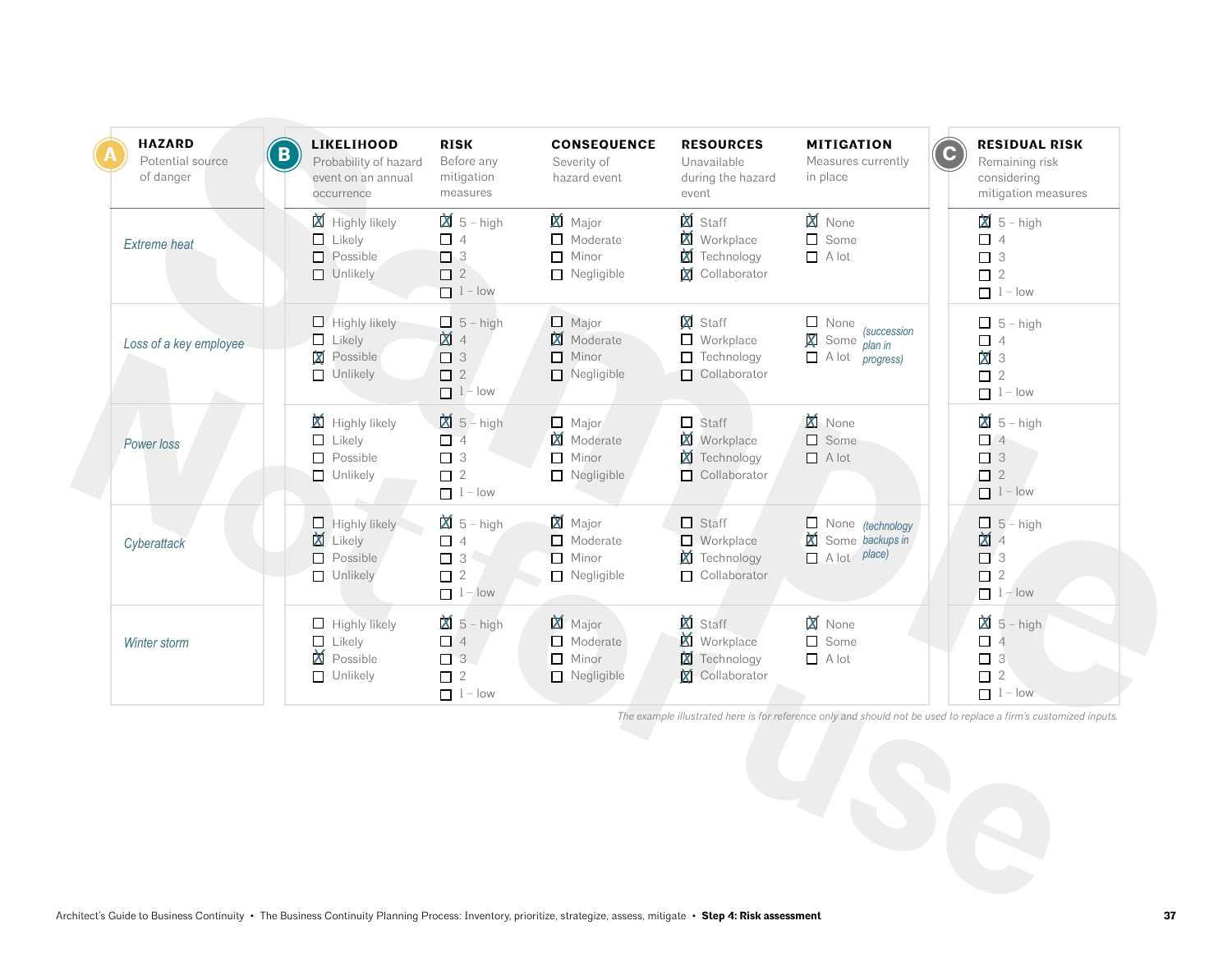| <b>HAZARD</b><br>B<br>Potential source<br>of danger | <b>LIKELIHOOD</b><br>Probability of hazard<br>event on an annual<br>occurrence   | <b>RISK</b><br>Before any<br>mitigation<br>measures                    | <b>CONSEQUENCE</b><br>Severity of<br>hazard event                       | <b>RESOURCES</b><br>Unavailable<br>during the hazard<br>event               | <b>MITIGATION</b><br>Measures currently<br>in place                                              | <b>RESIDUAL RISK</b><br>Remaining risk<br>considering<br>mitigation measures                                     |
|-----------------------------------------------------|----------------------------------------------------------------------------------|------------------------------------------------------------------------|-------------------------------------------------------------------------|-----------------------------------------------------------------------------|--------------------------------------------------------------------------------------------------|------------------------------------------------------------------------------------------------------------------|
| <b>Extreme</b> heat                                 | Highly likely<br>$\Box$ Likely<br>$\Box$ Possible<br>$\Box$ Unlikely             | $\mathbb{X}$ 5 – high<br>$\Box$ 4<br>$\Box$ 3<br>$\Box$ 2<br>$1 - low$ | <b>XI</b> Major<br>$\Box$ Moderate<br>$\Box$ Minor<br>$\Box$ Negligible | Staff<br><b>X</b> Workplace<br><b>X</b> Technology<br><b>X</b> Collaborator | <b>X</b> None<br>Some<br>$\Box$ A lot                                                            | $\boxtimes$ 5 – high<br>$\Box$ 4<br>$\Box$ 3<br>$\Box$ 2<br>$1 - low$                                            |
| Loss of a key employee                              | $\Box$ Highly likely<br>$\Box$ Likely<br>X<br>Possible<br>Unlikely               | $\Box$ 5 - high<br><b>M</b> 4<br>$\Box$ 3<br>$\Box$ 2<br>$1$ - low     | $\Box$ Major<br>Moderate<br>$\Box$ Minor<br>$\Box$ Negligible           | <b>X</b> Staff<br>$\Box$ Workplace<br>$\Box$ Technology<br>Collaborator     | $\Box$ None<br><i>(succession</i><br>X<br>Some $\frac{1}{\rho}$ lan in<br>$\Box$ A lot progress) | $\Box$ 5 - high<br>$\Box$ 4<br>$\mathbf{X}$ 3<br>$\Box$ 2<br>$1 - low$                                           |
| Power loss                                          | $\boxtimes$ Highly likely<br>$\Box$ Likely<br>$\Box$ Possible<br>$\Box$ Unlikely | $\boxtimes$ 5 – high<br>$\Box$ 4<br>$\Box$ 3<br>$\Box$ 2<br>$1 - low$  | $\Box$ Major<br>Moderate<br>$\Box$ Minor<br>$\Box$ Negligible           | $\Box$ Staff<br><b>X</b> Workplace<br><b>X</b> Technology<br>Collaborator   | <b>XI</b> None<br>$\Box$ Some<br>$\Box$ A lot                                                    | $\mathbb{X}$ 5 - high<br>$\Box$ 3<br>$\Box$ 2<br>$1 - low$                                                       |
| Cyberattack                                         | $\Box$ Highly likely<br><b>X</b> Likely<br>$\Box$ Possible<br>$\Box$ Unlikely    | $\boxtimes$ 5 - high<br>$\Box$ 4<br>$\Box$ 2<br>$1 - low$              | <b>X</b> Major<br>$\Box$ Moderate<br>Minor<br>$\Box$ Negligible         | $\Box$ Staff<br><b>Norkplace</b><br>Technology<br>$\Box$ Collaborator       | $\Box$ None (technology<br>M<br>Some backups in<br>$\Box$ A lot place)                           | $\Box$ 5 - high<br>$\mathbf{M}$ 4<br>$\Box$ 3<br>$\Box$ 2<br>$1 - low$                                           |
| Winter storm                                        | $\Box$ Highly likely<br>$\Box$ Likely<br>Possible<br>$\Box$ Unlikely             | $\cancel{2}$ 5 - high<br>$\Box$ 4<br>$\Box$ 3<br>$\Box$ 2<br>$1 - low$ | <b>X</b> Major<br>$\Box$ Moderate<br>Minor<br>$\Box$ Negligible         | X Staff<br><b>X</b> Workplace<br>Technology<br>Collaborator                 | <b>X</b> None<br>$\Box$ Some<br>$A$ lot                                                          | $\overline{3}$ 5 – high<br>$\Box$ 4<br>$\Box$ 3<br>$\Box$ 2<br>$1 - low$                                         |
|                                                     |                                                                                  |                                                                        |                                                                         |                                                                             |                                                                                                  | The example illustrated here is for reference only and should not be used to replace a firm's customized inputs. |
|                                                     |                                                                                  |                                                                        |                                                                         |                                                                             |                                                                                                  |                                                                                                                  |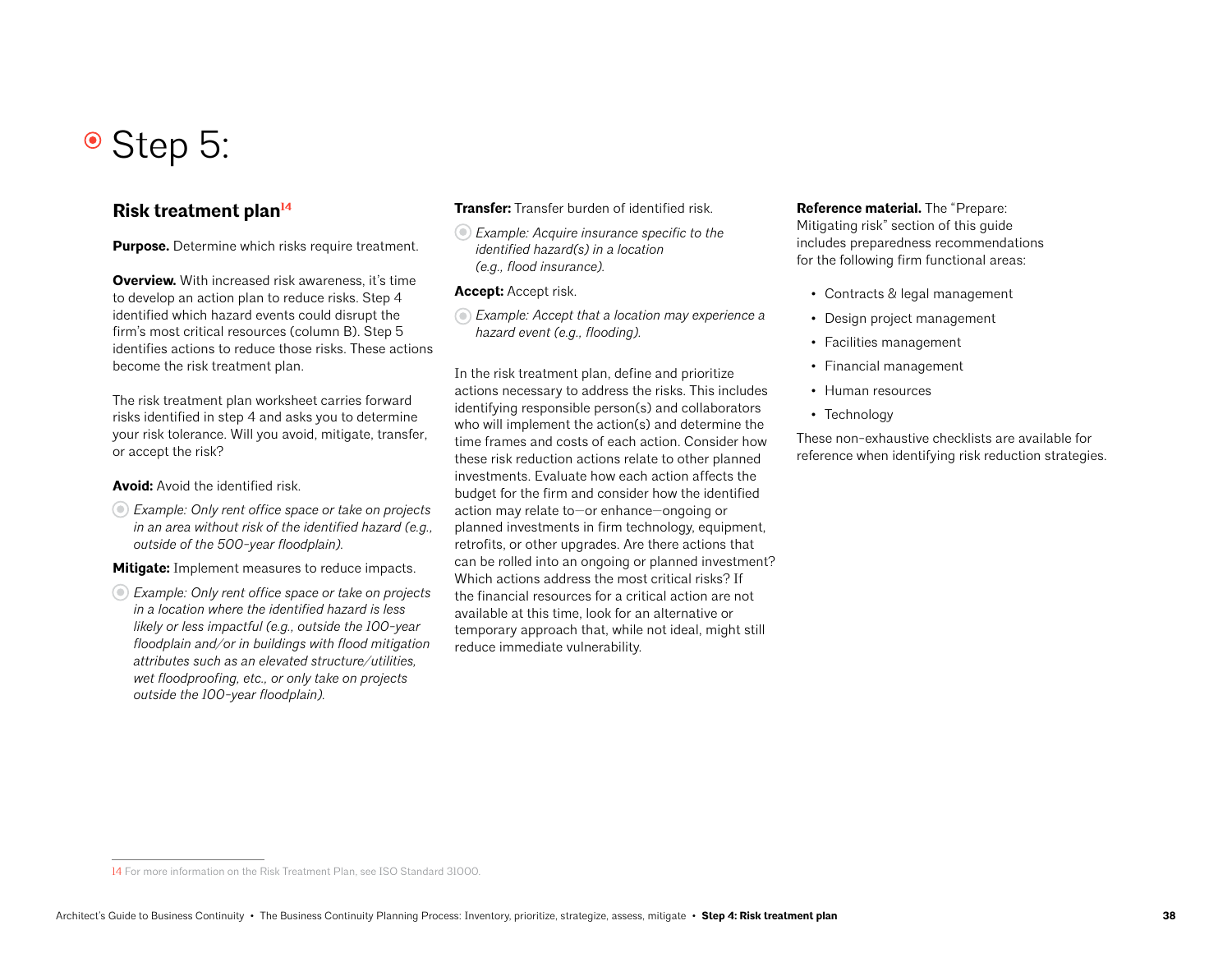## • Step 5:

### **Risk treatment plan14**

**Purpose.** Determine which risks require treatment.

**Overview.** With increased risk awareness, it's time to develop an action plan to reduce risks. Step 4 identified which hazard events could disrupt the firm's most critical resources (column B). Step 5 identifies actions to reduce those risks. These actions become the risk treatment plan.

The risk treatment plan worksheet carries forward risks identified in step 4 and asks you to determine your risk tolerance. Will you avoid, mitigate, transfer, or accept the risk?

#### **Avoid:** Avoid the identified risk.

*Example: Only rent office space or take on projects in an area without risk of the identified hazard (e.g., outside of the 500-year floodplain).*

**Mitigate:** Implement measures to reduce impacts.

*Example: Only rent office space or take on projects in a location where the identified hazard is less likely or less impactful (e.g., outside the 100-year floodplain and/or in buildings with flood mitigation attributes such as an elevated structure/utilities, wet floodproofing, etc., or only take on projects outside the 100-year floodplain).*

#### **Transfer:** Transfer burden of identified risk.

*Example: Acquire insurance specific to the identified hazard(s) in a location (e.g., flood insurance).*

#### **Accept:** Accept risk.

*Example: Accept that a location may experience a hazard event (e.g., flooding).*

In the risk treatment plan, define and prioritize actions necessary to address the risks. This includes identifying responsible person(s) and collaborators who will implement the action(s) and determine the time frames and costs of each action. Consider how these risk reduction actions relate to other planned investments. Evaluate how each action affects the budget for the firm and consider how the identified action may relate to—or enhance—ongoing or planned investments in firm technology, equipment, retrofits, or other upgrades. Are there actions that can be rolled into an ongoing or planned investment? Which actions address the most critical risks? If the financial resources for a critical action are not available at this time, look for an alternative or temporary approach that, while not ideal, might still reduce immediate vulnerability.

#### **Reference material.** The "Prepare: Mitigating risk" section of this guide includes preparedness recommendations for the following firm functional areas:

- Contracts & legal management
- Design project management
- Facilities management
- Financial management
- Human resources
- Technology

These non-exhaustive checklists are available for reference when identifying risk reduction strategies.

<sup>14</sup> For more information on the Risk Treatment Plan, see ISO Standard 31000.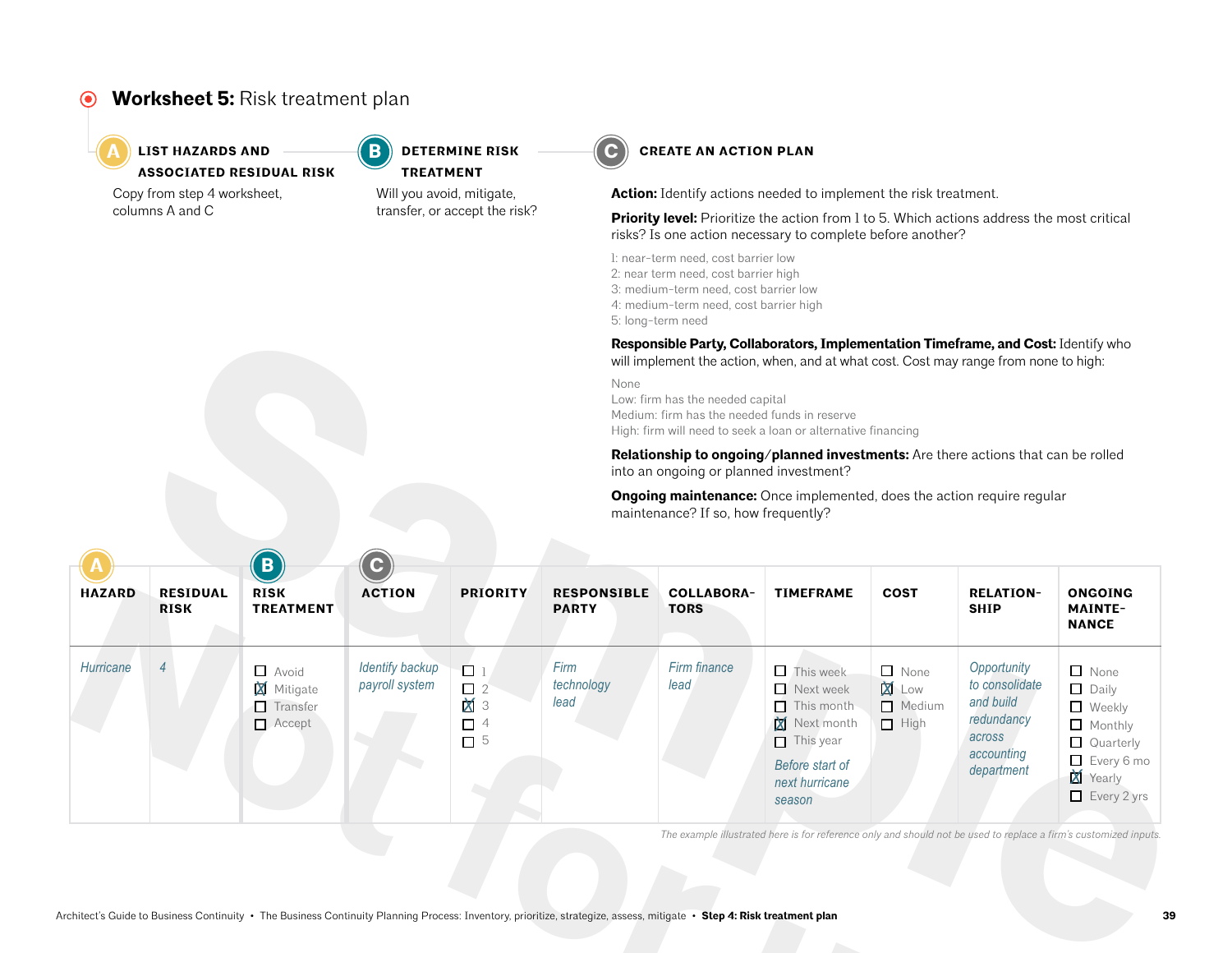#### **Worksheet 5:** Risk treatment plan  $\odot$



### **LIST HAZARDS AND**  $\left( \begin{array}{c} \text{B} \\ \text{C} \end{array} \right)$  **determine risk**  $\left( \begin{array}{c} \text{C} \\ \text{C} \end{array} \right)$ **ASSOCIATED RESIDUAL RISK**

Copy from step 4 worksheet, columns A and C

Will you avoid, mitigate, transfer, or accept the risk? **TREATMENT**

**DETERMINE RISK** 



**Action:** Identify actions needed to implement the risk treatment.

**Priority level:** Prioritize the action from 1 to 5. Which actions address the most critical risks? Is one action necessary to complete before another?

1: near-term need, cost barrier low 2: near term need, cost barrier high

- 3: medium-term need, cost barrier low
- 4: medium-term need, cost barrier high

5: long-term need

|                             |                                |                                                                |                                          | Responsible Party, Collaborators, Implementation Timeframe, and Cost: Identify who<br>will implement the action, when, and at what cost. Cost may range from none to high:<br>None<br>Low: firm has the needed capital<br>Medium: firm has the needed funds in reserve<br>High: firm will need to seek a loan or alternative financing |                                    |                                        |                                                                                                                                                 |                                                                                   |                                                                                                |                                                                                                                                  |  |
|-----------------------------|--------------------------------|----------------------------------------------------------------|------------------------------------------|----------------------------------------------------------------------------------------------------------------------------------------------------------------------------------------------------------------------------------------------------------------------------------------------------------------------------------------|------------------------------------|----------------------------------------|-------------------------------------------------------------------------------------------------------------------------------------------------|-----------------------------------------------------------------------------------|------------------------------------------------------------------------------------------------|----------------------------------------------------------------------------------------------------------------------------------|--|
|                             |                                |                                                                |                                          |                                                                                                                                                                                                                                                                                                                                        |                                    | into an ongoing or planned investment? |                                                                                                                                                 | Relationship to ongoing/planned investments: Are there actions that can be rolled |                                                                                                |                                                                                                                                  |  |
|                             |                                |                                                                |                                          |                                                                                                                                                                                                                                                                                                                                        |                                    | maintenance? If so, how frequently?    | Ongoing maintenance: Once implemented, does the action require regular                                                                          |                                                                                   |                                                                                                |                                                                                                                                  |  |
|                             |                                | $\overline{B}$                                                 |                                          |                                                                                                                                                                                                                                                                                                                                        |                                    |                                        |                                                                                                                                                 |                                                                                   |                                                                                                |                                                                                                                                  |  |
| <b>HAZARD</b>               | <b>RESIDUAL</b><br><b>RISK</b> | <b>RISK</b><br><b>TREATMENT</b>                                | <b>ACTION</b>                            | <b>PRIORITY</b>                                                                                                                                                                                                                                                                                                                        | <b>RESPONSIBLE</b><br><b>PARTY</b> | <b>COLLABORA-</b><br><b>TORS</b>       | <b>TIMEFRAME</b>                                                                                                                                | <b>COST</b>                                                                       | <b>RELATION-</b><br><b>SHIP</b>                                                                | <b>ONGOING</b><br><b>MAINTE-</b><br><b>NANCE</b>                                                                                 |  |
| Hurricane<br>$\overline{4}$ |                                | $\Box$ Avoid<br><b>X</b> Mitigate<br>Transfer<br>$\Box$ Accept | <b>Identify backup</b><br>payroll system | $\Box$ 1<br>$\Box$ 2<br>$\mathbf{M}$ 3<br>$\Box$ 4<br>$\Box$ 5                                                                                                                                                                                                                                                                         | Firm<br>technology<br>lead         | Firm finance<br>lead                   | $\Box$ This week<br>$\Box$ Next week<br>$\Box$ This month<br>X<br>Next month<br>$\Box$ This year<br>Before start of<br>next hurricane<br>season | $\Box$ None<br><b>X</b> Low<br>Medium<br>$\Box$ High                              | Opportunity<br>to consolidate<br>and build<br>redundancy<br>across<br>accounting<br>department | $\Box$ None<br>$\Box$ Daily<br>$\Box$ Weekly<br>$\Box$ Monthly<br>$\Box$ Quarterly<br>Every 6 mo<br>Yearly<br>$\Box$ Every 2 yrs |  |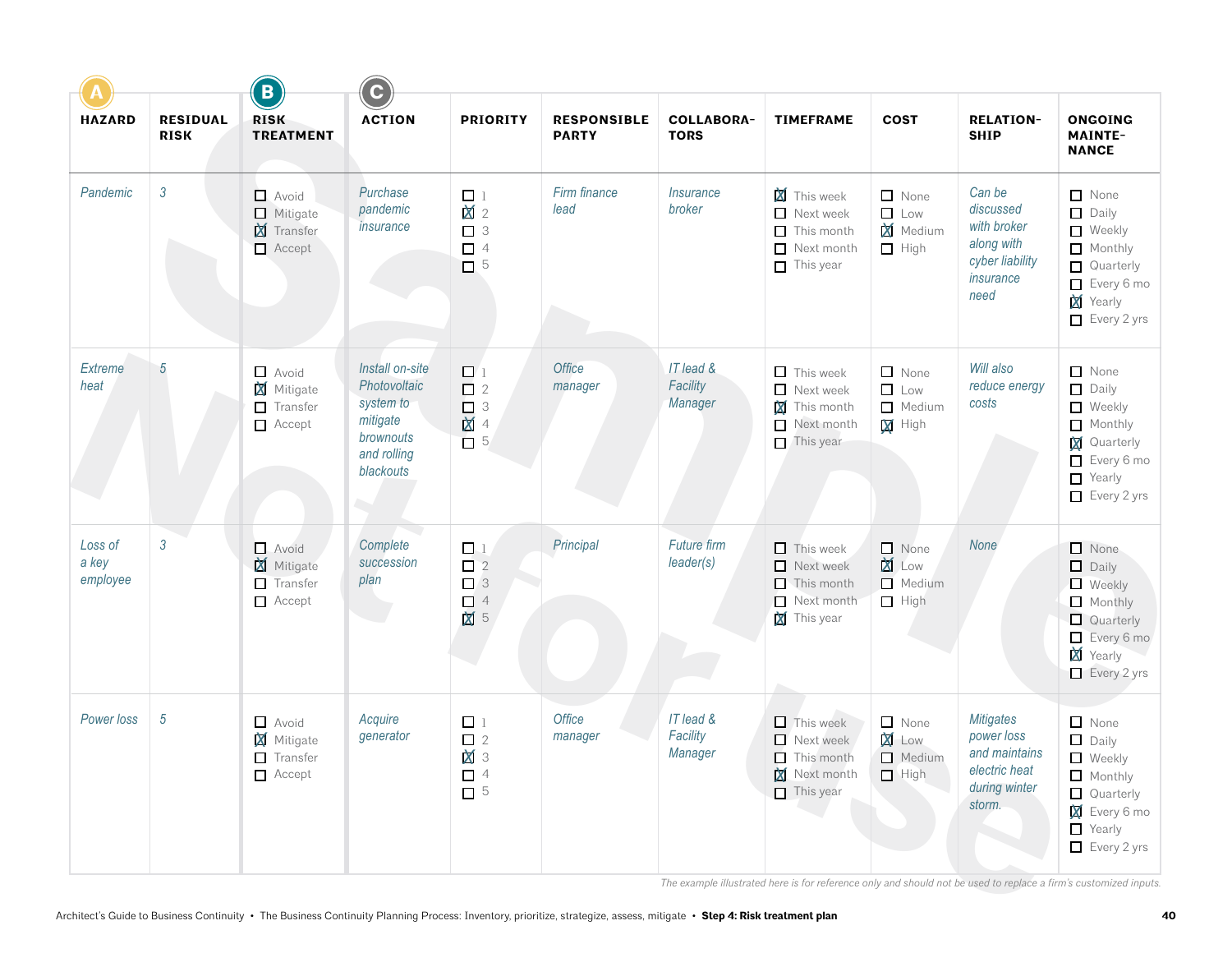|                              |                                | $\left($ B                                                            | $\overline{c}$                                                                                    |                                                                   |                                    |                                   |                                                                                                     |                                                             |                                                                                             |                                                                                                                                                  |
|------------------------------|--------------------------------|-----------------------------------------------------------------------|---------------------------------------------------------------------------------------------------|-------------------------------------------------------------------|------------------------------------|-----------------------------------|-----------------------------------------------------------------------------------------------------|-------------------------------------------------------------|---------------------------------------------------------------------------------------------|--------------------------------------------------------------------------------------------------------------------------------------------------|
| <b>HAZARD</b>                | <b>RESIDUAL</b><br><b>RISK</b> | <b>RISK</b><br><b>TREATMENT</b>                                       | <b>ACTION</b>                                                                                     | <b>PRIORITY</b>                                                   | <b>RESPONSIBLE</b><br><b>PARTY</b> | <b>COLLABORA-</b><br><b>TORS</b>  | <b>TIMEFRAME</b>                                                                                    | <b>COST</b>                                                 | <b>RELATION-</b><br><b>SHIP</b>                                                             | <b>ONGOING</b><br><b>MAINTE-</b><br><b>NANCE</b>                                                                                                 |
| Pandemic                     | $\sqrt{3}$                     | $\Box$ Avoid<br>$\Box$ Mitigate<br><b>X</b> Transfer<br>$\Box$ Accept | Purchase<br>pandemic<br>insurance                                                                 | $\Box$<br>1<br>$\mathbf{M}$ 2<br>$\Box$ 3<br>$\Box$ 4<br>$\Box$ 5 | Firm finance<br>lead               | <i><b>Insurance</b></i><br>broker | <b>X</b> This week<br>$\Box$<br>Next week<br>П<br>This month<br>□<br>Next month<br>$\Box$ This year | $\Box$ None<br>$\Box$ Low<br><b>X</b> Medium<br>$\Box$ High | Can be<br>discussed<br>with broker<br>along with<br>cyber liability<br>insurance<br>need    | $\Box$ None<br>$\Box$ Daily<br>Weekly<br>Monthly<br>Quarterly<br>Every 6 mo<br>Yearly<br>$\Box$ Every 2 yrs                                      |
| <b>Extreme</b><br>heat       | 5                              | $\Box$ Avoid<br><b>X</b> Mitigate<br>$\Box$ Transfer<br>$\Box$ Accept | Install on-site<br>Photovoltaic<br>system to<br>mitigate<br>brownouts<br>and rolling<br>blackouts | $\Box$<br>$\Box$ 2<br>$\Box$ 3<br>図 4<br>$\square$ 5              | Office<br>manager                  | IT lead &<br>Facility<br>Manager  | $\Box$ This week<br>$\Box$<br>Next week<br>X<br>This month<br>Next month<br>$\Box$ This year        | $\Box$ None<br>$\Box$ Low<br>Medium<br>$\Psi$ High          | Will also<br>reduce energy<br>costs                                                         | None<br>$\Box$ Daily<br>Weekly<br>Monthly<br><b>X</b> Quarterly<br>Every 6 mo<br>$\Box$ Yearly<br>$\Box$ Every 2 yrs                             |
| Loss of<br>a key<br>employee | $\mathfrak{Z}$                 | $\Box$ Avoid<br>Mitigate<br>$\Box$ Transfer<br>$\Box$ Accept          | Complete<br>succession<br>plan<br>and the                                                         | $\Box$ 1<br>$\Box$ 2<br>$\Box$ 3<br>$\Box$ 4<br>M<br>5            | Principal                          | <b>Future firm</b><br>leader(s)   | $\Box$ This week<br>$\Box$ Next week<br>$\Box$ This month<br>Next month<br>This year                | $\Box$ None<br><b>X</b> Low<br>Medium<br>$\Box$ High        | None                                                                                        | $\Box$ None<br>$\Box$<br>Daily<br>$\Box$ Weekly<br>$\Box$ Monthly<br>Quarterly<br>Every 6 mo<br>Yearly<br>$\Box$ Every 2 yrs                     |
| Power loss                   | 5                              | $\Box$ Avoid<br><b>X</b> Mitigate<br>$\Box$ Transfer<br>$\Box$ Accept | Acquire<br>generator                                                                              | $\Box$ 1<br>$\Box$ 2<br><b>X</b> 3<br>$\Box$ 4<br>$\square$ 5     | Office<br>manager                  | IT lead &<br>Facility<br>Manager  | $\Box$ This week<br>$\Box$ Next week<br>$\Box$ This month<br>Next month<br>$\Box$ This year         | $\Box$ None<br><b>X</b> Low<br>Medium<br>$\Box$ High        | <b>Mitigates</b><br>power loss<br>and maintains<br>electric heat<br>during winter<br>storm. | $\Box$ None<br>$\Box$ Daily<br>$\Box$ Weekly<br>$\Box$ Monthly<br>$\Box$ Quarterly<br><b>X</b> Every 6 mo<br>$\Box$ Yearly<br>$\Box$ Every 2 yrs |

*The example illustrated here is for reference only and should not be used to replace a firm's customized inputs.*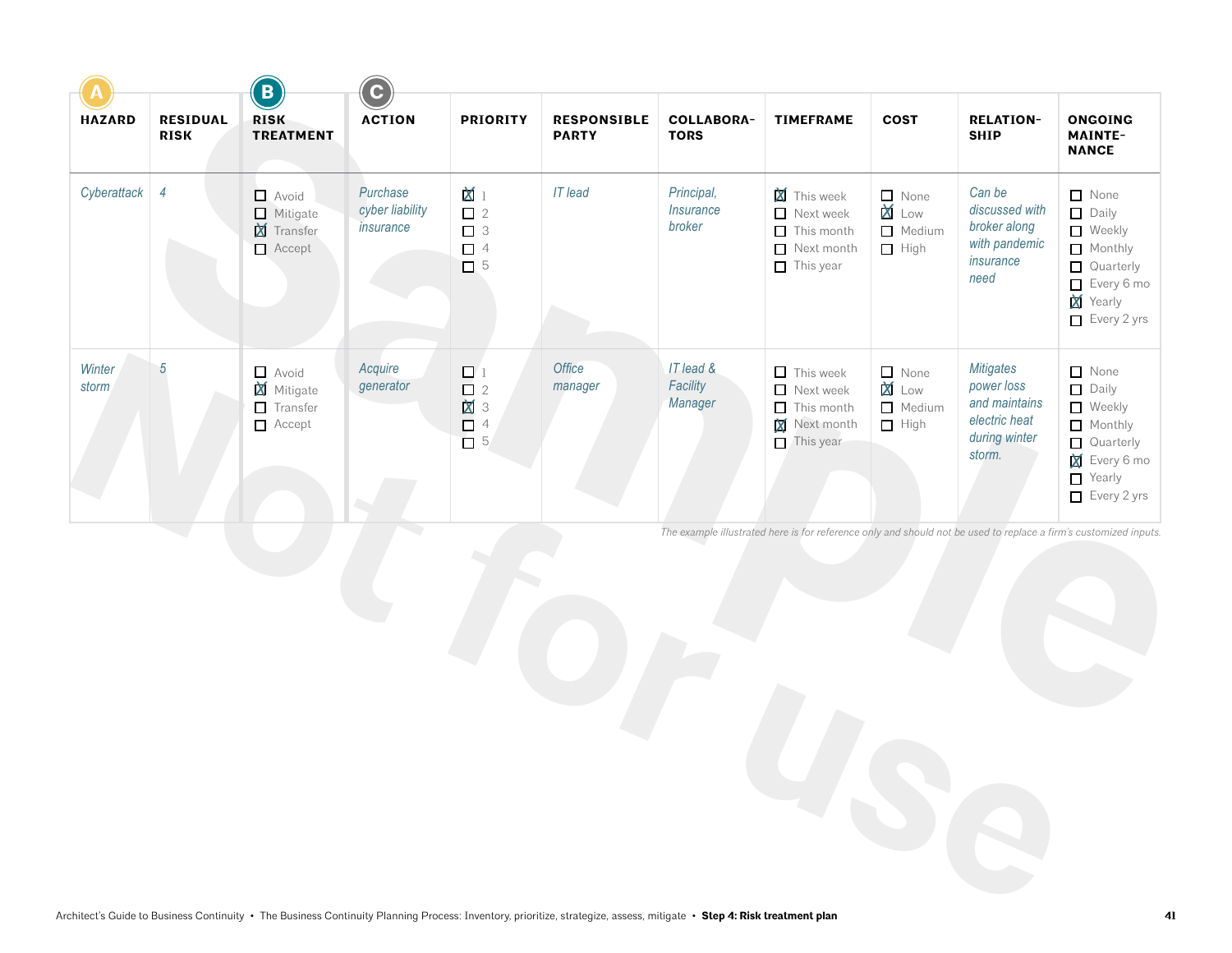|                 |                                | $\left($ B                                              | $\overline{c}$                           |                                                                 |                                    |                                   |                                                                                               |                                                      |                                                                                             |                                                                                                                                       |
|-----------------|--------------------------------|---------------------------------------------------------|------------------------------------------|-----------------------------------------------------------------|------------------------------------|-----------------------------------|-----------------------------------------------------------------------------------------------|------------------------------------------------------|---------------------------------------------------------------------------------------------|---------------------------------------------------------------------------------------------------------------------------------------|
| <b>HAZARD</b>   | <b>RESIDUAL</b><br><b>RISK</b> | <b>RISK</b><br><b>TREATMENT</b>                         | <b>ACTION</b>                            | <b>PRIORITY</b>                                                 | <b>RESPONSIBLE</b><br><b>PARTY</b> | <b>COLLABORA-</b><br><b>TORS</b>  | <b>TIMEFRAME</b>                                                                              | <b>COST</b>                                          | <b>RELATION-</b><br><b>SHIP</b>                                                             | <b>ONGOING</b><br><b>MAINTE-</b><br><b>NANCE</b>                                                                                      |
| Cyberattack     | $\overline{4}$                 | Avoid<br>$\Box$ Mitigate<br><b>X</b> Transfer<br>Accept | Purchase<br>cyber liability<br>insurance | $\mathbf{M}$ 1<br>$\Box$ 2<br>$\Box$ 3<br>$\Box$ 4<br>$\Box$ 5  | <b>IT</b> lead                     | Principal,<br>Insurance<br>broker | <b>X</b> This week<br>Next week<br>$\Box$ This month<br>$\Box$ Next month<br>$\Box$ This year | $\Box$ None<br>X Low<br>Medium<br>$\Box$ High        | Can be<br>discussed with<br>broker along<br>with pandemic<br>insurance<br>need              | None<br>$\Box$ Daily<br>$\Box$ Weekly<br>Monthly<br>$\Box$ Quarterly<br>$\Box$ Every 6 mo<br>X<br>Yearly<br>$\Box$ Every 2 yrs        |
| Winter<br>storm | $\overline{5}$                 | $\Box$ Avoid<br>M Mitigate<br>$\Box$ Transfer<br>Accept | Acquire<br>generator                     | $\Box$ 1<br>$\begin{array}{c}\n 2 \\ 3 \\ 4 \\ 5\n \end{array}$ | Office<br>manager                  | IT lead &<br>Facility<br>Manager  | $\Box$ This week<br>Next week<br>$\Box$ This month<br>Next month<br>$\Box$ This year          | $\Box$ None<br><b>X</b> Low<br>Medium<br>$\Box$ High | <b>Mitigates</b><br>power loss<br>and maintains<br>electric heat<br>during winter<br>storm. | $\Box$ None<br>$\Box$ Daily<br>$\Box$ Weekly<br>$\Box$ Monthly<br>Quarterly<br>X<br>Every 6 mo<br>$\Box$ Yearly<br>$\Box$ Every 2 yrs |
|                 |                                |                                                         |                                          |                                                                 |                                    |                                   |                                                                                               |                                                      |                                                                                             | The example illustrated here is for reference only and should not be used to replace a firm's customized inputs.                      |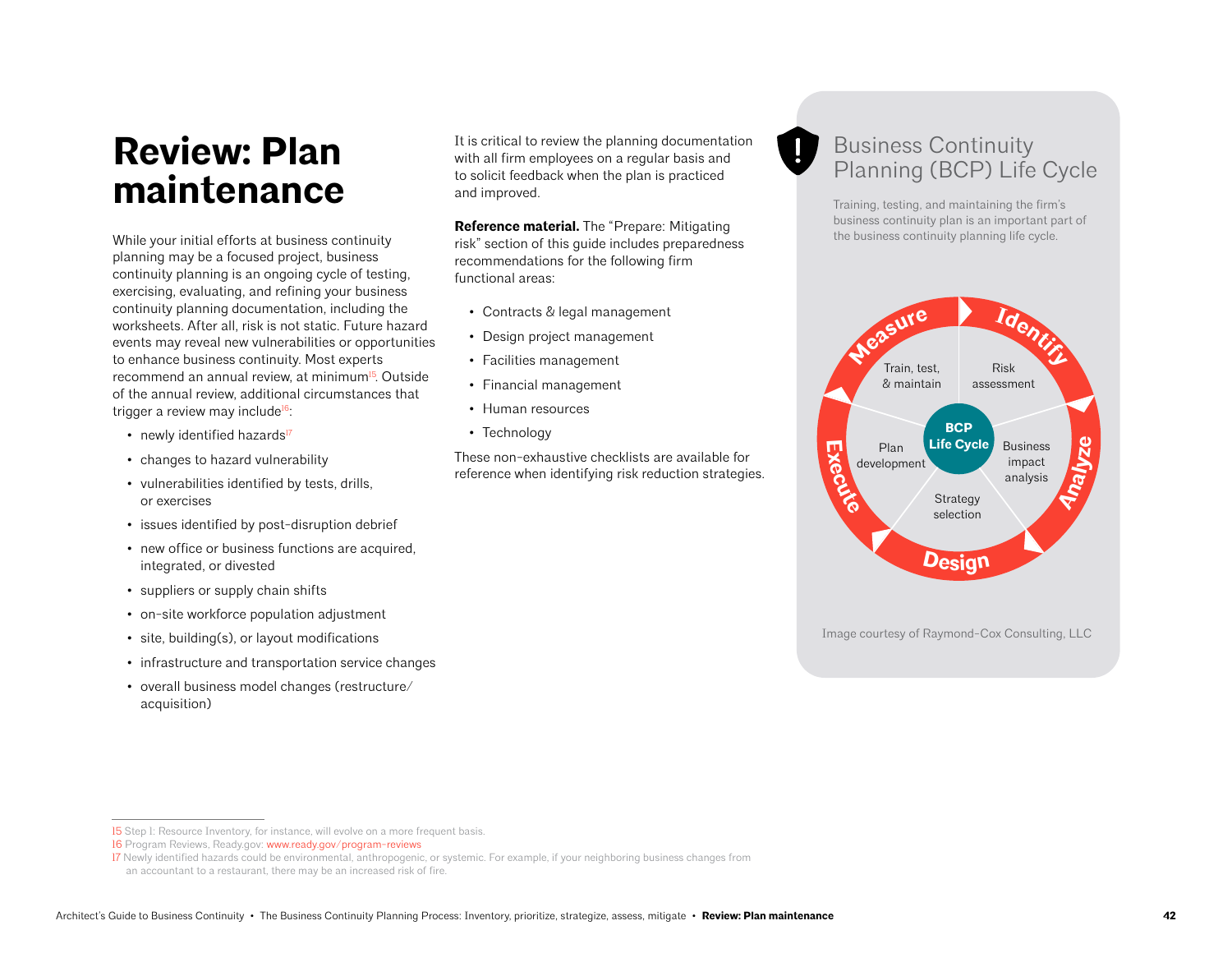## **Review: Plan maintenance**

While your initial efforts at business continuity planning may be a focused project, business continuity planning is an ongoing cycle of testing, exercising, evaluating, and refining your business continuity planning documentation, including the worksheets. After all, risk is not static. Future hazard events may reveal new vulnerabilities or opportunities to enhance business continuity. Most experts recommend an annual review, at minimum<sup>15</sup>. Outside of the annual review, additional circumstances that trigger a review may include<sup>16</sup>:

- newly identified hazards<sup>17</sup>
- changes to hazard vulnerability
- vulnerabilities identified by tests, drills, or exercises
- issues identified by post-disruption debrief
- new office or business functions are acquired, integrated, or divested
- suppliers or supply chain shifts
- on-site workforce population adjustment
- site, building(s), or layout modifications
- infrastructure and transportation service changes
- overall business model changes (restructure/ acquisition)

It is critical to review the planning documentation with all firm employees on a regular basis and to solicit feedback when the plan is practiced and improved.

**Reference material.** The "Prepare: Mitigating risk" section of this guide includes preparedness recommendations for the following firm functional areas:

- Contracts & legal management
- Design project management
- Facilities management
- Financial management
- Human resources
- Technology

These non-exhaustive checklists are available for reference when identifying risk reduction strategies.

## Business Continuity Planning (BCP) Life Cycle

Training, testing, and maintaining the firm's business continuity plan is an important part of the business continuity planning life cycle.



<sup>15</sup> Step 1: Resource Inventory, for instance, will evolve on a more frequent basis.

<sup>16</sup> Program Reviews, Ready.gov: [www.ready.gov/program-reviews](http://www.ready.gov/program-reviews)

<sup>17</sup> Newly identified hazards could be environmental, anthropogenic, or systemic. For example, if your neighboring business changes from

an accountant to a restaurant, there may be an increased risk of fire.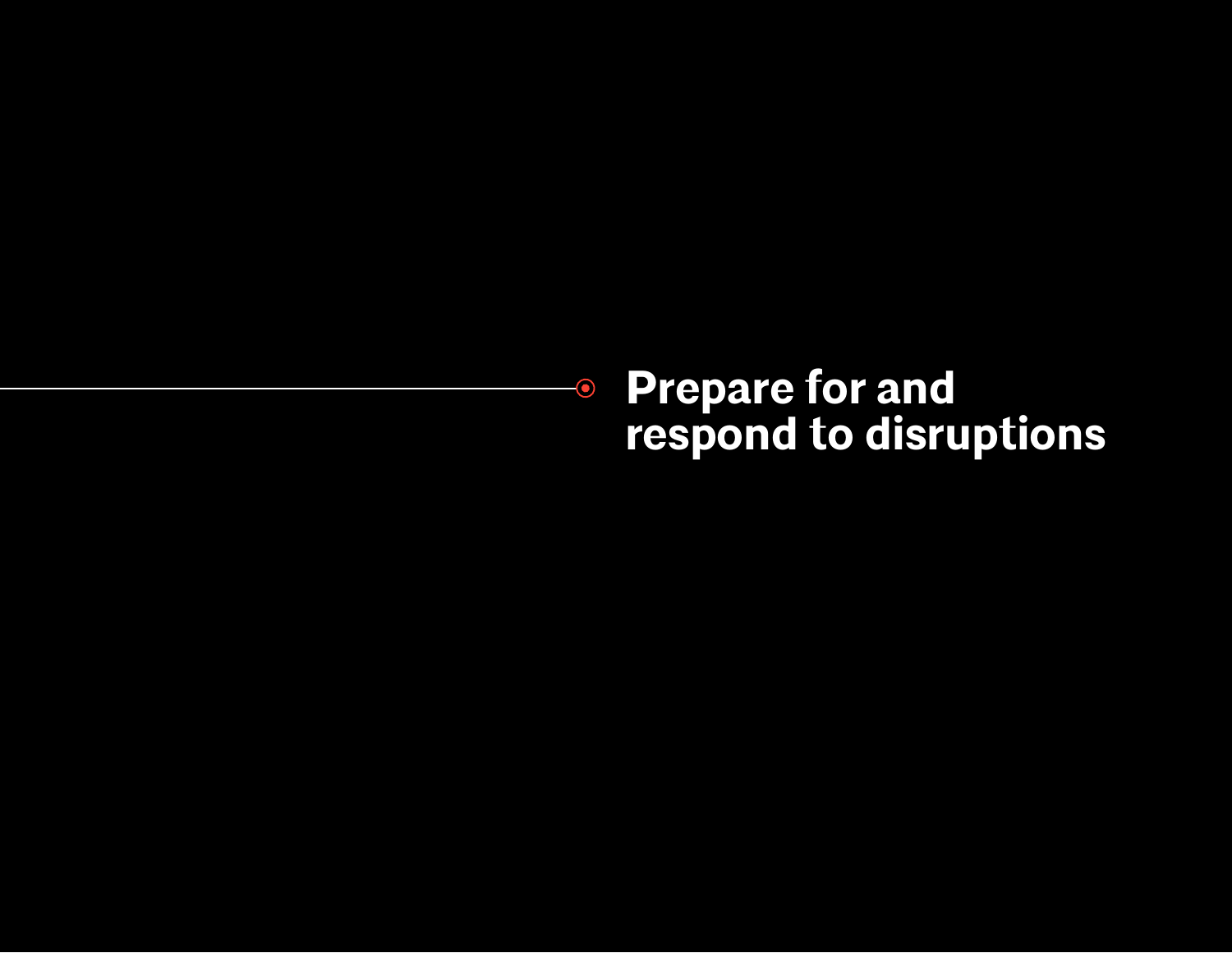## **Prepare for and respond to disruptions**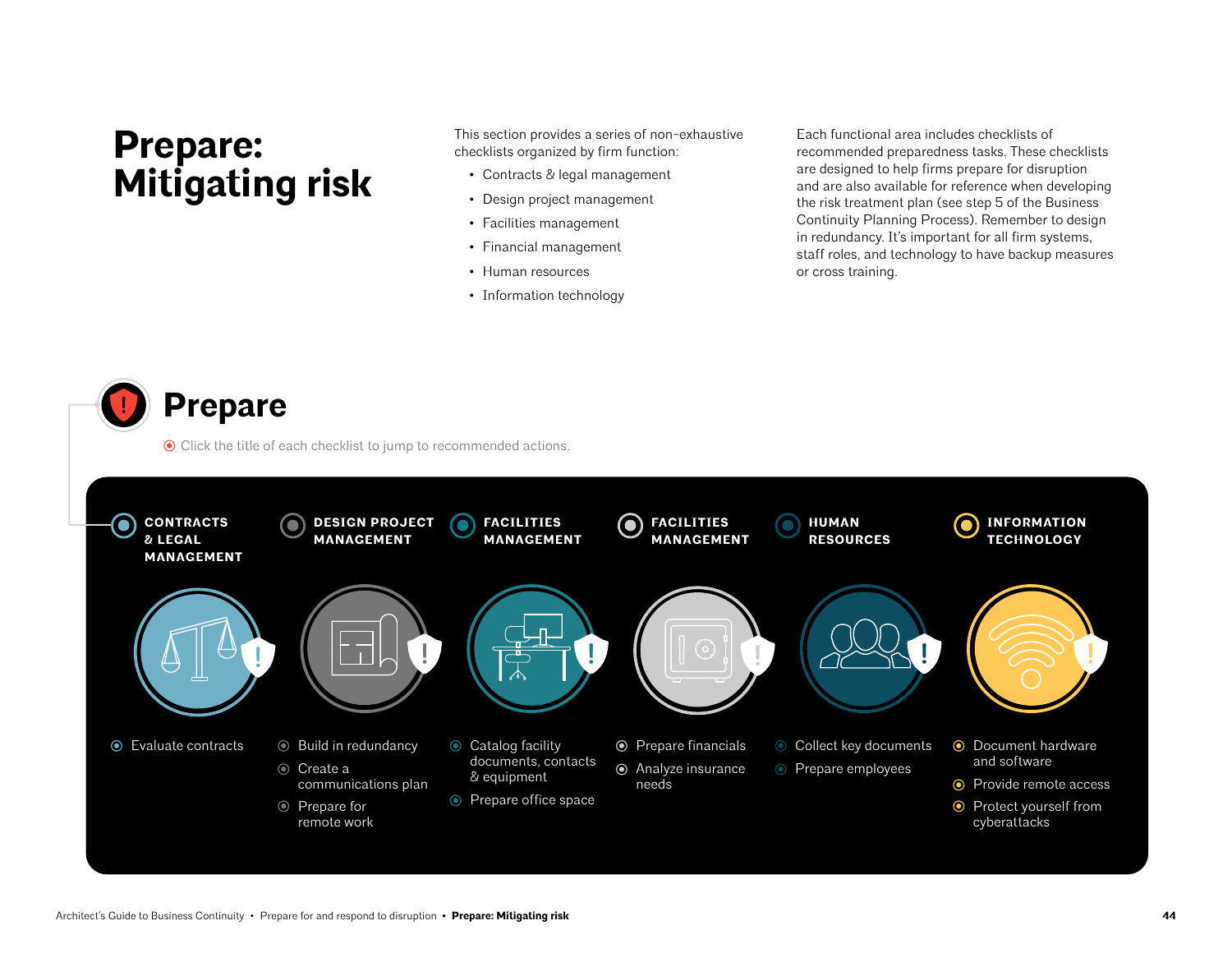## **Prepare: Mitigating risk**

This section provides a series of non-exhaustive checklists organized by firm function:

- Contracts & legal management
- Design project management
- Facilities management
- Financial management
- Human resources
- Information technology

Each functional area includes checklists of recommended preparedness tasks. These checklists are designed to help firms prepare for disruption and are also available for reference when developing the risk treatment plan (see step 5 of the Business Continuity Planning Process). Remember to design in redundancy. It's important for all firm systems, staff roles, and technology to have backup measures or cross training.

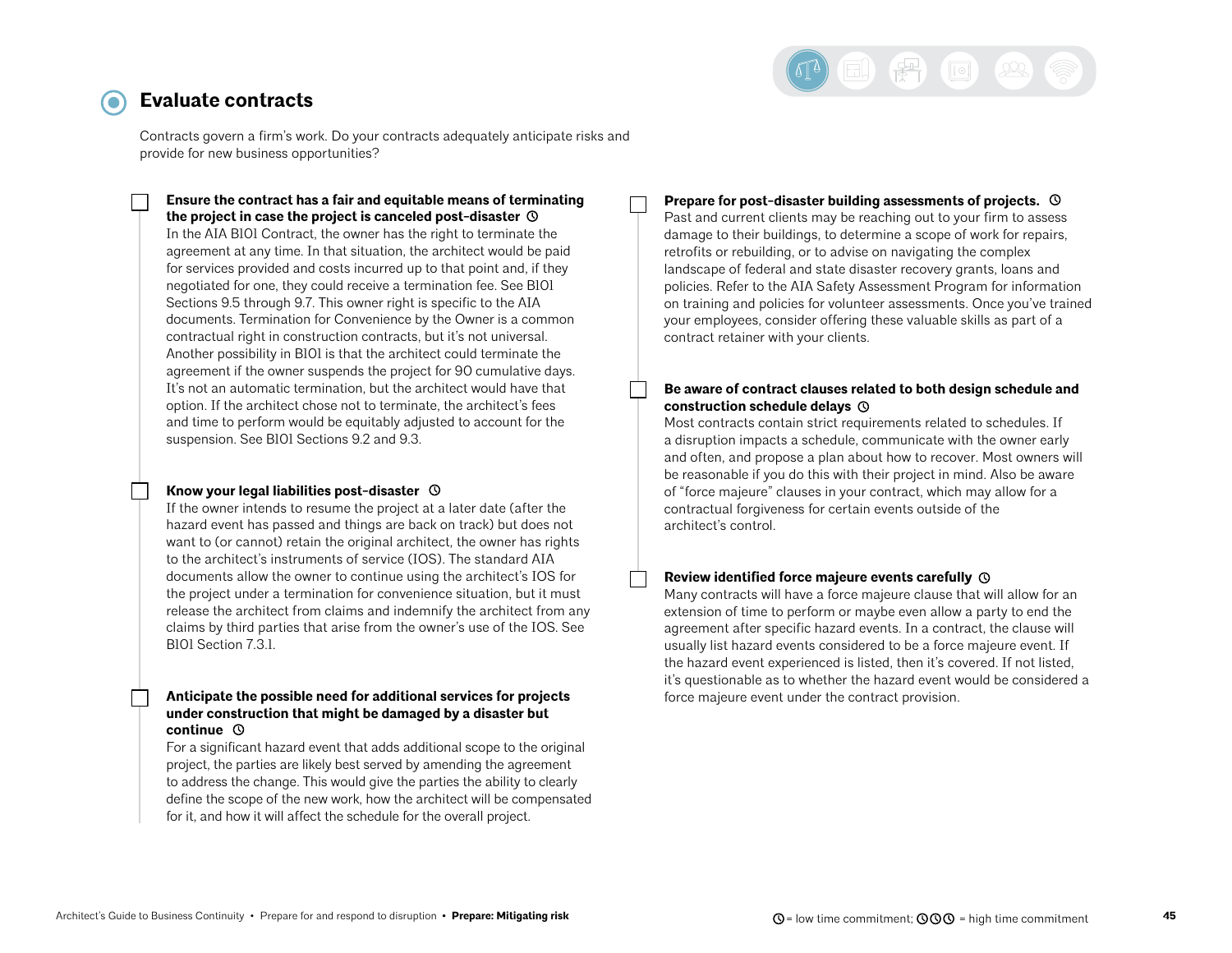

### <span id="page-44-0"></span>**Evaluate contracts**

Contracts govern a firm's work. Do your contracts adequately anticipate risks and provide for new business opportunities?

**Ensure the contract has a fair and equitable means of terminating the project in case the project is canceled post-disaster**  In the AIA B101 Contract, the owner has the right to terminate the agreement at any time. In that situation, the architect would be paid for services provided and costs incurred up to that point and, if they negotiated for one, they could receive a termination fee. See B101 Sections 9.5 through 9.7. This owner right is specific to the AIA documents. Termination for Convenience by the Owner is a common contractual right in construction contracts, but it's not universal. Another possibility in B101 is that the architect could terminate the agreement if the owner suspends the project for 90 cumulative days. It's not an automatic termination, but the architect would have that option. If the architect chose not to terminate, the architect's fees and time to perform would be equitably adjusted to account for the suspension. See B101 Sections 9.2 and 9.3.

#### **Know your legal liabilities post-disaster**

If the owner intends to resume the project at a later date (after the hazard event has passed and things are back on track) but does not want to (or cannot) retain the original architect, the owner has rights to the architect's instruments of service (IOS). The standard AIA documents allow the owner to continue using the architect's IOS for the project under a termination for convenience situation, but it must release the architect from claims and indemnify the architect from any claims by third parties that arise from the owner's use of the IOS. See B101 Section 7.3.1.

#### **Anticipate the possible need for additional services for projects under construction that might be damaged by a disaster but continue**

For a significant hazard event that adds additional scope to the original project, the parties are likely best served by amending the agreement to address the change. This would give the parties the ability to clearly define the scope of the new work, how the architect will be compensated for it, and how it will affect the schedule for the overall project.

#### **Prepare for post-disaster building assessments of projects.**

Past and current clients may be reaching out to your firm to assess damage to their buildings, to determine a scope of work for repairs, retrofits or rebuilding, or to advise on navigating the complex landscape of federal and state disaster recovery grants, loans and policies. Refer to the AIA Safety Assessment Program for information on training and policies for volunteer assessments. Once you've trained your employees, consider offering these valuable skills as part of a contract retainer with your clients.

#### **Be aware of contract clauses related to both design schedule and construction schedule delays**

Most contracts contain strict requirements related to schedules. If a disruption impacts a schedule, communicate with the owner early and often, and propose a plan about how to recover. Most owners will be reasonable if you do this with their project in mind. Also be aware of "force majeure" clauses in your contract, which may allow for a contractual forgiveness for certain events outside of the architect's control.

#### **Review identified force majeure events carefully**

Many contracts will have a force majeure clause that will allow for an extension of time to perform or maybe even allow a party to end the agreement after specific hazard events. In a contract, the clause will usually list hazard events considered to be a force majeure event. If the hazard event experienced is listed, then it's covered. If not listed, it's questionable as to whether the hazard event would be considered a force majeure event under the contract provision.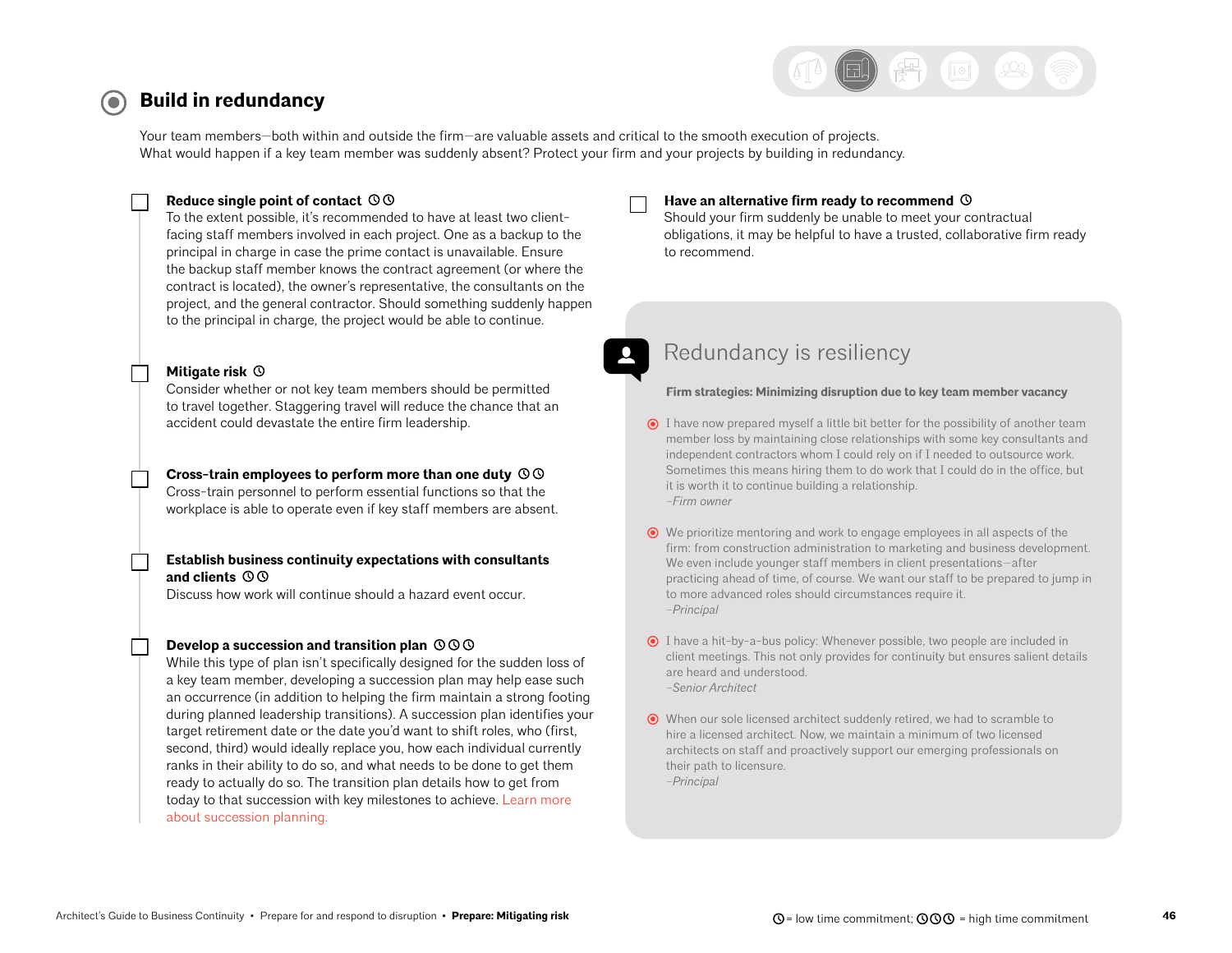

#### <span id="page-45-0"></span>**Build in redundancy**   $\left( \bullet \right)$

Your team members—both within and outside the firm—are valuable assets and critical to the smooth execution of projects. What would happen if a key team member was suddenly absent? Protect your firm and your projects by building in redundancy.

#### **Reduce single point of contact**

To the extent possible, it's recommended to have at least two clientfacing staff members involved in each project. One as a backup to the principal in charge in case the prime contact is unavailable. Ensure the backup staff member knows the contract agreement (or where the contract is located), the owner's representative, the consultants on the project, and the general contractor. Should something suddenly happen to the principal in charge, the project would be able to continue.

#### **Mitigate risk**

Consider whether or not key team members should be permitted to travel together. Staggering travel will reduce the chance that an accident could devastate the entire firm leadership.

**Cross-train employees to perform more than one duty**  Cross-train personnel to perform essential functions so that the workplace is able to operate even if key staff members are absent.

#### **Establish business continuity expectations with consultants and clients**

Discuss how work will continue should a hazard event occur.

#### **Develop a succession and transition plan**

While this type of plan isn't specifically designed for the sudden loss of a key team member, developing a succession plan may help ease such an occurrence (in addition to helping the firm maintain a strong footing during planned leadership transitions). A succession plan identifies your target retirement date or the date you'd want to shift roles, who (first, second, third) would ideally replace you, how each individual currently ranks in their ability to do so, and what needs to be done to get them ready to actually do so. The transition plan details how to get from today to that succession with key milestones to achieve. [Learn more](https://www.architecturalrecord.com/articles/5873-the-legacy-project)  [about succession planning.](https://www.architecturalrecord.com/articles/5873-the-legacy-project)

#### **Have an alternative firm ready to recommend**

Should your firm suddenly be unable to meet your contractual obligations, it may be helpful to have a trusted, collaborative firm ready to recommend.

## Redundancy is resiliency

#### **Firm strategies: Minimizing disruption due to key team member vacancy**

- $\odot$  I have now prepared myself a little bit better for the possibility of another team member loss by maintaining close relationships with some key consultants and independent contractors whom I could rely on if I needed to outsource work. Sometimes this means hiring them to do work that I could do in the office, but it is worth it to continue building a relationship. *–Firm owner*
- We prioritize mentoring and work to engage employees in all aspects of the firm: from construction administration to marketing and business development. We even include younger staff members in client presentations—after practicing ahead of time, of course. We want our staff to be prepared to jump in to more advanced roles should circumstances require it. *–Principal*
- $\odot$  I have a hit-by-a-bus policy: Whenever possible, two people are included in client meetings. This not only provides for continuity but ensures salient details are heard and understood. *–Senior Architect*
- When our sole licensed architect suddenly retired, we had to scramble to hire a licensed architect. Now, we maintain a minimum of two licensed architects on staff and proactively support our emerging professionals on their path to licensure. *–Principal*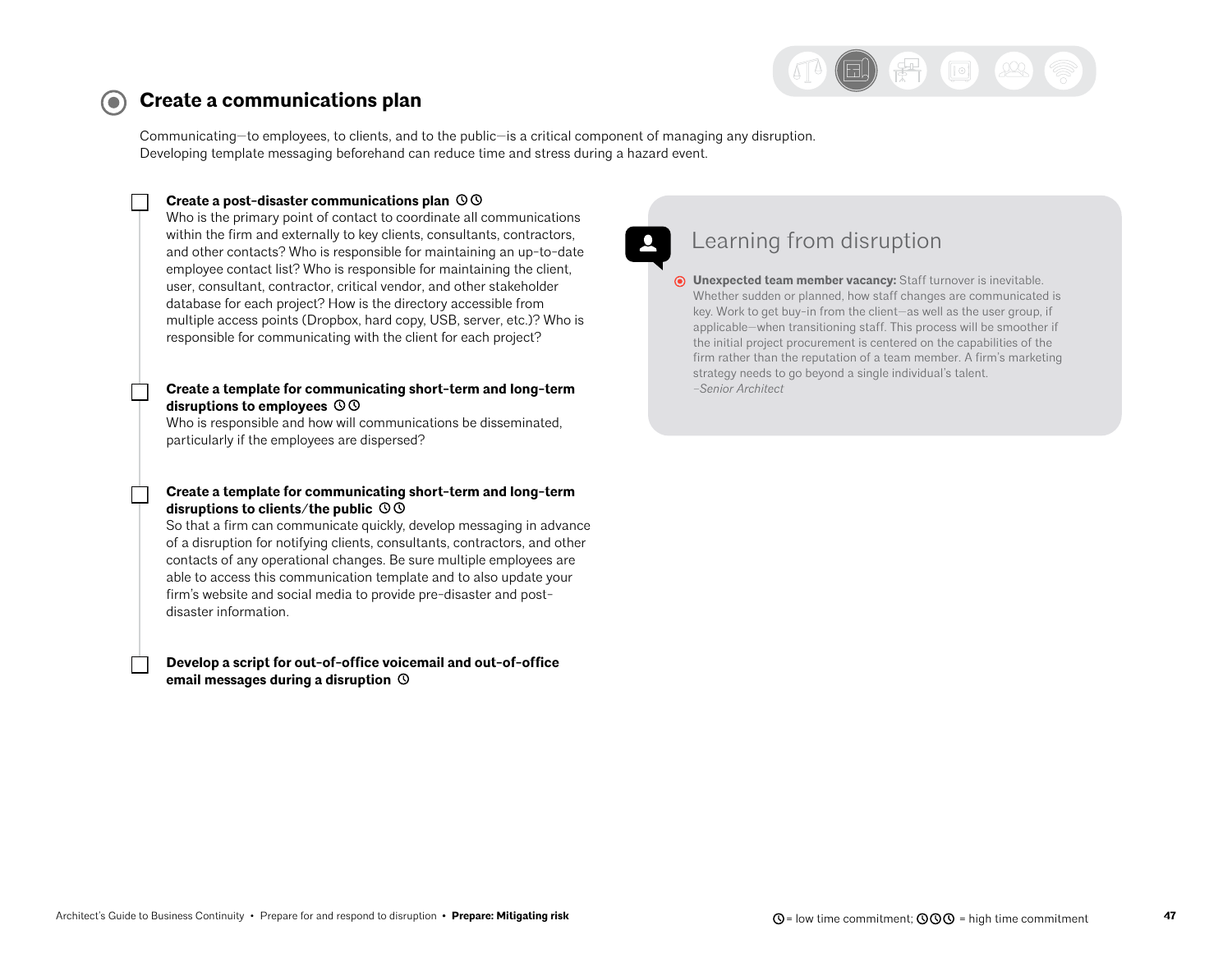

#### <span id="page-46-0"></span>**Create a communications plan**   $\left( \bullet \right)$

Communicating—to employees, to clients, and to the public—is a critical component of managing any disruption. Developing template messaging beforehand can reduce time and stress during a hazard event.

#### **Create a post-disaster communications plan**

Who is the primary point of contact to coordinate all communications within the firm and externally to key clients, consultants, contractors, and other contacts? Who is responsible for maintaining an up-to-date employee contact list? Who is responsible for maintaining the client, user, consultant, contractor, critical vendor, and other stakeholder database for each project? How is the directory accessible from multiple access points (Dropbox, hard copy, USB, server, etc.)? Who is responsible for communicating with the client for each project?

#### **Create a template for communicating short-term and long-term disruptions to employees**

Who is responsible and how will communications be disseminated, particularly if the employees are dispersed?

#### **Create a template for communicating short-term and long-term disruptions to clients/the public**

So that a firm can communicate quickly, develop messaging in advance of a disruption for notifying clients, consultants, contractors, and other contacts of any operational changes. Be sure multiple employees are able to access this communication template and to also update your firm's website and social media to provide pre-disaster and postdisaster information.

#### **Develop a script for out-of-office voicemail and out-of-office email messages during a disruption**

## Learning from disruption

**Unexpected team member vacancy:** Staff turnover is inevitable. Whether sudden or planned, how staff changes are communicated is key. Work to get buy-in from the client—as well as the user group, if applicable—when transitioning staff. This process will be smoother if the initial project procurement is centered on the capabilities of the firm rather than the reputation of a team member. A firm's marketing strategy needs to go beyond a single individual's talent. *–Senior Architect*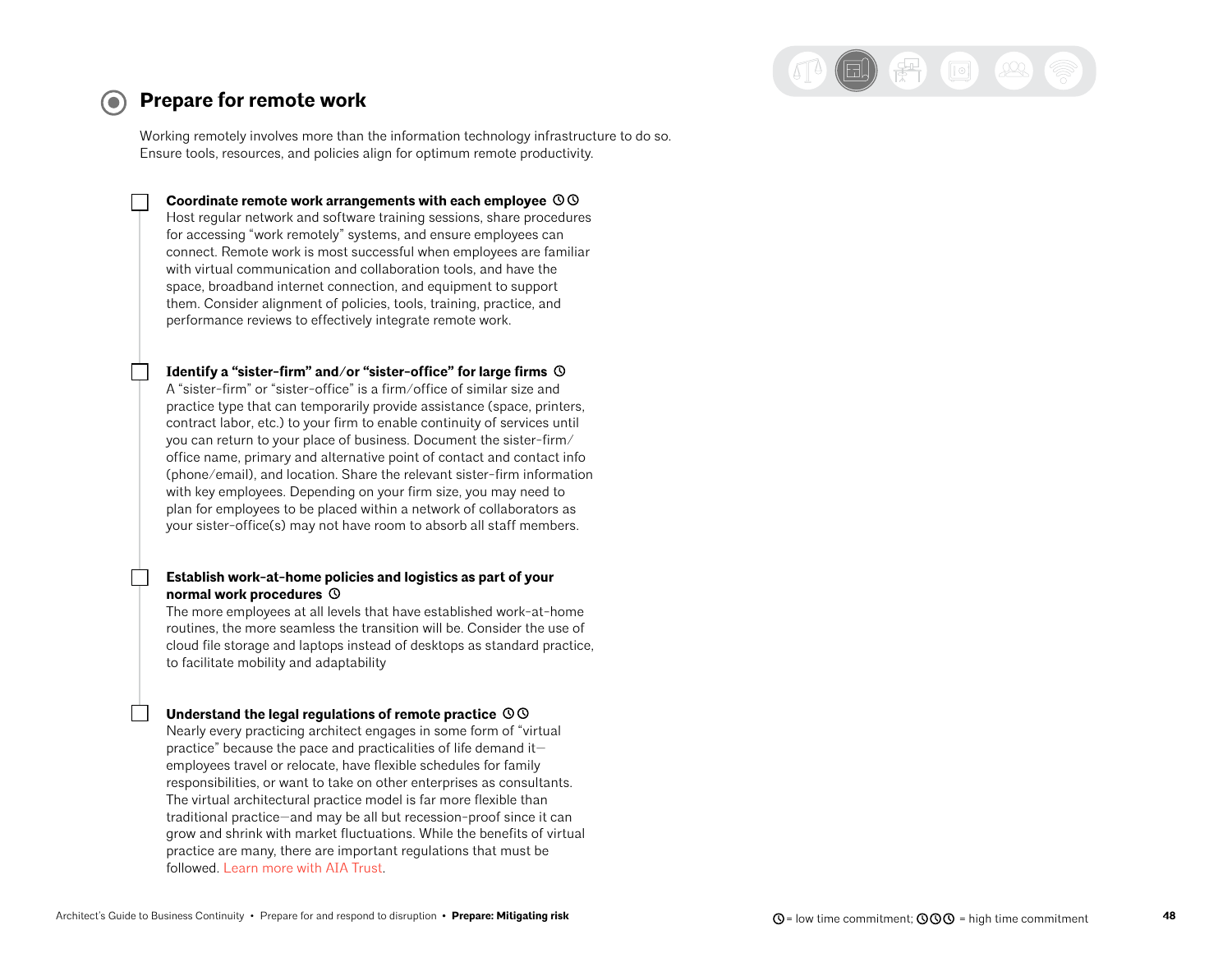

### <span id="page-47-0"></span>**Prepare for remote work**

Working remotely involves more than the information technology infrastructure to do so. Ensure tools, resources, and policies align for optimum remote productivity.

**Coordinate remote work arrangements with each employee**  Host regular network and software training sessions, share procedures for accessing "work remotely" systems, and ensure employees can connect. Remote work is most successful when employees are familiar with virtual communication and collaboration tools, and have the space, broadband internet connection, and equipment to support them. Consider alignment of policies, tools, training, practice, and performance reviews to effectively integrate remote work.

**Identify a "sister-firm" and/or "sister-office" for large firms**  A "sister-firm" or "sister-office" is a firm/office of similar size and practice type that can temporarily provide assistance (space, printers, contract labor, etc.) to your firm to enable continuity of services until you can return to your place of business. Document the sister-firm/ office name, primary and alternative point of contact and contact info (phone/email), and location. Share the relevant sister-firm information with key employees. Depending on your firm size, you may need to plan for employees to be placed within a network of collaborators as your sister-office(s) may not have room to absorb all staff members.

#### **Establish work-at-home policies and logistics as part of your normal work procedures**

The more employees at all levels that have established work-at-home routines, the more seamless the transition will be. Consider the use of cloud file storage and laptops instead of desktops as standard practice, to facilitate mobility and adaptability

#### **Understand the legal regulations of remote practice**

Nearly every practicing architect engages in some form of "virtual practice" because the pace and practicalities of life demand it employees travel or relocate, have flexible schedules for family responsibilities, or want to take on other enterprises as consultants. The virtual architectural practice model is far more flexible than traditional practice—and may be all but recession-proof since it can grow and shrink with market fluctuations. While the benefits of virtual practice are many, there are important regulations that must be followed. [Learn more with AIA Trust.](https://www.theaiatrust.com/an-architects-guide-to-virtual-practice/)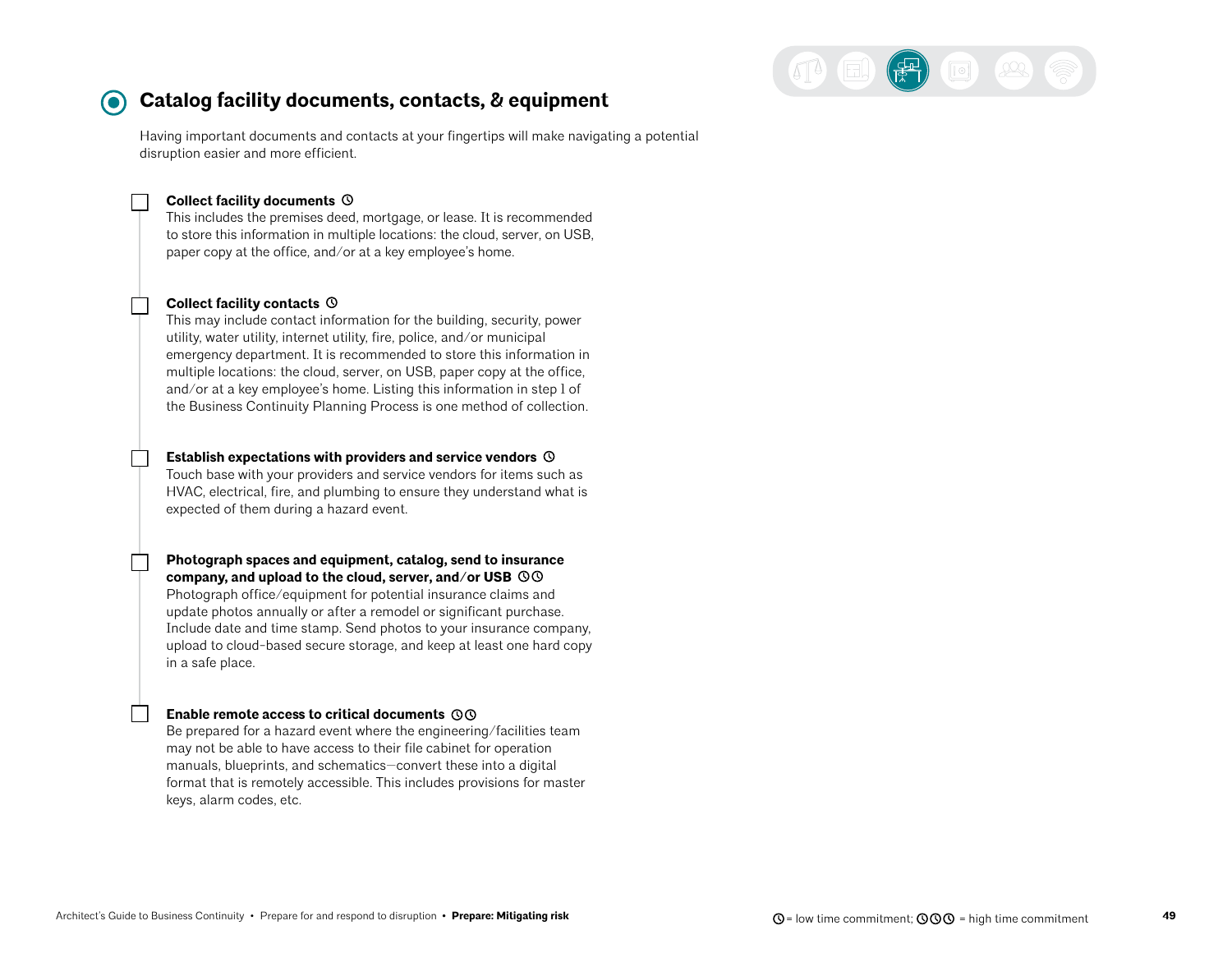

## <span id="page-48-0"></span>**Catalog facility documents, contacts, & equipment**

Having important documents and contacts at your fingertips will make navigating a potential disruption easier and more efficient.

#### **Collect facility documents**

This includes the premises deed, mortgage, or lease. It is recommended to store this information in multiple locations: the cloud, server, on USB, paper copy at the office, and/or at a key employee's home.

#### **Collect facility contacts**

This may include contact information for the building, security, power utility, water utility, internet utility, fire, police, and/or municipal emergency department. It is recommended to store this information in multiple locations: the cloud, server, on USB, paper copy at the office, and/or at a key employee's home. Listing this information in step 1 of the Business Continuity Planning Process is one method of collection.

#### **Establish expectations with providers and service vendors**

Touch base with your providers and service vendors for items such as HVAC, electrical, fire, and plumbing to ensure they understand what is expected of them during a hazard event.

**Photograph spaces and equipment, catalog, send to insurance company, and upload to the cloud, server, and/or USB**  Photograph office/equipment for potential insurance claims and update photos annually or after a remodel or significant purchase. Include date and time stamp. Send photos to your insurance company, upload to cloud-based secure storage, and keep at least one hard copy in a safe place.

#### **Enable remote access to critical documents**

Be prepared for a hazard event where the engineering/facilities team may not be able to have access to their file cabinet for operation manuals, blueprints, and schematics—convert these into a digital format that is remotely accessible. This includes provisions for master keys, alarm codes, etc.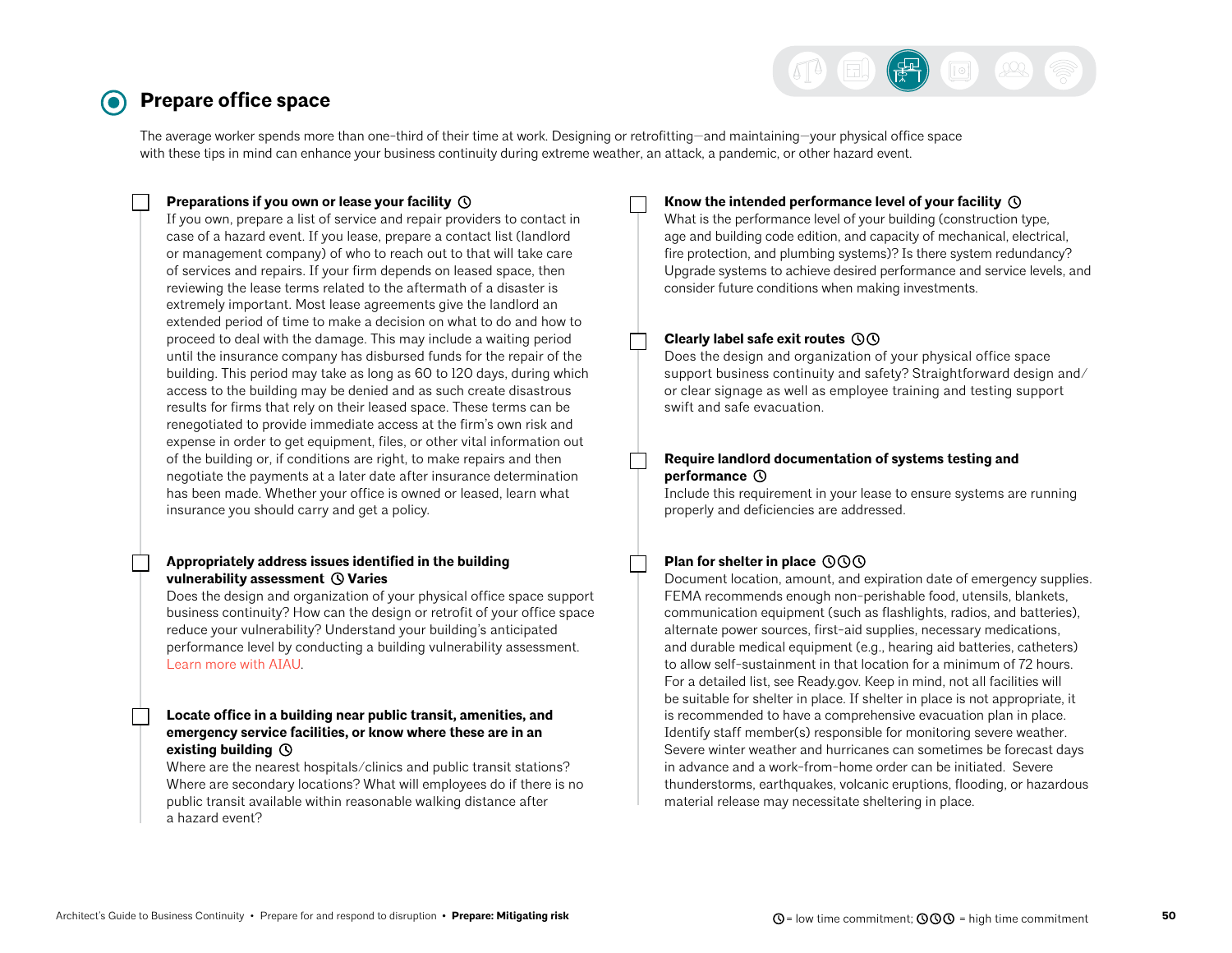

#### <span id="page-49-0"></span>**Prepare office space**  $\left( \bullet \right)$

The average worker spends more than one-third of their time at work. Designing or retrofitting—and maintaining—your physical office space with these tips in mind can enhance your business continuity during extreme weather, an attack, a pandemic, or other hazard event.

#### **Preparations if you own or lease your facility**

If you own, prepare a list of service and repair providers to contact in case of a hazard event. If you lease, prepare a contact list (landlord or management company) of who to reach out to that will take care of services and repairs. If your firm depends on leased space, then reviewing the lease terms related to the aftermath of a disaster is extremely important. Most lease agreements give the landlord an extended period of time to make a decision on what to do and how to proceed to deal with the damage. This may include a waiting period until the insurance company has disbursed funds for the repair of the building. This period may take as long as 60 to 120 days, during which access to the building may be denied and as such create disastrous results for firms that rely on their leased space. These terms can be renegotiated to provide immediate access at the firm's own risk and expense in order to get equipment, files, or other vital information out of the building or, if conditions are right, to make repairs and then negotiate the payments at a later date after insurance determination has been made. Whether your office is owned or leased, learn what insurance you should carry and get a policy.

#### **Appropriately address issues identified in the building vulnerability assessment ① Varies**

Does the design and organization of your physical office space support business continuity? How can the design or retrofit of your office space reduce your vulnerability? Understand your building's anticipated performance level by conducting a building vulnerability assessment. [Learn more with AIAU](https://aiau.aia.org/courses/conducting-vulnerability-assessments-course-5-aia-resilience-and-adaptation-online-series).

#### **Locate office in a building near public transit, amenities, and emergency service facilities, or know where these are in an existing building**

Where are the nearest hospitals/clinics and public transit stations? Where are secondary locations? What will employees do if there is no public transit available within reasonable walking distance after a hazard event?

#### **Know the intended performance level of your facility**

What is the performance level of your building (construction type, age and building code edition, and capacity of mechanical, electrical, fire protection, and plumbing systems)? Is there system redundancy? Upgrade systems to achieve desired performance and service levels, and consider future conditions when making investments.

#### **Clearly label safe exit routes**

Does the design and organization of your physical office space support business continuity and safety? Straightforward design and/ or clear signage as well as employee training and testing support swift and safe evacuation.

#### **Require landlord documentation of systems testing and performance**

Include this requirement in your lease to ensure systems are running properly and deficiencies are addressed.

#### **Plan for shelter in place**

Document location, amount, and expiration date of emergency supplies. FEMA recommends enough non-perishable food, utensils, blankets, communication equipment (such as flashlights, radios, and batteries), alternate power sources, first-aid supplies, necessary medications, and durable medical equipment (e.g., hearing aid batteries, catheters) to allow self-sustainment in that location for a minimum of 72 hours. For a detailed list, see Ready.gov. Keep in mind, not all facilities will be suitable for shelter in place. If shelter in place is not appropriate, it is recommended to have a comprehensive evacuation plan in place. Identify staff member(s) responsible for monitoring severe weather. Severe winter weather and hurricanes can sometimes be forecast days in advance and a work-from-home order can be initiated. Severe thunderstorms, earthquakes, volcanic eruptions, flooding, or hazardous material release may necessitate sheltering in place.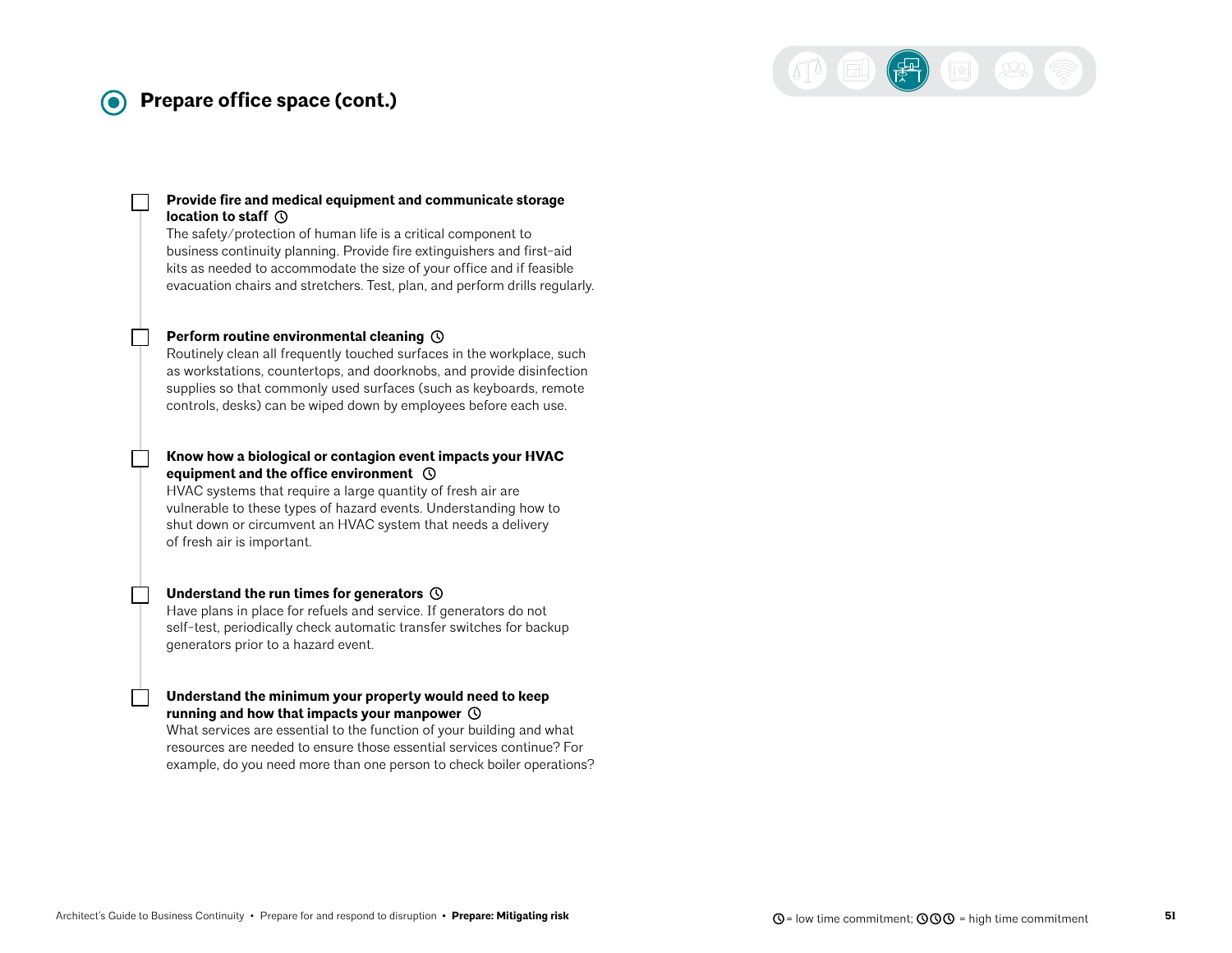#### **Prepare office space (cont.)** 0

#### **Provide fire and medical equipment and communicate storage location to staff**

The safety/protection of human life is a critical component to business continuity planning. Provide fire extinguishers and first-aid kits as needed to accommodate the size of your office and if feasible evacuation chairs and stretchers. Test, plan, and perform drills regularly.

#### **Perform routine environmental cleaning**

Routinely clean all frequently touched surfaces in the workplace, such as workstations, countertops, and doorknobs, and provide disinfection supplies so that commonly used surfaces (such as keyboards, remote controls, desks) can be wiped down by employees before each use.

#### **Know how a biological or contagion event impacts your HVAC equipment and the office environment**

HVAC systems that require a large quantity of fresh air are vulnerable to these types of hazard events. Understanding how to shut down or circumvent an HVAC system that needs a delivery of fresh air is important.

#### **Understand the run times for generators**

Have plans in place for refuels and service. If generators do not self-test, periodically check automatic transfer switches for backup generators prior to a hazard event.

#### **Understand the minimum your property would need to keep running and how that impacts your manpower**

What services are essential to the function of your building and what resources are needed to ensure those essential services continue? For example, do you need more than one person to check boiler operations?  $\left(\frac{1}{R}\right)$  (a)  $\left(2\right)$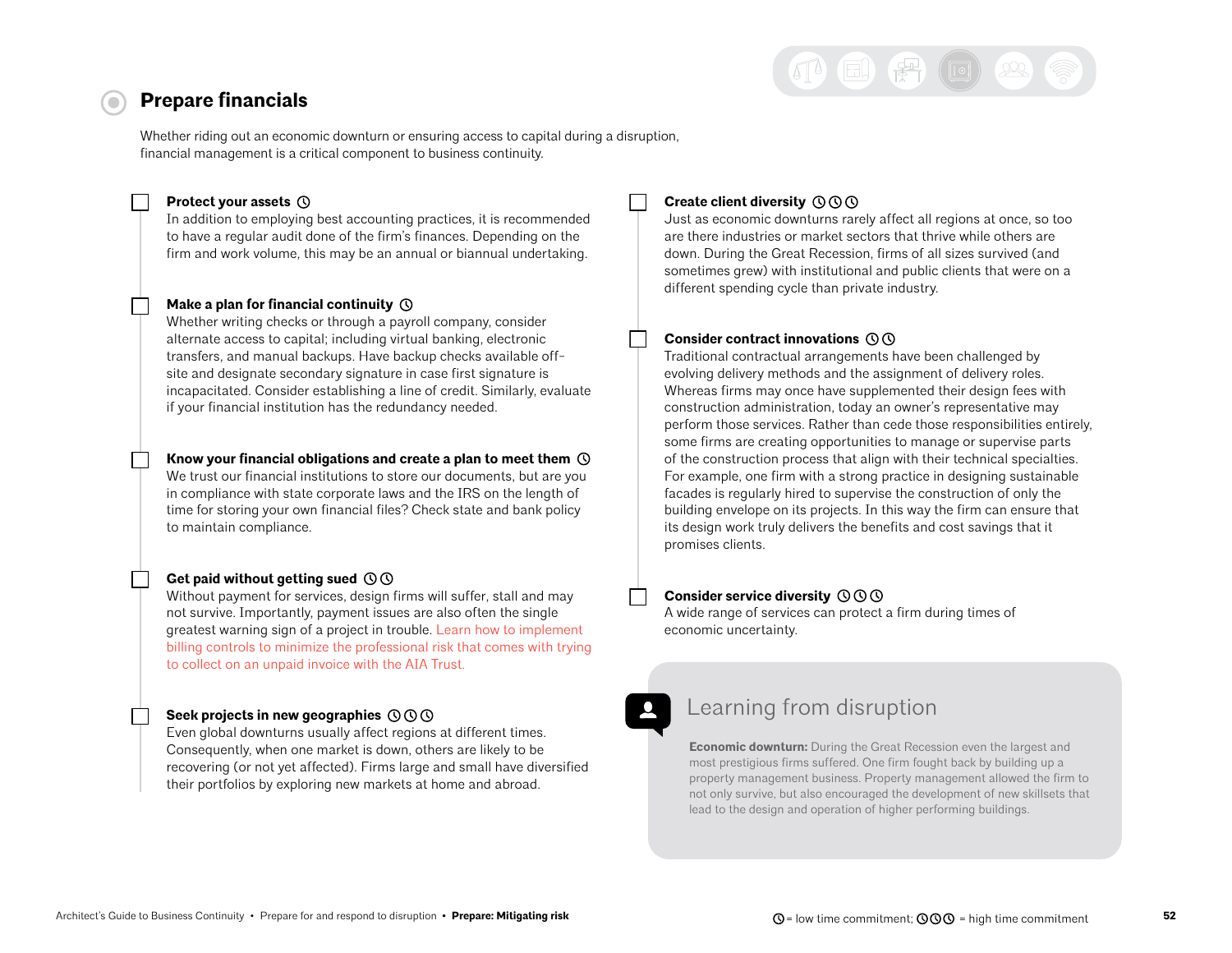## $\Xi$ )  $\left(\frac{\pi}{K}\right)$  (0)  $\Omega$

## <span id="page-51-0"></span>**Prepare financials**

Whether riding out an economic downturn or ensuring access to capital during a disruption, financial management is a critical component to business continuity.

#### **Protect your assets**

In addition to employing best accounting practices, it is recommended to have a regular audit done of the firm's finances. Depending on the firm and work volume, this may be an annual or biannual undertaking.

#### **Make a plan for financial continuity**

Whether writing checks or through a payroll company, consider alternate access to capital; including virtual banking, electronic transfers, and manual backups. Have backup checks available offsite and designate secondary signature in case first signature is incapacitated. Consider establishing a line of credit. Similarly, evaluate if your financial institution has the redundancy needed.

#### **Know your financial obligations and create a plan to meet them**

We trust our financial institutions to store our documents, but are you in compliance with state corporate laws and the IRS on the length of time for storing your own financial files? Check state and bank policy to maintain compliance.

#### **Get paid without getting sued**

Without payment for services, design firms will suffer, stall and may not survive. Importantly, payment issues are also often the single greatest warning sign of a project in trouble. [Learn how to implement](https://www.theaiatrust.com/preserving-cash-flow/)  [billing controls to minimize the professional risk that comes with trying](https://www.theaiatrust.com/preserving-cash-flow/)  [to collect on an unpaid invoice with the AIA Trust.](https://www.theaiatrust.com/preserving-cash-flow/)

#### **Seek projects in new geographies**

Even global downturns usually affect regions at different times. Consequently, when one market is down, others are likely to be recovering (or not yet affected). Firms large and small have diversified their portfolios by exploring new markets at home and abroad.

#### **Create client diversity**

Just as economic downturns rarely affect all regions at once, so too are there industries or market sectors that thrive while others are down. During the Great Recession, firms of all sizes survived (and sometimes grew) with institutional and public clients that were on a different spending cycle than private industry.

#### **Consider contract innovations**

Traditional contractual arrangements have been challenged by evolving delivery methods and the assignment of delivery roles. Whereas firms may once have supplemented their design fees with construction administration, today an owner's representative may perform those services. Rather than cede those responsibilities entirely, some firms are creating opportunities to manage or supervise parts of the construction process that align with their technical specialties. For example, one firm with a strong practice in designing sustainable facades is regularly hired to supervise the construction of only the building envelope on its projects. In this way the firm can ensure that its design work truly delivers the benefits and cost savings that it promises clients.

#### **Consider service diversity**

A wide range of services can protect a firm during times of economic uncertainty.

## Learning from disruption

**Economic downturn:** During the Great Recession even the largest and most prestigious firms suffered. One firm fought back by building up a property management business. Property management allowed the firm to not only survive, but also encouraged the development of new skillsets that lead to the design and operation of higher performing buildings.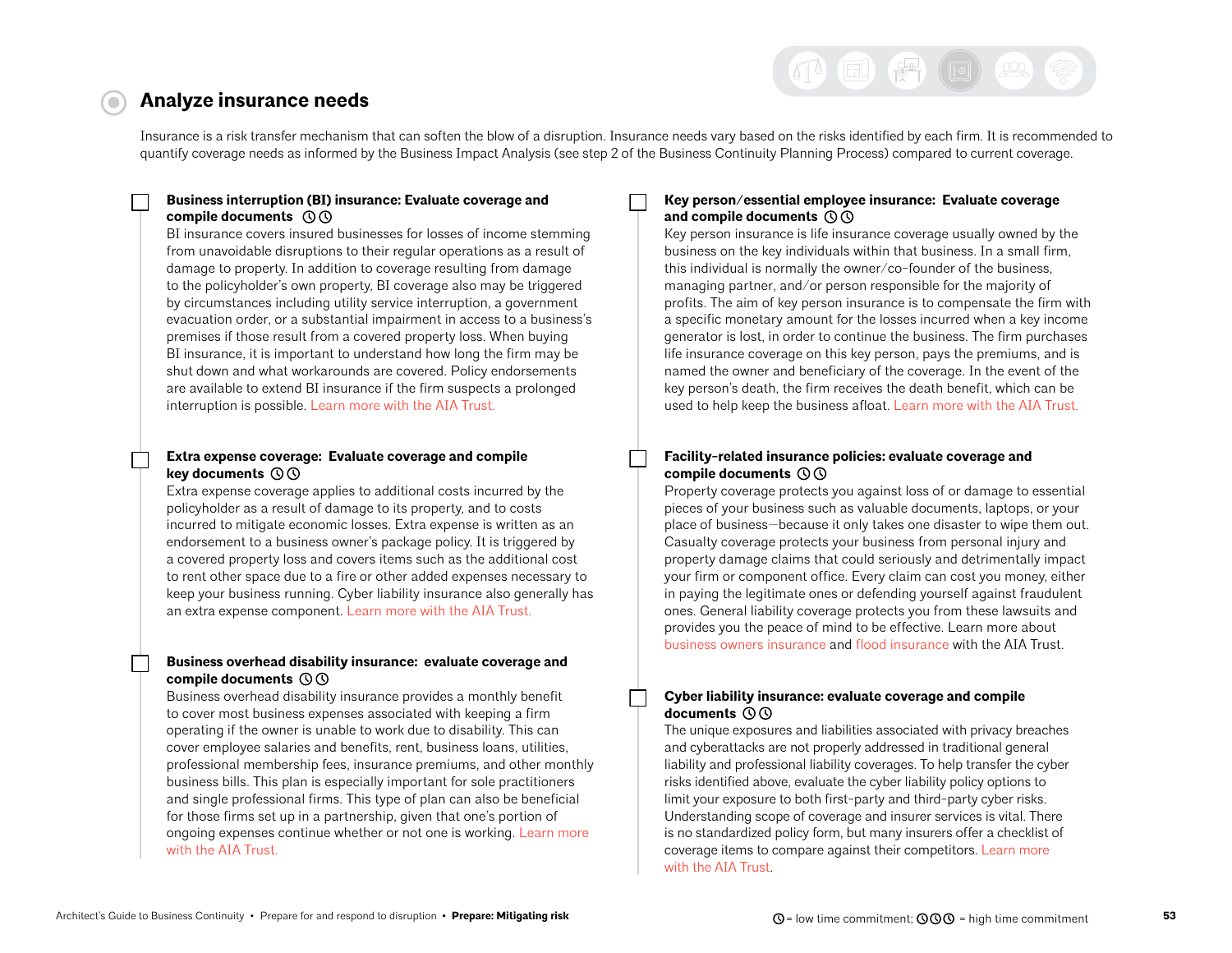# $\text{E}$   $\text{F}$   $\text{E}$   $\text{E}$

## <span id="page-52-0"></span>**Analyze insurance needs**

Insurance is a risk transfer mechanism that can soften the blow of a disruption. Insurance needs vary based on the risks identified by each firm. It is recommended to quantify coverage needs as informed by the Business Impact Analysis (see step 2 of the Business Continuity Planning Process) compared to current coverage.

### **Business interruption (BI) insurance: Evaluate coverage and compile documents**

BI insurance covers insured businesses for losses of income stemming from unavoidable disruptions to their regular operations as a result of damage to property. In addition to coverage resulting from damage to the policyholder's own property, BI coverage also may be triggered by circumstances including utility service interruption, a government evacuation order, or a substantial impairment in access to a business's premises if those result from a covered property loss. When buying BI insurance, it is important to understand how long the firm may be shut down and what workarounds are covered. Policy endorsements are available to extend BI insurance if the firm suspects a prolonged interruption is possible. [Learn more with the AIA Trust.](https://www.theaiatrust.com/architects-guide-flood-insurance/)

#### **Extra expense coverage: Evaluate coverage and compile key documents**

Extra expense coverage applies to additional costs incurred by the policyholder as a result of damage to its property, and to costs incurred to mitigate economic losses. Extra expense is written as an endorsement to a business owner's package policy. It is triggered by a covered property loss and covers items such as the additional cost to rent other space due to a fire or other added expenses necessary to keep your business running. Cyber liability insurance also generally has an extra expense component. [Learn more with the AIA Trust.](https://www.theaiatrust.com/business-owners-insurance/) 

### **Business overhead disability insurance: evaluate coverage and compile documents**

Business overhead disability insurance provides a monthly benefit to cover most business expenses associated with keeping a firm operating if the owner is unable to work due to disability. This can cover employee salaries and benefits, rent, business loans, utilities, professional membership fees, insurance premiums, and other monthly business bills. This plan is especially important for sole practitioners and single professional firms. This type of plan can also be beneficial for those firms set up in a partnership, given that one's portion of ongoing expenses continue whether or not one is working. [Learn more](https://www.theaiatrust.com/disability-insurance-individual-firm/group-business-overhead-disability-insurance-plan-2/)  [with the AIA Trust.](https://www.theaiatrust.com/disability-insurance-individual-firm/group-business-overhead-disability-insurance-plan-2/) 

### **Key person/essential employee insurance: Evaluate coverage and compile documents**

Key person insurance is life insurance coverage usually owned by the business on the key individuals within that business. In a small firm, this individual is normally the owner/co-founder of the business, managing partner, and/or person responsible for the majority of profits. The aim of key person insurance is to compensate the firm with a specific monetary amount for the losses incurred when a key income generator is lost, in order to continue the business. The firm purchases life insurance coverage on this key person, pays the premiums, and is named the owner and beneficiary of the coverage. In the event of the key person's death, the firm receives the death benefit, which can be used to help keep the business afloat. [Learn more with the AIA Trust.](https://www.theaiatrust.com/term-life-insurance/key-person-term-life-insurance/)

### **Facility-related insurance policies: evaluate coverage and compile documents**

Property coverage protects you against loss of or damage to essential pieces of your business such as valuable documents, laptops, or your place of business—because it only takes one disaster to wipe them out. Casualty coverage protects your business from personal injury and property damage claims that could seriously and detrimentally impact your firm or component office. Every claim can cost you money, either in paying the legitimate ones or defending yourself against fraudulent ones. General liability coverage protects you from these lawsuits and provides you the peace of mind to be effective. Learn more about [business owners insurance](https://www.theaiatrust.com/business-owners-insurance/) and [flood insurance](https://www.theaiatrust.com/architects-guide-flood-insurance/) with the AIA Trust.

#### **Cyber liability insurance: evaluate coverage and compile documents**

The unique exposures and liabilities associated with privacy breaches and cyberattacks are not properly addressed in traditional general liability and professional liability coverages. To help transfer the cyber risks identified above, evaluate the cyber liability policy options to limit your exposure to both first-party and third-party cyber risks. Understanding scope of coverage and insurer services is vital. There is no standardized policy form, but many insurers offer a checklist of coverage items to compare against their competitors. [Learn more](https://www.theaiatrust.com/cyber-liability-insurance/)  [with the AIA Trust.](https://www.theaiatrust.com/cyber-liability-insurance/)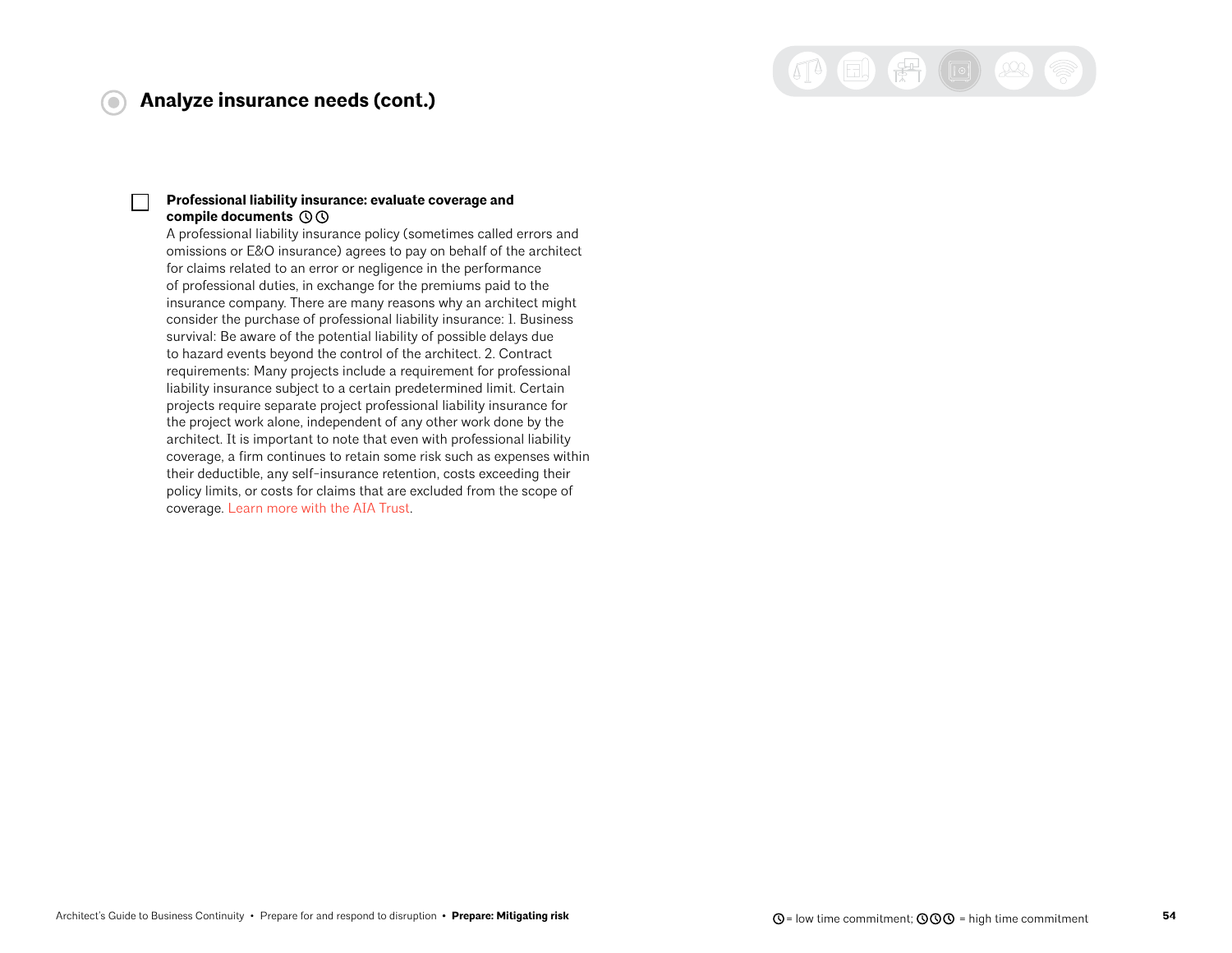### **Analyze insurance needs (cont.)**

 $\overline{\text{O}}$ 

# 14日第回 22

#### **Professional liability insurance: evaluate coverage and compile documents**

A professional liability insurance policy (sometimes called errors and omissions or E&O insurance) agrees to pay on behalf of the architect for claims related to an error or negligence in the performance of professional duties, in exchange for the premiums paid to the insurance company. There are many reasons why an architect might consider the purchase of professional liability insurance: 1. Business survival: Be aware of the potential liability of possible delays due to hazard events beyond the control of the architect. 2. Contract requirements: Many projects include a requirement for professional liability insurance subject to a certain predetermined limit. Certain projects require separate project professional liability insurance for the project work alone, independent of any other work done by the architect. It is important to note that even with professional liability coverage, a firm continues to retain some risk such as expenses within their deductible, any self-insurance retention, costs exceeding their policy limits, or costs for claims that are excluded from the scope of coverage. [Learn more with the AIA Trust](https://www.theaiatrust.com/pli-database/tips-for-buying-insurance/).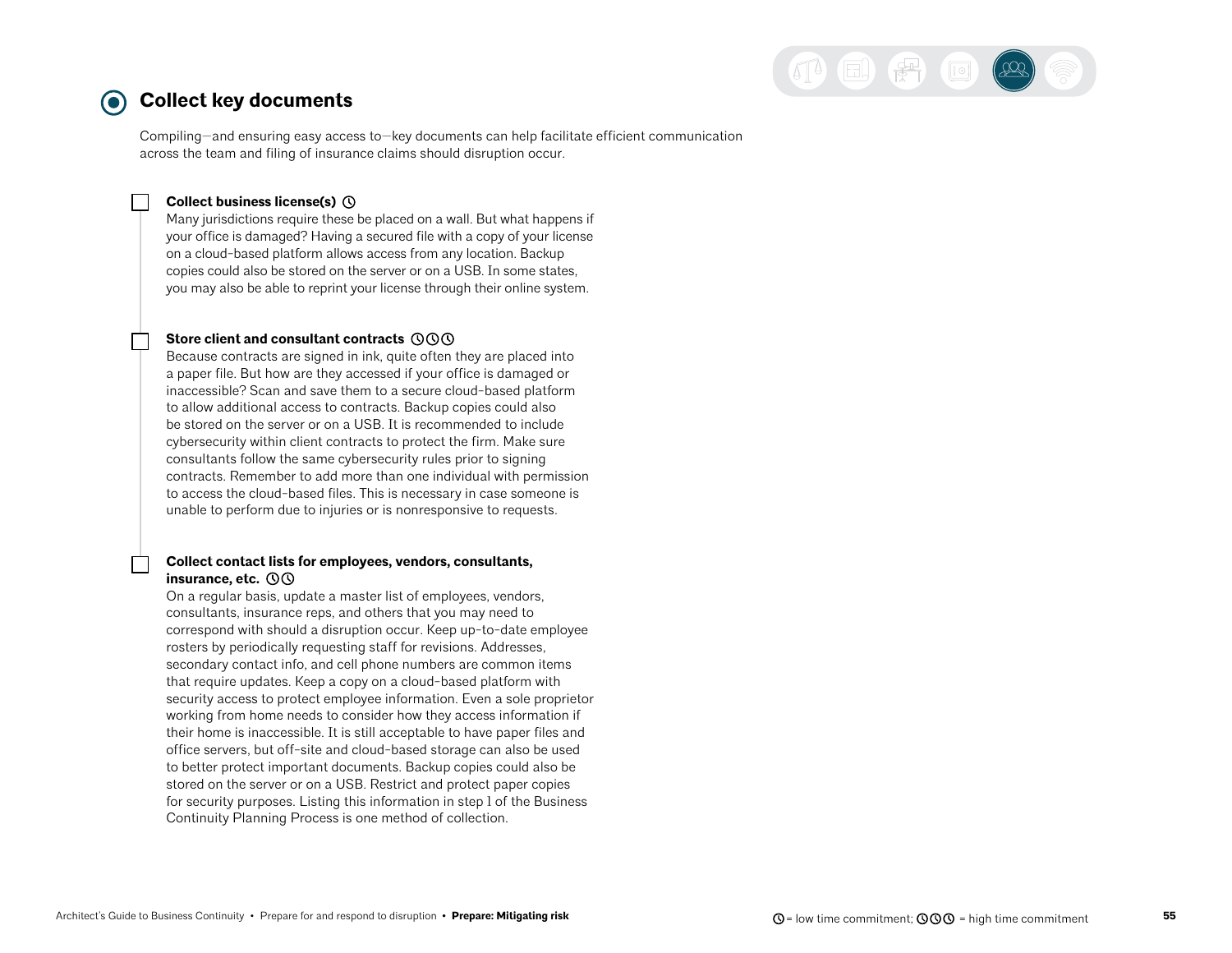

#### <span id="page-54-0"></span>**Collect key documents**  0)

Compiling—and ensuring easy access to—key documents can help facilitate efficient communication across the team and filing of insurance claims should disruption occur.

#### **Collect business license(s)**

Many jurisdictions require these be placed on a wall. But what happens if your office is damaged? Having a secured file with a copy of your license on a cloud-based platform allows access from any location. Backup copies could also be stored on the server or on a USB. In some states, you may also be able to reprint your license through their online system.

#### **Store client and consultant contracts**

Because contracts are signed in ink, quite often they are placed into a paper file. But how are they accessed if your office is damaged or inaccessible? Scan and save them to a secure cloud-based platform to allow additional access to contracts. Backup copies could also be stored on the server or on a USB. It is recommended to include cybersecurity within client contracts to protect the firm. Make sure consultants follow the same cybersecurity rules prior to signing contracts. Remember to add more than one individual with permission to access the cloud-based files. This is necessary in case someone is unable to perform due to injuries or is nonresponsive to requests.

#### **Collect contact lists for employees, vendors, consultants, insurance, etc.**

On a regular basis, update a master list of employees, vendors, consultants, insurance reps, and others that you may need to correspond with should a disruption occur. Keep up-to-date employee rosters by periodically requesting staff for revisions. Addresses, secondary contact info, and cell phone numbers are common items that require updates. Keep a copy on a cloud-based platform with security access to protect employee information. Even a sole proprietor working from home needs to consider how they access information if their home is inaccessible. It is still acceptable to have paper files and office servers, but off-site and cloud-based storage can also be used to better protect important documents. Backup copies could also be stored on the server or on a USB. Restrict and protect paper copies for security purposes. Listing this information in step 1 of the Business Continuity Planning Process is one method of collection.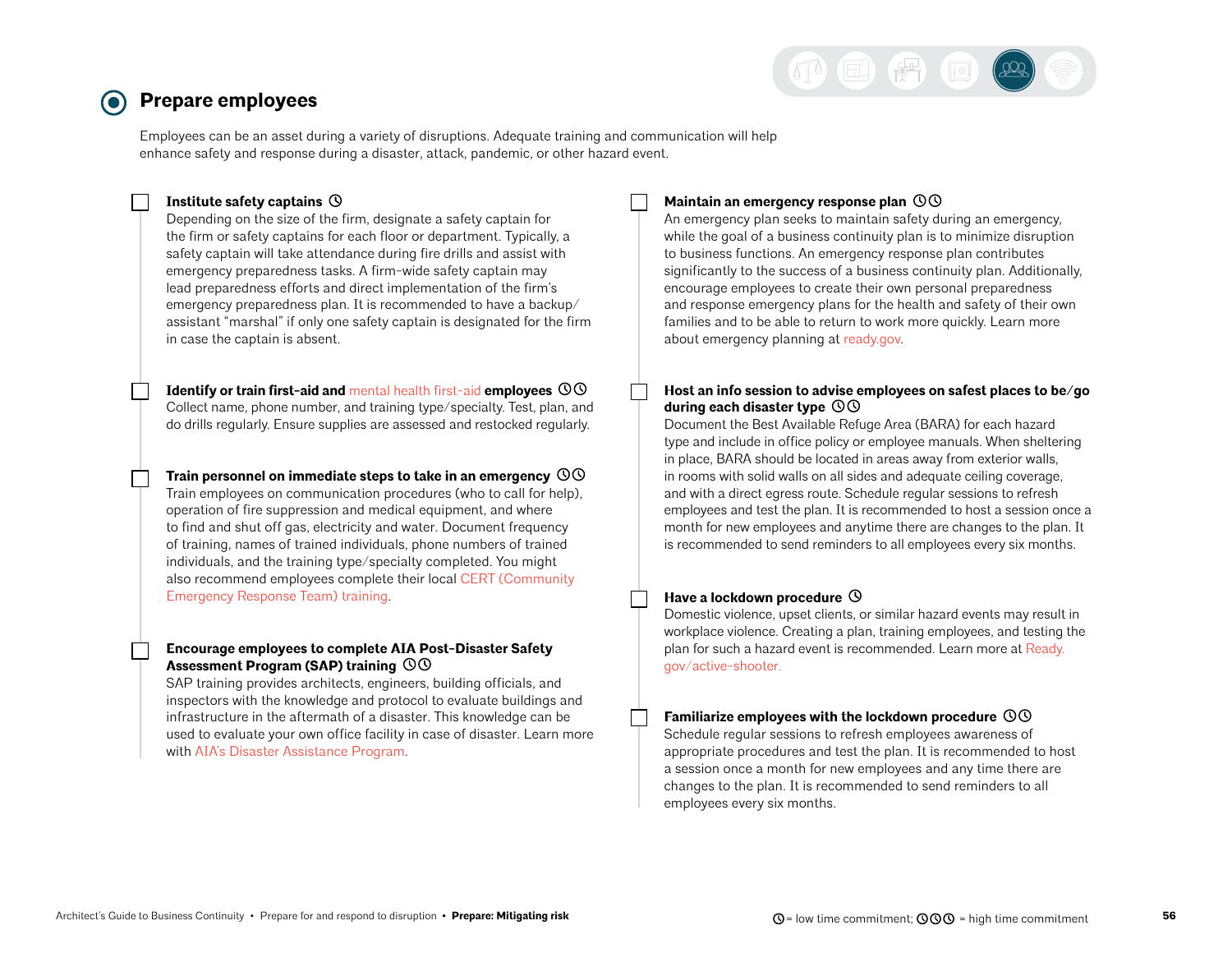

## <span id="page-55-0"></span>**Prepare employees**

Employees can be an asset during a variety of disruptions. Adequate training and communication will help enhance safety and response during a disaster, attack, pandemic, or other hazard event.

#### **Institute safety captains**

Depending on the size of the firm, designate a safety captain for the firm or safety captains for each floor or department. Typically, a safety captain will take attendance during fire drills and assist with emergency preparedness tasks. A firm-wide safety captain may lead preparedness efforts and direct implementation of the firm's emergency preparedness plan. It is recommended to have a backup/ assistant "marshal" if only one safety captain is designated for the firm in case the captain is absent.

**Identify or train first-aid and** [mental health first-aid](https://www.mentalhealthfirstaid.org/) **employees**  Collect name, phone number, and training type/specialty. Test, plan, and do drills regularly. Ensure supplies are assessed and restocked regularly.

**Train personnel on immediate steps to take in an emergency**  Train employees on communication procedures (who to call for help), operation of fire suppression and medical equipment, and where to find and shut off gas, electricity and water. Document frequency of training, names of trained individuals, phone numbers of trained individuals, and the training type/specialty completed. You might also recommend employees complete their local [CERT \(Community](https://www.ready.gov/cert)  [Emergency Response Team\) training](https://www.ready.gov/cert).

#### **Encourage employees to complete AIA Post-Disaster Safety Assessment Program (SAP) training**

SAP training provides architects, engineers, building officials, and inspectors with the knowledge and protocol to evaluate buildings and infrastructure in the aftermath of a disaster. This knowledge can be used to evaluate your own office facility in case of disaster. Learn more with [AIA's Disaster Assistance Program](https://www.aia.org/resources/69766-disaster-assistance-program).

#### **Maintain an emergency response plan**

An emergency plan seeks to maintain safety during an emergency, while the goal of a business continuity plan is to minimize disruption to business functions. An emergency response plan contributes significantly to the success of a business continuity plan. Additionally, encourage employees to create their own personal preparedness and response emergency plans for the health and safety of their own families and to be able to return to work more quickly. Learn more about emergency planning at [ready.gov.](http://ready.gov)

#### **Host an info session to advise employees on safest places to be/go during each disaster type**

Document the Best Available Refuge Area (BARA) for each hazard type and include in office policy or employee manuals. When sheltering in place, BARA should be located in areas away from exterior walls, in rooms with solid walls on all sides and adequate ceiling coverage, and with a direct egress route. Schedule regular sessions to refresh employees and test the plan. It is recommended to host a session once a month for new employees and anytime there are changes to the plan. It is recommended to send reminders to all employees every six months.

#### Have a lockdown procedure  $\odot$

Domestic violence, upset clients, or similar hazard events may result in workplace violence. Creating a plan, training employees, and testing the plan for such a hazard event is recommended. Learn more at [Ready.](http://Ready.gov/active-shooter) [gov/active-shooter](http://Ready.gov/active-shooter).

#### **Familiarize employees with the lockdown procedure**

Schedule regular sessions to refresh employees awareness of appropriate procedures and test the plan. It is recommended to host a session once a month for new employees and any time there are changes to the plan. It is recommended to send reminders to all employees every six months.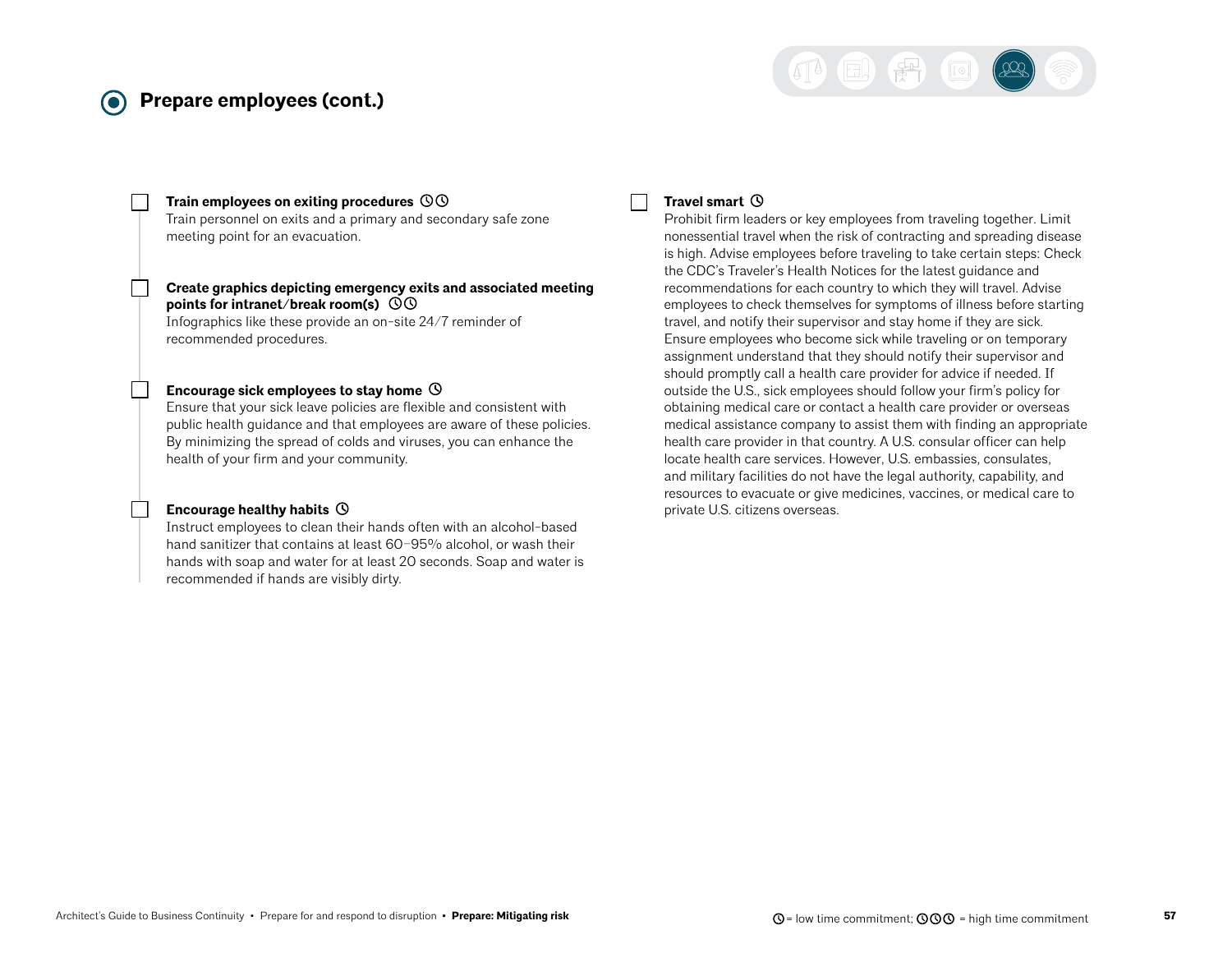## **Prepare employees (cont.)**



#### **Train employees on exiting procedures**

Train personnel on exits and a primary and secondary safe zone meeting point for an evacuation.

#### **Create graphics depicting emergency exits and associated meeting points for intranet/break room(s)**

Infographics like these provide an on-site 24/7 reminder of recommended procedures.

#### **Encourage sick employees to stay home**

Ensure that your sick leave policies are flexible and consistent with public health guidance and that employees are aware of these policies. By minimizing the spread of colds and viruses, you can enhance the health of your firm and your community.

#### **Encourage healthy habits**

Instruct employees to clean their hands often with an alcohol-based hand sanitizer that contains at least 60–95% alcohol, or wash their hands with soap and water for at least 20 seconds. Soap and water is recommended if hands are visibly dirty.

#### **Travel smart**

Prohibit firm leaders or key employees from traveling together. Limit nonessential travel when the risk of contracting and spreading disease is high. Advise employees before traveling to take certain steps: Check the CDC's Traveler's Health Notices for the latest guidance and recommendations for each country to which they will travel. Advise employees to check themselves for symptoms of illness before starting travel, and notify their supervisor and stay home if they are sick. Ensure employees who become sick while traveling or on temporary assignment understand that they should notify their supervisor and should promptly call a health care provider for advice if needed. If outside the U.S., sick employees should follow your firm's policy for obtaining medical care or contact a health care provider or overseas medical assistance company to assist them with finding an appropriate health care provider in that country. A U.S. consular officer can help locate health care services. However, U.S. embassies, consulates, and military facilities do not have the legal authority, capability, and resources to evacuate or give medicines, vaccines, or medical care to private U.S. citizens overseas.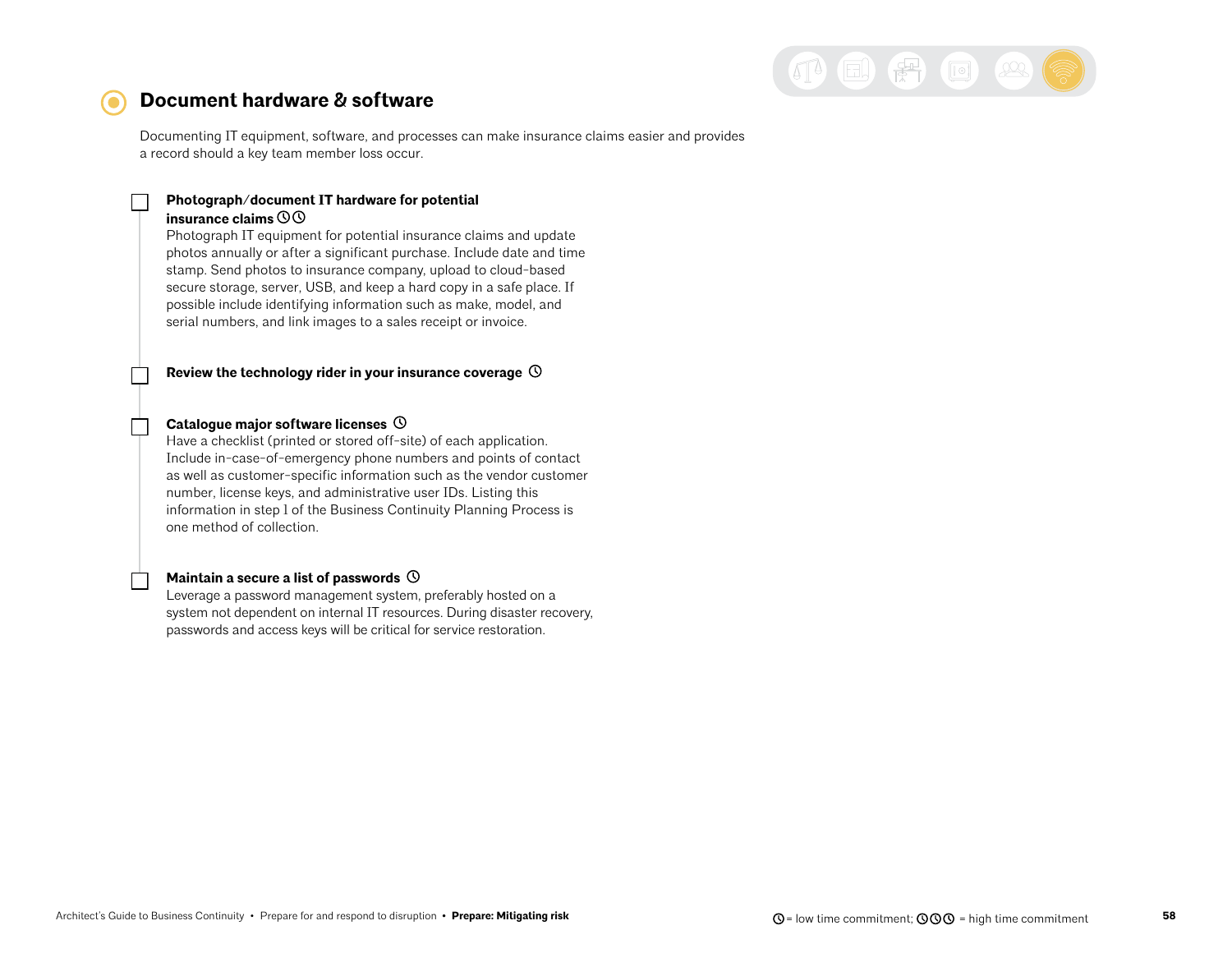

### <span id="page-57-0"></span>**Document hardware & software**

Documenting IT equipment, software, and processes can make insurance claims easier and provides a record should a key team member loss occur.

### **Photograph/document IT hardware for potential**

#### **insurance claims**

Photograph IT equipment for potential insurance claims and update photos annually or after a significant purchase. Include date and time stamp. Send photos to insurance company, upload to cloud-based secure storage, server, USB, and keep a hard copy in a safe place. If possible include identifying information such as make, model, and serial numbers, and link images to a sales receipt or invoice.

**Review the technology rider in your insurance coverage** 

#### **Catalogue major software licenses**

Have a checklist (printed or stored off-site) of each application. Include in-case-of-emergency phone numbers and points of contact as well as customer-specific information such as the vendor customer number, license keys, and administrative user IDs. Listing this information in step 1 of the Business Continuity Planning Process is one method of collection.

#### **Maintain a secure a list of passwords**

Leverage a password management system, preferably hosted on a system not dependent on internal IT resources. During disaster recovery, passwords and access keys will be critical for service restoration.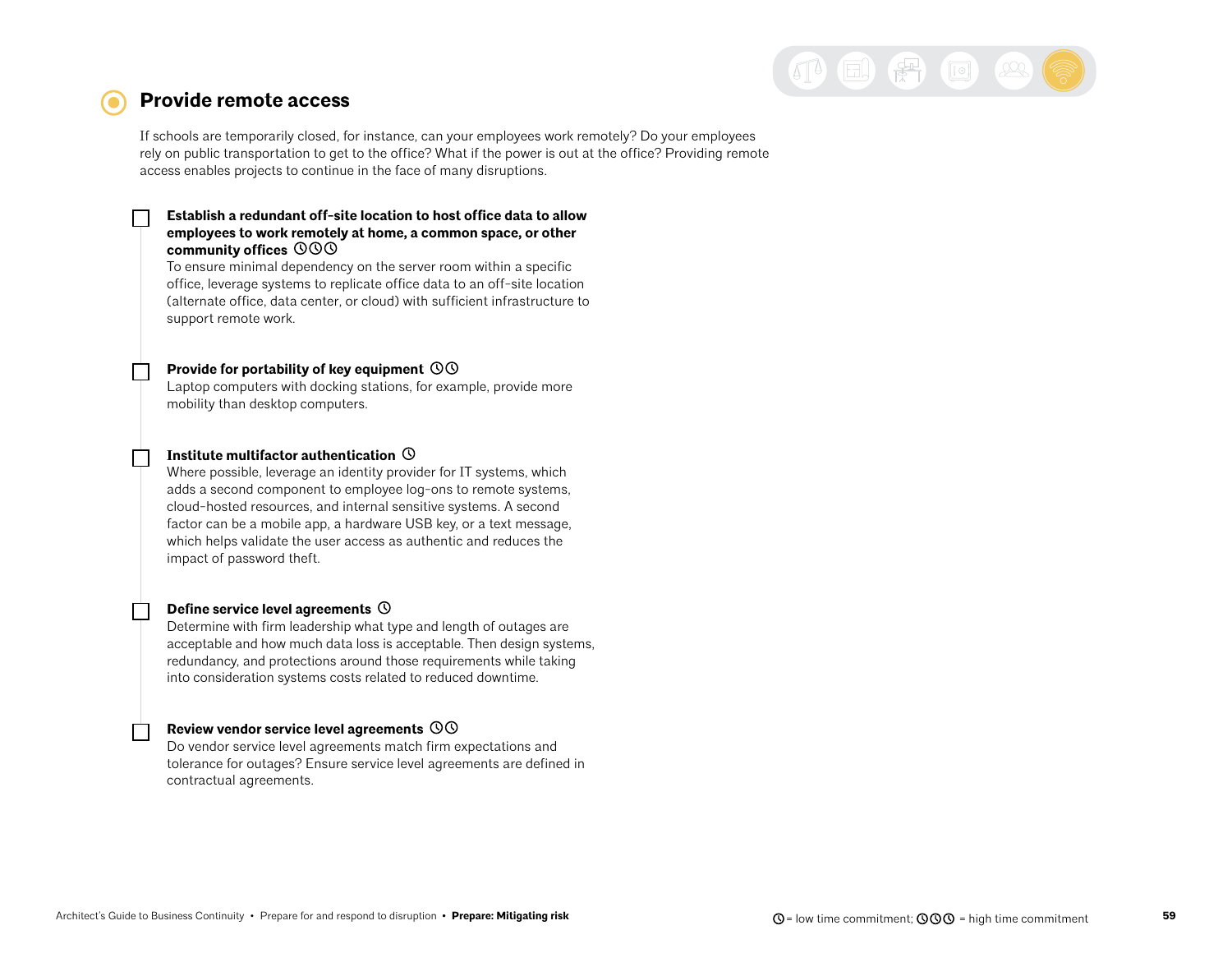

### <span id="page-58-0"></span>**Provide remote access**

If schools are temporarily closed, for instance, can your employees work remotely? Do your employees rely on public transportation to get to the office? What if the power is out at the office? Providing remote access enables projects to continue in the face of many disruptions.

#### **Establish a redundant off-site location to host office data to allow employees to work remotely at home, a common space, or other community offices**

To ensure minimal dependency on the server room within a specific office, leverage systems to replicate office data to an off-site location (alternate office, data center, or cloud) with sufficient infrastructure to support remote work.

#### **Provide for portability of key equipment**

Laptop computers with docking stations, for example, provide more mobility than desktop computers.

#### **Institute multifactor authentication**

Where possible, leverage an identity provider for IT systems, which adds a second component to employee log-ons to remote systems, cloud-hosted resources, and internal sensitive systems. A second factor can be a mobile app, a hardware USB key, or a text message, which helps validate the user access as authentic and reduces the impact of password theft.

#### **Define service level agreements**

Determine with firm leadership what type and length of outages are acceptable and how much data loss is acceptable. Then design systems, redundancy, and protections around those requirements while taking into consideration systems costs related to reduced downtime.

#### **Review vendor service level agreements**

Do vendor service level agreements match firm expectations and tolerance for outages? Ensure service level agreements are defined in contractual agreements.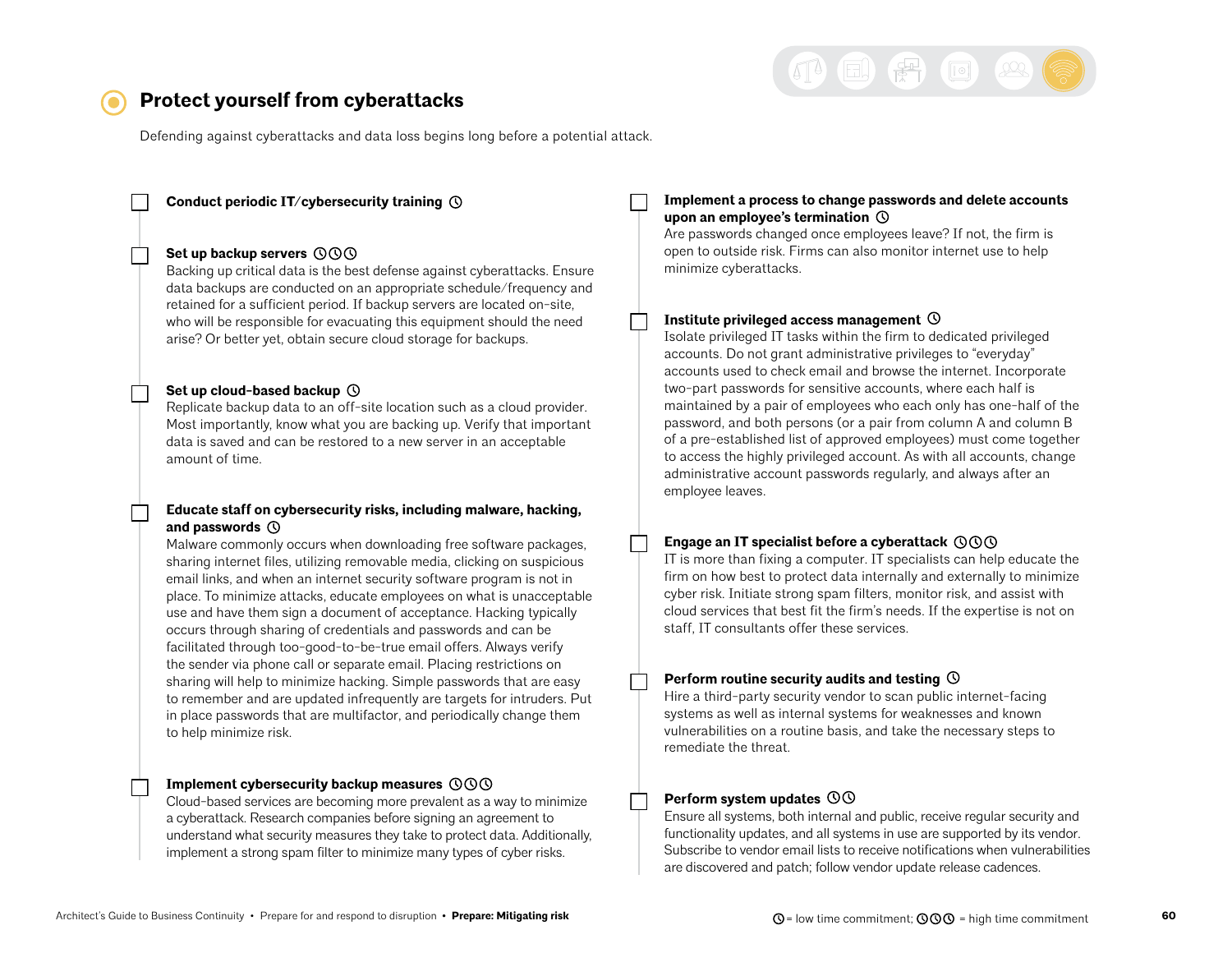

## <span id="page-59-0"></span>**Protect yourself from cyberattacks**

Defending against cyberattacks and data loss begins long before a potential attack.

#### **Conduct periodic IT/cybersecurity training**

#### **Set up backup servers**

Backing up critical data is the best defense against cyberattacks. Ensure data backups are conducted on an appropriate schedule/frequency and retained for a sufficient period. If backup servers are located on-site, who will be responsible for evacuating this equipment should the need arise? Or better yet, obtain secure cloud storage for backups.

#### **Set up cloud-based backup**

Replicate backup data to an off-site location such as a cloud provider. Most importantly, know what you are backing up. Verify that important data is saved and can be restored to a new server in an acceptable amount of time.

#### **Educate staff on cybersecurity risks, including malware, hacking, and passwords**

Malware commonly occurs when downloading free software packages, sharing internet files, utilizing removable media, clicking on suspicious email links, and when an internet security software program is not in place. To minimize attacks, educate employees on what is unacceptable use and have them sign a document of acceptance. Hacking typically occurs through sharing of credentials and passwords and can be facilitated through too-good-to-be-true email offers. Always verify the sender via phone call or separate email. Placing restrictions on sharing will help to minimize hacking. Simple passwords that are easy to remember and are updated infrequently are targets for intruders. Put in place passwords that are multifactor, and periodically change them to help minimize risk.

#### **Implement cybersecurity backup measures**

Cloud-based services are becoming more prevalent as a way to minimize a cyberattack. Research companies before signing an agreement to understand what security measures they take to protect data. Additionally, implement a strong spam filter to minimize many types of cyber risks.

#### **Implement a process to change passwords and delete accounts upon an employee's termination**

Are passwords changed once employees leave? If not, the firm is open to outside risk. Firms can also monitor internet use to help minimize cyberattacks.

#### **Institute privileged access management**

Isolate privileged IT tasks within the firm to dedicated privileged accounts. Do not grant administrative privileges to "everyday" accounts used to check email and browse the internet. Incorporate two-part passwords for sensitive accounts, where each half is maintained by a pair of employees who each only has one-half of the password, and both persons (or a pair from column A and column B of a pre-established list of approved employees) must come together to access the highly privileged account. As with all accounts, change administrative account passwords regularly, and always after an employee leaves.

#### **Engage an IT specialist before a cyberattack**

IT is more than fixing a computer. IT specialists can help educate the firm on how best to protect data internally and externally to minimize cyber risk. Initiate strong spam filters, monitor risk, and assist with cloud services that best fit the firm's needs. If the expertise is not on staff, IT consultants offer these services.

#### **Perform routine security audits and testing**

Hire a third-party security vendor to scan public internet-facing systems as well as internal systems for weaknesses and known vulnerabilities on a routine basis, and take the necessary steps to remediate the threat.

#### **Perform system updates**

Ensure all systems, both internal and public, receive regular security and functionality updates, and all systems in use are supported by its vendor. Subscribe to vendor email lists to receive notifications when vulnerabilities are discovered and patch; follow vendor update release cadences.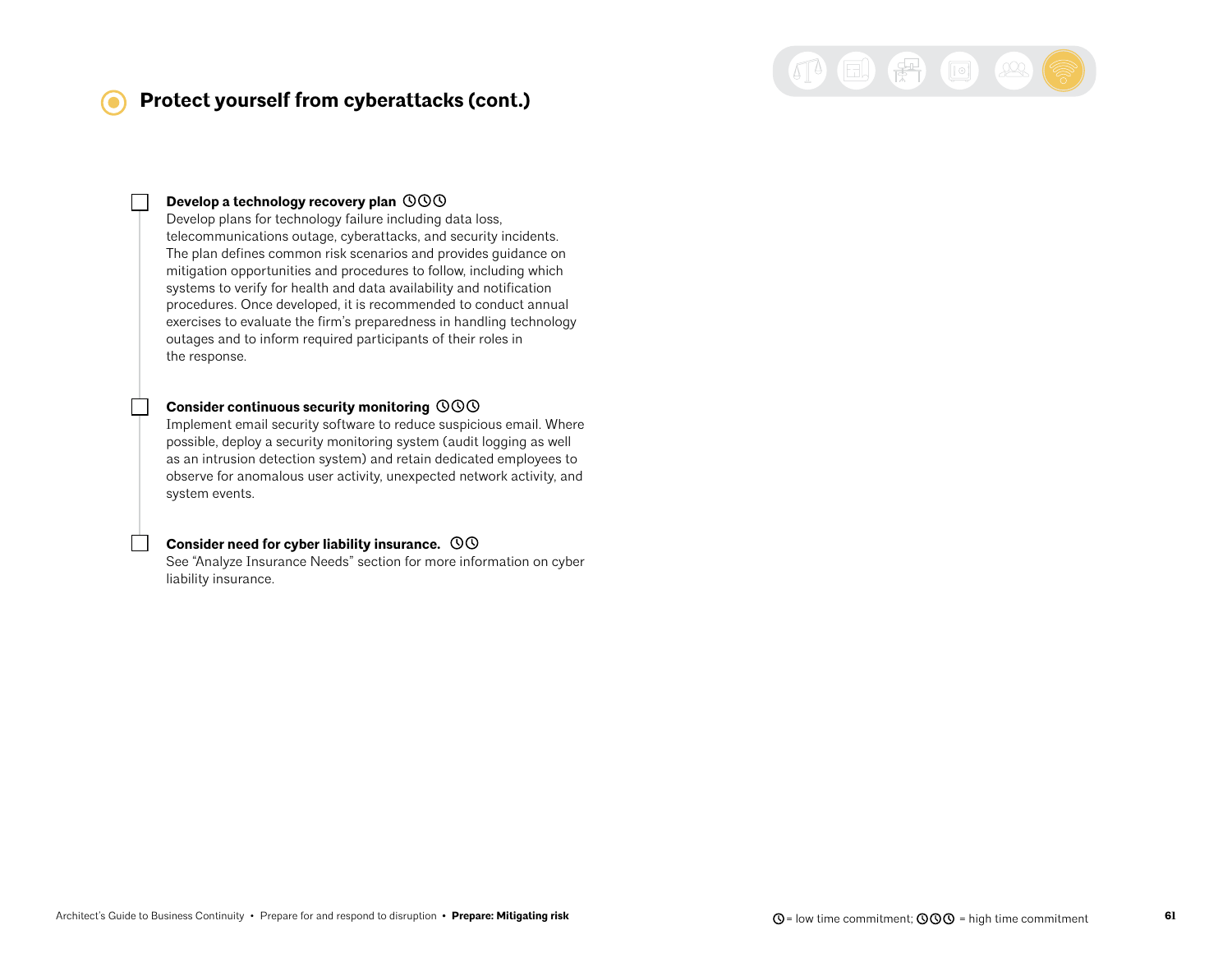## **Protect yourself from cyberattacks (cont.)**



#### **Develop a technology recovery plan**

Develop plans for technology failure including data loss, telecommunications outage, cyberattacks, and security incidents. The plan defines common risk scenarios and provides guidance on mitigation opportunities and procedures to follow, including which systems to verify for health and data availability and notification procedures. Once developed, it is recommended to conduct annual exercises to evaluate the firm's preparedness in handling technology outages and to inform required participants of their roles in the response.

#### **Consider continuous security monitoring**

Implement email security software to reduce suspicious email. Where possible, deploy a security monitoring system (audit logging as well as an intrusion detection system) and retain dedicated employees to observe for anomalous user activity, unexpected network activity, and system events.

#### **Consider need for cyber liability insurance.**

See "Analyze Insurance Needs" section for more information on cyber liability insurance.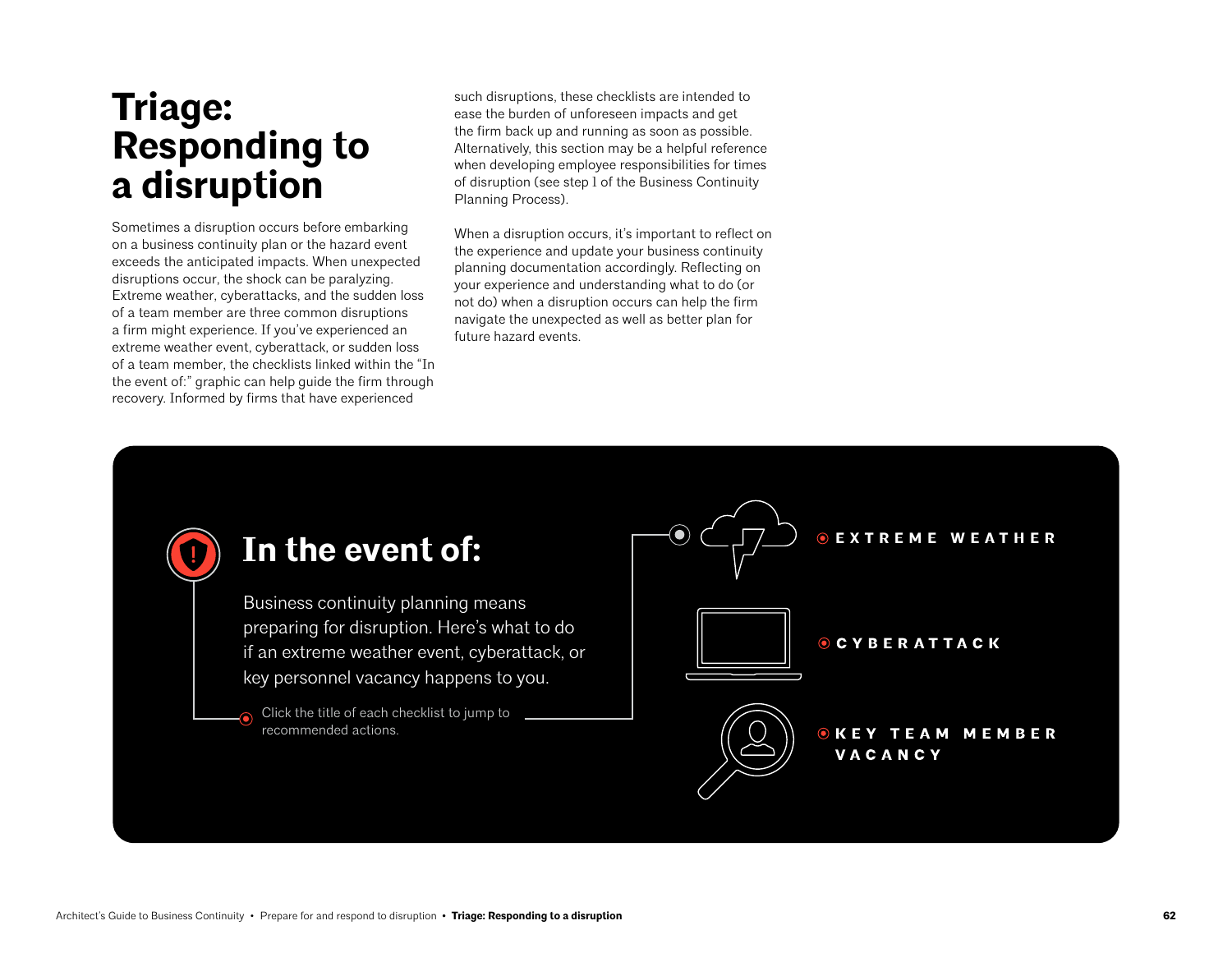## **Triage: Responding to a disruption**

Sometimes a disruption occurs before embarking on a business continuity plan or the hazard event exceeds the anticipated impacts. When unexpected disruptions occur, the shock can be paralyzing. Extreme weather, cyberattacks, and the sudden loss of a team member are three common disruptions a firm might experience. If you've experienced an extreme weather event, cyberattack, or sudden loss of a team member, the checklists linked within the "In the event of:" graphic can help guide the firm through recovery. Informed by firms that have experienced

such disruptions, these checklists are intended to ease the burden of unforeseen impacts and get the firm back up and running as soon as possible. Alternatively, this section may be a helpful reference when developing employee responsibilities for times of disruption (see step 1 of the Business Continuity Planning Process).

When a disruption occurs, it's important to reflect on the experience and update your business continuity planning documentation accordingly. Reflecting on your experience and understanding what to do (or not do) when a disruption occurs can help the firm navigate the unexpected as well as better plan for future hazard events.

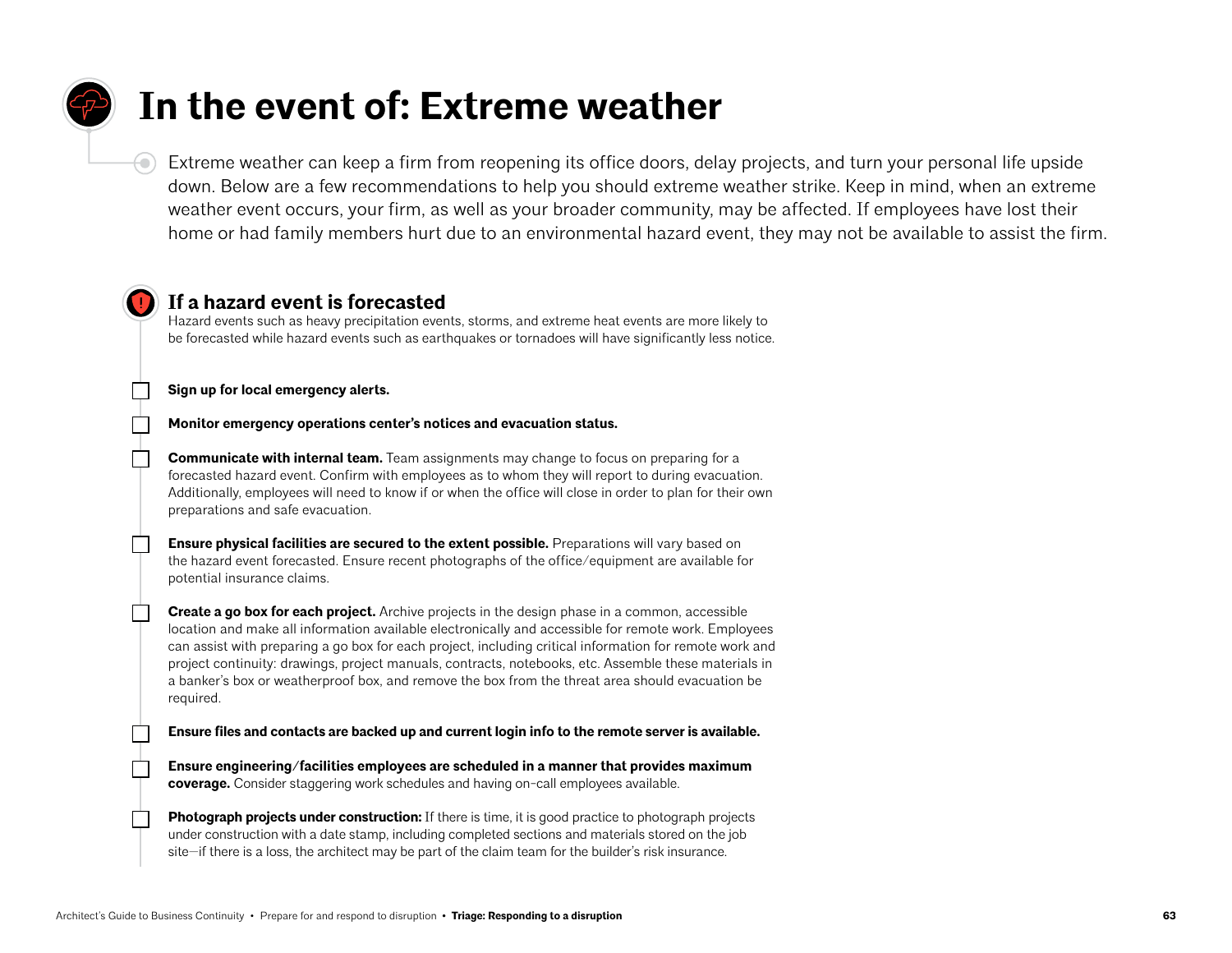## <span id="page-62-0"></span>**In the event of: Extreme weather**

Extreme weather can keep a firm from reopening its office doors, delay projects, and turn your personal life upside down. Below are a few recommendations to help you should extreme weather strike. Keep in mind, when an extreme weather event occurs, your firm, as well as your broader community, may be affected. If employees have lost their home or had family members hurt due to an environmental hazard event, they may not be available to assist the firm.

## **If a hazard event is forecasted**

Hazard events such as heavy precipitation events, storms, and extreme heat events are more likely to be forecasted while hazard events such as earthquakes or tornadoes will have significantly less notice.

**Sign up for local emergency alerts.** 

 $\Theta$ 

**Monitor emergency operations center's notices and evacuation status.**

**Communicate with internal team.** Team assignments may change to focus on preparing for a forecasted hazard event. Confirm with employees as to whom they will report to during evacuation. Additionally, employees will need to know if or when the office will close in order to plan for their own preparations and safe evacuation.

**Ensure physical facilities are secured to the extent possible.** Preparations will vary based on the hazard event forecasted. Ensure recent photographs of the office/equipment are available for potential insurance claims.

**Create a go box for each project.** Archive projects in the design phase in a common, accessible location and make all information available electronically and accessible for remote work. Employees can assist with preparing a go box for each project, including critical information for remote work and project continuity: drawings, project manuals, contracts, notebooks, etc. Assemble these materials in a banker's box or weatherproof box, and remove the box from the threat area should evacuation be required.

**Ensure files and contacts are backed up and current login info to the remote server is available.**

**Ensure engineering/facilities employees are scheduled in a manner that provides maximum coverage.** Consider staggering work schedules and having on-call employees available.

**Photograph projects under construction:** If there is time, it is good practice to photograph projects under construction with a date stamp, including completed sections and materials stored on the job site—if there is a loss, the architect may be part of the claim team for the builder's risk insurance.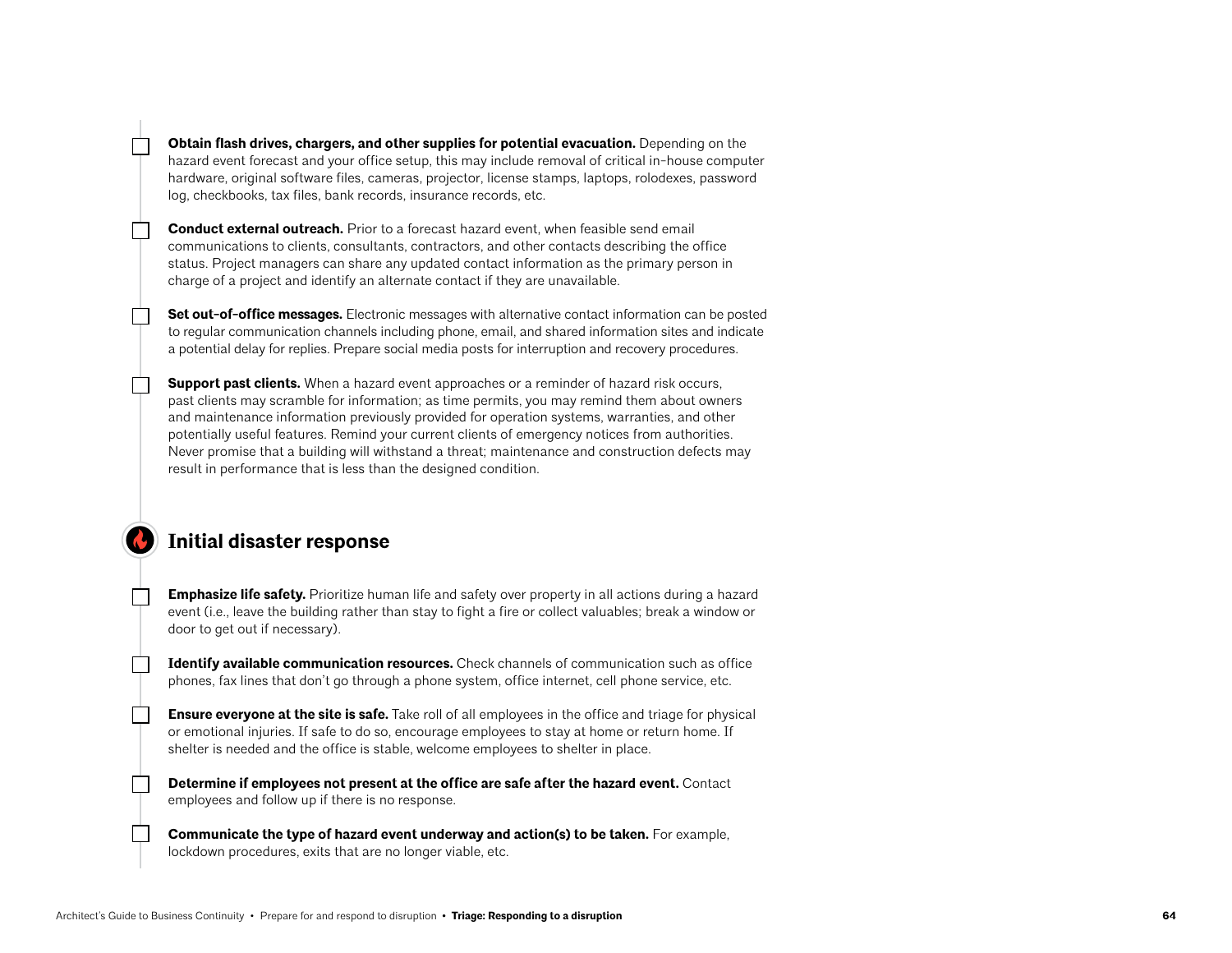**Obtain flash drives, chargers, and other supplies for potential evacuation.** Depending on the hazard event forecast and your office setup, this may include removal of critical in-house computer hardware, original software files, cameras, projector, license stamps, laptops, rolodexes, password log, checkbooks, tax files, bank records, insurance records, etc.

**Conduct external outreach.** Prior to a forecast hazard event, when feasible send email communications to clients, consultants, contractors, and other contacts describing the office status. Project managers can share any updated contact information as the primary person in charge of a project and identify an alternate contact if they are unavailable.

**Set out-of-office messages.** Electronic messages with alternative contact information can be posted to regular communication channels including phone, email, and shared information sites and indicate a potential delay for replies. Prepare social media posts for interruption and recovery procedures.

**Support past clients.** When a hazard event approaches or a reminder of hazard risk occurs, past clients may scramble for information; as time permits, you may remind them about owners and maintenance information previously provided for operation systems, warranties, and other potentially useful features. Remind your current clients of emergency notices from authorities. Never promise that a building will withstand a threat; maintenance and construction defects may result in performance that is less than the designed condition.

## **Initial disaster response**

**Emphasize life safety.** Prioritize human life and safety over property in all actions during a hazard event (i.e., leave the building rather than stay to fight a fire or collect valuables; break a window or door to get out if necessary).

**Identify available communication resources.** Check channels of communication such as office phones, fax lines that don't go through a phone system, office internet, cell phone service, etc.

**Ensure everyone at the site is safe.** Take roll of all employees in the office and triage for physical or emotional injuries. If safe to do so, encourage employees to stay at home or return home. If shelter is needed and the office is stable, welcome employees to shelter in place.

**Determine if employees not present at the office are safe after the hazard event.** Contact employees and follow up if there is no response.

**Communicate the type of hazard event underway and action(s) to be taken.** For example, lockdown procedures, exits that are no longer viable, etc.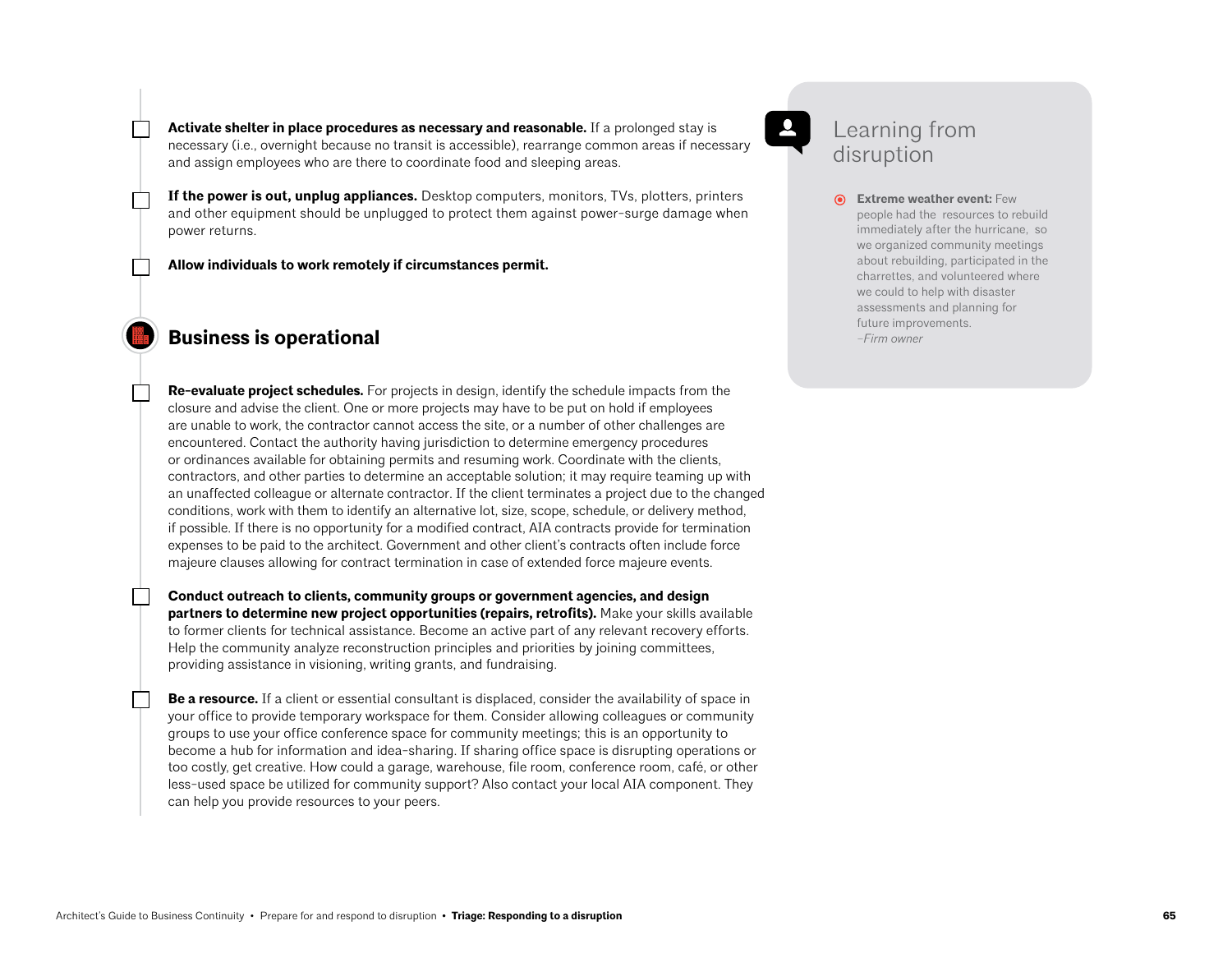**Activate shelter in place procedures as necessary and reasonable.** If a prolonged stay is necessary (i.e., overnight because no transit is accessible), rearrange common areas if necessary and assign employees who are there to coordinate food and sleeping areas.

**If the power is out, unplug appliances.** Desktop computers, monitors, TVs, plotters, printers and other equipment should be unplugged to protect them against power-surge damage when power returns.

**Allow individuals to work remotely if circumstances permit.** 

## **Business is operational**

**Re-evaluate project schedules.** For projects in design, identify the schedule impacts from the closure and advise the client. One or more projects may have to be put on hold if employees are unable to work, the contractor cannot access the site, or a number of other challenges are encountered. Contact the authority having jurisdiction to determine emergency procedures or ordinances available for obtaining permits and resuming work. Coordinate with the clients, contractors, and other parties to determine an acceptable solution; it may require teaming up with an unaffected colleague or alternate contractor. If the client terminates a project due to the changed conditions, work with them to identify an alternative lot, size, scope, schedule, or delivery method, if possible. If there is no opportunity for a modified contract, AIA contracts provide for termination expenses to be paid to the architect. Government and other client's contracts often include force majeure clauses allowing for contract termination in case of extended force majeure events.

**Conduct outreach to clients, community groups or government agencies, and design partners to determine new project opportunities (repairs, retrofits).** Make your skills available to former clients for technical assistance. Become an active part of any relevant recovery efforts. Help the community analyze reconstruction principles and priorities by joining committees, providing assistance in visioning, writing grants, and fundraising.

**Be a resource.** If a client or essential consultant is displaced, consider the availability of space in your office to provide temporary workspace for them. Consider allowing colleagues or community groups to use your office conference space for community meetings; this is an opportunity to become a hub for information and idea-sharing. If sharing office space is disrupting operations or too costly, get creative. How could a garage, warehouse, file room, conference room, café, or other less-used space be utilized for community support? Also contact your local AIA component. They can help you provide resources to your peers.

## Learning from disruption

**Extreme weather event:** Few people had the resources to rebuild immediately after the hurricane, so we organized community meetings about rebuilding, participated in the charrettes, and volunteered where we could to help with disaster assessments and planning for future improvements. *–Firm owner*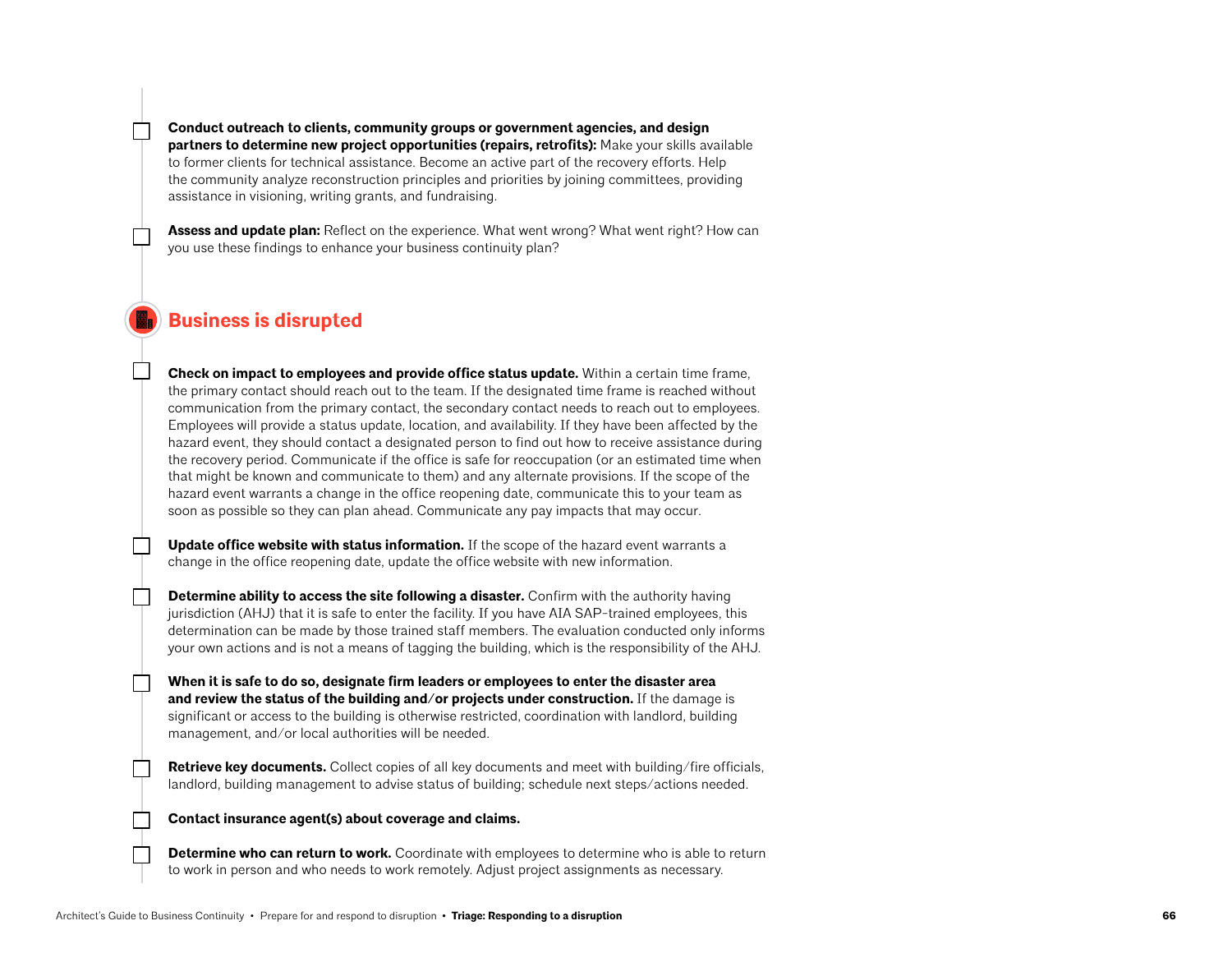**Conduct outreach to clients, community groups or government agencies, and design partners to determine new project opportunities (repairs, retrofits):** Make your skills available to former clients for technical assistance. Become an active part of the recovery efforts. Help the community analyze reconstruction principles and priorities by joining committees, providing assistance in visioning, writing grants, and fundraising.

**Assess and update plan:** Reflect on the experience. What went wrong? What went right? How can you use these findings to enhance your business continuity plan?

## **Business is disrupted**

**Check on impact to employees and provide office status update.** Within a certain time frame, the primary contact should reach out to the team. If the designated time frame is reached without communication from the primary contact, the secondary contact needs to reach out to employees. Employees will provide a status update, location, and availability. If they have been affected by the hazard event, they should contact a designated person to find out how to receive assistance during the recovery period. Communicate if the office is safe for reoccupation (or an estimated time when that might be known and communicate to them) and any alternate provisions. If the scope of the hazard event warrants a change in the office reopening date, communicate this to your team as soon as possible so they can plan ahead. Communicate any pay impacts that may occur.

**Update office website with status information.** If the scope of the hazard event warrants a change in the office reopening date, update the office website with new information.

**Determine ability to access the site following a disaster.** Confirm with the authority having jurisdiction (AHJ) that it is safe to enter the facility. If you have AIA SAP-trained employees, this determination can be made by those trained staff members. The evaluation conducted only informs your own actions and is not a means of tagging the building, which is the responsibility of the AHJ.

**When it is safe to do so, designate firm leaders or employees to enter the disaster area and review the status of the building and/or projects under construction.** If the damage is significant or access to the building is otherwise restricted, coordination with landlord, building management, and/or local authorities will be needed.

**Retrieve key documents.** Collect copies of all key documents and meet with building/fire officials, landlord, building management to advise status of building; schedule next steps/actions needed.

#### **Contact insurance agent(s) about coverage and claims.**

**Determine who can return to work.** Coordinate with employees to determine who is able to return to work in person and who needs to work remotely. Adjust project assignments as necessary.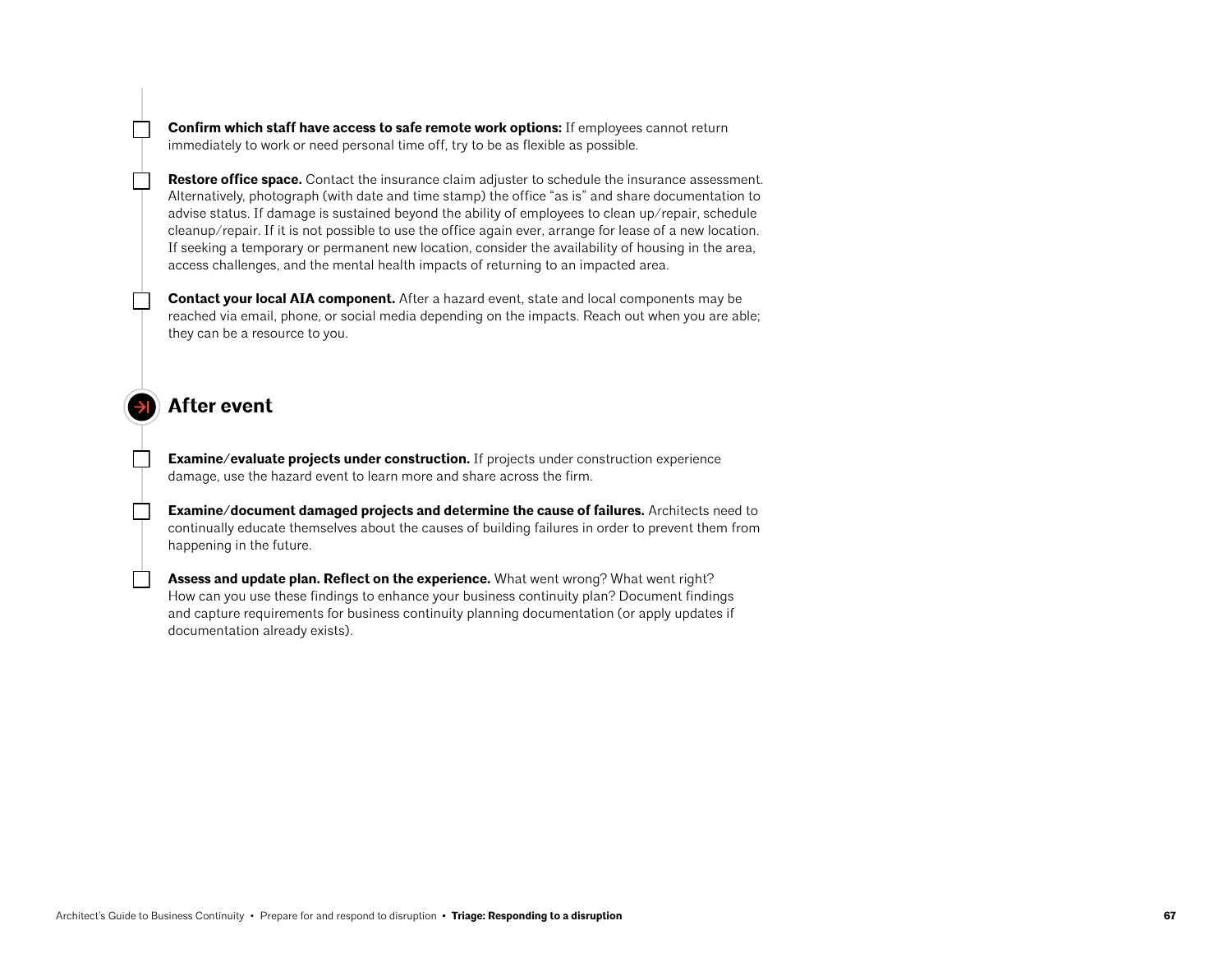**Confirm which staff have access to safe remote work options:** If employees cannot return immediately to work or need personal time off, try to be as flexible as possible.

**Restore office space.** Contact the insurance claim adjuster to schedule the insurance assessment. Alternatively, photograph (with date and time stamp) the office "as is" and share documentation to advise status. If damage is sustained beyond the ability of employees to clean up/repair, schedule cleanup/repair. If it is not possible to use the office again ever, arrange for lease of a new location. If seeking a temporary or permanent new location, consider the availability of housing in the area, access challenges, and the mental health impacts of returning to an impacted area.

**Contact your local AIA component.** After a hazard event, state and local components may be reached via email, phone, or social media depending on the impacts. Reach out when you are able; they can be a resource to you.

### **After event**

**Examine/evaluate projects under construction.** If projects under construction experience damage, use the hazard event to learn more and share across the firm.

**Examine/document damaged projects and determine the cause of failures.** Architects need to continually educate themselves about the causes of building failures in order to prevent them from happening in the future.

**Assess and update plan. Reflect on the experience.** What went wrong? What went right? How can you use these findings to enhance your business continuity plan? Document findings and capture requirements for business continuity planning documentation (or apply updates if documentation already exists).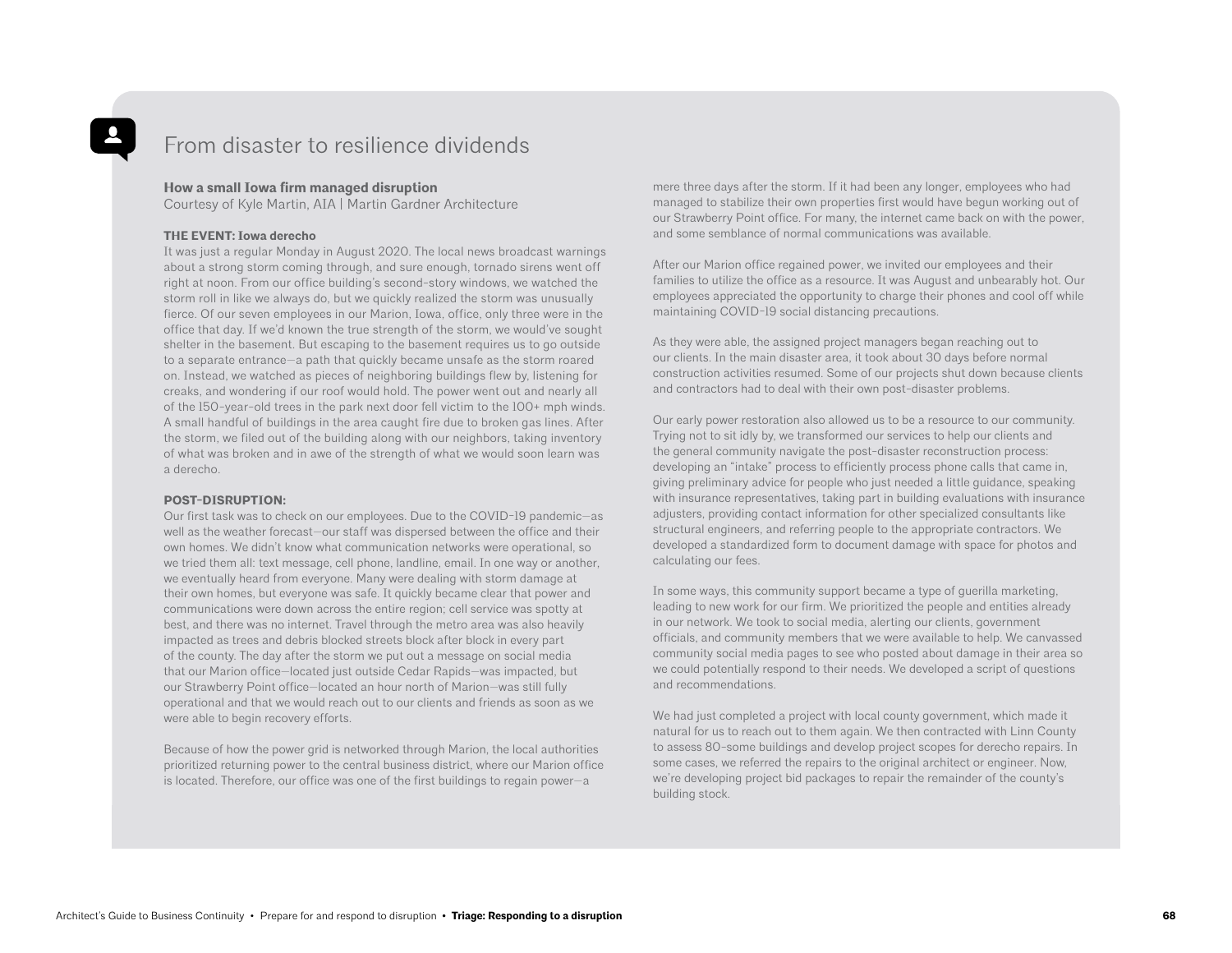## From disaster to resilience dividends

#### **How a small Iowa firm managed disruption**

Courtesy of Kyle Martin, AIA | Martin Gardner Architecture

#### **THE EVENT: Iowa derecho**

It was just a regular Monday in August 2020. The local news broadcast warnings about a strong storm coming through, and sure enough, tornado sirens went off right at noon. From our office building's second-story windows, we watched the storm roll in like we always do, but we quickly realized the storm was unusually fierce. Of our seven employees in our Marion, Iowa, office, only three were in the office that day. If we'd known the true strength of the storm, we would've sought shelter in the basement. But escaping to the basement requires us to go outside to a separate entrance—a path that quickly became unsafe as the storm roared on. Instead, we watched as pieces of neighboring buildings flew by, listening for creaks, and wondering if our roof would hold. The power went out and nearly all of the 150-year-old trees in the park next door fell victim to the 100+ mph winds. A small handful of buildings in the area caught fire due to broken gas lines. After the storm, we filed out of the building along with our neighbors, taking inventory of what was broken and in awe of the strength of what we would soon learn was a derecho.

#### **POST-DISRUPTION:**

Our first task was to check on our employees. Due to the COVID-19 pandemic—as well as the weather forecast—our staff was dispersed between the office and their own homes. We didn't know what communication networks were operational, so we tried them all: text message, cell phone, landline, email. In one way or another, we eventually heard from everyone. Many were dealing with storm damage at their own homes, but everyone was safe. It quickly became clear that power and communications were down across the entire region; cell service was spotty at best, and there was no internet. Travel through the metro area was also heavily impacted as trees and debris blocked streets block after block in every part of the county. The day after the storm we put out a message on social media that our Marion office—located just outside Cedar Rapids—was impacted, but our Strawberry Point office—located an hour north of Marion—was still fully operational and that we would reach out to our clients and friends as soon as we were able to begin recovery efforts.

Because of how the power grid is networked through Marion, the local authorities prioritized returning power to the central business district, where our Marion office is located. Therefore, our office was one of the first buildings to regain power—a

mere three days after the storm. If it had been any longer, employees who had managed to stabilize their own properties first would have begun working out of our Strawberry Point office. For many, the internet came back on with the power, and some semblance of normal communications was available.

After our Marion office regained power, we invited our employees and their families to utilize the office as a resource. It was August and unbearably hot. Our employees appreciated the opportunity to charge their phones and cool off while maintaining COVID-19 social distancing precautions.

As they were able, the assigned project managers began reaching out to our clients. In the main disaster area, it took about 30 days before normal construction activities resumed. Some of our projects shut down because clients and contractors had to deal with their own post-disaster problems.

Our early power restoration also allowed us to be a resource to our community. Trying not to sit idly by, we transformed our services to help our clients and the general community navigate the post-disaster reconstruction process: developing an "intake" process to efficiently process phone calls that came in, giving preliminary advice for people who just needed a little guidance, speaking with insurance representatives, taking part in building evaluations with insurance adjusters, providing contact information for other specialized consultants like structural engineers, and referring people to the appropriate contractors. We developed a standardized form to document damage with space for photos and calculating our fees.

In some ways, this community support became a type of guerilla marketing, leading to new work for our firm. We prioritized the people and entities already in our network. We took to social media, alerting our clients, government officials, and community members that we were available to help. We canvassed community social media pages to see who posted about damage in their area so we could potentially respond to their needs. We developed a script of questions and recommendations.

We had just completed a project with local county government, which made it natural for us to reach out to them again. We then contracted with Linn County to assess 80-some buildings and develop project scopes for derecho repairs. In some cases, we referred the repairs to the original architect or engineer. Now, we're developing project bid packages to repair the remainder of the county's building stock.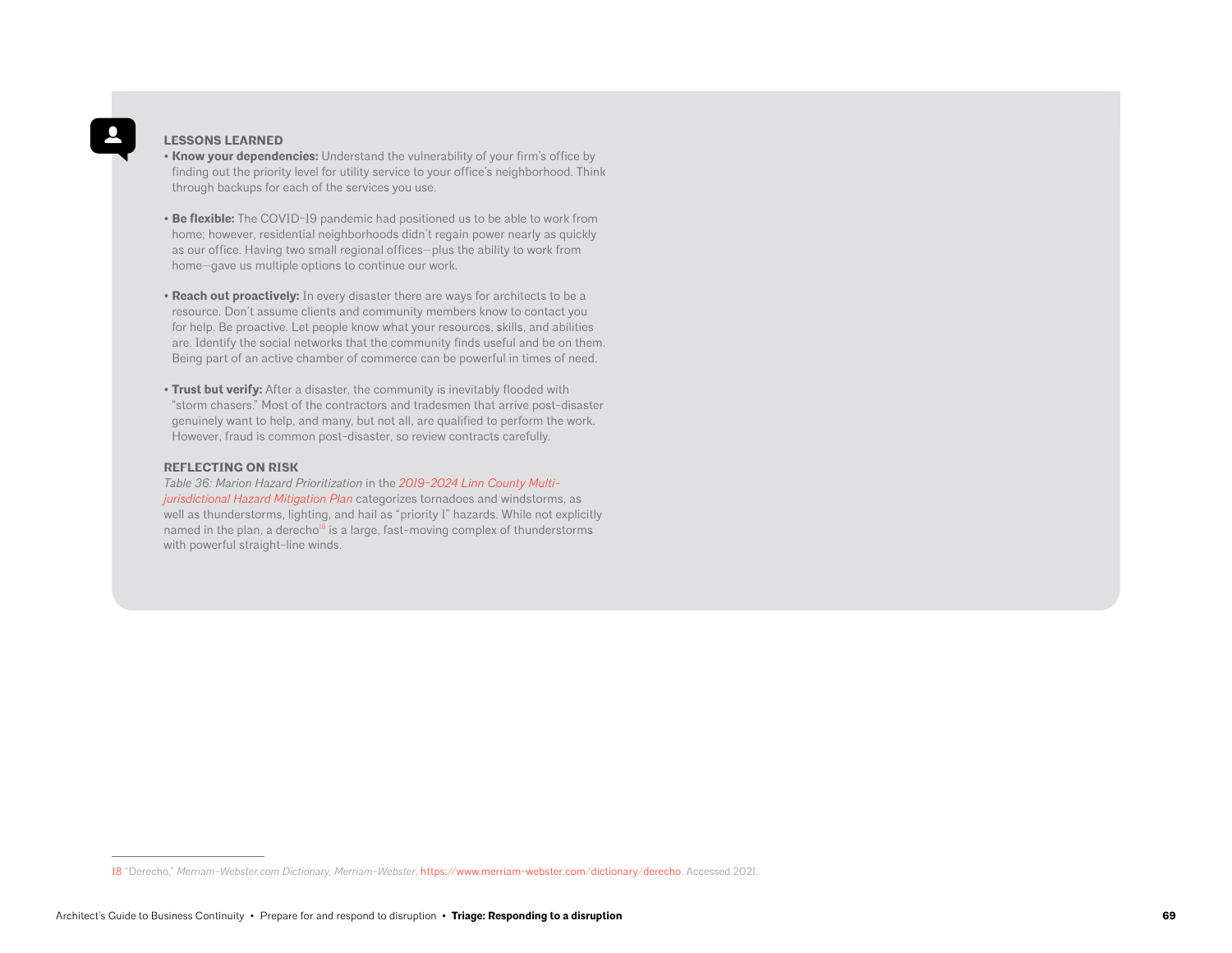#### **LESSONS LEARNED**

- **Know your dependencies:** Understand the vulnerability of your firm's office by finding out the priority level for utility service to your office's neighborhood. Think through backups for each of the services you use.
- **Be flexible:** The COVID-19 pandemic had positioned us to be able to work from home; however, residential neighborhoods didn't regain power nearly as quickly as our office. Having two small regional offices—plus the ability to work from home—gave us multiple options to continue our work.
- **Reach out proactively:** In every disaster there are ways for architects to be a resource. Don't assume clients and community members know to contact you for help. Be proactive. Let people know what your resources, skills, and abilities are. Identify the social networks that the community finds useful and be on them. Being part of an active chamber of commerce can be powerful in times of need.
- **Trust but verify:** After a disaster, the community is inevitably flooded with "storm chasers." Most of the contractors and tradesmen that arrive post-disaster genuinely want to help, and many, but not all, are qualified to perform the work. However, fraud is common post-disaster, so review contracts carefully.

#### **REFLECTING ON RISK**

*Table 36: Marion Hazard Prioritization* in the *[2019-2024 Linn County Multi](http://www.ecicog.org/uploads/2/6/9/0/26907680/linn_county_hazmit_2019_-_amendment_1_-_web.pdf)[jurisdictional Hazard Mitigation Plan](http://www.ecicog.org/uploads/2/6/9/0/26907680/linn_county_hazmit_2019_-_amendment_1_-_web.pdf)* categorizes tornadoes and windstorms, as well as thunderstorms, lighting, and hail as "priority 1" hazards. While not explicitly named in the plan, a derecho<sup>18</sup> is a large, fast-moving complex of thunderstorms with powerful straight-line winds.

<sup>18 &</sup>quot;Derecho," *Merriam-Webster.com Dictionary, Merriam-Webster*, [https://www.merriam-webster.com/dictionary/derecho.](https://www.merriam-webster.com/dictionary/derecho) Accessed 2021.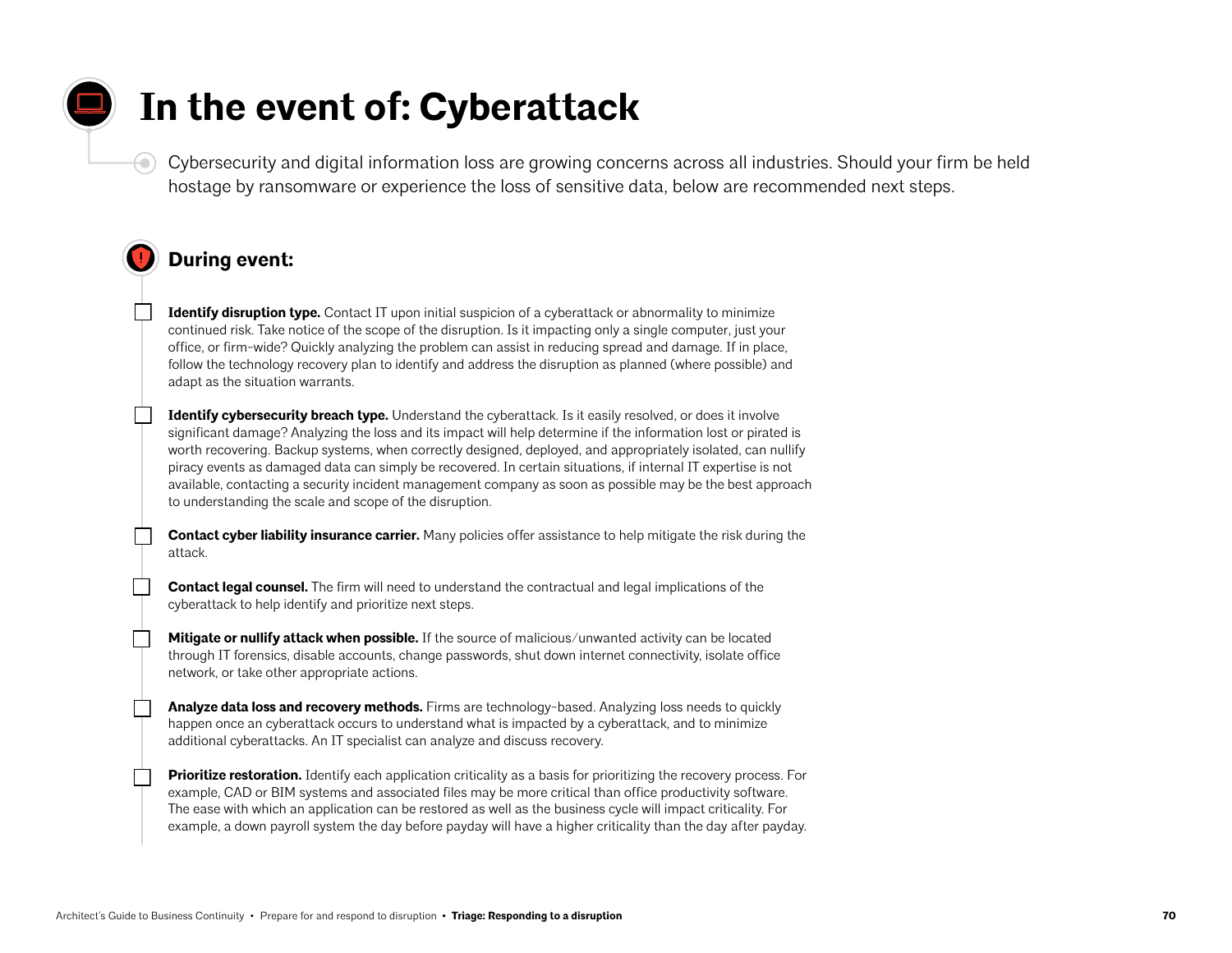## **In the event of: Cyberattack**

Cybersecurity and digital information loss are growing concerns across all industries. Should your firm be held hostage by ransomware or experience the loss of sensitive data, below are recommended next steps.

## **During event:**

€

**Identify disruption type.** Contact IT upon initial suspicion of a cyberattack or abnormality to minimize continued risk. Take notice of the scope of the disruption. Is it impacting only a single computer, just your office, or firm-wide? Quickly analyzing the problem can assist in reducing spread and damage. If in place, follow the technology recovery plan to identify and address the disruption as planned (where possible) and adapt as the situation warrants.

**Identify cybersecurity breach type.** Understand the cyberattack. Is it easily resolved, or does it involve significant damage? Analyzing the loss and its impact will help determine if the information lost or pirated is worth recovering. Backup systems, when correctly designed, deployed, and appropriately isolated, can nullify piracy events as damaged data can simply be recovered. In certain situations, if internal IT expertise is not available, contacting a security incident management company as soon as possible may be the best approach to understanding the scale and scope of the disruption.

**Contact cyber liability insurance carrier.** Many policies offer assistance to help mitigate the risk during the attack.

**Contact legal counsel.** The firm will need to understand the contractual and legal implications of the cyberattack to help identify and prioritize next steps.

**Mitigate or nullify attack when possible.** If the source of malicious/unwanted activity can be located through IT forensics, disable accounts, change passwords, shut down internet connectivity, isolate office network, or take other appropriate actions.

**Analyze data loss and recovery methods.** Firms are technology-based. Analyzing loss needs to quickly happen once an cyberattack occurs to understand what is impacted by a cyberattack, and to minimize additional cyberattacks. An IT specialist can analyze and discuss recovery.

**Prioritize restoration.** Identify each application criticality as a basis for prioritizing the recovery process. For example, CAD or BIM systems and associated files may be more critical than office productivity software. The ease with which an application can be restored as well as the business cycle will impact criticality. For example, a down payroll system the day before payday will have a higher criticality than the day after payday.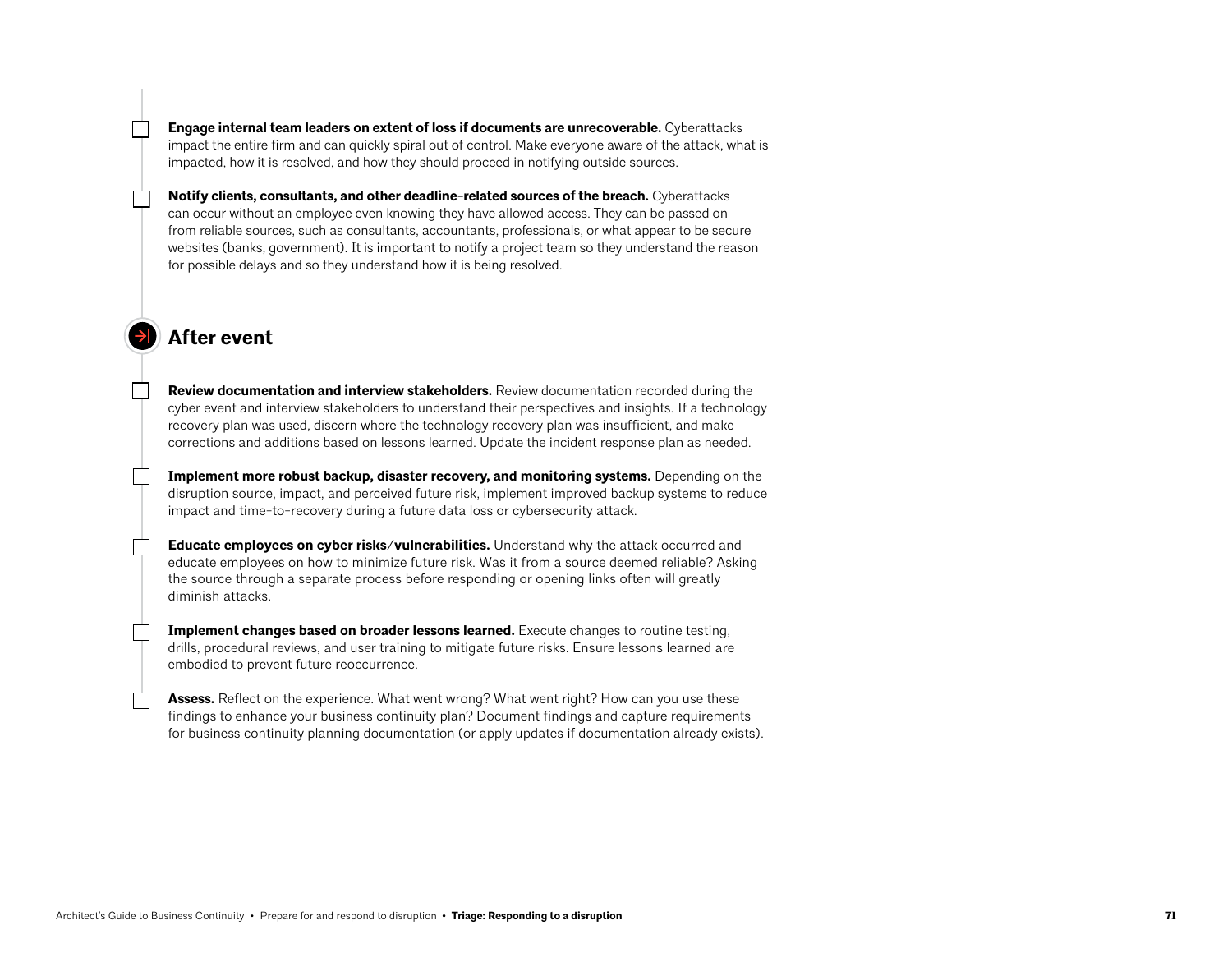**Engage internal team leaders on extent of loss if documents are unrecoverable.** Cyberattacks impact the entire firm and can quickly spiral out of control. Make everyone aware of the attack, what is impacted, how it is resolved, and how they should proceed in notifying outside sources.

**Notify clients, consultants, and other deadline-related sources of the breach.** Cyberattacks can occur without an employee even knowing they have allowed access. They can be passed on from reliable sources, such as consultants, accountants, professionals, or what appear to be secure websites (banks, government). It is important to notify a project team so they understand the reason for possible delays and so they understand how it is being resolved.

## **After event**

**Review documentation and interview stakeholders.** Review documentation recorded during the cyber event and interview stakeholders to understand their perspectives and insights. If a technology recovery plan was used, discern where the technology recovery plan was insufficient, and make corrections and additions based on lessons learned. Update the incident response plan as needed.

**Implement more robust backup, disaster recovery, and monitoring systems.** Depending on the disruption source, impact, and perceived future risk, implement improved backup systems to reduce impact and time-to-recovery during a future data loss or cybersecurity attack.

**Educate employees on cyber risks/vulnerabilities.** Understand why the attack occurred and educate employees on how to minimize future risk. Was it from a source deemed reliable? Asking the source through a separate process before responding or opening links often will greatly diminish attacks.

**Implement changes based on broader lessons learned.** Execute changes to routine testing, drills, procedural reviews, and user training to mitigate future risks. Ensure lessons learned are embodied to prevent future reoccurrence.

**Assess.** Reflect on the experience. What went wrong? What went right? How can you use these findings to enhance your business continuity plan? Document findings and capture requirements for business continuity planning documentation (or apply updates if documentation already exists).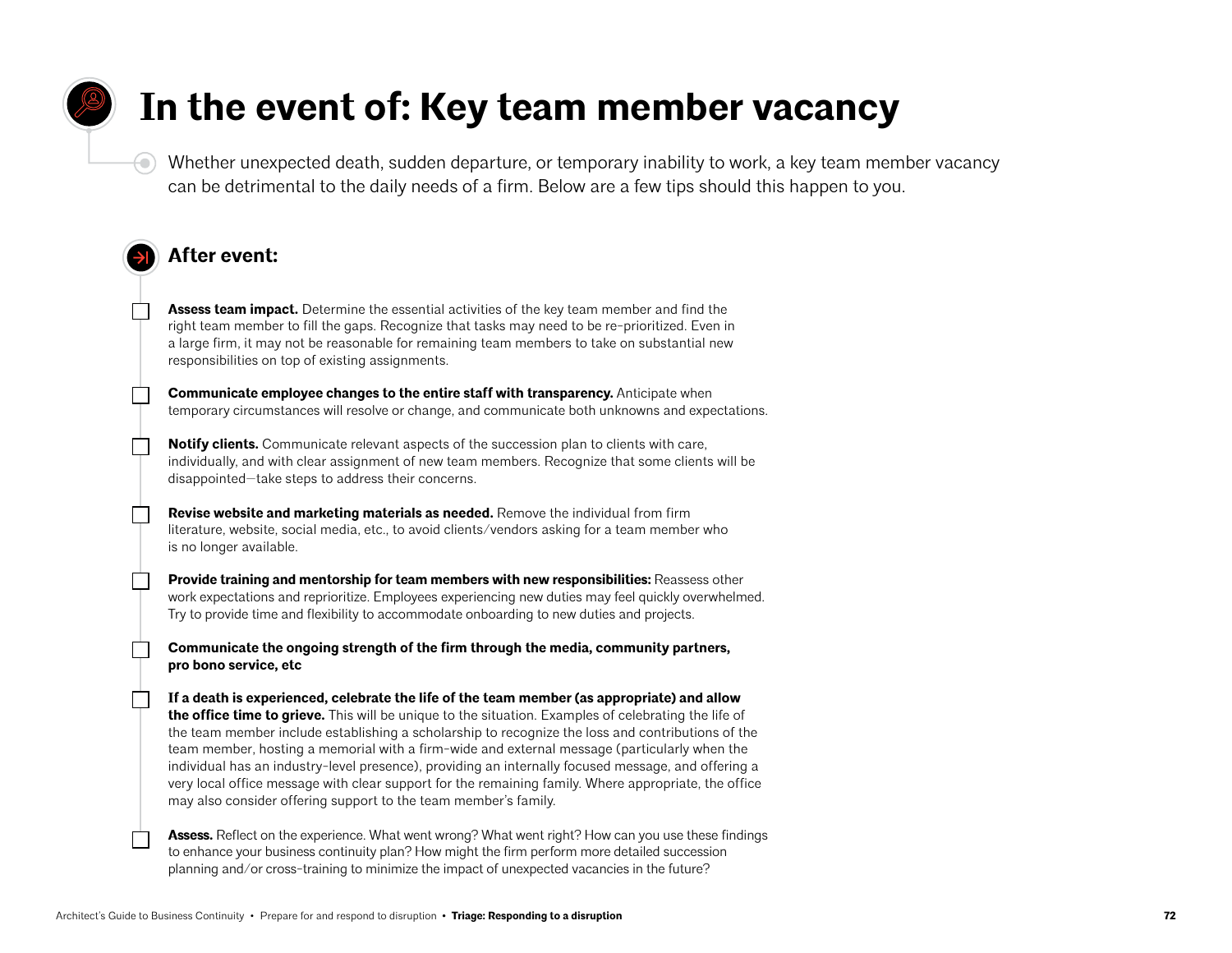## **In the event of: Key team member vacancy**

Whether unexpected death, sudden departure, or temporary inability to work, a key team member vacancy can be detrimental to the daily needs of a firm. Below are a few tips should this happen to you.

## **After event:**

 $\left( \bullet \right)$ 

**Assess team impact.** Determine the essential activities of the key team member and find the right team member to fill the gaps. Recognize that tasks may need to be re-prioritized. Even in a large firm, it may not be reasonable for remaining team members to take on substantial new responsibilities on top of existing assignments.

**Communicate employee changes to the entire staff with transparency.** Anticipate when temporary circumstances will resolve or change, and communicate both unknowns and expectations.

**Notify clients.** Communicate relevant aspects of the succession plan to clients with care, individually, and with clear assignment of new team members. Recognize that some clients will be disappointed—take steps to address their concerns.

**Revise website and marketing materials as needed.** Remove the individual from firm literature, website, social media, etc., to avoid clients/vendors asking for a team member who is no longer available.

**Provide training and mentorship for team members with new responsibilities: Reassess other** work expectations and reprioritize. Employees experiencing new duties may feel quickly overwhelmed. Try to provide time and flexibility to accommodate onboarding to new duties and projects.

**Communicate the ongoing strength of the firm through the media, community partners, pro bono service, etc**

**If a death is experienced, celebrate the life of the team member (as appropriate) and allow the office time to grieve.** This will be unique to the situation. Examples of celebrating the life of the team member include establishing a scholarship to recognize the loss and contributions of the team member, hosting a memorial with a firm-wide and external message (particularly when the individual has an industry-level presence), providing an internally focused message, and offering a very local office message with clear support for the remaining family. Where appropriate, the office may also consider offering support to the team member's family.

**Assess.** Reflect on the experience. What went wrong? What went right? How can you use these findings to enhance your business continuity plan? How might the firm perform more detailed succession planning and/or cross-training to minimize the impact of unexpected vacancies in the future?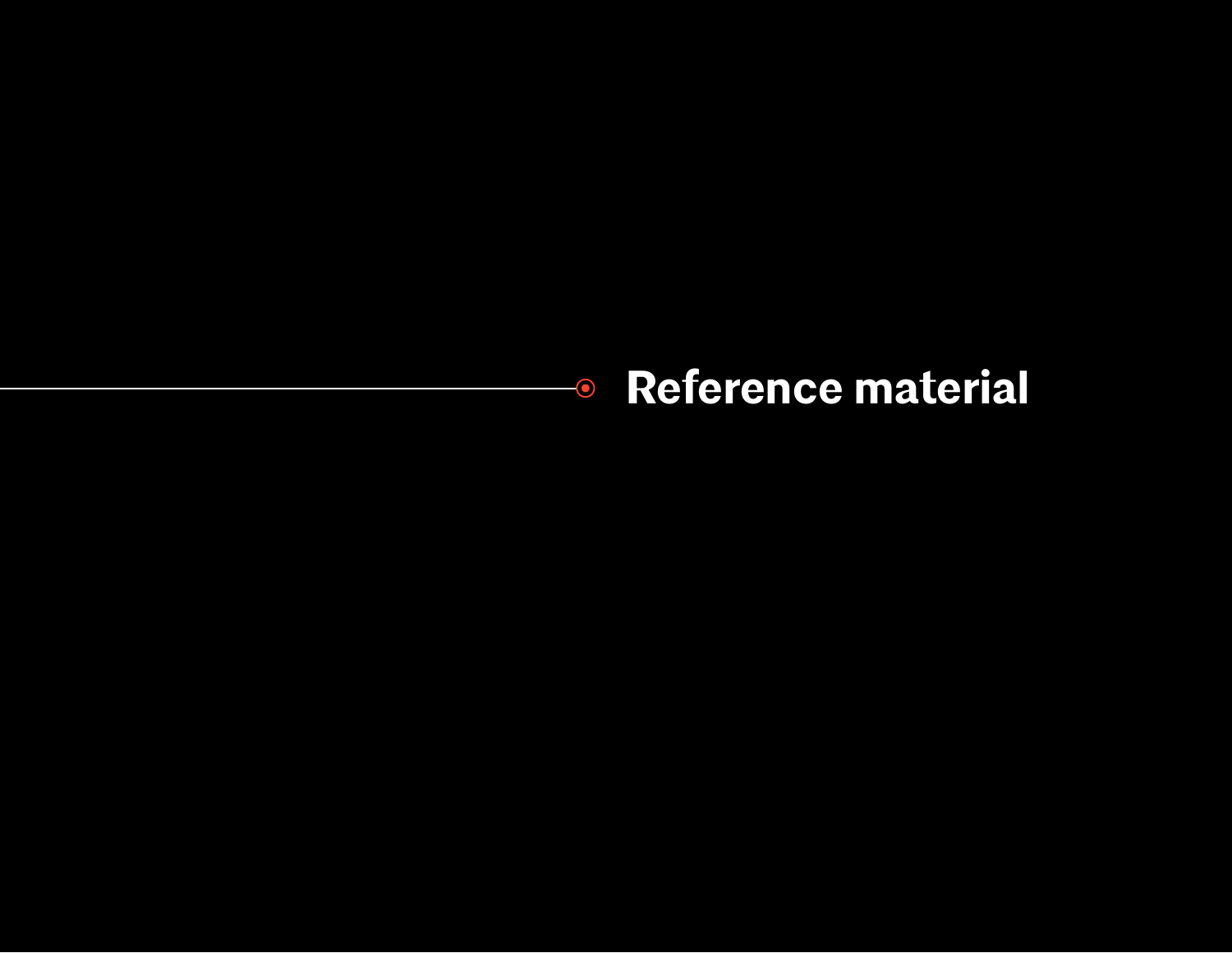## **Reference material** $\overline{\bullet}$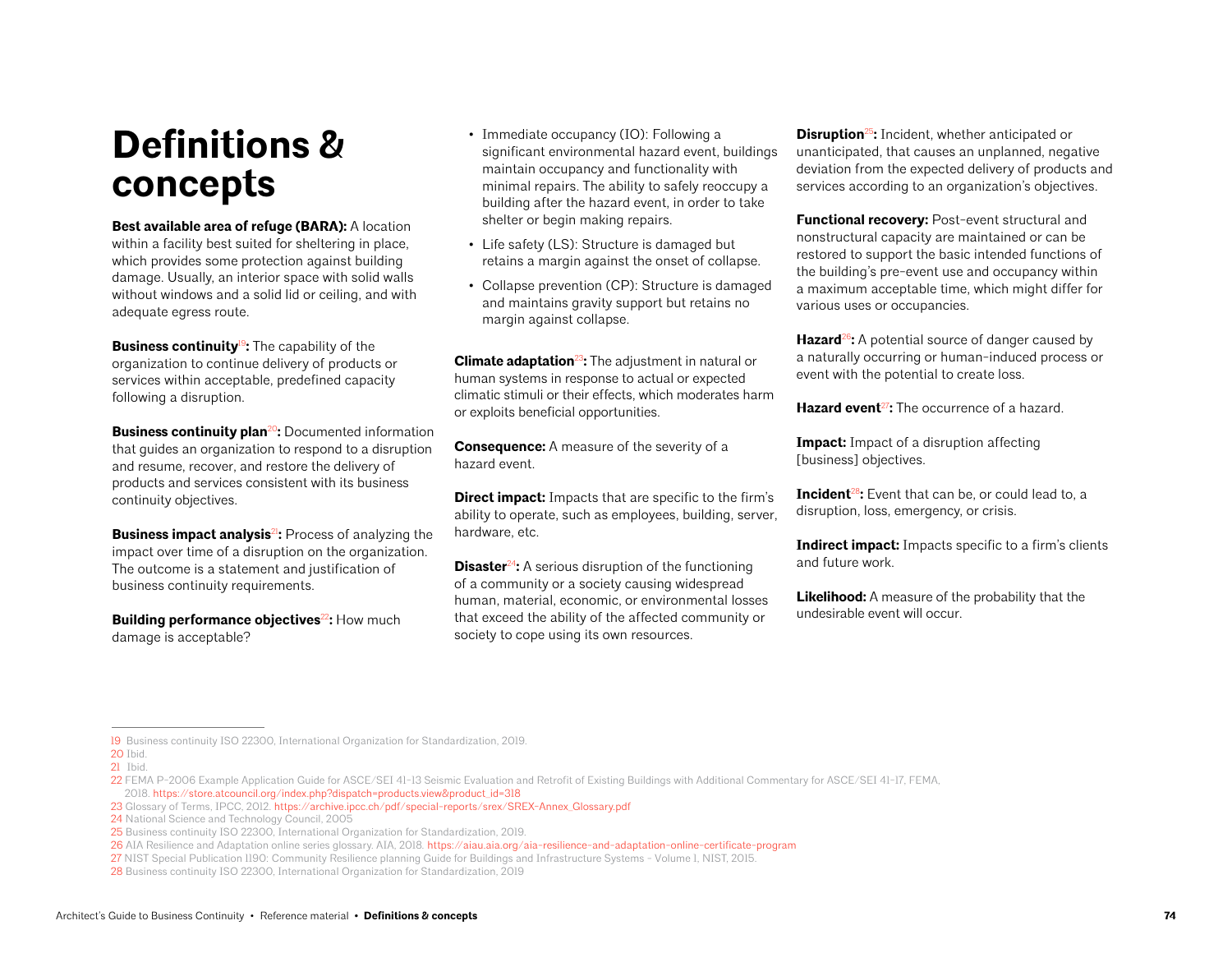# **Definitions & concepts**

**Best available area of refuge (BARA):** A location within a facility best suited for sheltering in place, which provides some protection against building damage. Usually, an interior space with solid walls without windows and a solid lid or ceiling, and with adequate egress route.

**Business continuity**<sup>19</sup>**:** The capability of the organization to continue delivery of products or services within acceptable, predefined capacity following a disruption.

**Business continuity plan<sup>20</sup>:** Documented information that guides an organization to respond to a disruption and resume, recover, and restore the delivery of products and services consistent with its business continuity objectives.

**Business impact analysis<sup>21</sup>:** Process of analyzing the impact over time of a disruption on the organization. The outcome is a statement and justification of business continuity requirements.

**Building performance objectives<sup>22</sup>: How much** damage is acceptable?

- Immediate occupancy (IO): Following a significant environmental hazard event, buildings maintain occupancy and functionality with minimal repairs. The ability to safely reoccupy a building after the hazard event, in order to take shelter or begin making repairs.
- Life safety (LS): Structure is damaged but retains a margin against the onset of collapse.
- Collapse prevention (CP): Structure is damaged and maintains gravity support but retains no margin against collapse.

**Climate adaptation**<sup>23</sup>**:** The adjustment in natural or human systems in response to actual or expected climatic stimuli or their effects, which moderates harm or exploits beneficial opportunities.

**Consequence:** A measure of the severity of a hazard event.

**Direct impact:** Impacts that are specific to the firm's ability to operate, such as employees, building, server, hardware, etc.

**Disaster<sup>24</sup>:** A serious disruption of the functioning of a community or a society causing widespread human, material, economic, or environmental losses that exceed the ability of the affected community or society to cope using its own resources.

**Disruption**<sup>25</sup>**:** Incident, whether anticipated or unanticipated, that causes an unplanned, negative deviation from the expected delivery of products and services according to an organization's objectives.

**Functional recovery:** Post-event structural and nonstructural capacity are maintained or can be restored to support the basic intended functions of the building's pre-event use and occupancy within a maximum acceptable time, which might differ for various uses or occupancies.

**Hazard<sup>26</sup>:** A potential source of danger caused by a naturally occurring or human-induced process or event with the potential to create loss.

**Hazard event**<sup>27</sup>: The occurrence of a hazard.

**Impact:** Impact of a disruption affecting [business] objectives.

**Incident<sup>28</sup>:** Event that can be, or could lead to, a disruption, loss, emergency, or crisis.

**Indirect impact:** Impacts specific to a firm's clients and future work.

**Likelihood:** A measure of the probability that the undesirable event will occur.

<sup>19</sup> Business continuity ISO 22300, International Organization for Standardization, 2019.

<sup>20</sup> Ibid.

<sup>21</sup> Ibid.

<sup>22</sup> FEMA P-2006 Example Application Guide for ASCE/SEI 41-13 Seismic Evaluation and Retrofit of Existing Buildings with Additional Commentary for ASCE/SEI 41-17, FEMA, 2018. [https://store.atcouncil.org/index.php?dispatch=products.view&product\\_id=318](https://store.atcouncil.org/index.php?dispatch=products.view&product_id=318)

<sup>23</sup> Glossary of Terms, IPCC, 2012. [https://archive.ipcc.ch/pdf/special-reports/srex/SREX-Annex\\_Glossary.pdf](https://archive.ipcc.ch/pdf/special-reports/srex/SREX-Annex_Glossary.pdf)

<sup>24</sup> National Science and Technology Council, 2005

<sup>25</sup> Business continuity ISO 22300, International Organization for Standardization, 2019.

<sup>26</sup> AIA Resilience and Adaptation online series glossary. AIA, 2018*.* <https://aiau.aia.org/aia-resilience-and-adaptation-online-certificate-program>

<sup>27</sup> NIST Special Publication 1190: Community Resilience planning Guide for Buildings and Infrastructure Systems - Volume 1, NIST, 2015.

<sup>28</sup> Business continuity ISO 22300, International Organization for Standardization, 2019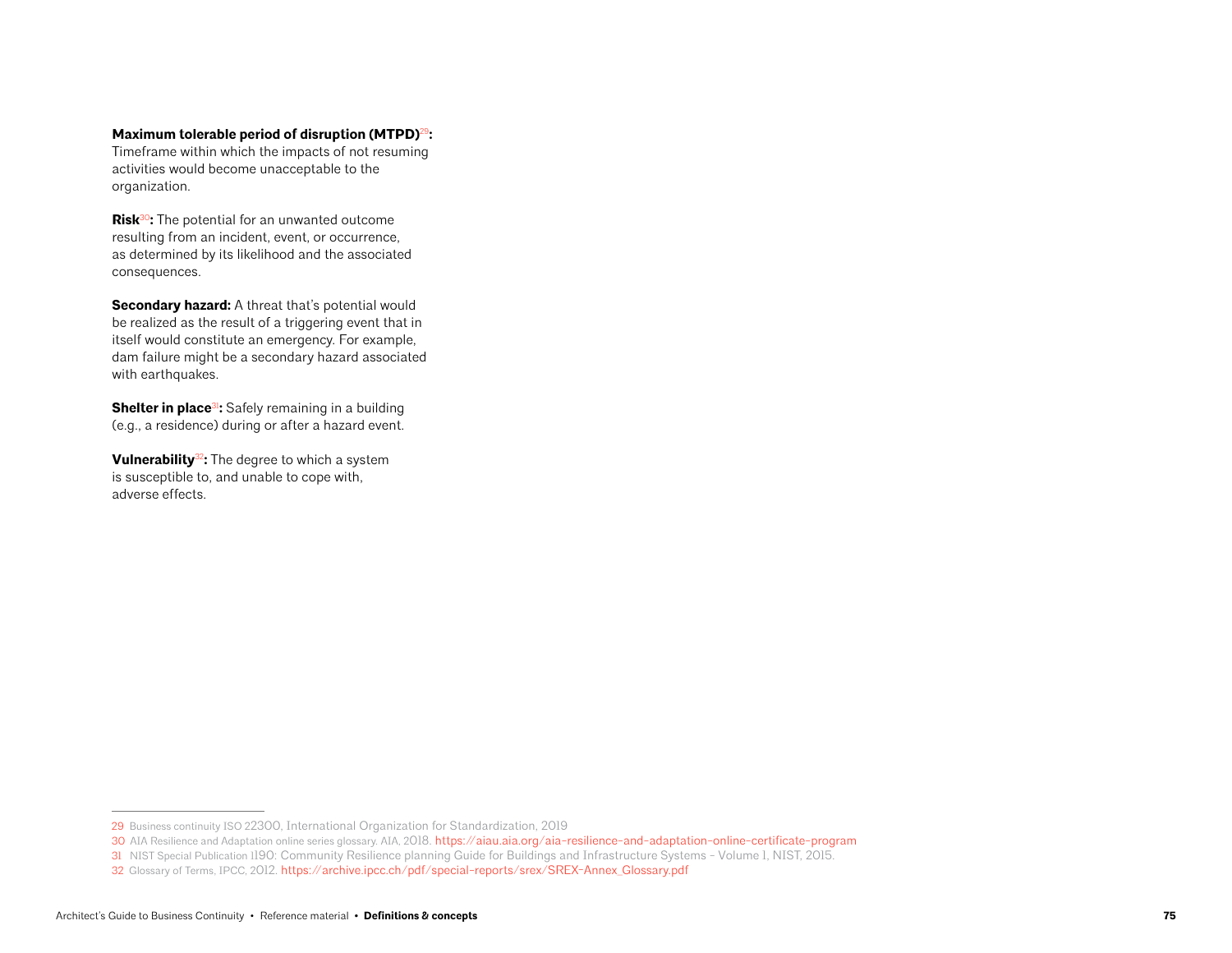#### **Maximum tolerable period of disruption (MTPD)**<sup>29</sup>**:**

Timeframe within which the impacts of not resuming activities would become unacceptable to the organization.

**Risk**<sup>30</sup>**:** The potential for an unwanted outcome resulting from an incident, event, or occurrence, as determined by its likelihood and the associated consequences.

**Secondary hazard:** A threat that's potential would be realized as the result of a triggering event that in itself would constitute an emergency. For example, dam failure might be a secondary hazard associated with earthquakes.

**Shelter in place<sup>31</sup>:** Safely remaining in a building (e.g., a residence) during or after a hazard event.

**Vulnerability**<sup>32</sup>**:** The degree to which a system is susceptible to, and unable to cope with, adverse effects.

<sup>29</sup> Business continuity ISO 22300, International Organization for Standardization, 2019

<sup>30</sup> AIA Resilience and Adaptation online series glossary. AIA, 2018. <https://aiau.aia.org/aia-resilience-and-adaptation-online-certificate-program>

<sup>31</sup> NIST Special Publication 1190: Community Resilience planning Guide for Buildings and Infrastructure Systems - Volume 1, NIST, 2015.

<sup>32</sup> Glossary of Terms, IPCC, 2012. [https://archive.ipcc.ch/pdf/special-reports/srex/SREX-Annex\\_Glossary.pdf](https://archive.ipcc.ch/pdf/special-reports/srex/SREX-Annex_Glossary.pdf)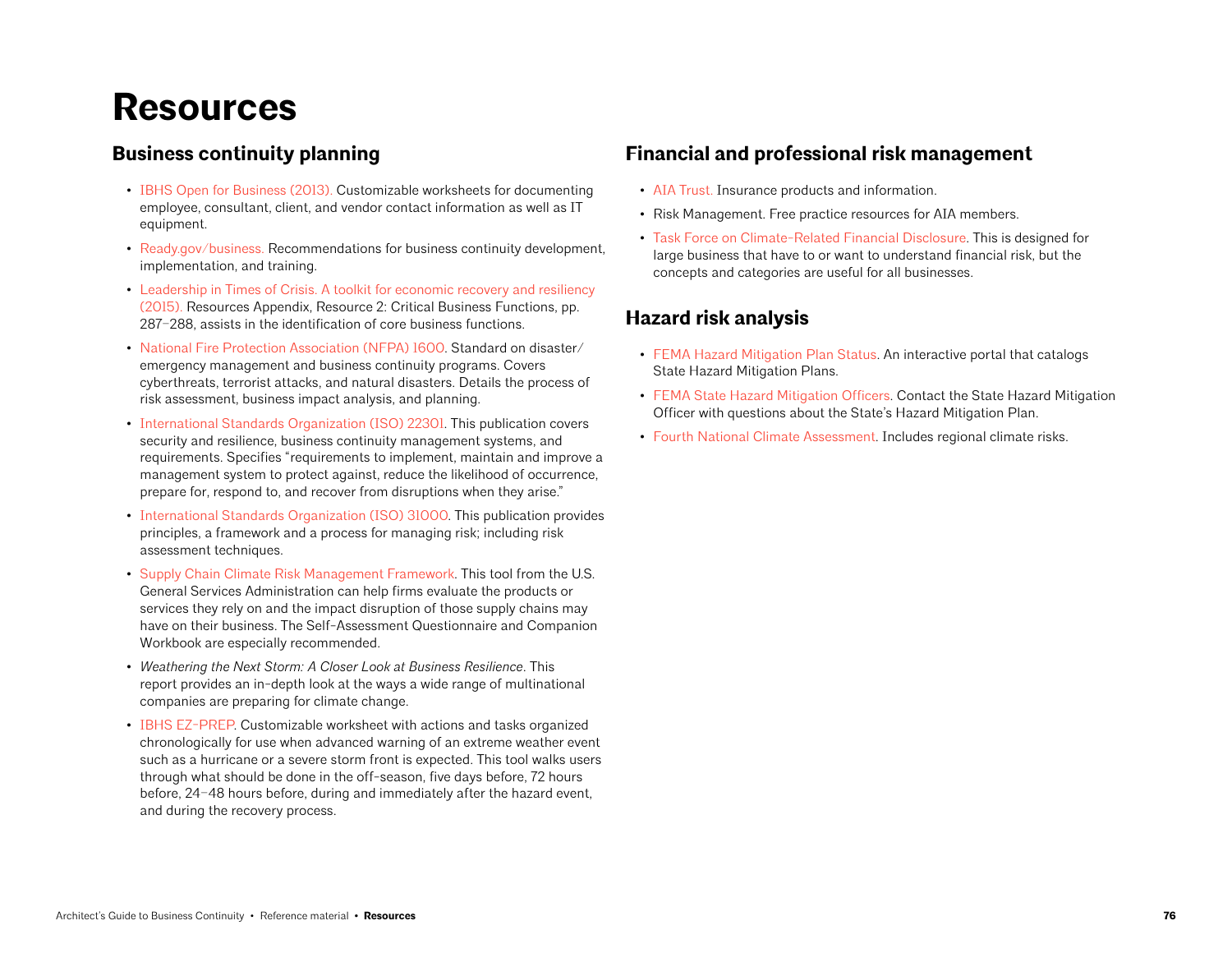# **Resources**

### **Business continuity planning**

- [IBHS Open for Business \(2013\).](https://disastersafety.org/business-protection/ofb-ez/) Customizable worksheets for documenting employee, consultant, client, and vendor contact information as well as IT equipment.
- [Ready.gov/business.](https://www.ready.gov/business) Recommendations for business continuity development, implementation, and training.
- [Leadership in Times of Crisis. A toolkit for economic recovery and resiliency](https://restoreyoureconomy.org/clientuploads/2015/03/IEDC-Leadership-in-Times-of-Crisis-Toolkit.pdf)  [\(2015\).](https://restoreyoureconomy.org/clientuploads/2015/03/IEDC-Leadership-in-Times-of-Crisis-Toolkit.pdf) Resources Appendix, Resource 2: Critical Business Functions, pp. 287–288, assists in the identification of core business functions.
- [National Fire Protection Association \(NFPA\) 1600.](https://www.nfpa.org/codes-and-standards/all-codes-and-standards/list-of-codes-and-standards/detail?code=1600) Standard on disaster/ emergency management and business continuity programs. Covers cyberthreats, terrorist attacks, and natural disasters. Details the process of risk assessment, business impact analysis, and planning.
- [International Standards Organization \(ISO\) 22301](https://www.iso.org/standard/75106.html). This publication covers security and resilience, business continuity management systems, and requirements. Specifies "requirements to implement, maintain and improve a management system to protect against, reduce the likelihood of occurrence, prepare for, respond to, and recover from disruptions when they arise."
- [International Standards Organization \(ISO\) 31000.](https://www.iso.org/iso-31000-risk-management.html) This publication provides principles, a framework and a process for managing risk; including risk assessment techniques.
- [Supply Chain Climate Risk Management Framework](https://sftool.gov/plan/556/supply-chain-climate-risk-management-framework). This tool from the U.S. General Services Administration can help firms evaluate the products or services they rely on and the impact disruption of those supply chains may have on their business. The Self-Assessment Questionnaire and Companion Workbook are especially recommended.
- *Weathering the Next Storm: A Closer Look at Business Resilience*. This report provides an in-depth look at the ways a wide range of multinational companies are preparing for climate change.
- [IBHS EZ-PREP](https://disastersafety.org/business-protection/ez-prep/). Customizable worksheet with actions and tasks organized chronologically for use when advanced warning of an extreme weather event such as a hurricane or a severe storm front is expected. This tool walks users through what should be done in the off-season, five days before, 72 hours before, 24–48 hours before, during and immediately after the hazard event, and during the recovery process.

### **Financial and professional risk management**

- [AIA Trust.](https://www.theaiatrust.com/) Insurance products and information.
- Risk Management. Free practice resources for AIA members.
- [Task Force on Climate-Related Financial Disclosure](https://www.fsb-tcfd.org/). This is designed for large business that have to or want to understand financial risk, but the concepts and categories are useful for all businesses.

### **Hazard risk analysis**

- [FEMA Hazard Mitigation Plan Status.](https://fema.maps.arcgis.com/apps/webappviewer/index.html?id=ec2fb023df744cf480da89539338c386) An interactive portal that catalogs State Hazard Mitigation Plans.
- [FEMA State Hazard Mitigation Officers](https://www.fema.gov/grants/mitigation/state-contacts). Contact the State Hazard Mitigation Officer with questions about the State's Hazard Mitigation Plan.
- [Fourth National Climate Assessment.](https://nca2018.globalchange.gov/) Includes regional climate risks.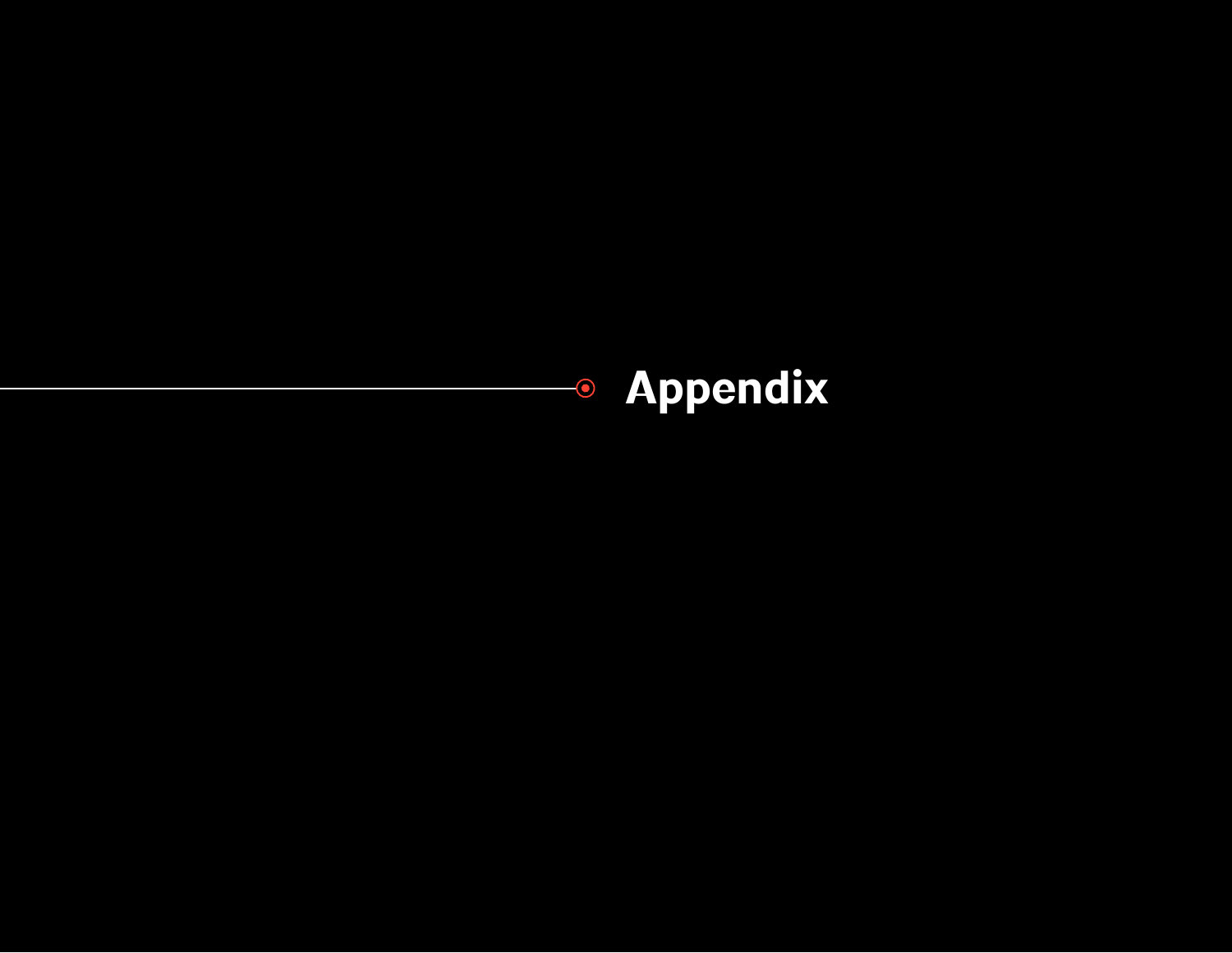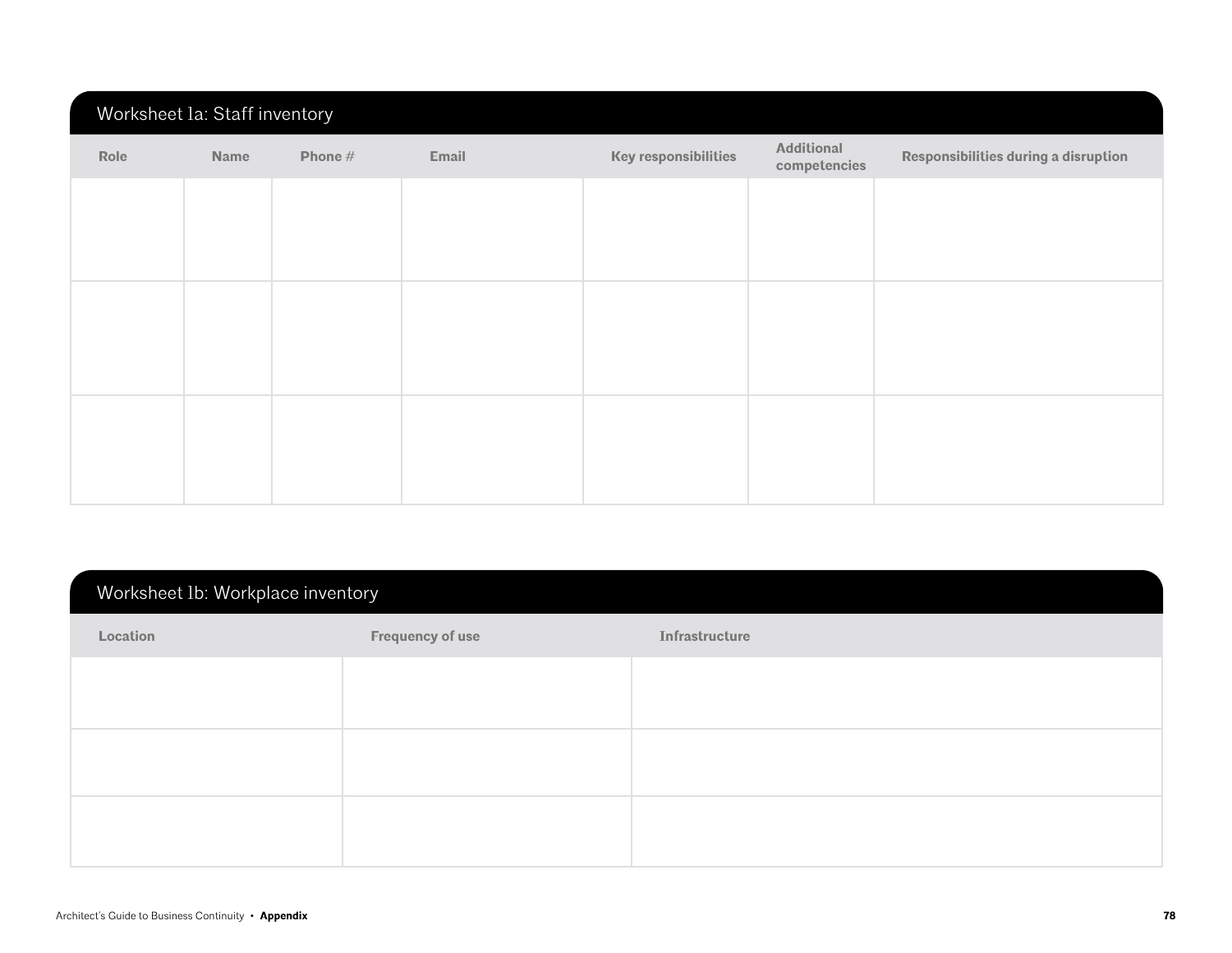## Worksheet 1a: Staff inventory

| Role | Name | Phone $#$ | Email | <b>Key responsibilities</b> | Additional<br>competencies | Responsibilities during a disruption |
|------|------|-----------|-------|-----------------------------|----------------------------|--------------------------------------|
|      |      |           |       |                             |                            |                                      |
|      |      |           |       |                             |                            |                                      |
|      |      |           |       |                             |                            |                                      |
|      |      |           |       |                             |                            |                                      |
|      |      |           |       |                             |                            |                                      |
|      |      |           |       |                             |                            |                                      |

# Worksheet 1b: Workplace inventory

| Location | <b>Frequency of use</b> | Infrastructure |
|----------|-------------------------|----------------|
|          |                         |                |
|          |                         |                |
|          |                         |                |
|          |                         |                |
|          |                         |                |
|          |                         |                |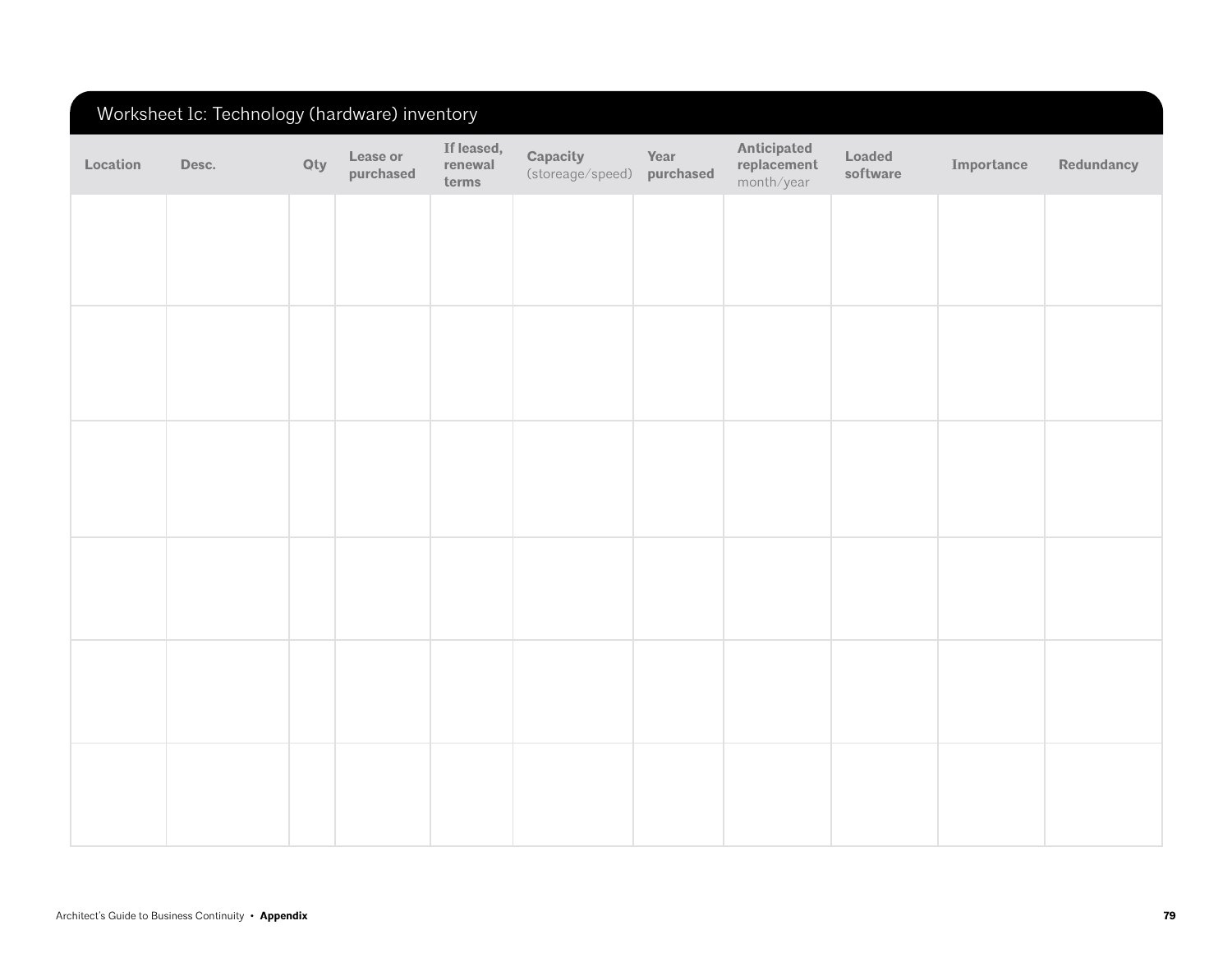# Worksheet 1c: Technology (hardware) inventory

| Location | Desc. | Qty | Lease or<br>purchased | If leased,<br>renewal<br>terms | Capacity<br>(storeage/speed) | Year<br>purchased | Anticipated<br>replacement<br>month/year | Loaded<br>software | Importance | Redundancy |
|----------|-------|-----|-----------------------|--------------------------------|------------------------------|-------------------|------------------------------------------|--------------------|------------|------------|
|          |       |     |                       |                                |                              |                   |                                          |                    |            |            |
|          |       |     |                       |                                |                              |                   |                                          |                    |            |            |
|          |       |     |                       |                                |                              |                   |                                          |                    |            |            |
|          |       |     |                       |                                |                              |                   |                                          |                    |            |            |
|          |       |     |                       |                                |                              |                   |                                          |                    |            |            |
|          |       |     |                       |                                |                              |                   |                                          |                    |            |            |
|          |       |     |                       |                                |                              |                   |                                          |                    |            |            |
|          |       |     |                       |                                |                              |                   |                                          |                    |            |            |
|          |       |     |                       |                                |                              |                   |                                          |                    |            |            |
|          |       |     |                       |                                |                              |                   |                                          |                    |            |            |
|          |       |     |                       |                                |                              |                   |                                          |                    |            |            |
|          |       |     |                       |                                |                              |                   |                                          |                    |            |            |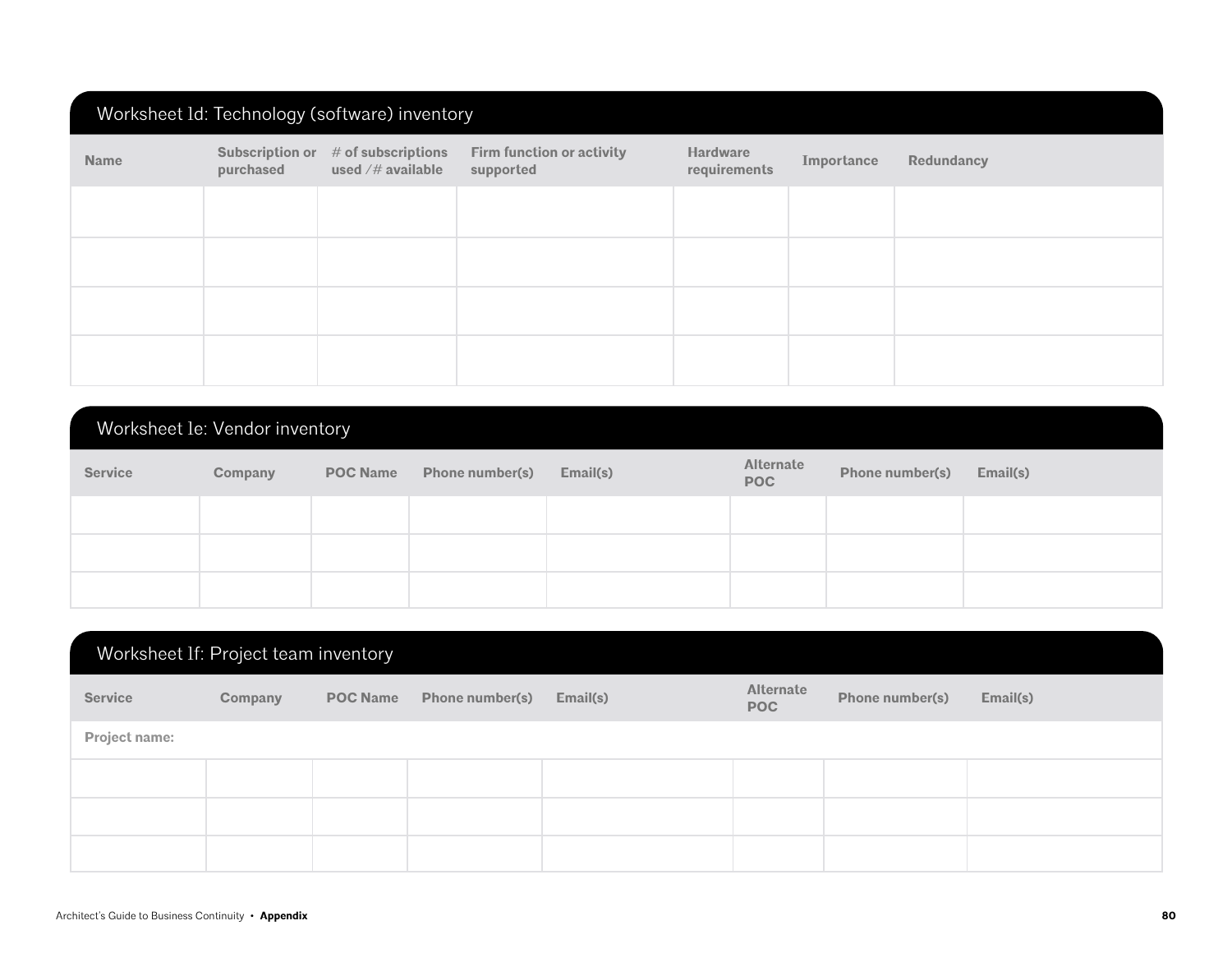|             | Worksheet Id: Technology (software) inventory |                                              |                                        |                                 |            |            |  |  |  |  |
|-------------|-----------------------------------------------|----------------------------------------------|----------------------------------------|---------------------------------|------------|------------|--|--|--|--|
| <b>Name</b> | Subscription or<br>purchased                  | $#$ of subscriptions<br>used $/\#$ available | Firm function or activity<br>supported | <b>Hardware</b><br>requirements | Importance | Redundancy |  |  |  |  |
|             |                                               |                                              |                                        |                                 |            |            |  |  |  |  |
|             |                                               |                                              |                                        |                                 |            |            |  |  |  |  |
|             |                                               |                                              |                                        |                                 |            |            |  |  |  |  |
|             |                                               |                                              |                                        |                                 |            |            |  |  |  |  |

| Worksheet le: Vendor inventory |         |                 |                        |          |                                |                 |          |  |  |
|--------------------------------|---------|-----------------|------------------------|----------|--------------------------------|-----------------|----------|--|--|
| <b>Service</b>                 | Company | <b>POC Name</b> | <b>Phone number(s)</b> | Email(s) | <b>Alternate</b><br><b>POC</b> | Phone number(s) | Email(s) |  |  |
|                                |         |                 |                        |          |                                |                 |          |  |  |
|                                |         |                 |                        |          |                                |                 |          |  |  |
|                                |         |                 |                        |          |                                |                 |          |  |  |

|                | Worksheet If: Project team inventory |                 |                 |          |                         |                 |          |  |
|----------------|--------------------------------------|-----------------|-----------------|----------|-------------------------|-----------------|----------|--|
| <b>Service</b> | Company                              | <b>POC Name</b> | Phone number(s) | Email(s) | Alternate<br><b>POC</b> | Phone number(s) | Email(s) |  |
| Project name:  |                                      |                 |                 |          |                         |                 |          |  |
|                |                                      |                 |                 |          |                         |                 |          |  |
|                |                                      |                 |                 |          |                         |                 |          |  |
|                |                                      |                 |                 |          |                         |                 |          |  |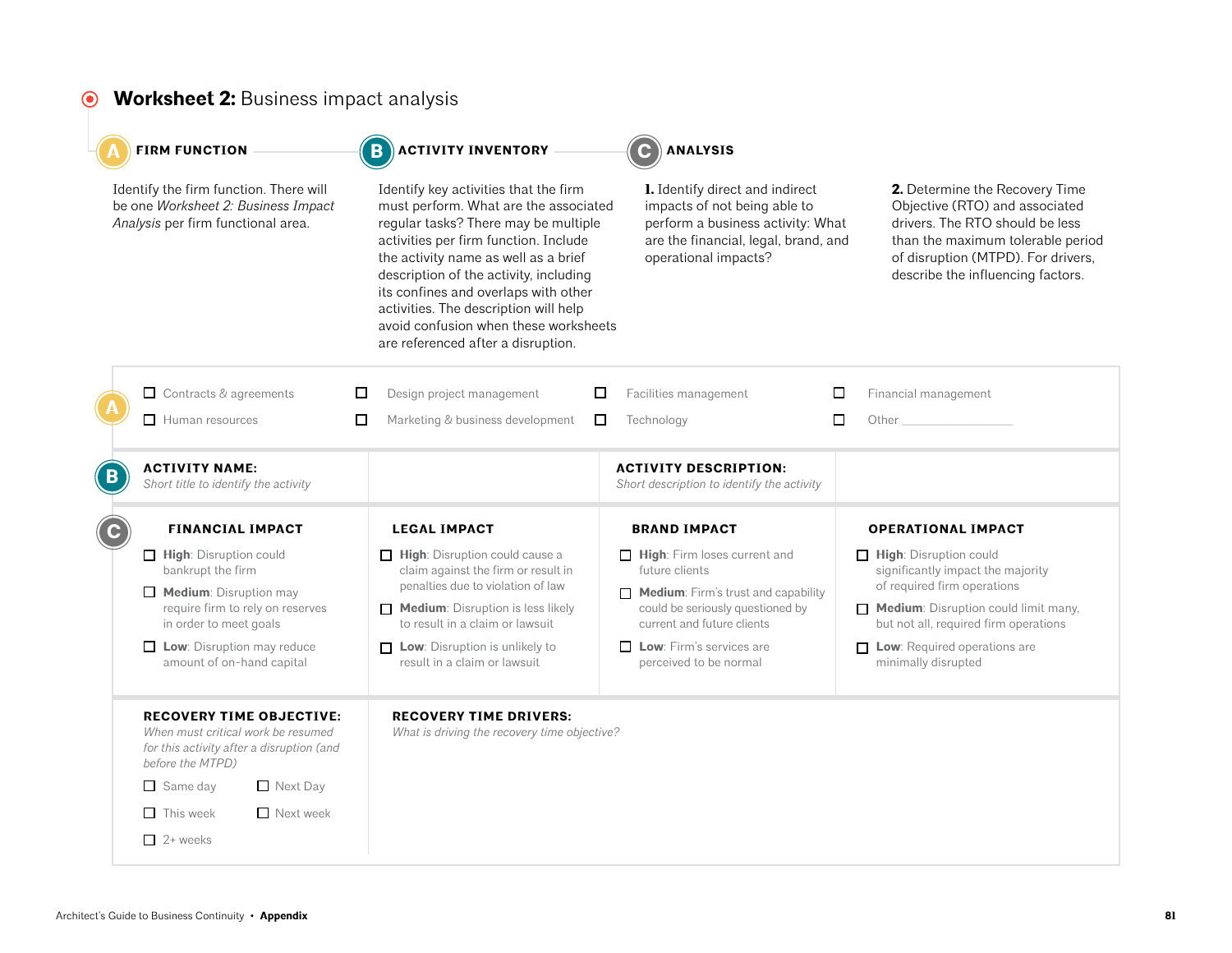# **Worksheet 2:** Business impact analysis

| <b>FIRM FUNCTION</b>                                                                                                                   | <b>ACTIVITY INVENTORY</b>                                                                                                                                                                                                                                                                                                                                                                                         | <b>ANALYSIS</b>                                                                                                                                                             |                                                                                                                                                                                                                     |
|----------------------------------------------------------------------------------------------------------------------------------------|-------------------------------------------------------------------------------------------------------------------------------------------------------------------------------------------------------------------------------------------------------------------------------------------------------------------------------------------------------------------------------------------------------------------|-----------------------------------------------------------------------------------------------------------------------------------------------------------------------------|---------------------------------------------------------------------------------------------------------------------------------------------------------------------------------------------------------------------|
| Identify the firm function. There will<br>be one Worksheet 2: Business Impact<br>Analysis per firm functional area.                    | Identify key activities that the firm<br>must perform. What are the associated<br>regular tasks? There may be multiple<br>activities per firm function. Include<br>the activity name as well as a brief<br>description of the activity, including<br>its confines and overlaps with other<br>activities. The description will help<br>avoid confusion when these worksheets<br>are referenced after a disruption. | <b>1.</b> Identify direct and indirect<br>impacts of not being able to<br>perform a business activity: What<br>are the financial, legal, brand, and<br>operational impacts? | 2. Determine the Recovery Time<br>Objective (RTO) and associated<br>drivers. The RTO should be less<br>than the maximum tolerable period<br>of disruption (MTPD). For drivers,<br>describe the influencing factors. |
| $\Box$ Contracts & agreements                                                                                                          | Design project management<br>□                                                                                                                                                                                                                                                                                                                                                                                    | $\Box$<br>Facilities management                                                                                                                                             | □<br>Financial management                                                                                                                                                                                           |
| $\Box$ Human resources                                                                                                                 | $\Box$<br>Marketing & business development                                                                                                                                                                                                                                                                                                                                                                        | Technology<br>$\Box$                                                                                                                                                        | □<br>Other <sub>____________________</sub>                                                                                                                                                                          |
| <b>ACTIVITY NAME:</b><br>Short title to identify the activity                                                                          |                                                                                                                                                                                                                                                                                                                                                                                                                   | <b>ACTIVITY DESCRIPTION:</b><br>Short description to identify the activity                                                                                                  |                                                                                                                                                                                                                     |
| <b>FINANCIAL IMPACT</b>                                                                                                                | <b>LEGAL IMPACT</b>                                                                                                                                                                                                                                                                                                                                                                                               | <b>BRAND IMPACT</b>                                                                                                                                                         | <b>OPERATIONAL IMPACT</b>                                                                                                                                                                                           |
| High: Disruption could<br>bankrupt the firm                                                                                            | $\Box$ High: Disruption could cause a<br>claim against the firm or result in                                                                                                                                                                                                                                                                                                                                      | $\Box$ High: Firm loses current and<br>future clients                                                                                                                       | $\Box$ High: Disruption could<br>significantly impact the majority                                                                                                                                                  |
| $\Box$ Medium: Disruption may                                                                                                          | penalties due to violation of law                                                                                                                                                                                                                                                                                                                                                                                 | $\Box$ Medium: Firm's trust and capability                                                                                                                                  | of required firm operations                                                                                                                                                                                         |
| require firm to rely on reserves<br>in order to meet goals                                                                             | $\Box$ Medium: Disruption is less likely<br>to result in a claim or lawsuit                                                                                                                                                                                                                                                                                                                                       | could be seriously questioned by<br>current and future clients                                                                                                              | $\Box$ Medium: Disruption could limit many,<br>but not all, required firm operations                                                                                                                                |
| $\Box$ Low: Disruption may reduce<br>amount of on-hand capital                                                                         | $\Box$ Low: Disruption is unlikely to<br>result in a claim or lawsuit                                                                                                                                                                                                                                                                                                                                             | $\Box$ Low: Firm's services are<br>perceived to be normal                                                                                                                   | $\Box$ Low: Required operations are<br>minimally disrupted                                                                                                                                                          |
| <b>RECOVERY TIME OBJECTIVE:</b><br>When must critical work be resumed<br>for this activity after a disruption (and<br>before the MTPD) | <b>RECOVERY TIME DRIVERS:</b><br>What is driving the recovery time objective?                                                                                                                                                                                                                                                                                                                                     |                                                                                                                                                                             |                                                                                                                                                                                                                     |
| $\Box$ Same day<br>$\Box$ Next Day                                                                                                     |                                                                                                                                                                                                                                                                                                                                                                                                                   |                                                                                                                                                                             |                                                                                                                                                                                                                     |
| $\Box$ Next week<br>$\Box$ This week                                                                                                   |                                                                                                                                                                                                                                                                                                                                                                                                                   |                                                                                                                                                                             |                                                                                                                                                                                                                     |
| $\Box$ 2+ weeks                                                                                                                        |                                                                                                                                                                                                                                                                                                                                                                                                                   |                                                                                                                                                                             |                                                                                                                                                                                                                     |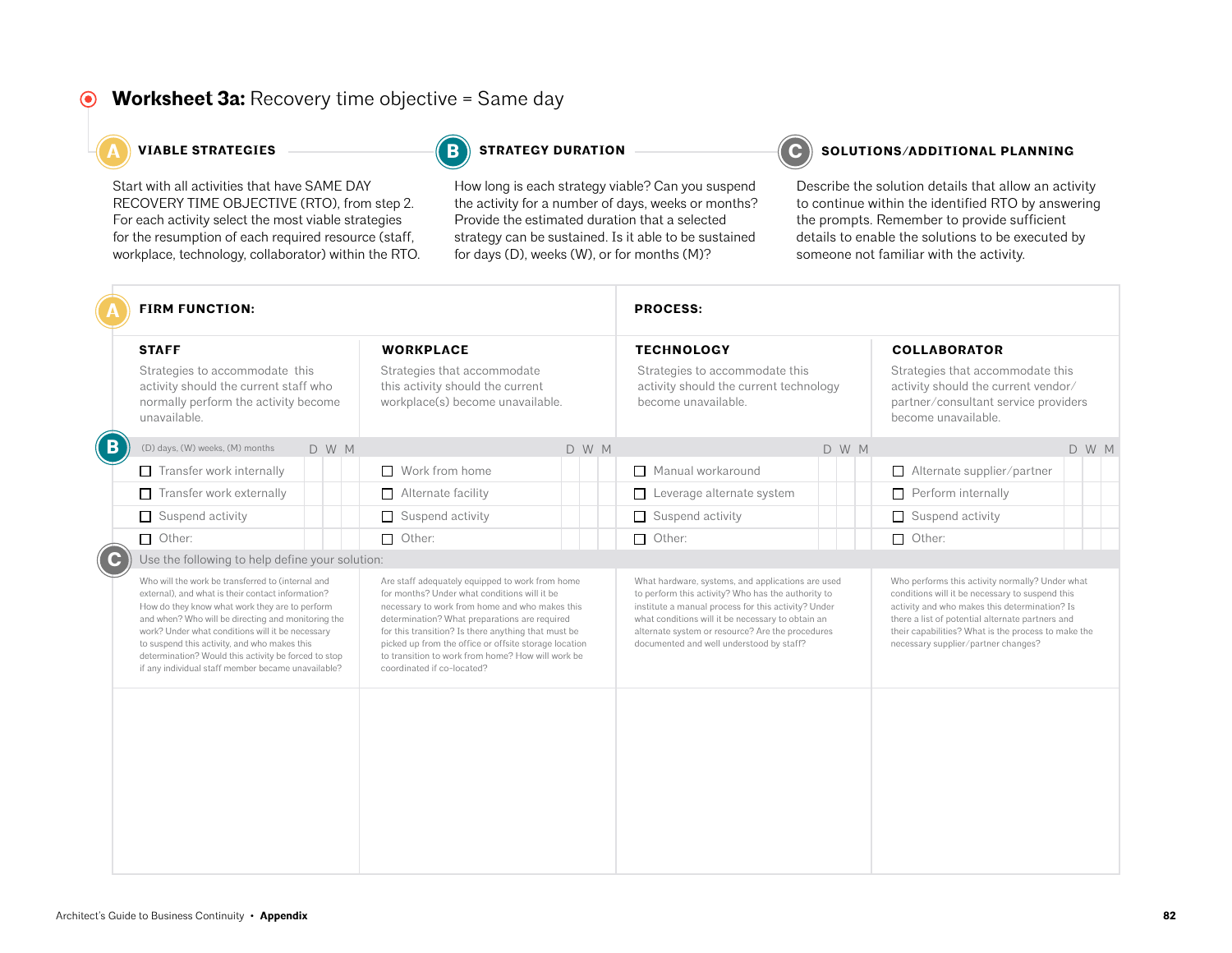### **Worksheet 3a:** Recovery time objective = Same day

Start with all activities that have SAME DAY RECOVERY TIME OBJECTIVE (RTO), from step 2. For each activity select the most viable strategies for the resumption of each required resource (staff, workplace, technology, collaborator) within the RTO.

**B**

How long is each strategy viable? Can you suspend the activity for a number of days, weeks or months? Provide the estimated duration that a selected strategy can be sustained. Is it able to be sustained for days (D), weeks (W), or for months (M)?

#### **A A A A A C C STRATEGIES C C SOLUTIONS CONTIONAL PLANNING**

|             | <b>FIRM FUNCTION:</b>                                                                                                                                                                                                                                                                                                                                                                                                            |                                                                                                                                                                                                                                                                                                                                                                                                       | <b>PROCESS:</b>                                                                                                                                                                                                                                                                                                     |                                                                                                                                                                                                                                                                                                       |  |  |
|-------------|----------------------------------------------------------------------------------------------------------------------------------------------------------------------------------------------------------------------------------------------------------------------------------------------------------------------------------------------------------------------------------------------------------------------------------|-------------------------------------------------------------------------------------------------------------------------------------------------------------------------------------------------------------------------------------------------------------------------------------------------------------------------------------------------------------------------------------------------------|---------------------------------------------------------------------------------------------------------------------------------------------------------------------------------------------------------------------------------------------------------------------------------------------------------------------|-------------------------------------------------------------------------------------------------------------------------------------------------------------------------------------------------------------------------------------------------------------------------------------------------------|--|--|
|             | <b>STAFF</b><br>Strategies to accommodate this<br>activity should the current staff who<br>normally perform the activity become<br>unavailable.                                                                                                                                                                                                                                                                                  | <b>WORKPLACE</b><br>Strategies that accommodate<br>this activity should the current<br>workplace(s) become unavailable.                                                                                                                                                                                                                                                                               | <b>TECHNOLOGY</b><br>Strategies to accommodate this<br>activity should the current technology<br>become unavailable.                                                                                                                                                                                                | <b>COLLABORATOR</b><br>Strategies that accommodate this<br>activity should the current vendor/<br>partner/consultant service providers<br>become unavailable.                                                                                                                                         |  |  |
| $\mathbf B$ | (D) days, (W) weeks, (M) months<br>D W M                                                                                                                                                                                                                                                                                                                                                                                         | D W M                                                                                                                                                                                                                                                                                                                                                                                                 | D W M                                                                                                                                                                                                                                                                                                               | D W M                                                                                                                                                                                                                                                                                                 |  |  |
|             | $\Box$ Transfer work internally                                                                                                                                                                                                                                                                                                                                                                                                  | $\Box$ Work from home                                                                                                                                                                                                                                                                                                                                                                                 | Manual workaround                                                                                                                                                                                                                                                                                                   | $\Box$ Alternate supplier/partner                                                                                                                                                                                                                                                                     |  |  |
|             | Transfer work externally<br>П                                                                                                                                                                                                                                                                                                                                                                                                    | $\Box$ Alternate facility                                                                                                                                                                                                                                                                                                                                                                             | Leverage alternate system<br>П                                                                                                                                                                                                                                                                                      | $\Box$ Perform internally                                                                                                                                                                                                                                                                             |  |  |
|             | Suspend activity<br>$\Box$                                                                                                                                                                                                                                                                                                                                                                                                       | $\Box$ Suspend activity                                                                                                                                                                                                                                                                                                                                                                               | Suspend activity<br>П                                                                                                                                                                                                                                                                                               | $\Box$ Suspend activity                                                                                                                                                                                                                                                                               |  |  |
|             | $\Box$ Other:                                                                                                                                                                                                                                                                                                                                                                                                                    | $\Box$ Other:                                                                                                                                                                                                                                                                                                                                                                                         | Other:<br>$\Box$                                                                                                                                                                                                                                                                                                    | $\Box$ Other:                                                                                                                                                                                                                                                                                         |  |  |
| ( C         | Use the following to help define your solution:                                                                                                                                                                                                                                                                                                                                                                                  |                                                                                                                                                                                                                                                                                                                                                                                                       |                                                                                                                                                                                                                                                                                                                     |                                                                                                                                                                                                                                                                                                       |  |  |
|             | Who will the work be transferred to (internal and<br>external), and what is their contact information?<br>How do they know what work they are to perform<br>and when? Who will be directing and monitoring the<br>work? Under what conditions will it be necessary<br>to suspend this activity, and who makes this<br>determination? Would this activity be forced to stop<br>if any individual staff member became unavailable? | Are staff adequately equipped to work from home<br>for months? Under what conditions will it be<br>necessary to work from home and who makes this<br>determination? What preparations are required<br>for this transition? Is there anything that must be<br>picked up from the office or offsite storage location<br>to transition to work from home? How will work be<br>coordinated if co-located? | What hardware, systems, and applications are used<br>to perform this activity? Who has the authority to<br>institute a manual process for this activity? Under<br>what conditions will it be necessary to obtain an<br>alternate system or resource? Are the procedures<br>documented and well understood by staff? | Who performs this activity normally? Under what<br>conditions will it be necessary to suspend this<br>activity and who makes this determination? Is<br>there a list of potential alternate partners and<br>their capabilities? What is the process to make the<br>necessary supplier/partner changes? |  |  |
|             |                                                                                                                                                                                                                                                                                                                                                                                                                                  |                                                                                                                                                                                                                                                                                                                                                                                                       |                                                                                                                                                                                                                                                                                                                     |                                                                                                                                                                                                                                                                                                       |  |  |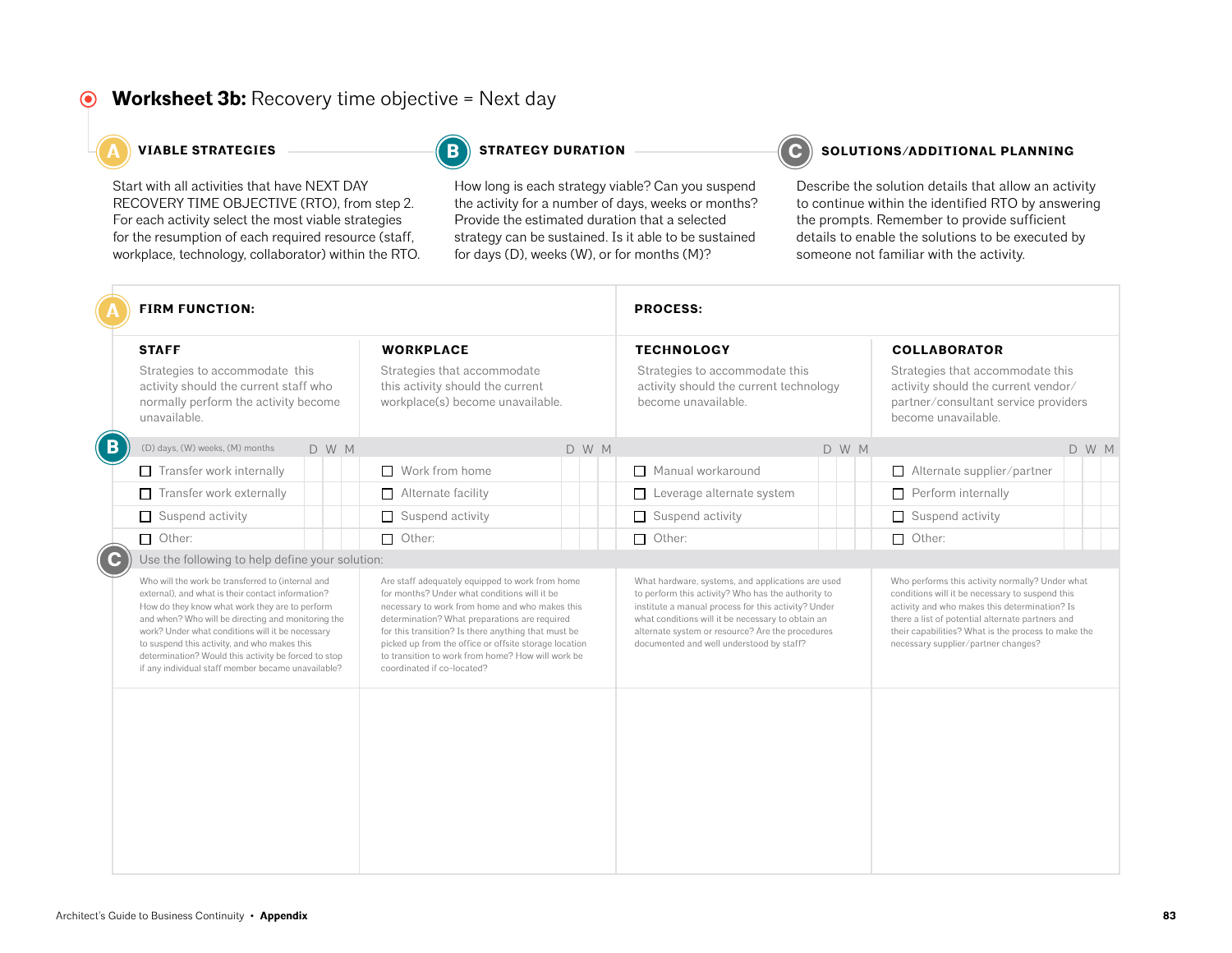### **Worksheet 3b:** Recovery time objective = Next day

Start with all activities that have NEXT DAY RECOVERY TIME OBJECTIVE (RTO), from step 2. For each activity select the most viable strategies for the resumption of each required resource (staff, workplace, technology, collaborator) within the RTO.

**B**

How long is each strategy viable? Can you suspend the activity for a number of days, weeks or months? Provide the estimated duration that a selected strategy can be sustained. Is it able to be sustained for days (D), weeks (W), or for months (M)?

#### **A A A A A C C STRATEGIES C C SOLUTIONS/ADDITIONAL PLANNING**

|                | <b>FIRM FUNCTION:</b>                                                                                                                                                                                                                                                                                                                                                                                                            |                                                                                                                                                                                                                                                                                                                                                                                                       | <b>PROCESS:</b>                                                                                                                                                                                                                                                                                                     |                                                                                                                                                                                                                                                                                                       |
|----------------|----------------------------------------------------------------------------------------------------------------------------------------------------------------------------------------------------------------------------------------------------------------------------------------------------------------------------------------------------------------------------------------------------------------------------------|-------------------------------------------------------------------------------------------------------------------------------------------------------------------------------------------------------------------------------------------------------------------------------------------------------------------------------------------------------------------------------------------------------|---------------------------------------------------------------------------------------------------------------------------------------------------------------------------------------------------------------------------------------------------------------------------------------------------------------------|-------------------------------------------------------------------------------------------------------------------------------------------------------------------------------------------------------------------------------------------------------------------------------------------------------|
|                | <b>STAFF</b><br>Strategies to accommodate this<br>activity should the current staff who<br>normally perform the activity become<br>unavailable.                                                                                                                                                                                                                                                                                  | <b>WORKPLACE</b><br>Strategies that accommodate<br>this activity should the current<br>workplace(s) become unavailable.                                                                                                                                                                                                                                                                               | <b>TECHNOLOGY</b><br>Strategies to accommodate this<br>activity should the current technology<br>become unavailable.                                                                                                                                                                                                | <b>COLLABORATOR</b><br>Strategies that accommodate this<br>activity should the current vendor/<br>partner/consultant service providers<br>become unavailable.                                                                                                                                         |
| $\overline{B}$ | (D) days, (W) weeks, (M) months<br>D W M                                                                                                                                                                                                                                                                                                                                                                                         | D W M                                                                                                                                                                                                                                                                                                                                                                                                 | D W M                                                                                                                                                                                                                                                                                                               | D W M                                                                                                                                                                                                                                                                                                 |
|                | $\Box$ Transfer work internally                                                                                                                                                                                                                                                                                                                                                                                                  | $\Box$ Work from home                                                                                                                                                                                                                                                                                                                                                                                 | Manual workaround                                                                                                                                                                                                                                                                                                   | $\Box$ Alternate supplier/partner                                                                                                                                                                                                                                                                     |
|                | Transfer work externally<br>$\Box$                                                                                                                                                                                                                                                                                                                                                                                               | $\Box$ Alternate facility                                                                                                                                                                                                                                                                                                                                                                             | Leverage alternate system<br>$\Box$                                                                                                                                                                                                                                                                                 | $\Box$ Perform internally                                                                                                                                                                                                                                                                             |
|                | Suspend activity<br>$\Box$                                                                                                                                                                                                                                                                                                                                                                                                       | $\Box$ Suspend activity                                                                                                                                                                                                                                                                                                                                                                               | $\Box$ Suspend activity                                                                                                                                                                                                                                                                                             | $\Box$ Suspend activity                                                                                                                                                                                                                                                                               |
|                | $\Box$ Other:                                                                                                                                                                                                                                                                                                                                                                                                                    | $\Box$ Other:                                                                                                                                                                                                                                                                                                                                                                                         | $\Box$ Other:                                                                                                                                                                                                                                                                                                       | $\Box$ Other:                                                                                                                                                                                                                                                                                         |
| ( C            | Use the following to help define your solution:                                                                                                                                                                                                                                                                                                                                                                                  |                                                                                                                                                                                                                                                                                                                                                                                                       |                                                                                                                                                                                                                                                                                                                     |                                                                                                                                                                                                                                                                                                       |
|                | Who will the work be transferred to (internal and<br>external), and what is their contact information?<br>How do they know what work they are to perform<br>and when? Who will be directing and monitoring the<br>work? Under what conditions will it be necessary<br>to suspend this activity, and who makes this<br>determination? Would this activity be forced to stop<br>if any individual staff member became unavailable? | Are staff adequately equipped to work from home<br>for months? Under what conditions will it be<br>necessary to work from home and who makes this<br>determination? What preparations are required<br>for this transition? Is there anything that must be<br>picked up from the office or offsite storage location<br>to transition to work from home? How will work be<br>coordinated if co-located? | What hardware, systems, and applications are used<br>to perform this activity? Who has the authority to<br>institute a manual process for this activity? Under<br>what conditions will it be necessary to obtain an<br>alternate system or resource? Are the procedures<br>documented and well understood by staff? | Who performs this activity normally? Under what<br>conditions will it be necessary to suspend this<br>activity and who makes this determination? Is<br>there a list of potential alternate partners and<br>their capabilities? What is the process to make the<br>necessary supplier/partner changes? |
|                |                                                                                                                                                                                                                                                                                                                                                                                                                                  |                                                                                                                                                                                                                                                                                                                                                                                                       |                                                                                                                                                                                                                                                                                                                     |                                                                                                                                                                                                                                                                                                       |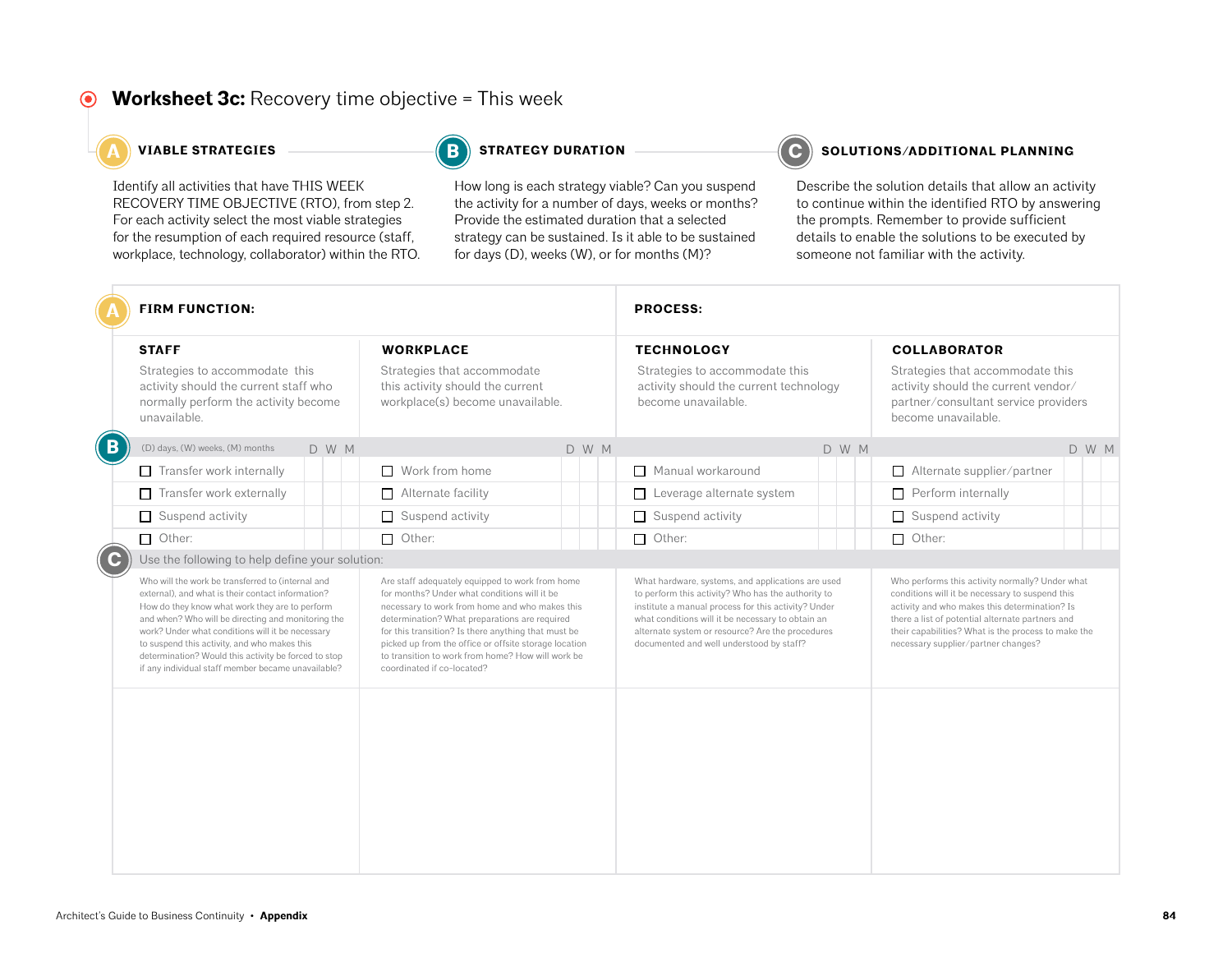### **Worksheet 3c:** Recovery time objective = This week

Identify all activities that have THIS WEEK RECOVERY TIME OBJECTIVE (RTO), from step 2. For each activity select the most viable strategies for the resumption of each required resource (staff, workplace, technology, collaborator) within the RTO.

**B**

How long is each strategy viable? Can you suspend the activity for a number of days, weeks or months? Provide the estimated duration that a selected strategy can be sustained. Is it able to be sustained for days (D), weeks (W), or for months (M)?

#### **A A A A C C STRATEGIES STRATEGY DURATION C C SOLUTIONS/ADDITIONAL PLANNING**

|                | <b>FIRM FUNCTION:</b>                                                                                                                                                                                                                                                                                                                                                                                                            |                                                                                                                                                                                                                                                                                                                                                                                                       | <b>PROCESS:</b>                                                                                                                                                                                                                                                                                                     |                                                                                                                                                                                                                                                                                                       |
|----------------|----------------------------------------------------------------------------------------------------------------------------------------------------------------------------------------------------------------------------------------------------------------------------------------------------------------------------------------------------------------------------------------------------------------------------------|-------------------------------------------------------------------------------------------------------------------------------------------------------------------------------------------------------------------------------------------------------------------------------------------------------------------------------------------------------------------------------------------------------|---------------------------------------------------------------------------------------------------------------------------------------------------------------------------------------------------------------------------------------------------------------------------------------------------------------------|-------------------------------------------------------------------------------------------------------------------------------------------------------------------------------------------------------------------------------------------------------------------------------------------------------|
|                | <b>STAFF</b><br>Strategies to accommodate this<br>activity should the current staff who<br>normally perform the activity become<br>unavailable.                                                                                                                                                                                                                                                                                  | <b>WORKPLACE</b><br>Strategies that accommodate<br>this activity should the current<br>workplace(s) become unavailable.                                                                                                                                                                                                                                                                               | <b>TECHNOLOGY</b><br>Strategies to accommodate this<br>activity should the current technology<br>become unavailable.                                                                                                                                                                                                | <b>COLLABORATOR</b><br>Strategies that accommodate this<br>activity should the current vendor/<br>partner/consultant service providers<br>become unavailable.                                                                                                                                         |
| $\overline{B}$ | (D) days, (W) weeks, (M) months<br>D W M                                                                                                                                                                                                                                                                                                                                                                                         | D W M                                                                                                                                                                                                                                                                                                                                                                                                 | D W M                                                                                                                                                                                                                                                                                                               | D W M                                                                                                                                                                                                                                                                                                 |
|                | $\Box$ Transfer work internally                                                                                                                                                                                                                                                                                                                                                                                                  | $\Box$ Work from home                                                                                                                                                                                                                                                                                                                                                                                 | Manual workaround                                                                                                                                                                                                                                                                                                   | $\Box$ Alternate supplier/partner                                                                                                                                                                                                                                                                     |
|                | Transfer work externally<br>$\Box$                                                                                                                                                                                                                                                                                                                                                                                               | $\Box$ Alternate facility                                                                                                                                                                                                                                                                                                                                                                             | Leverage alternate system<br>$\Box$                                                                                                                                                                                                                                                                                 | $\Box$ Perform internally                                                                                                                                                                                                                                                                             |
|                | Suspend activity<br>$\Box$                                                                                                                                                                                                                                                                                                                                                                                                       | $\Box$ Suspend activity                                                                                                                                                                                                                                                                                                                                                                               | $\Box$ Suspend activity                                                                                                                                                                                                                                                                                             | $\Box$ Suspend activity                                                                                                                                                                                                                                                                               |
|                | $\Box$ Other:                                                                                                                                                                                                                                                                                                                                                                                                                    | $\Box$ Other:                                                                                                                                                                                                                                                                                                                                                                                         | $\Box$ Other:                                                                                                                                                                                                                                                                                                       | $\Box$ Other:                                                                                                                                                                                                                                                                                         |
| ( C            | Use the following to help define your solution:                                                                                                                                                                                                                                                                                                                                                                                  |                                                                                                                                                                                                                                                                                                                                                                                                       |                                                                                                                                                                                                                                                                                                                     |                                                                                                                                                                                                                                                                                                       |
|                | Who will the work be transferred to (internal and<br>external), and what is their contact information?<br>How do they know what work they are to perform<br>and when? Who will be directing and monitoring the<br>work? Under what conditions will it be necessary<br>to suspend this activity, and who makes this<br>determination? Would this activity be forced to stop<br>if any individual staff member became unavailable? | Are staff adequately equipped to work from home<br>for months? Under what conditions will it be<br>necessary to work from home and who makes this<br>determination? What preparations are required<br>for this transition? Is there anything that must be<br>picked up from the office or offsite storage location<br>to transition to work from home? How will work be<br>coordinated if co-located? | What hardware, systems, and applications are used<br>to perform this activity? Who has the authority to<br>institute a manual process for this activity? Under<br>what conditions will it be necessary to obtain an<br>alternate system or resource? Are the procedures<br>documented and well understood by staff? | Who performs this activity normally? Under what<br>conditions will it be necessary to suspend this<br>activity and who makes this determination? Is<br>there a list of potential alternate partners and<br>their capabilities? What is the process to make the<br>necessary supplier/partner changes? |
|                |                                                                                                                                                                                                                                                                                                                                                                                                                                  |                                                                                                                                                                                                                                                                                                                                                                                                       |                                                                                                                                                                                                                                                                                                                     |                                                                                                                                                                                                                                                                                                       |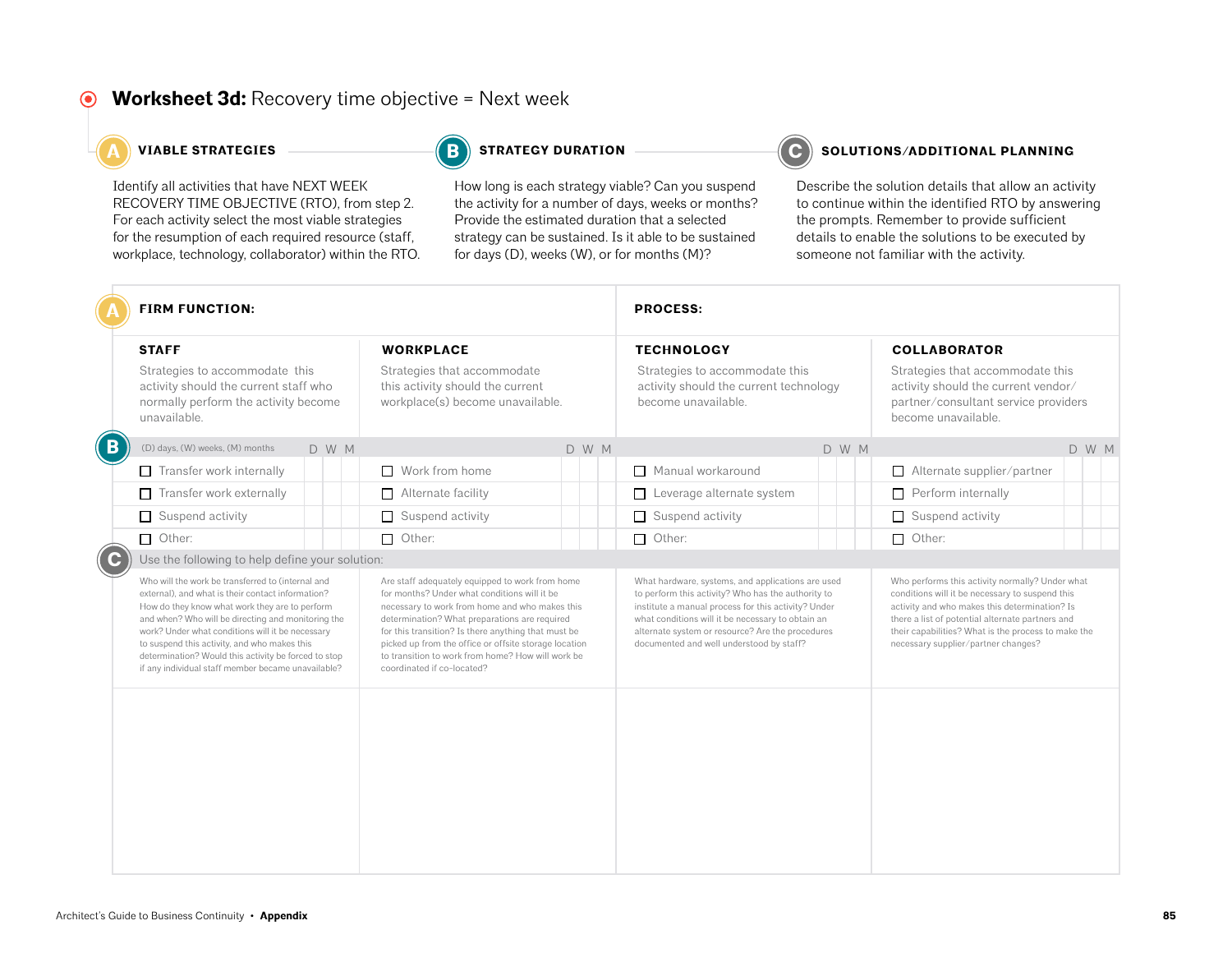### **Worksheet 3d:** Recovery time objective = Next week

Identify all activities that have NEXT WEEK RECOVERY TIME OBJECTIVE (RTO), from step 2. For each activity select the most viable strategies for the resumption of each required resource (staff, workplace, technology, collaborator) within the RTO.

**B**

How long is each strategy viable? Can you suspend the activity for a number of days, weeks or months? Provide the estimated duration that a selected strategy can be sustained. Is it able to be sustained for days (D), weeks (W), or for months (M)?

#### **A A A A C C STRATEGIES STRATEGY DURATION C C SOLUTIONS/ADDITIONAL PLANNING**

|              | <b>FIRM FUNCTION:</b>                                                                                                                                                                                                                                                                                                                                                                                                            |                                                                                                                                                                                                                                                                                                                                                                                                       | <b>PROCESS:</b>                                                                                                                                                                                                                                                                                                     |                                                                                                                                                                                                                                                                                                       |  |  |  |
|--------------|----------------------------------------------------------------------------------------------------------------------------------------------------------------------------------------------------------------------------------------------------------------------------------------------------------------------------------------------------------------------------------------------------------------------------------|-------------------------------------------------------------------------------------------------------------------------------------------------------------------------------------------------------------------------------------------------------------------------------------------------------------------------------------------------------------------------------------------------------|---------------------------------------------------------------------------------------------------------------------------------------------------------------------------------------------------------------------------------------------------------------------------------------------------------------------|-------------------------------------------------------------------------------------------------------------------------------------------------------------------------------------------------------------------------------------------------------------------------------------------------------|--|--|--|
|              | <b>STAFF</b><br>Strategies to accommodate this<br>activity should the current staff who<br>normally perform the activity become<br>unavailable.                                                                                                                                                                                                                                                                                  | <b>WORKPLACE</b><br>Strategies that accommodate<br>this activity should the current<br>workplace(s) become unavailable.                                                                                                                                                                                                                                                                               | <b>TECHNOLOGY</b><br>Strategies to accommodate this<br>activity should the current technology<br>become unavailable.                                                                                                                                                                                                | <b>COLLABORATOR</b><br>Strategies that accommodate this<br>activity should the current vendor/<br>partner/consultant service providers<br>become unavailable.                                                                                                                                         |  |  |  |
| $\mathbf{B}$ | (D) days, (W) weeks, (M) months<br>D W M                                                                                                                                                                                                                                                                                                                                                                                         | D W M                                                                                                                                                                                                                                                                                                                                                                                                 | D W M                                                                                                                                                                                                                                                                                                               | D W M                                                                                                                                                                                                                                                                                                 |  |  |  |
|              | $\Box$ Transfer work internally                                                                                                                                                                                                                                                                                                                                                                                                  | $\Box$ Work from home                                                                                                                                                                                                                                                                                                                                                                                 | Manual workaround                                                                                                                                                                                                                                                                                                   | $\Box$ Alternate supplier/partner                                                                                                                                                                                                                                                                     |  |  |  |
|              | Transfer work externally<br>П                                                                                                                                                                                                                                                                                                                                                                                                    | $\Box$ Alternate facility                                                                                                                                                                                                                                                                                                                                                                             | Leverage alternate system<br>$\Box$                                                                                                                                                                                                                                                                                 | $\Box$ Perform internally                                                                                                                                                                                                                                                                             |  |  |  |
|              | Suspend activity<br>$\Box$                                                                                                                                                                                                                                                                                                                                                                                                       | $\Box$ Suspend activity                                                                                                                                                                                                                                                                                                                                                                               | $\Box$ Suspend activity                                                                                                                                                                                                                                                                                             | $\Box$ Suspend activity                                                                                                                                                                                                                                                                               |  |  |  |
|              | $\Box$ Other:                                                                                                                                                                                                                                                                                                                                                                                                                    | $\Box$ Other:                                                                                                                                                                                                                                                                                                                                                                                         | Other:                                                                                                                                                                                                                                                                                                              | $\Box$ Other:                                                                                                                                                                                                                                                                                         |  |  |  |
| ( C          | Use the following to help define your solution:                                                                                                                                                                                                                                                                                                                                                                                  |                                                                                                                                                                                                                                                                                                                                                                                                       |                                                                                                                                                                                                                                                                                                                     |                                                                                                                                                                                                                                                                                                       |  |  |  |
|              | Who will the work be transferred to (internal and<br>external), and what is their contact information?<br>How do they know what work they are to perform<br>and when? Who will be directing and monitoring the<br>work? Under what conditions will it be necessary<br>to suspend this activity, and who makes this<br>determination? Would this activity be forced to stop<br>if any individual staff member became unavailable? | Are staff adequately equipped to work from home<br>for months? Under what conditions will it be<br>necessary to work from home and who makes this<br>determination? What preparations are required<br>for this transition? Is there anything that must be<br>picked up from the office or offsite storage location<br>to transition to work from home? How will work be<br>coordinated if co-located? | What hardware, systems, and applications are used<br>to perform this activity? Who has the authority to<br>institute a manual process for this activity? Under<br>what conditions will it be necessary to obtain an<br>alternate system or resource? Are the procedures<br>documented and well understood by staff? | Who performs this activity normally? Under what<br>conditions will it be necessary to suspend this<br>activity and who makes this determination? Is<br>there a list of potential alternate partners and<br>their capabilities? What is the process to make the<br>necessary supplier/partner changes? |  |  |  |
|              |                                                                                                                                                                                                                                                                                                                                                                                                                                  |                                                                                                                                                                                                                                                                                                                                                                                                       |                                                                                                                                                                                                                                                                                                                     |                                                                                                                                                                                                                                                                                                       |  |  |  |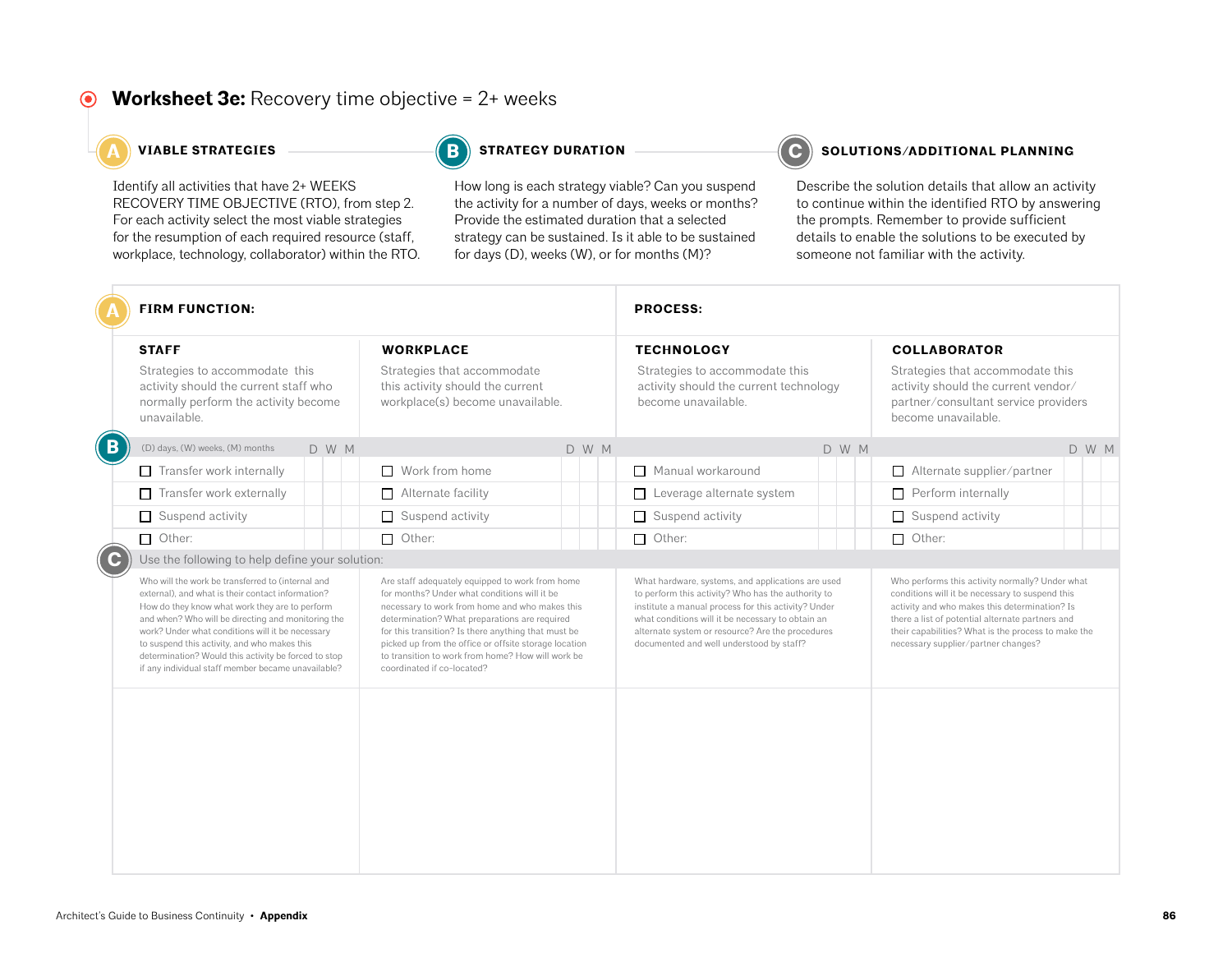### **Worksheet 3e:** Recovery time objective = 2+ weeks

Identify all activities that have 2+ WEEKS RECOVERY TIME OBJECTIVE (RTO), from step 2. For each activity select the most viable strategies for the resumption of each required resource (staff, workplace, technology, collaborator) within the RTO.

**B**

How long is each strategy viable? Can you suspend the activity for a number of days, weeks or months? Provide the estimated duration that a selected strategy can be sustained. Is it able to be sustained for days (D), weeks (W), or for months (M)?

#### **A A A A C C STRATEGIES STRATEGY DURATION C C SOLUTIONS/ADDITIONAL PLANNING**

|                | <b>FIRM FUNCTION:</b>                                                                                                                                                                                                                                                                                                                                                                                                            |                                                                                                                                                                                                                                                                                                                                                                                                       | <b>PROCESS:</b>                                                                                                                                                                                                                                                                                                     |                                                                                                                                                                                                                                                                                                       |
|----------------|----------------------------------------------------------------------------------------------------------------------------------------------------------------------------------------------------------------------------------------------------------------------------------------------------------------------------------------------------------------------------------------------------------------------------------|-------------------------------------------------------------------------------------------------------------------------------------------------------------------------------------------------------------------------------------------------------------------------------------------------------------------------------------------------------------------------------------------------------|---------------------------------------------------------------------------------------------------------------------------------------------------------------------------------------------------------------------------------------------------------------------------------------------------------------------|-------------------------------------------------------------------------------------------------------------------------------------------------------------------------------------------------------------------------------------------------------------------------------------------------------|
|                | <b>STAFF</b><br>Strategies to accommodate this<br>activity should the current staff who<br>normally perform the activity become<br>unavailable.                                                                                                                                                                                                                                                                                  | <b>WORKPLACE</b><br>Strategies that accommodate<br>this activity should the current<br>workplace(s) become unavailable.                                                                                                                                                                                                                                                                               | <b>TECHNOLOGY</b><br>Strategies to accommodate this<br>activity should the current technology<br>become unavailable.                                                                                                                                                                                                | <b>COLLABORATOR</b><br>Strategies that accommodate this<br>activity should the current vendor/<br>partner/consultant service providers<br>become unavailable.                                                                                                                                         |
| $\overline{B}$ | (D) days, (W) weeks, (M) months<br>D W M                                                                                                                                                                                                                                                                                                                                                                                         | D W M                                                                                                                                                                                                                                                                                                                                                                                                 | D W M                                                                                                                                                                                                                                                                                                               | D W M                                                                                                                                                                                                                                                                                                 |
|                | $\Box$ Transfer work internally                                                                                                                                                                                                                                                                                                                                                                                                  | $\Box$ Work from home                                                                                                                                                                                                                                                                                                                                                                                 | Manual workaround                                                                                                                                                                                                                                                                                                   | $\Box$ Alternate supplier/partner                                                                                                                                                                                                                                                                     |
|                | Transfer work externally<br>$\Box$                                                                                                                                                                                                                                                                                                                                                                                               | $\Box$ Alternate facility                                                                                                                                                                                                                                                                                                                                                                             | Leverage alternate system<br>$\Box$                                                                                                                                                                                                                                                                                 | $\Box$ Perform internally                                                                                                                                                                                                                                                                             |
|                | Suspend activity<br>$\Box$                                                                                                                                                                                                                                                                                                                                                                                                       | $\Box$ Suspend activity                                                                                                                                                                                                                                                                                                                                                                               | $\Box$ Suspend activity                                                                                                                                                                                                                                                                                             | $\Box$ Suspend activity                                                                                                                                                                                                                                                                               |
|                | $\Box$ Other:                                                                                                                                                                                                                                                                                                                                                                                                                    | $\Box$ Other:                                                                                                                                                                                                                                                                                                                                                                                         | $\Box$ Other:                                                                                                                                                                                                                                                                                                       | $\Box$ Other:                                                                                                                                                                                                                                                                                         |
| ( C            | Use the following to help define your solution:                                                                                                                                                                                                                                                                                                                                                                                  |                                                                                                                                                                                                                                                                                                                                                                                                       |                                                                                                                                                                                                                                                                                                                     |                                                                                                                                                                                                                                                                                                       |
|                | Who will the work be transferred to (internal and<br>external), and what is their contact information?<br>How do they know what work they are to perform<br>and when? Who will be directing and monitoring the<br>work? Under what conditions will it be necessary<br>to suspend this activity, and who makes this<br>determination? Would this activity be forced to stop<br>if any individual staff member became unavailable? | Are staff adequately equipped to work from home<br>for months? Under what conditions will it be<br>necessary to work from home and who makes this<br>determination? What preparations are required<br>for this transition? Is there anything that must be<br>picked up from the office or offsite storage location<br>to transition to work from home? How will work be<br>coordinated if co-located? | What hardware, systems, and applications are used<br>to perform this activity? Who has the authority to<br>institute a manual process for this activity? Under<br>what conditions will it be necessary to obtain an<br>alternate system or resource? Are the procedures<br>documented and well understood by staff? | Who performs this activity normally? Under what<br>conditions will it be necessary to suspend this<br>activity and who makes this determination? Is<br>there a list of potential alternate partners and<br>their capabilities? What is the process to make the<br>necessary supplier/partner changes? |
|                |                                                                                                                                                                                                                                                                                                                                                                                                                                  |                                                                                                                                                                                                                                                                                                                                                                                                       |                                                                                                                                                                                                                                                                                                                     |                                                                                                                                                                                                                                                                                                       |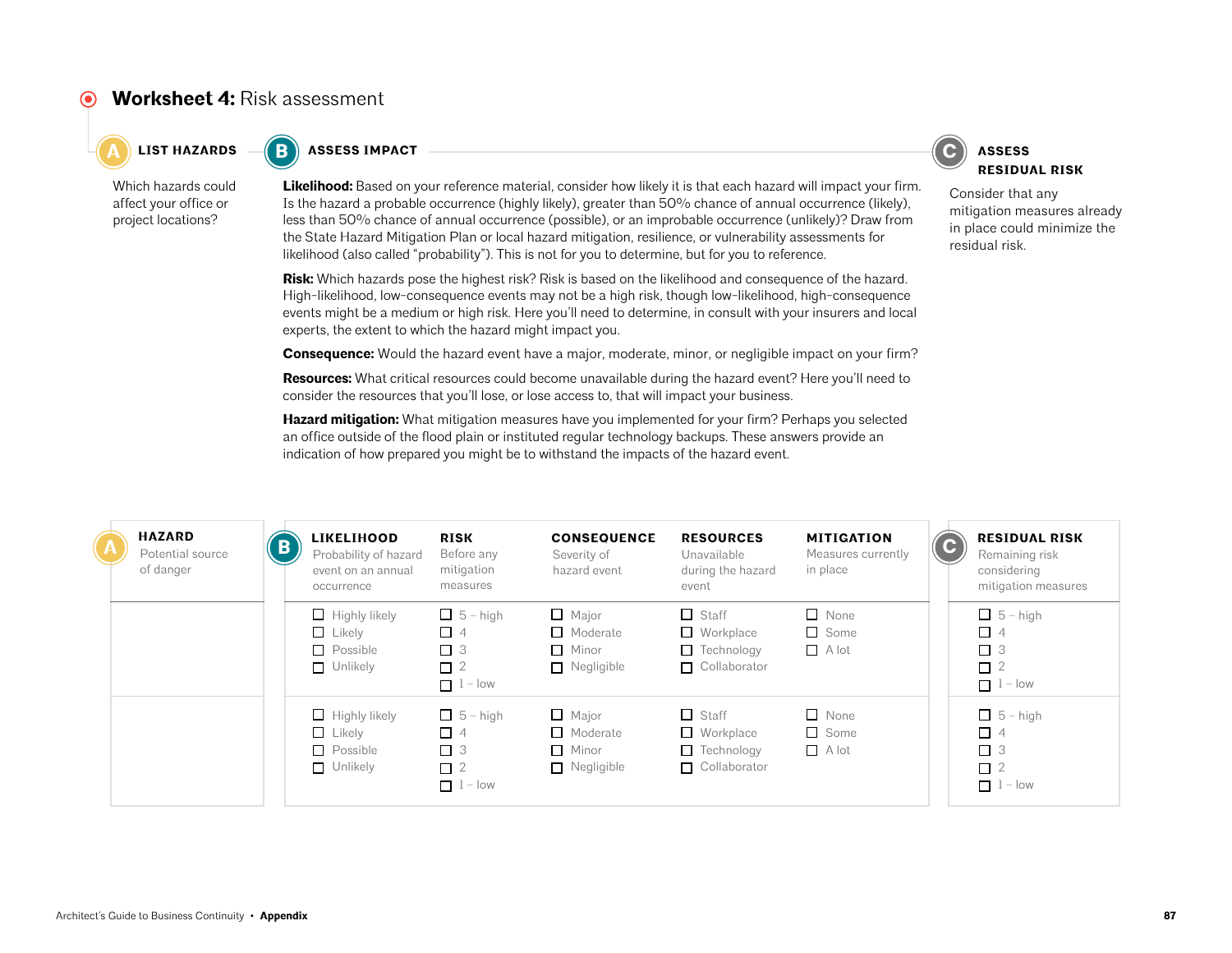### **Worksheet 4:** Risk assessment

 $\bullet$  **C A EXECUTE <b>ASSESS IMPACT C ASSESS ASSESS** 



Which hazards could affect your office or project locations?

**Likelihood:** Based on your reference material, consider how likely it is that each hazard will impact your firm. Is the hazard a probable occurrence (highly likely), greater than 50% chance of annual occurrence (likely), less than 50% chance of annual occurrence (possible), or an improbable occurrence (unlikely)? Draw from the State Hazard Mitigation Plan or local hazard mitigation, resilience, or vulnerability assessments for likelihood (also called "probability"). This is not for you to determine, but for you to reference.

**Risk:** Which hazards pose the highest risk? Risk is based on the likelihood and consequence of the hazard. High-likelihood, low-consequence events may not be a high risk, though low-likelihood, high-consequence events might be a medium or high risk. Here you'll need to determine, in consult with your insurers and local experts, the extent to which the hazard might impact you.

**Consequence:** Would the hazard event have a major, moderate, minor, or negligible impact on your firm?

**Resources:** What critical resources could become unavailable during the hazard event? Here you'll need to consider the resources that you'll lose, or lose access to, that will impact your business.

**Hazard mitigation:** What mitigation measures have you implemented for your firm? Perhaps you selected an office outside of the flood plain or instituted regular technology backups. These answers provide an indication of how prepared you might be to withstand the impacts of the hazard event.



Consider that any mitigation measures already in place could minimize the residual risk.

| $\Lambda$ | <b>HAZARD</b><br>Potential source<br>of danger | $\mathbf{B}$ | <b>LIKELIHOOD</b><br>Probability of hazard<br>event on an annual<br>occurrence | <b>RISK</b><br>Before any<br>mitigation<br>measures                   | <b>CONSEQUENCE</b><br>Severity of<br>hazard event                    | <b>RESOURCES</b><br>Unavailable<br>during the hazard<br>event                | <b>MITIGATION</b><br>Measures currently<br>in place |  | $\mathbf{C}$ | <b>RESIDUAL RISK</b><br>Remaining risk<br>considering<br>mitigation measures |
|-----------|------------------------------------------------|--------------|--------------------------------------------------------------------------------|-----------------------------------------------------------------------|----------------------------------------------------------------------|------------------------------------------------------------------------------|-----------------------------------------------------|--|--------------|------------------------------------------------------------------------------|
|           |                                                |              | $\Box$ Highly likely<br>$\Box$ Likely<br>$\Box$ Possible<br>$\Box$ Unlikely    | $\Box$ 5 – high<br>$\Box$ 4<br>$\Box$ 3<br>$\Box$ 2<br>$\Box$ 1 – low | $\Box$ Major<br>$\Box$ Moderate<br>$\Box$ Minor<br>$\Box$ Negligible | $\Box$ Staff<br>$\Box$ Workplace<br>$\Box$ Technology<br>$\Box$ Collaborator | $\Box$ None<br>$\Box$ Some<br>$\Box$ A lot          |  |              | $\Box$ 5 – high<br>$\Box$ 4<br>$\Box$ 3<br>$\Box$ 2<br>$\Box$ 1 - low        |
|           |                                                |              | $\Box$ Highly likely<br>$\Box$ Likely<br>$\Box$ Possible<br>$\Box$ Unlikely    | $\Box$ 5 – high<br>$\Box$ 4<br>$\Box$ 3<br>$\Box$ 2<br>$\Box$ 1 – low | $\Box$ Major<br>$\Box$ Moderate<br>$\Box$ Minor<br>$\Box$ Negligible | $\Box$ Staff<br>$\Box$ Workplace<br>$\Box$ Technology<br>$\Box$ Collaborator | $\Box$ None<br>$\Box$ Some<br>$\Box$ A lot          |  |              | $\Box$ 5 - high<br>$\Box$ 4<br>$\Box$ 3<br>$\Box$ 2<br>$\Box$ 1 – low        |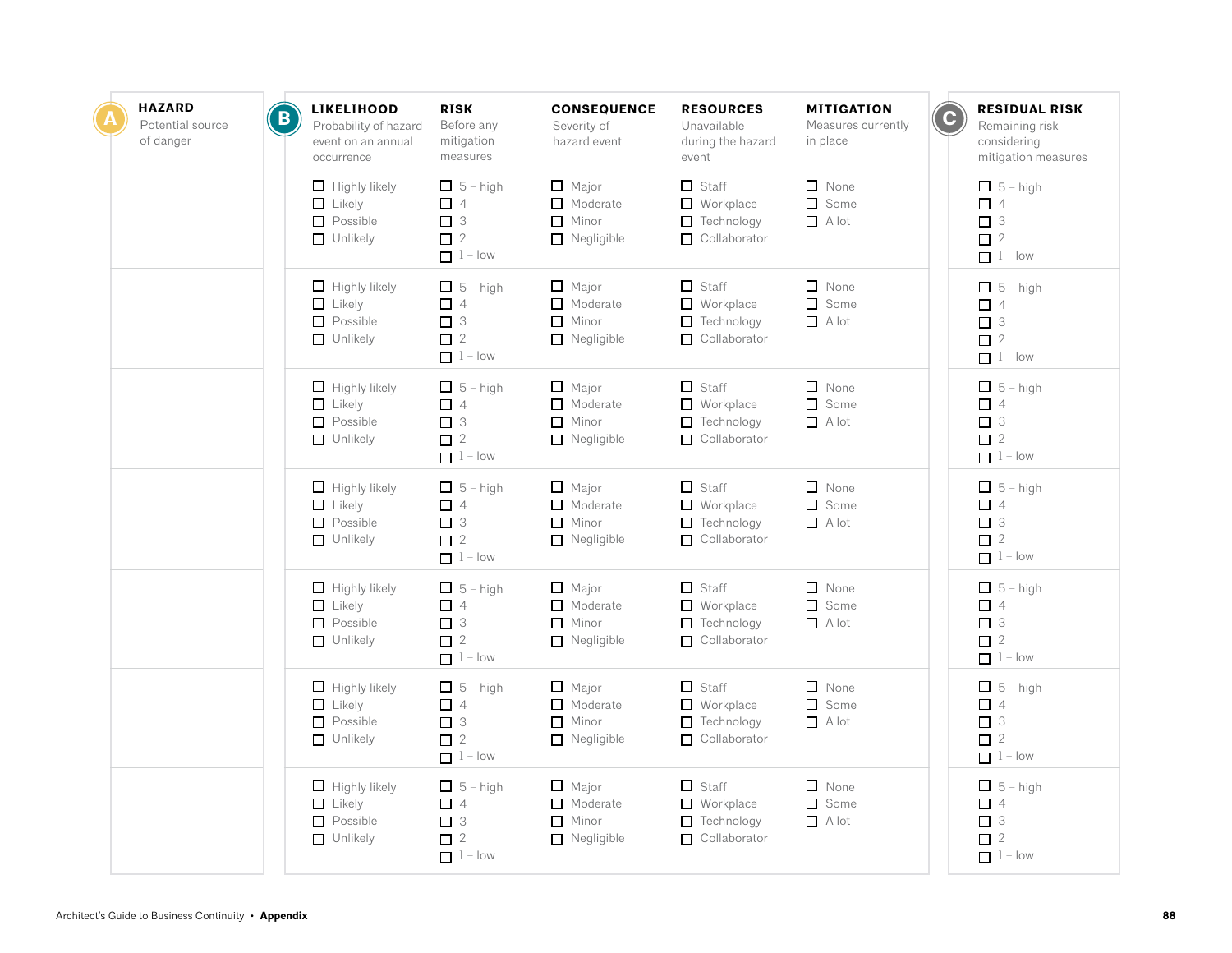| <b>HAZARD</b><br>Potential source<br>of danger | $\mathbf B$ | <b>LIKELIHOOD</b><br>Probability of hazard<br>event on an annual<br>occurrence | <b>RISK</b><br>Before any<br>mitigation<br>measures                   | <b>CONSEQUENCE</b><br>Severity of<br>hazard event                    | <b>RESOURCES</b><br>Unavailable<br>during the hazard<br>event                | <b>MITIGATION</b><br>Measures currently<br>in place | $\overline{\mathbf{c}}$ | <b>RESIDUAL RISK</b><br>Remaining risk<br>considering<br>mitigation measures |
|------------------------------------------------|-------------|--------------------------------------------------------------------------------|-----------------------------------------------------------------------|----------------------------------------------------------------------|------------------------------------------------------------------------------|-----------------------------------------------------|-------------------------|------------------------------------------------------------------------------|
|                                                |             | $\Box$ Highly likely<br>$\Box$ Likely<br>$\Box$ Possible<br>$\Box$ Unlikely    | $\Box$ 5 - high<br>$\Box$ 4<br>$\Box$ 3<br>$\Box$ 2<br>$1 - low$      | $\Box$ Major<br>$\Box$ Moderate<br>$\Box$ Minor<br>$\Box$ Negligible | $\Box$ Staff<br>$\Box$ Workplace<br>Technology<br>□ Collaborator             | $\Box$ None<br>Some<br>$A$ lot                      |                         | $\Box$ 5 - high<br>$\Box$ 4<br>$\Box$ 3<br>$\Box$ 2<br>$1 - low$             |
|                                                |             | $\Box$ Highly likely<br>$\Box$ Likely<br>$\Box$ Possible<br>$\Box$ Unlikely    | $\Box$ 5 - high<br>$\Box$ 4<br>$\Box$ 3<br>$\Box$ 2<br>$1 - low$      | $\Box$ Major<br>$\Box$ Moderate<br>Minor<br>$\Box$ Negligible        | $\Box$ Staff<br>$\Box$ Workplace<br>Technology<br>$\Box$ Collaborator        | $\Box$ None<br>$\Box$ Some<br>$A$ lot               |                         | $\Box$ 5 – high<br>$\Box$ 4<br>$\Box$ 3<br>$\square$ 2<br>$1 - low$          |
|                                                |             | $\Box$ Highly likely<br>$\Box$ Likely<br>$\Box$ Possible<br>$\Box$ Unlikely    | $\Box$ 5 – high<br>$\Box$ 4<br>$\Box$ 3<br>$\Box$ 2<br>$1 - low$      | $\Box$ Major<br>$\Box$ Moderate<br>$\Box$ Minor<br>$\Box$ Negligible | $\Box$ Staff<br>$\Box$ Workplace<br>$\Box$ Technology<br>$\Box$ Collaborator | $\Box$ None<br>□ Some<br>$A$ lot                    |                         | $\Box$ 5 - high<br>$\Box$ 4<br>$\Box$ 3<br>$\Box$ 2<br>$\Box$ 1 - low        |
|                                                |             | $\Box$ Highly likely<br>$\Box$ Likely<br>$\Box$ Possible<br>$\Box$ Unlikely    | $\Box$ 5 - high<br>$\Box$ 4<br>$\Box$ 3<br>$\Box$ 2<br>$1 - low$      | $\Box$ Major<br>$\Box$ Moderate<br>$\Box$ Minor<br>$\Box$ Negligible | $\Box$ Staff<br>Workplace<br>$\Box$ Technology<br>$\Box$ Collaborator        | $\Box$ None<br>$\Box$ Some<br>$\Box$ A lot          |                         | $\Box$ 5 - high<br>$\Box$ 4<br>$\Box$ 3<br>$\square$ 2<br>$1 - low$          |
|                                                |             | $\Box$ Highly likely<br>$\Box$ Likely<br>$\Box$ Possible<br>$\Box$ Unlikely    | $\Box$ 5 - high<br>$\Box$ 4<br>$\Box$ 3<br>$\Box$ 2<br>$\Box$ 1 – low | $\Box$ Major<br>$\Box$ Moderate<br>$\Box$ Minor<br>$\Box$ Negligible | $\Box$ Staff<br>$\Box$ Workplace<br>$\Box$ Technology<br>$\Box$ Collaborator | $\Box$ None<br>$\Box$ Some<br>$\Box$ A lot          |                         | $\Box$ 5 - high<br>$\Box$ 4<br>$\Box$ 3<br>$\Box$ 2<br>$\Box$ 1 - low        |
|                                                |             | $\Box$ Highly likely<br>$\Box$ Likely<br>$\Box$ Possible<br>$\Box$ Unlikely    | $\Box$ 5 – high<br>$\Box$ 4<br>$\Box$ 3<br>$\Box$ 2<br>$1 - low$      | $\Box$ Major<br>$\Box$ Moderate<br>$\Box$ Minor<br>$\Box$ Negligible | $\Box$ Staff<br>$\Box$ Workplace<br>$\Box$ Technology<br>$\Box$ Collaborator | $\Box$ None<br>Some<br>$\Box$ A lot                 |                         | $\Box$ 5 - high<br>$\Box$ 4<br>$\Box$ 3<br>$\Box$ 2<br>$1 - low$             |
|                                                |             | $\Box$ Highly likely<br>$\Box$ Likely<br>$\Box$ Possible<br>$\Box$ Unlikely    | $\Box$ 5 – high<br>$\Box$ 4<br>$\Box$ 3<br>$\Box$ 2<br>$1 - low$      | $\Box$ Major<br>Moderate<br>$\Box$ Minor<br>$\Box$ Negligible        | $\Box$ Staff<br>$\Box$ Workplace<br>$\Box$ Technology<br>$\Box$ Collaborator | $\Box$ None<br>Some<br>$A$ lot                      |                         | $\Box$ 5 - high<br>$\Box$ 4<br>$\Box$ 3<br>$\Box$ 2<br>$\Box$ 1 - low        |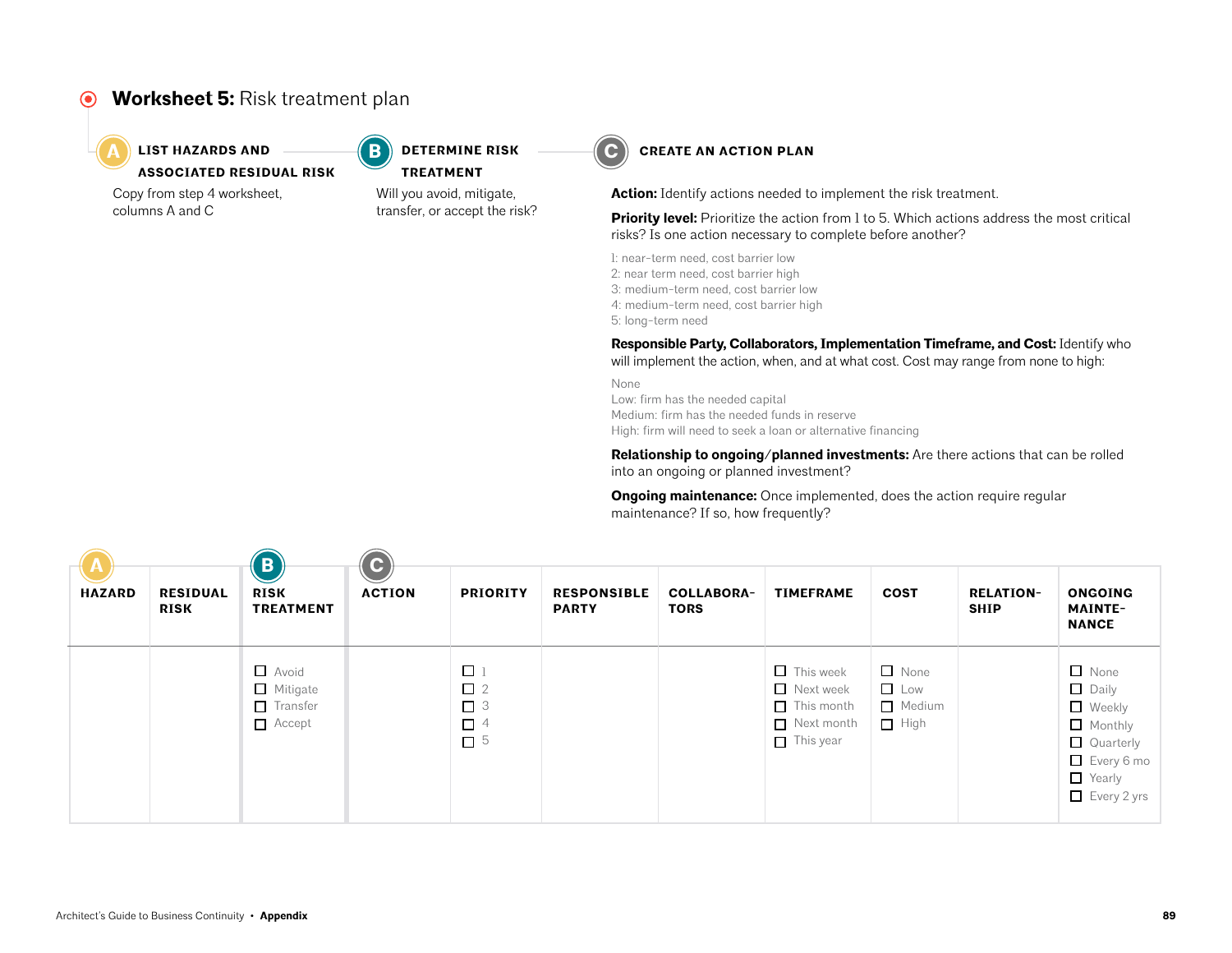### **Worksheet 5:** Risk treatment plan



#### **LIST HAZARDS AND**  $\begin{pmatrix} \textbf{B} \\ \textbf{C} \end{pmatrix}$  **determine risk**  $\begin{pmatrix} \textbf{C} \\ \textbf{C} \end{pmatrix}$ **ASSOCIATED RESIDUAL RISK**

Copy from step 4 worksheet, columns A and C

Will you avoid, mitigate, transfer, or accept the risk? **TREATMENT**

**DETERMINE RISK** 



**Action:** Identify actions needed to implement the risk treatment.

**Priority level:** Prioritize the action from 1 to 5. Which actions address the most critical risks? Is one action necessary to complete before another?

1: near-term need, cost barrier low

- 2: near term need, cost barrier high
- 3: medium-term need, cost barrier low
- 4: medium-term need, cost barrier high

5: long-term need

**Responsible Party, Collaborators, Implementation Timeframe, and Cost:** Identify who will implement the action, when, and at what cost. Cost may range from none to high:

None Low: firm has the needed capital Medium: firm has the needed funds in reserve High: firm will need to seek a loan or alternative financing

**Relationship to ongoing/planned investments:** Are there actions that can be rolled into an ongoing or planned investment?

**Ongoing maintenance:** Once implemented, does the action require regular maintenance? If so, how frequently?

| A<br><b>HAZARD</b> | <b>RESIDUAL</b><br><b>RISK</b> | $\vert \mathbf{B} \vert$<br><b>RISK</b><br><b>TREATMENT</b> | $ {\bf C} $<br><b>ACTION</b> | <b>PRIORITY</b>                                        | <b>RESPONSIBLE</b><br><b>PARTY</b> | <b>COLLABORA-</b><br><b>TORS</b> | <b>TIMEFRAME</b>                                                                            | COST                                        | <b>RELATION-</b><br><b>SHIP</b> | <b>ONGOING</b><br><b>MAINTE-</b><br><b>NANCE</b>                                                                          |  |
|--------------------|--------------------------------|-------------------------------------------------------------|------------------------------|--------------------------------------------------------|------------------------------------|----------------------------------|---------------------------------------------------------------------------------------------|---------------------------------------------|---------------------------------|---------------------------------------------------------------------------------------------------------------------------|--|
|                    |                                | Avoid<br>Mitigate<br>$\Box$ Transfer<br>Accept              |                              | $\Box$<br>$\Box$ 2<br>$\Box$ 3<br>$\Box$ 4<br>$\Box$ 5 |                                    |                                  | $\Box$ This week<br>Next week<br>$\Box$ This month<br>$\Box$ Next month<br>$\Box$ This year | $\Box$ None<br>Low<br>Medium<br>$\Box$ High |                                 | $\Box$ None<br>$\Box$ Daily<br>Weekly<br>$\Box$ Monthly<br>Quarterly<br>$\Box$ Every 6 mo<br>Yearly<br>$\Box$ Every 2 yrs |  |